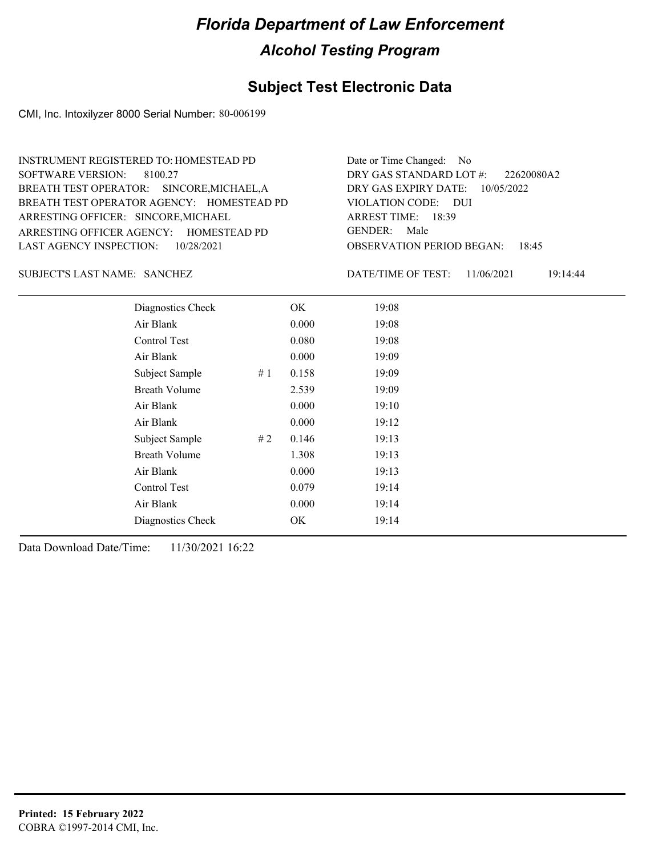#### **Subject Test Electronic Data**

CMI, Inc. Intoxilyzer 8000 Serial Number: 80-006199

ARRESTING OFFICER AGENCY: GENDER: HOMESTEAD PD BREATH TEST OPERATOR AGENCY: HOMESTEAD PD VIOLATION CODE: SOFTWARE VERSION: 8100.27 ARRESTING OFFICER: SINCORE, MICHAEL BREATH TEST OPERATOR: SINCORE,MICHAEL,A LAST AGENCY INSPECTION: 10/28/2021 INSTRUMENT REGISTERED TO: HOMESTEAD PD

OBSERVATION PERIOD BEGAN: 18:45 VIOLATION CODE: DUI 18:39 ARREST TIME: DRY GAS EXPIRY DATE: 10/05/2022 22620080A2 DRY GAS STANDARD LOT #: Date or Time Changed: No GENDER: Male

SANCHEZ SUBJECT'S LAST NAME: DATE/TIME OF TEST:

DATE/TIME OF TEST: 11/06/2021 19:14:44

| Diagnostics Check    |    | OK    | 19:08 |
|----------------------|----|-------|-------|
| Air Blank            |    | 0.000 | 19:08 |
| Control Test         |    | 0.080 | 19:08 |
| Air Blank            |    | 0.000 | 19:09 |
| Subject Sample       | #1 | 0.158 | 19:09 |
| <b>Breath Volume</b> |    | 2.539 | 19:09 |
| Air Blank            |    | 0.000 | 19:10 |
| Air Blank            |    | 0.000 | 19:12 |
| Subject Sample       | #2 | 0.146 | 19:13 |
| <b>Breath Volume</b> |    | 1.308 | 19:13 |
| Air Blank            |    | 0.000 | 19:13 |
| Control Test         |    | 0.079 | 19:14 |
| Air Blank            |    | 0.000 | 19:14 |
| Diagnostics Check    |    | OK    | 19:14 |
|                      |    |       |       |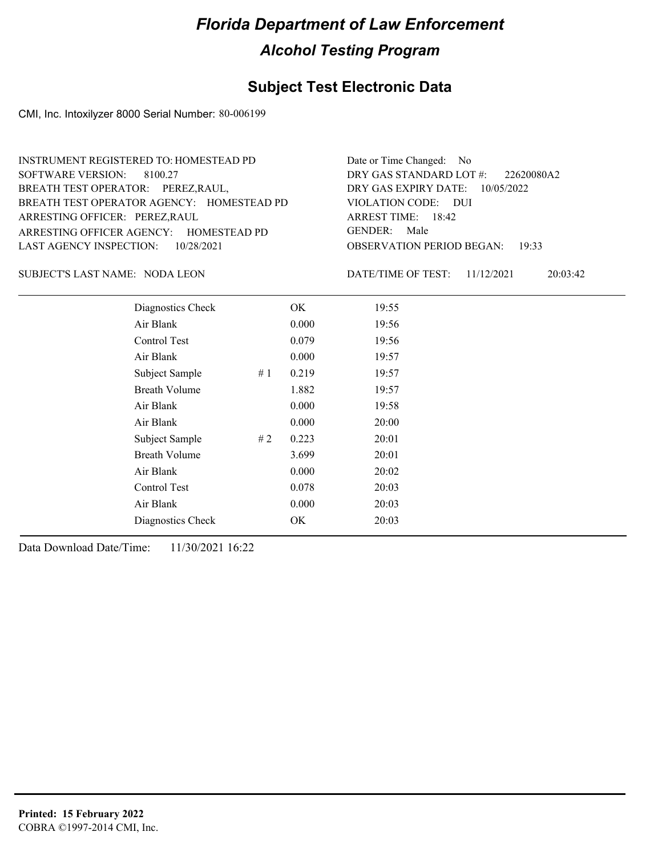### **Subject Test Electronic Data**

CMI, Inc. Intoxilyzer 8000 Serial Number: 80-006199

| <b>INSTRUMENT REGISTERED TO: HOMESTEAD PD</b> | Date or Time Changed: No               |
|-----------------------------------------------|----------------------------------------|
| SOFTWARE VERSION: 8100.27                     | DRY GAS STANDARD LOT #: 22620080A2     |
| BREATH TEST OPERATOR: PEREZ, RAUL,            | DRY GAS EXPIRY DATE: $10/05/2022$      |
| BREATH TEST OPERATOR AGENCY: HOMESTEAD PD     | VIOLATION CODE: DUI                    |
| ARRESTING OFFICER: PEREZ, RAUL                | ARREST TIME: $18:42$                   |
| ARRESTING OFFICER AGENCY: HOMESTEAD PD        | GENDER: Male                           |
| LAST AGENCY INSPECTION: 10/28/2021            | <b>OBSERVATION PERIOD BEGAN: 19:33</b> |

#### SUBJECT'S LAST NAME: NODA LEON DATE/TIME OF TEST:

DATE/TIME OF TEST: 11/12/2021 20:03:42

| Diagnostics Check    |    | OK    | 19:55 |  |
|----------------------|----|-------|-------|--|
| Air Blank            |    | 0.000 | 19:56 |  |
| Control Test         |    | 0.079 | 19:56 |  |
| Air Blank            |    | 0.000 | 19:57 |  |
| Subject Sample       | #1 | 0.219 | 19:57 |  |
| <b>Breath Volume</b> |    | 1.882 | 19:57 |  |
| Air Blank            |    | 0.000 | 19:58 |  |
| Air Blank            |    | 0.000 | 20:00 |  |
| Subject Sample       | #2 | 0.223 | 20:01 |  |
| <b>Breath Volume</b> |    | 3.699 | 20:01 |  |
| Air Blank            |    | 0.000 | 20:02 |  |
| Control Test         |    | 0.078 | 20:03 |  |
| Air Blank            |    | 0.000 | 20:03 |  |
| Diagnostics Check    |    | OK    | 20:03 |  |
|                      |    |       |       |  |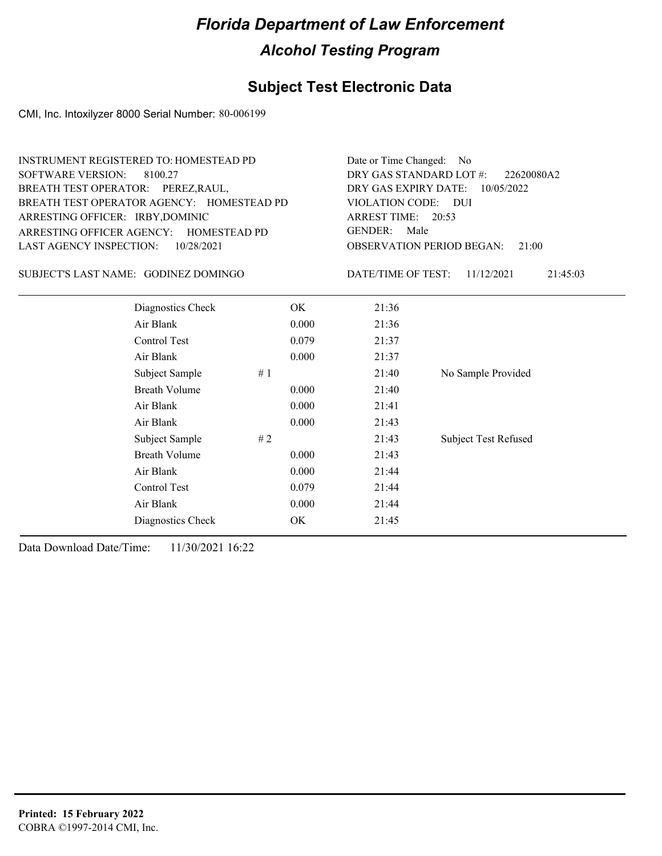## **Subject Test Electronic Data**

CMI, Inc. Intoxilyzer 8000 Serial Number: 80-006199

| <b>SOFTWARE VERSION:</b><br>BREATH TEST OPERATOR: PEREZ, RAUL,<br>ARRESTING OFFICER: IRBY, DOMINIC<br>LAST AGENCY INSPECTION: | <b>INSTRUMENT REGISTERED TO: HOMESTEAD PD</b><br>8100.27<br>BREATH TEST OPERATOR AGENCY: HOMESTEAD PD<br>ARRESTING OFFICER AGENCY: HOMESTEAD PD<br>10/28/2021 |    |       | Date or Time Changed: No<br>DRY GAS STANDARD LOT #:<br>22620080A2<br>DRY GAS EXPIRY DATE:<br>10/05/2022<br>VIOLATION CODE: DUI<br>ARREST TIME: 20:53<br><b>GENDER:</b><br>Male<br><b>OBSERVATION PERIOD BEGAN:</b><br>21:00 |                             |  |  |
|-------------------------------------------------------------------------------------------------------------------------------|---------------------------------------------------------------------------------------------------------------------------------------------------------------|----|-------|-----------------------------------------------------------------------------------------------------------------------------------------------------------------------------------------------------------------------------|-----------------------------|--|--|
|                                                                                                                               | SUBJECT'S LAST NAME: GODINEZ DOMINGO                                                                                                                          |    |       | DATE/TIME OF TEST:                                                                                                                                                                                                          | 21:45:03<br>11/12/2021      |  |  |
|                                                                                                                               | Diagnostics Check                                                                                                                                             |    | OK.   | 21:36                                                                                                                                                                                                                       |                             |  |  |
|                                                                                                                               | Air Blank                                                                                                                                                     |    | 0.000 | 21:36                                                                                                                                                                                                                       |                             |  |  |
|                                                                                                                               | Control Test                                                                                                                                                  |    | 0.079 | 21:37                                                                                                                                                                                                                       |                             |  |  |
|                                                                                                                               | Air Blank                                                                                                                                                     |    | 0.000 | 21:37                                                                                                                                                                                                                       |                             |  |  |
|                                                                                                                               | Subject Sample                                                                                                                                                | #1 |       | 21:40                                                                                                                                                                                                                       | No Sample Provided          |  |  |
|                                                                                                                               | <b>Breath Volume</b>                                                                                                                                          |    | 0.000 | 21:40                                                                                                                                                                                                                       |                             |  |  |
|                                                                                                                               | Air Blank                                                                                                                                                     |    | 0.000 | 21:41                                                                                                                                                                                                                       |                             |  |  |
|                                                                                                                               | Air Blank                                                                                                                                                     |    | 0.000 | 21:43                                                                                                                                                                                                                       |                             |  |  |
|                                                                                                                               | Subject Sample                                                                                                                                                | #2 |       | 21:43                                                                                                                                                                                                                       | <b>Subject Test Refused</b> |  |  |
|                                                                                                                               | <b>Breath Volume</b>                                                                                                                                          |    | 0.000 | 21:43                                                                                                                                                                                                                       |                             |  |  |
|                                                                                                                               | Air Blank                                                                                                                                                     |    | 0.000 | 21:44                                                                                                                                                                                                                       |                             |  |  |
|                                                                                                                               | Control Test                                                                                                                                                  |    | 0.079 | 21:44                                                                                                                                                                                                                       |                             |  |  |
|                                                                                                                               | Air Blank                                                                                                                                                     |    | 0.000 | 21:44                                                                                                                                                                                                                       |                             |  |  |
|                                                                                                                               | Diagnostics Check                                                                                                                                             |    | OK    | 21:45                                                                                                                                                                                                                       |                             |  |  |
|                                                                                                                               |                                                                                                                                                               |    |       |                                                                                                                                                                                                                             |                             |  |  |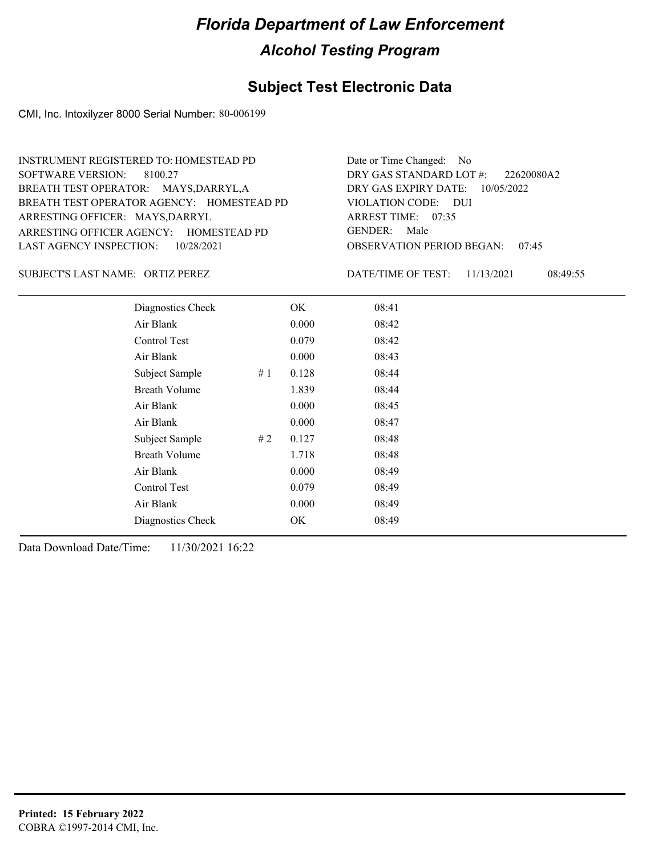#### **Subject Test Electronic Data**

CMI, Inc. Intoxilyzer 8000 Serial Number: 80-006199

ARRESTING OFFICER AGENCY: GENDER: HOMESTEAD PD BREATH TEST OPERATOR AGENCY: HOMESTEAD PD VIOLATION CODE: SOFTWARE VERSION: 8100.27 ARRESTING OFFICER: MAYS, DARRYL BREATH TEST OPERATOR: MAYS,DARRYL,A LAST AGENCY INSPECTION: 10/28/2021 INSTRUMENT REGISTERED TO: HOMESTEAD PD

OBSERVATION PERIOD BEGAN: 07:45 VIOLATION CODE: DUI ARREST TIME: 07:35 DRY GAS EXPIRY DATE: 10/05/2022 22620080A2 DRY GAS STANDARD LOT #: Date or Time Changed: No GENDER: Male

ORTIZ PEREZ SUBJECT'S LAST NAME: DATE/TIME OF TEST:

DATE/TIME OF TEST: 11/13/2021 08:49:55

| Diagnostics Check    |    | OK    | 08:41 |  |
|----------------------|----|-------|-------|--|
| Air Blank            |    | 0.000 | 08:42 |  |
| Control Test         |    | 0.079 | 08:42 |  |
| Air Blank            |    | 0.000 | 08:43 |  |
| Subject Sample       | #1 | 0.128 | 08:44 |  |
| <b>Breath Volume</b> |    | 1.839 | 08:44 |  |
| Air Blank            |    | 0.000 | 08:45 |  |
| Air Blank            |    | 0.000 | 08:47 |  |
| Subject Sample       | #2 | 0.127 | 08:48 |  |
| <b>Breath Volume</b> |    | 1.718 | 08:48 |  |
| Air Blank            |    | 0.000 | 08:49 |  |
| Control Test         |    | 0.079 | 08:49 |  |
| Air Blank            |    | 0.000 | 08:49 |  |
| Diagnostics Check    |    | OK    | 08:49 |  |
|                      |    |       |       |  |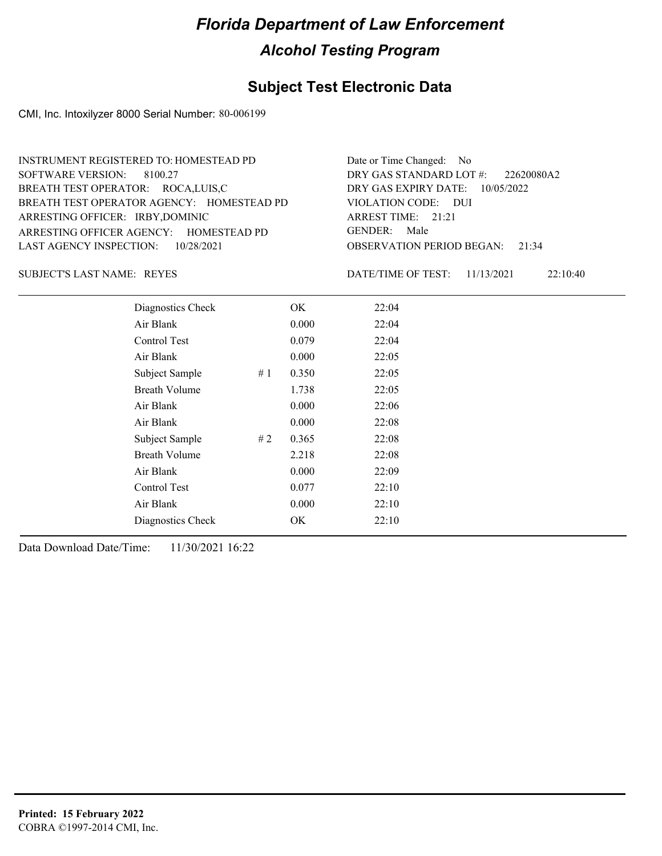#### **Subject Test Electronic Data**

CMI, Inc. Intoxilyzer 8000 Serial Number: 80-006199

ARRESTING OFFICER AGENCY: GENDER: HOMESTEAD PD BREATH TEST OPERATOR AGENCY: HOMESTEAD PD VIOLATION CODE: SOFTWARE VERSION: 8100.27 ARRESTING OFFICER: IRBY,DOMINIC BREATH TEST OPERATOR: ROCA,LUIS,C LAST AGENCY INSPECTION: 10/28/2021 INSTRUMENT REGISTERED TO: HOMESTEAD PD

OBSERVATION PERIOD BEGAN: 21:34 VIOLATION CODE: DUI ARREST TIME: 21:21 DRY GAS EXPIRY DATE: 10/05/2022 22620080A2 DRY GAS STANDARD LOT #: Date or Time Changed: No GENDER: Male

SUBJECT'S LAST NAME: REYES **EXECUTE:** DATE/TIME OF TEST:

DATE/TIME OF TEST: 11/13/2021 22:10:40

| Diagnostics Check    |    | OK    | 22:04 |  |
|----------------------|----|-------|-------|--|
| Air Blank            |    | 0.000 | 22:04 |  |
| Control Test         |    | 0.079 | 22:04 |  |
| Air Blank            |    | 0.000 | 22:05 |  |
| Subject Sample       | #1 | 0.350 | 22:05 |  |
| <b>Breath Volume</b> |    | 1.738 | 22:05 |  |
| Air Blank            |    | 0.000 | 22:06 |  |
| Air Blank            |    | 0.000 | 22:08 |  |
| Subject Sample       | #2 | 0.365 | 22:08 |  |
| <b>Breath Volume</b> |    | 2.218 | 22:08 |  |
| Air Blank            |    | 0.000 | 22:09 |  |
| Control Test         |    | 0.077 | 22:10 |  |
| Air Blank            |    | 0.000 | 22:10 |  |
| Diagnostics Check    |    | OK    | 22:10 |  |
|                      |    |       |       |  |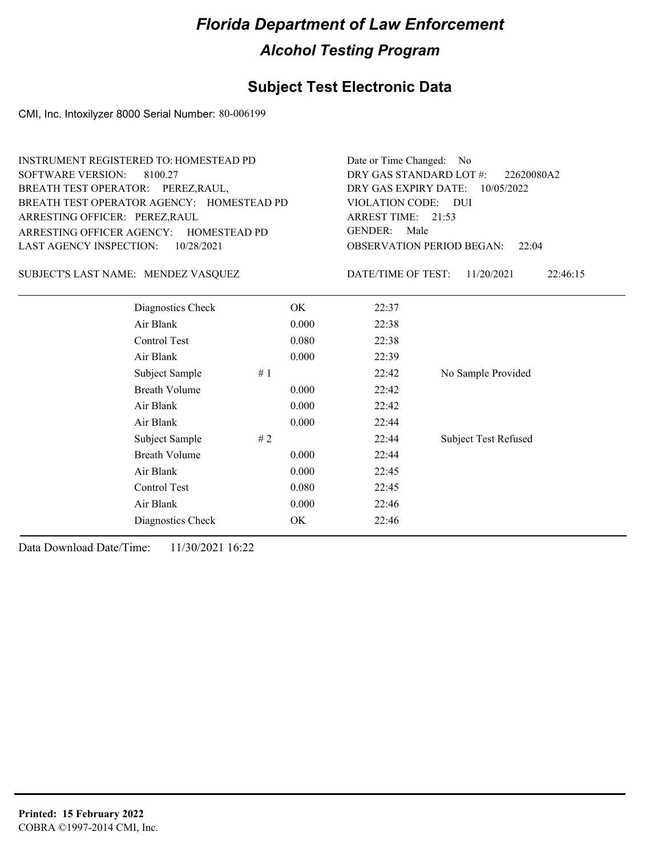## **Subject Test Electronic Data**

CMI, Inc. Intoxilyzer 8000 Serial Number: 80-006199

| <b>SOFTWARE VERSION:</b><br>BREATH TEST OPERATOR: PEREZ, RAUL,<br>ARRESTING OFFICER: PEREZ, RAUL | <b>INSTRUMENT REGISTERED TO: HOMESTEAD PD</b><br>8100.27<br>BREATH TEST OPERATOR AGENCY: HOMESTEAD PD<br>ARRESTING OFFICER AGENCY: HOMESTEAD PD | Date or Time Changed: No<br>DRY GAS STANDARD LOT #:<br>22620080A2<br>DRY GAS EXPIRY DATE:<br>10/05/2022<br>VIOLATION CODE: DUI<br>ARREST TIME: 21:53<br><b>GENDER:</b><br>Male |       |                           |                             |
|--------------------------------------------------------------------------------------------------|-------------------------------------------------------------------------------------------------------------------------------------------------|--------------------------------------------------------------------------------------------------------------------------------------------------------------------------------|-------|---------------------------|-----------------------------|
| <b>LAST AGENCY INSPECTION:</b><br>10/28/2021                                                     |                                                                                                                                                 |                                                                                                                                                                                |       | OBSERVATION PERIOD BEGAN: | 22:04                       |
|                                                                                                  | SUBJECT'S LAST NAME: MENDEZ VASQUEZ                                                                                                             |                                                                                                                                                                                |       | DATE/TIME OF TEST:        | 11/20/2021<br>22:46:15      |
|                                                                                                  | Diagnostics Check                                                                                                                               |                                                                                                                                                                                | OK.   | 22:37                     |                             |
|                                                                                                  | Air Blank                                                                                                                                       |                                                                                                                                                                                | 0.000 | 22:38                     |                             |
|                                                                                                  | Control Test                                                                                                                                    |                                                                                                                                                                                | 0.080 | 22:38                     |                             |
|                                                                                                  | Air Blank                                                                                                                                       |                                                                                                                                                                                | 0.000 | 22:39                     |                             |
|                                                                                                  | Subject Sample                                                                                                                                  | #1                                                                                                                                                                             |       | 22:42                     | No Sample Provided          |
|                                                                                                  | <b>Breath Volume</b>                                                                                                                            |                                                                                                                                                                                | 0.000 | 22:42                     |                             |
|                                                                                                  | Air Blank                                                                                                                                       |                                                                                                                                                                                | 0.000 | 22:42                     |                             |
|                                                                                                  | Air Blank                                                                                                                                       |                                                                                                                                                                                | 0.000 | 22:44                     |                             |
|                                                                                                  | Subject Sample                                                                                                                                  | #2                                                                                                                                                                             |       | 22:44                     | <b>Subject Test Refused</b> |
|                                                                                                  | <b>Breath Volume</b>                                                                                                                            |                                                                                                                                                                                | 0.000 | 22:44                     |                             |
|                                                                                                  | Air Blank                                                                                                                                       |                                                                                                                                                                                | 0.000 | 22:45                     |                             |
|                                                                                                  | Control Test                                                                                                                                    |                                                                                                                                                                                | 0.080 | 22:45                     |                             |
|                                                                                                  | Air Blank                                                                                                                                       |                                                                                                                                                                                | 0.000 | 22:46                     |                             |
|                                                                                                  | Diagnostics Check                                                                                                                               |                                                                                                                                                                                | OK    | 22:46                     |                             |
|                                                                                                  |                                                                                                                                                 |                                                                                                                                                                                |       |                           |                             |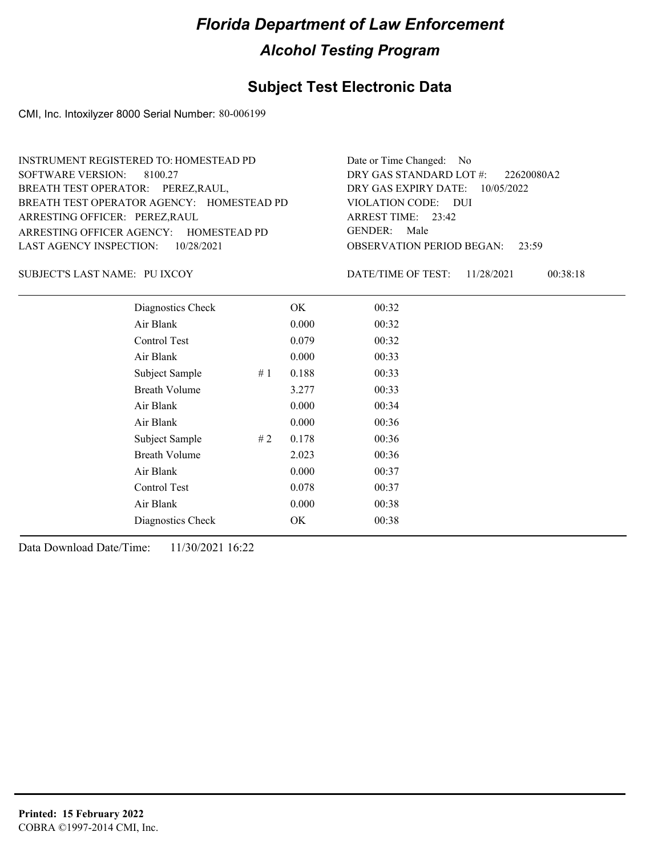#### **Subject Test Electronic Data**

CMI, Inc. Intoxilyzer 8000 Serial Number: 80-006199

ARRESTING OFFICER AGENCY: GENDER: HOMESTEAD PD BREATH TEST OPERATOR AGENCY: HOMESTEAD PD VIOLATION CODE: SOFTWARE VERSION: 8100.27 ARRESTING OFFICER: PEREZ,RAUL BREATH TEST OPERATOR: PEREZ,RAUL, LAST AGENCY INSPECTION: 10/28/2021 INSTRUMENT REGISTERED TO: HOMESTEAD PD

OBSERVATION PERIOD BEGAN: 23:59 VIOLATION CODE: DUI 23:42 ARREST TIME: DRY GAS EXPIRY DATE: 10/05/2022 22620080A2 DRY GAS STANDARD LOT #: Date or Time Changed: No GENDER: Male

#### SUBJECT'S LAST NAME: PU IXCOY DATE/TIME OF TEST:

DATE/TIME OF TEST: 11/28/2021 00:38:18

| Diagnostics Check    |    | OK    | 00:32 |  |
|----------------------|----|-------|-------|--|
| Air Blank            |    | 0.000 | 00:32 |  |
| Control Test         |    | 0.079 | 00:32 |  |
| Air Blank            |    | 0.000 | 00:33 |  |
| Subject Sample       | #1 | 0.188 | 00:33 |  |
| <b>Breath Volume</b> |    | 3.277 | 00:33 |  |
| Air Blank            |    | 0.000 | 00:34 |  |
| Air Blank            |    | 0.000 | 00:36 |  |
| Subject Sample       | #2 | 0.178 | 00:36 |  |
| <b>Breath Volume</b> |    | 2.023 | 00:36 |  |
| Air Blank            |    | 0.000 | 00:37 |  |
| Control Test         |    | 0.078 | 00:37 |  |
| Air Blank            |    | 0.000 | 00:38 |  |
| Diagnostics Check    |    | OK    | 00:38 |  |
|                      |    |       |       |  |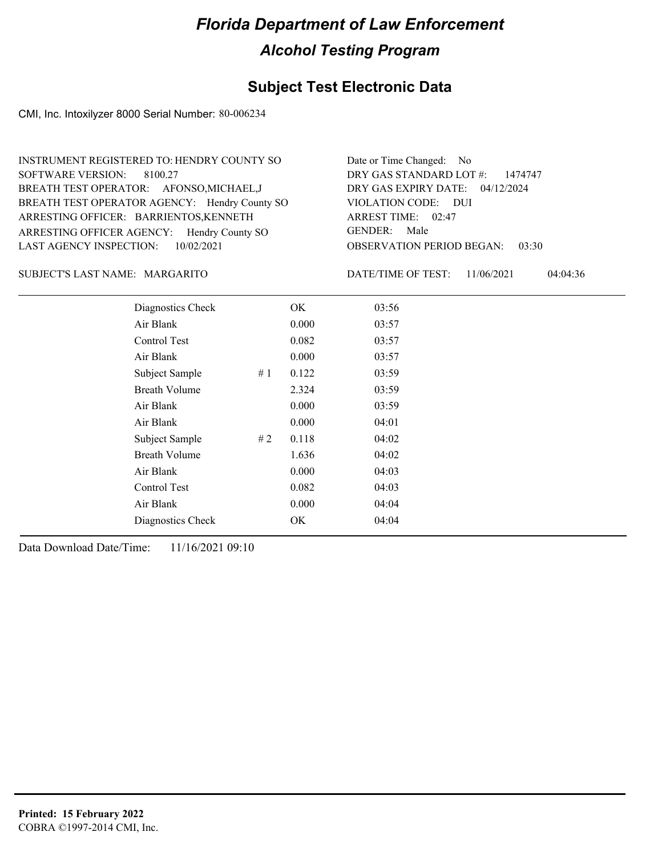## **Subject Test Electronic Data**

CMI, Inc. Intoxilyzer 8000 Serial Number: 80-006234

| INSTRUMENT REGISTERED TO: HENDRY COUNTY SO    | Date or Time Changed: No               |
|-----------------------------------------------|----------------------------------------|
| SOFTWARE VERSION: 8100.27                     | DRY GAS STANDARD LOT #: 1474747        |
| BREATH TEST OPERATOR: AFONSO, MICHAEL, J      | DRY GAS EXPIRY DATE: 04/12/2024        |
| BREATH TEST OPERATOR AGENCY: Hendry County SO | VIOLATION CODE: DUI                    |
| ARRESTING OFFICER: BARRIENTOS, KENNETH        | ARREST TIME: $02:47$                   |
| ARRESTING OFFICER AGENCY: Hendry County SO    | GENDER: Male                           |
| LAST AGENCY INSPECTION: $10/02/2021$          | <b>OBSERVATION PERIOD BEGAN: 03:30</b> |
|                                               |                                        |

#### MARGARITO SUBJECT'S LAST NAME: DATE/TIME OF TEST:

DATE/TIME OF TEST: 11/06/2021 04:04:36

| Diagnostics Check    |    | OK    | 03:56 |
|----------------------|----|-------|-------|
| Air Blank            |    | 0.000 | 03:57 |
| Control Test         |    | 0.082 | 03:57 |
| Air Blank            |    | 0.000 | 03:57 |
| Subject Sample       | #1 | 0.122 | 03:59 |
| <b>Breath Volume</b> |    | 2.324 | 03:59 |
| Air Blank            |    | 0.000 | 03:59 |
| Air Blank            |    | 0.000 | 04:01 |
| Subject Sample       | #2 | 0.118 | 04:02 |
| <b>Breath Volume</b> |    | 1.636 | 04:02 |
| Air Blank            |    | 0.000 | 04:03 |
| <b>Control Test</b>  |    | 0.082 | 04:03 |
| Air Blank            |    | 0.000 | 04:04 |
| Diagnostics Check    |    | OK    | 04:04 |
|                      |    |       |       |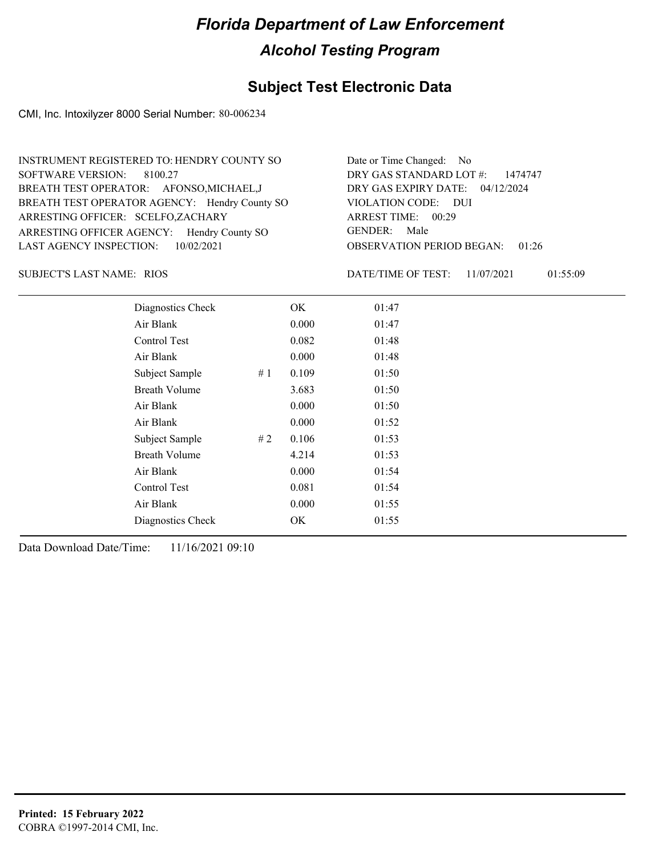## **Subject Test Electronic Data**

CMI, Inc. Intoxilyzer 8000 Serial Number: 80-006234

| INSTRUMENT REGISTERED TO: HENDRY COUNTY SO    | Date or Time Changed: No               |
|-----------------------------------------------|----------------------------------------|
| SOFTWARE VERSION: 8100.27                     | DRY GAS STANDARD LOT $\#$ : 1474747    |
| BREATH TEST OPERATOR: AFONSO, MICHAEL, J      | DRY GAS EXPIRY DATE: $04/12/2024$      |
| BREATH TEST OPERATOR AGENCY: Hendry County SO | VIOLATION CODE: DUI                    |
| ARRESTING OFFICER: SCELFO,ZACHARY             | ARREST TIME: 00:29                     |
| ARRESTING OFFICER AGENCY: Hendry County SO    | GENDER: Male                           |
| LAST AGENCY INSPECTION: $10/02/2021$          | <b>OBSERVATION PERIOD BEGAN: 01:26</b> |

RIOS SUBJECT'S LAST NAME: DATE/TIME OF TEST:

DATE/TIME OF TEST: 11/07/2021 01:55:09

| Diagnostics Check    | OK    | 01:47 |
|----------------------|-------|-------|
| Air Blank            | 0.000 | 01:47 |
| Control Test         | 0.082 | 01:48 |
| Air Blank            | 0.000 | 01:48 |
| Subject Sample<br>#1 | 0.109 | 01:50 |
| <b>Breath Volume</b> | 3.683 | 01:50 |
| Air Blank            | 0.000 | 01:50 |
| Air Blank            | 0.000 | 01:52 |
| Subject Sample<br>#2 | 0.106 | 01:53 |
| <b>Breath Volume</b> | 4.214 | 01:53 |
| Air Blank            | 0.000 | 01:54 |
| Control Test         | 0.081 | 01:54 |
| Air Blank            | 0.000 | 01:55 |
| Diagnostics Check    | OK    | 01:55 |
|                      |       |       |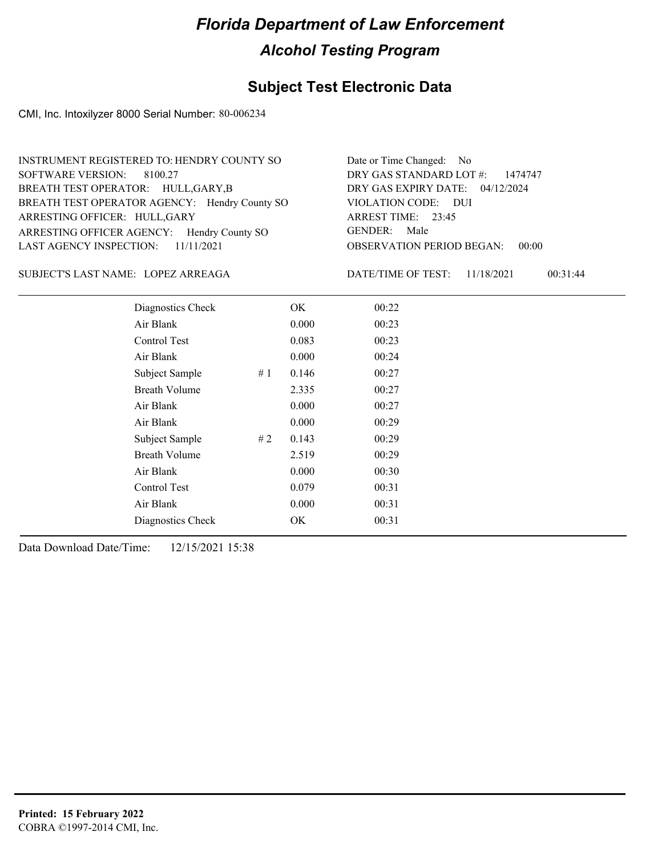## **Subject Test Electronic Data**

CMI, Inc. Intoxilyzer 8000 Serial Number: 80-006234

| INSTRUMENT REGISTERED TO: HENDRY COUNTY SO    | Date or Time Changed: No               |
|-----------------------------------------------|----------------------------------------|
| SOFTWARE VERSION: 8100.27                     | DRY GAS STANDARD LOT #: 1474747        |
| BREATH TEST OPERATOR: HULL, GARY, B           | DRY GAS EXPIRY DATE: 04/12/2024        |
| BREATH TEST OPERATOR AGENCY: Hendry County SO | VIOLATION CODE: DUI                    |
| ARRESTING OFFICER: HULL, GARY                 | ARREST TIME: 23:45                     |
| ARRESTING OFFICER AGENCY: Hendry County SO    | GENDER: Male                           |
| LAST AGENCY INSPECTION: $11/11/2021$          | <b>OBSERVATION PERIOD BEGAN: 00:00</b> |

#### LOPEZ ARREAGA SUBJECT'S LAST NAME: DATE/TIME OF TEST:

DATE/TIME OF TEST: 11/18/2021 00:31:44

| Diagnostics Check    |    | OK    | 00:22 |
|----------------------|----|-------|-------|
| Air Blank            |    | 0.000 | 00:23 |
| Control Test         |    | 0.083 | 00:23 |
| Air Blank            |    | 0.000 | 00:24 |
| Subject Sample<br>#1 |    | 0.146 | 00:27 |
| <b>Breath Volume</b> |    | 2.335 | 00:27 |
| Air Blank            |    | 0.000 | 00:27 |
| Air Blank            |    | 0.000 | 00:29 |
| Subject Sample       | #2 | 0.143 | 00:29 |
| <b>Breath Volume</b> |    | 2.519 | 00:29 |
| Air Blank            |    | 0.000 | 00:30 |
| Control Test         |    | 0.079 | 00:31 |
| Air Blank            |    | 0.000 | 00:31 |
| Diagnostics Check    |    | OK    | 00:31 |
|                      |    |       |       |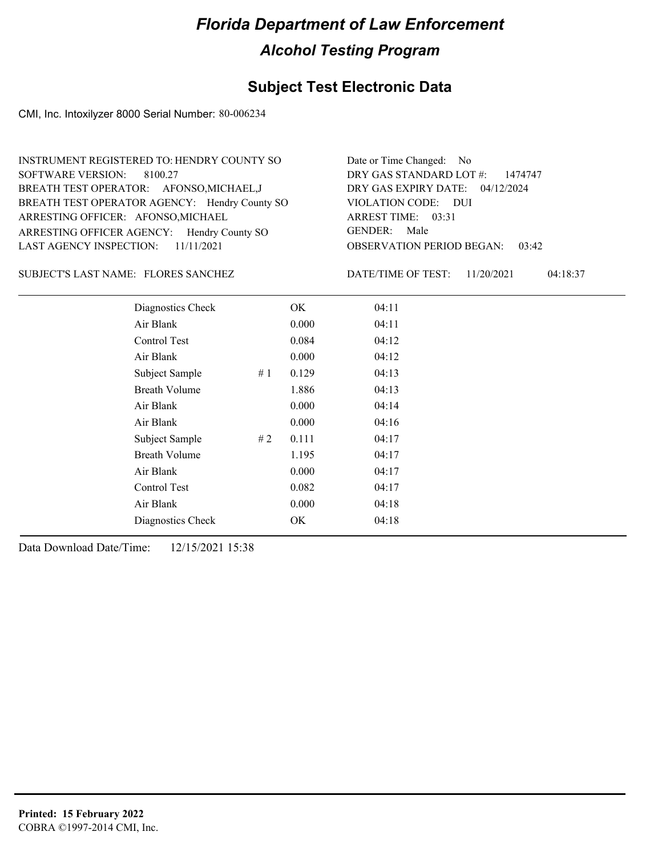## **Subject Test Electronic Data**

CMI, Inc. Intoxilyzer 8000 Serial Number: 80-006234

| Date or Time Changed: No               |
|----------------------------------------|
| DRY GAS STANDARD LOT #: 1474747        |
| DRY GAS EXPIRY DATE: 04/12/2024        |
| VIOLATION CODE: DUI                    |
| ARREST TIME: 03:31                     |
| GENDER: Male                           |
| <b>OBSERVATION PERIOD BEGAN: 03:42</b> |
|                                        |

#### FLORES SANCHEZ SUBJECT'S LAST NAME: DATE/TIME OF TEST:

DATE/TIME OF TEST: 11/20/2021 04:18:37

| Diagnostics Check    | OK    | 04:11 |
|----------------------|-------|-------|
| Air Blank            | 0.000 | 04:11 |
| Control Test         | 0.084 | 04:12 |
| Air Blank            | 0.000 | 04:12 |
| Subject Sample<br>#1 | 0.129 | 04:13 |
| <b>Breath Volume</b> | 1.886 | 04:13 |
| Air Blank            | 0.000 | 04:14 |
| Air Blank            | 0.000 | 04:16 |
| Subject Sample<br>#2 | 0.111 | 04:17 |
| <b>Breath Volume</b> | 1.195 | 04:17 |
| Air Blank            | 0.000 | 04:17 |
| Control Test         | 0.082 | 04:17 |
| Air Blank            | 0.000 | 04:18 |
| Diagnostics Check    | OK    | 04:18 |
|                      |       |       |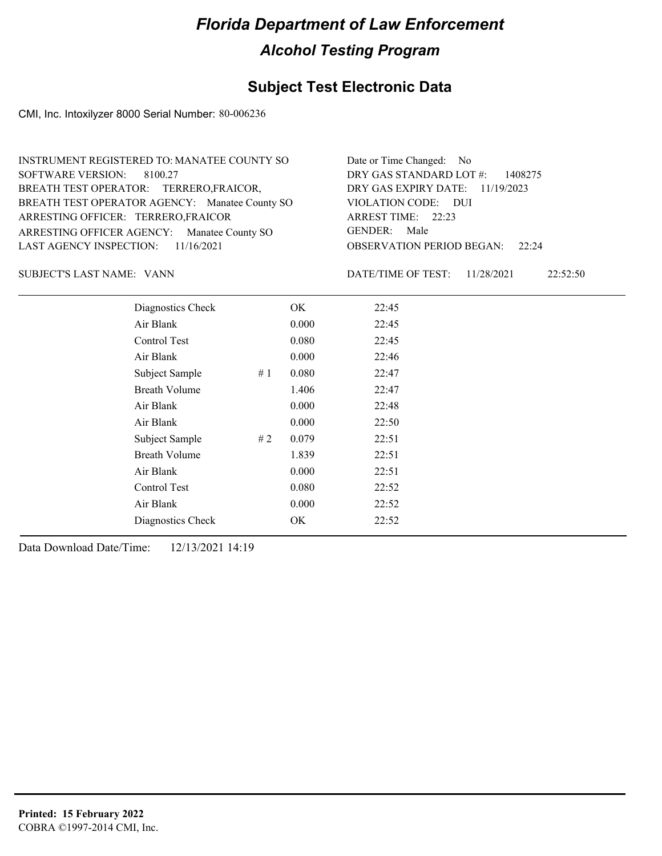## **Subject Test Electronic Data**

CMI, Inc. Intoxilyzer 8000 Serial Number: 80-006236

| INSTRUMENT REGISTERED TO: MANATEE COUNTY SO    | Date or Time Changed: No               |
|------------------------------------------------|----------------------------------------|
| SOFTWARE VERSION: 8100.27                      | DRY GAS STANDARD LOT $\#$ : 1408275    |
| BREATH TEST OPERATOR: TERRERO, FRAICOR,        | DRY GAS EXPIRY DATE: 11/19/2023        |
| BREATH TEST OPERATOR AGENCY: Manatee County SO | VIOLATION CODE: DUI                    |
| ARRESTING OFFICER: TERRERO, FRAICOR            | ARREST TIME: 22:23                     |
| ARRESTING OFFICER AGENCY: Manatee County SO    | GENDER: Male                           |
| LAST AGENCY INSPECTION: $11/16/2021$           | <b>OBSERVATION PERIOD BEGAN: 22:24</b> |

VANN SUBJECT'S LAST NAME: DATE/TIME OF TEST:

DATE/TIME OF TEST: 11/28/2021 22:52:50

| Diagnostics Check    |    | OK    | 22:45 |
|----------------------|----|-------|-------|
| Air Blank            |    | 0.000 | 22:45 |
| Control Test         |    | 0.080 | 22:45 |
| Air Blank            |    | 0.000 | 22:46 |
| Subject Sample       | #1 | 0.080 | 22:47 |
| <b>Breath Volume</b> |    | 1.406 | 22:47 |
| Air Blank            |    | 0.000 | 22:48 |
| Air Blank            |    | 0.000 | 22:50 |
| Subject Sample       | #2 | 0.079 | 22:51 |
| <b>Breath Volume</b> |    | 1.839 | 22:51 |
| Air Blank            |    | 0.000 | 22:51 |
| Control Test         |    | 0.080 | 22:52 |
| Air Blank            |    | 0.000 | 22:52 |
| Diagnostics Check    |    | OK    | 22:52 |
|                      |    |       |       |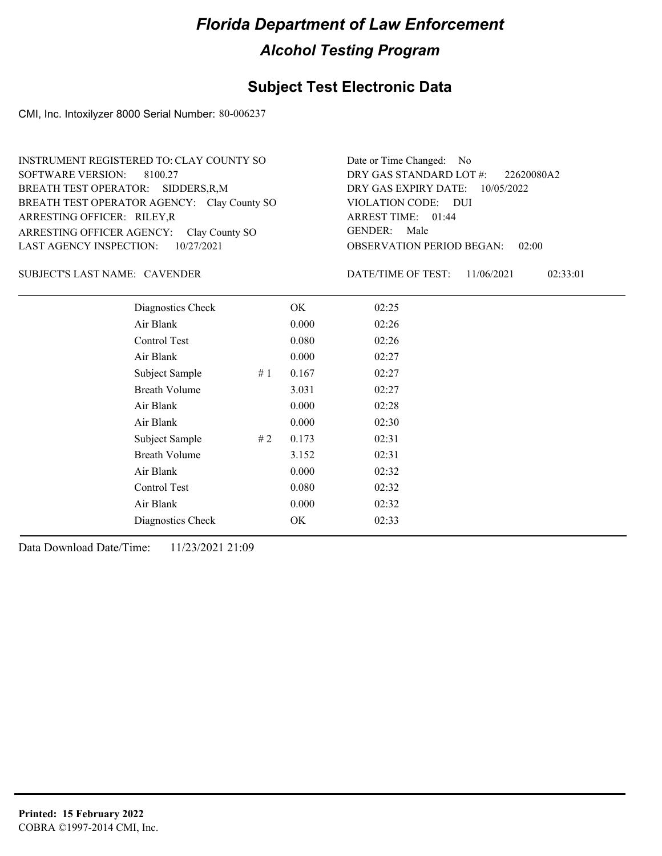## **Subject Test Electronic Data**

CMI, Inc. Intoxilyzer 8000 Serial Number: 80-006237

| INSTRUMENT REGISTERED TO: CLAY COUNTY SO    | Date or Time Changed: No               |
|---------------------------------------------|----------------------------------------|
| SOFTWARE VERSION: 8100.27                   | DRY GAS STANDARD LOT $\#$ : 22620080A2 |
| BREATH TEST OPERATOR: SIDDERS, R, M         | DRY GAS EXPIRY DATE: 10/05/2022        |
| BREATH TEST OPERATOR AGENCY: Clay County SO | VIOLATION CODE: DUI                    |
| ARRESTING OFFICER: RILEY, R                 | ARREST TIME: 01:44                     |
| ARRESTING OFFICER AGENCY: Clay County SO    | GENDER: Male                           |
| LAST AGENCY INSPECTION: $10/27/2021$        | <b>OBSERVATION PERIOD BEGAN: 02:00</b> |

#### SUBJECT'S LAST NAME: CAVENDER DATE/TIME OF TEST:

DATE/TIME OF TEST: 11/06/2021 02:33:01

| Diagnostics Check    |    | OK    | 02:25 |
|----------------------|----|-------|-------|
| Air Blank            |    | 0.000 | 02:26 |
| Control Test         |    | 0.080 | 02:26 |
| Air Blank            |    | 0.000 | 02:27 |
| Subject Sample       | #1 | 0.167 | 02:27 |
| <b>Breath Volume</b> |    | 3.031 | 02:27 |
| Air Blank            |    | 0.000 | 02:28 |
| Air Blank            |    | 0.000 | 02:30 |
| Subject Sample       | #2 | 0.173 | 02:31 |
| <b>Breath Volume</b> |    | 3.152 | 02:31 |
| Air Blank            |    | 0.000 | 02:32 |
| <b>Control Test</b>  |    | 0.080 | 02:32 |
| Air Blank            |    | 0.000 | 02:32 |
| Diagnostics Check    |    | OK    | 02:33 |
|                      |    |       |       |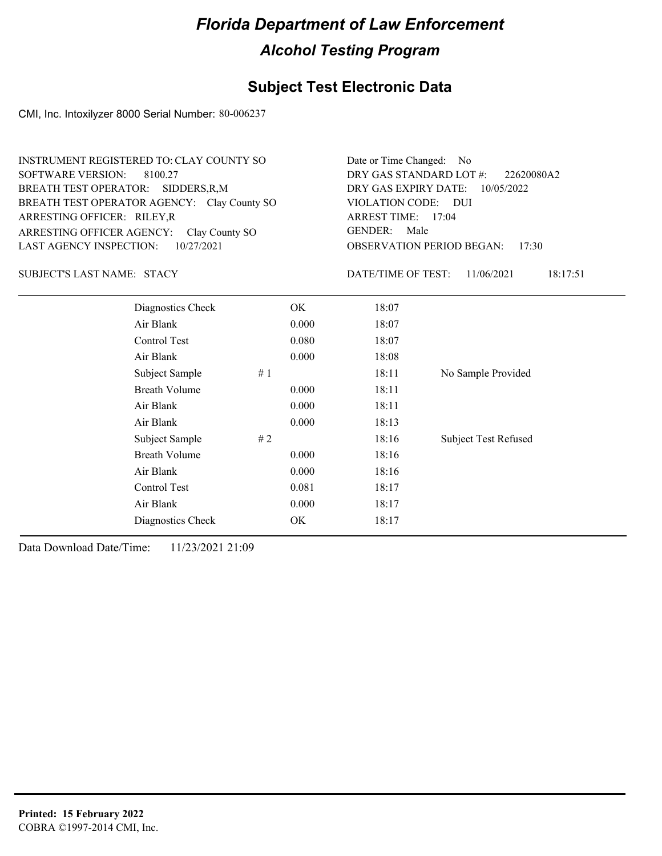## **Subject Test Electronic Data**

CMI, Inc. Intoxilyzer 8000 Serial Number: 80-006237

| INSTRUMENT REGISTERED TO: CLAY COUNTY SO    | Date or Time Changed: No               |
|---------------------------------------------|----------------------------------------|
| SOFTWARE VERSION: 8100.27                   | DRY GAS STANDARD LOT $\#$ : 22620080A2 |
| BREATH TEST OPERATOR: SIDDERS, R, M         | DRY GAS EXPIRY DATE: $10/05/2022$      |
| BREATH TEST OPERATOR AGENCY: Clay County SO | VIOLATION CODE: DUI                    |
| ARRESTING OFFICER: RILEY, R                 | ARREST TIME: 17:04                     |
| ARRESTING OFFICER AGENCY: Clay County SO    | GENDER: Male                           |
| LAST AGENCY INSPECTION: 10/27/2021          | <b>OBSERVATION PERIOD BEGAN: 17:30</b> |

#### SUBJECT'S LAST NAME: STACY DATE/TIME OF TEST:

DATE/TIME OF TEST: 11/06/2021 18:17:51

| Diagnostics Check    | OK    | 18:07 |                             |
|----------------------|-------|-------|-----------------------------|
| Air Blank            | 0.000 | 18:07 |                             |
| Control Test         | 0.080 | 18:07 |                             |
| Air Blank            | 0.000 | 18:08 |                             |
| Subject Sample<br>#1 |       | 18:11 | No Sample Provided          |
| <b>Breath Volume</b> | 0.000 | 18:11 |                             |
| Air Blank            | 0.000 | 18:11 |                             |
| Air Blank            | 0.000 | 18:13 |                             |
| Subject Sample<br>#2 |       | 18:16 | <b>Subject Test Refused</b> |
| <b>Breath Volume</b> | 0.000 | 18:16 |                             |
| Air Blank            | 0.000 | 18:16 |                             |
| Control Test         | 0.081 | 18:17 |                             |
| Air Blank            | 0.000 | 18:17 |                             |
| Diagnostics Check    | OK    | 18:17 |                             |
|                      |       |       |                             |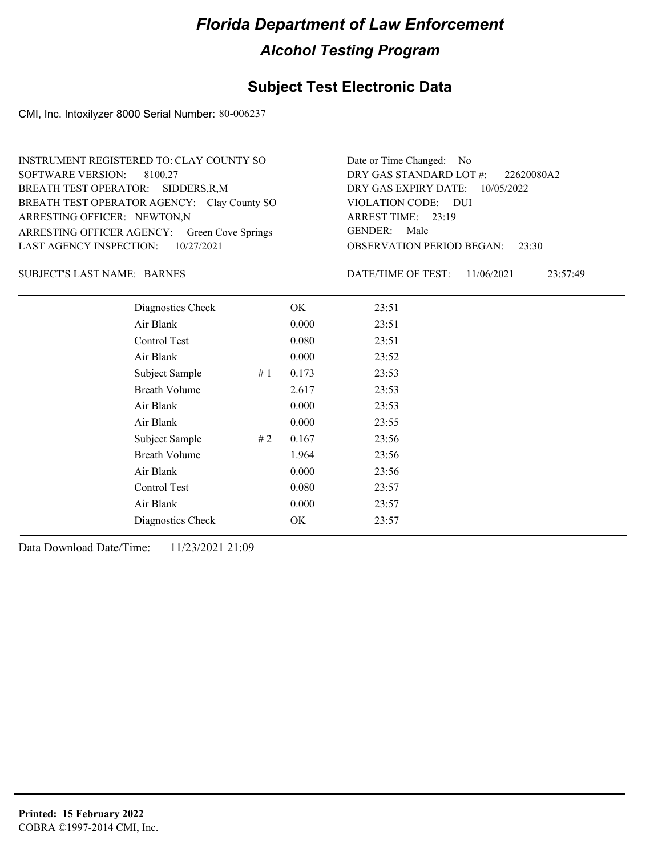## **Subject Test Electronic Data**

CMI, Inc. Intoxilyzer 8000 Serial Number: 80-006237

| INSTRUMENT REGISTERED TO: CLAY COUNTY SO     | Date or Time Changed: No               |
|----------------------------------------------|----------------------------------------|
| SOFTWARE VERSION: 8100.27                    | DRY GAS STANDARD LOT $\#$ : 22620080A2 |
| BREATH TEST OPERATOR: SIDDERS, R, M          | DRY GAS EXPIRY DATE: $10/05/2022$      |
| BREATH TEST OPERATOR AGENCY: Clay County SO  | VIOLATION CODE: DUI                    |
| ARRESTING OFFICER: NEWTON,N                  | ARREST TIME: 23:19                     |
| ARRESTING OFFICER AGENCY: Green Cove Springs | GENDER: Male                           |
| LAST AGENCY INSPECTION: $10/27/2021$         | <b>OBSERVATION PERIOD BEGAN: 23:30</b> |

#### SUBJECT'S LAST NAME: BARNES DATE/TIME OF TEST:

DATE/TIME OF TEST: 11/06/2021 23:57:49

| Diagnostics Check    |    | OK    | 23:51 |
|----------------------|----|-------|-------|
| Air Blank            |    | 0.000 | 23:51 |
| Control Test         |    | 0.080 | 23:51 |
| Air Blank            |    | 0.000 | 23:52 |
| Subject Sample       | #1 | 0.173 | 23:53 |
| <b>Breath Volume</b> |    | 2.617 | 23:53 |
| Air Blank            |    | 0.000 | 23:53 |
| Air Blank            |    | 0.000 | 23:55 |
| Subject Sample       | #2 | 0.167 | 23:56 |
| <b>Breath Volume</b> |    | 1.964 | 23:56 |
| Air Blank            |    | 0.000 | 23:56 |
| Control Test         |    | 0.080 | 23:57 |
| Air Blank            |    | 0.000 | 23:57 |
| Diagnostics Check    |    | OK    | 23:57 |
|                      |    |       |       |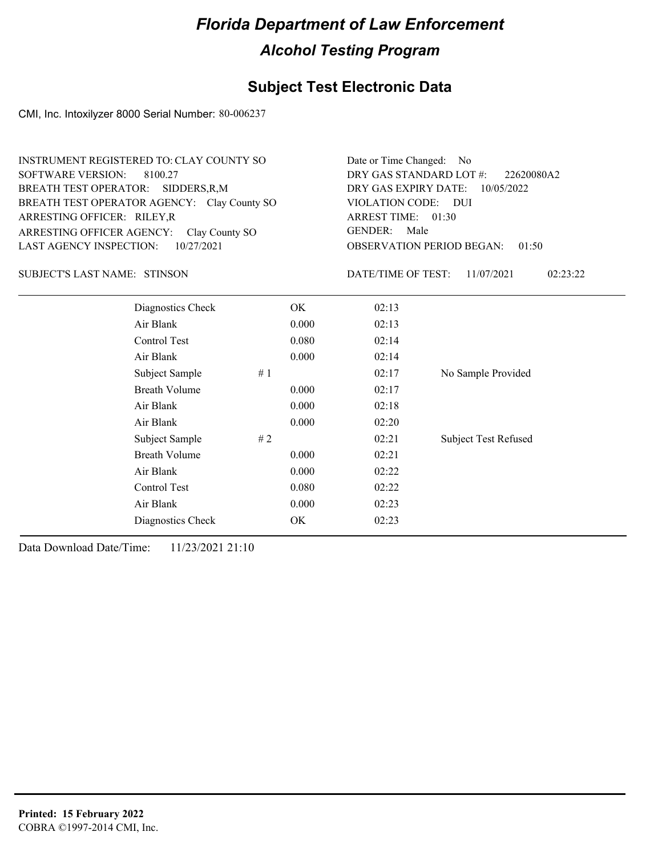## **Subject Test Electronic Data**

CMI, Inc. Intoxilyzer 8000 Serial Number: 80-006237

| <b>INSTRUMENT REGISTERED TO: CLAY COUNTY SO</b><br><b>SOFTWARE VERSION:</b><br>8100.27<br>BREATH TEST OPERATOR:<br>SIDDERS, R, M<br>BREATH TEST OPERATOR AGENCY: Clay County SO<br>ARRESTING OFFICER: RILEY, R<br>ARRESTING OFFICER AGENCY:<br>Clay County SO<br><b>LAST AGENCY INSPECTION:</b><br>10/27/2021 |                      |       |       | Date or Time Changed:<br>No.<br>DRY GAS STANDARD LOT #:<br>22620080A2<br>DRY GAS EXPIRY DATE:<br>10/05/2022<br>VIOLATION CODE: DUI<br>ARREST TIME: 01:30<br><b>GENDER:</b><br>Male<br><b>OBSERVATION PERIOD BEGAN:</b><br>01:50 |                             |  |
|---------------------------------------------------------------------------------------------------------------------------------------------------------------------------------------------------------------------------------------------------------------------------------------------------------------|----------------------|-------|-------|---------------------------------------------------------------------------------------------------------------------------------------------------------------------------------------------------------------------------------|-----------------------------|--|
| <b>SUBJECT'S LAST NAME: STINSON</b>                                                                                                                                                                                                                                                                           |                      |       |       | DATE/TIME OF TEST:<br>11/07/2021<br>02:23:22                                                                                                                                                                                    |                             |  |
|                                                                                                                                                                                                                                                                                                               | Diagnostics Check    |       | OK.   | 02:13                                                                                                                                                                                                                           |                             |  |
|                                                                                                                                                                                                                                                                                                               | Air Blank            |       | 0.000 | 02:13                                                                                                                                                                                                                           |                             |  |
|                                                                                                                                                                                                                                                                                                               | Control Test         |       | 0.080 | 02:14                                                                                                                                                                                                                           |                             |  |
|                                                                                                                                                                                                                                                                                                               | Air Blank            |       | 0.000 | 02:14                                                                                                                                                                                                                           |                             |  |
|                                                                                                                                                                                                                                                                                                               | Subject Sample       | # $1$ |       | 02:17                                                                                                                                                                                                                           | No Sample Provided          |  |
|                                                                                                                                                                                                                                                                                                               | <b>Breath Volume</b> |       | 0.000 | 02:17                                                                                                                                                                                                                           |                             |  |
|                                                                                                                                                                                                                                                                                                               | Air Blank            |       | 0.000 | 02:18                                                                                                                                                                                                                           |                             |  |
|                                                                                                                                                                                                                                                                                                               | Air Blank            |       | 0.000 | 02:20                                                                                                                                                                                                                           |                             |  |
|                                                                                                                                                                                                                                                                                                               | Subject Sample       | #2    |       | 02:21                                                                                                                                                                                                                           | <b>Subject Test Refused</b> |  |
|                                                                                                                                                                                                                                                                                                               | <b>Breath Volume</b> |       | 0.000 | 02:21                                                                                                                                                                                                                           |                             |  |
|                                                                                                                                                                                                                                                                                                               | Air Blank            |       | 0.000 | 02:22                                                                                                                                                                                                                           |                             |  |
|                                                                                                                                                                                                                                                                                                               | Control Test         |       | 0.080 | 02:22                                                                                                                                                                                                                           |                             |  |
|                                                                                                                                                                                                                                                                                                               | Air Blank            |       | 0.000 | 02:23                                                                                                                                                                                                                           |                             |  |
|                                                                                                                                                                                                                                                                                                               | Diagnostics Check    |       | OK    | 02:23                                                                                                                                                                                                                           |                             |  |
|                                                                                                                                                                                                                                                                                                               |                      |       |       |                                                                                                                                                                                                                                 |                             |  |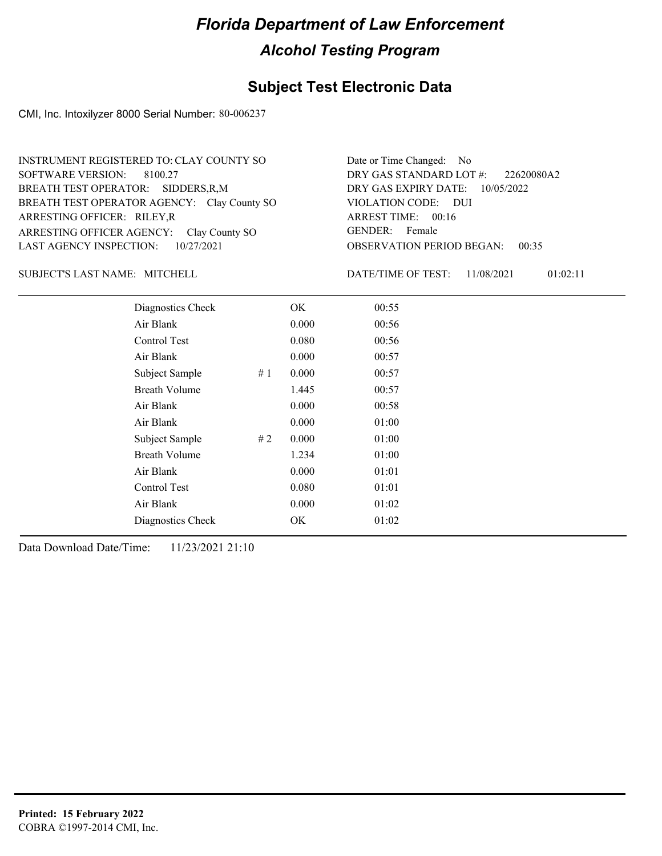#### **Subject Test Electronic Data**

CMI, Inc. Intoxilyzer 8000 Serial Number: 80-006237

| INSTRUMENT REGISTERED TO: CLAY COUNTY SO    | Date or Time Changed: No               |
|---------------------------------------------|----------------------------------------|
| SOFTWARE VERSION: 8100.27                   | DRY GAS STANDARD LOT #: 22620080A2     |
| BREATH TEST OPERATOR: SIDDERS, R, M         | DRY GAS EXPIRY DATE: $10/05/2022$      |
| BREATH TEST OPERATOR AGENCY: Clay County SO | VIOLATION CODE: DUI                    |
| ARRESTING OFFICER: RILEY, R                 | ARREST TIME: $00:16$                   |
| ARRESTING OFFICER AGENCY: Clay County SO    | GENDER: Female                         |
| LAST AGENCY INSPECTION: 10/27/2021          | <b>OBSERVATION PERIOD BEGAN: 00:35</b> |

#### SUBJECT'S LAST NAME: MITCHELL DATE/TIME OF TEST:

DATE/TIME OF TEST: 11/08/2021 01:02:11

| Diagnostics Check    |    | OK    | 00:55 |
|----------------------|----|-------|-------|
| Air Blank            |    | 0.000 | 00:56 |
| Control Test         |    | 0.080 | 00:56 |
| Air Blank            |    | 0.000 | 00:57 |
| Subject Sample       | #1 | 0.000 | 00:57 |
| <b>Breath Volume</b> |    | 1.445 | 00:57 |
| Air Blank            |    | 0.000 | 00:58 |
| Air Blank            |    | 0.000 | 01:00 |
| Subject Sample       | #2 | 0.000 | 01:00 |
| <b>Breath Volume</b> |    | 1.234 | 01:00 |
| Air Blank            |    | 0.000 | 01:01 |
| Control Test         |    | 0.080 | 01:01 |
| Air Blank            |    | 0.000 | 01:02 |
| Diagnostics Check    |    | OK    | 01:02 |
|                      |    |       |       |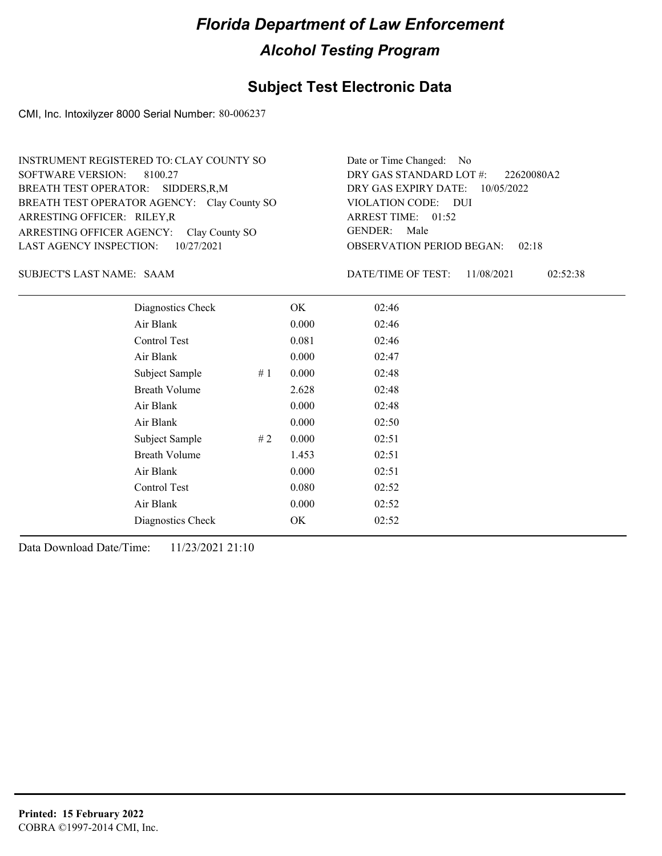### **Subject Test Electronic Data**

CMI, Inc. Intoxilyzer 8000 Serial Number: 80-006237

| INSTRUMENT REGISTERED TO: CLAY COUNTY SO    | Date or Time Changed: No               |
|---------------------------------------------|----------------------------------------|
| SOFTWARE VERSION: 8100.27                   | DRY GAS STANDARD LOT #: 22620080A2     |
| BREATH TEST OPERATOR: SIDDERS, R, M         | DRY GAS EXPIRY DATE: 10/05/2022        |
| BREATH TEST OPERATOR AGENCY: Clay County SO | VIOLATION CODE: DUI                    |
| ARRESTING OFFICER: RILEY, R                 | ARREST TIME: 01:52                     |
| ARRESTING OFFICER AGENCY: Clay County SO    | GENDER: Male                           |
| LAST AGENCY INSPECTION: $10/27/2021$        | <b>OBSERVATION PERIOD BEGAN: 02:18</b> |

SAAM SUBJECT'S LAST NAME: DATE/TIME OF TEST:

DATE/TIME OF TEST: 11/08/2021 02:52:38

| Diagnostics Check    |    | OK    | 02:46 |
|----------------------|----|-------|-------|
| Air Blank            |    | 0.000 | 02:46 |
| Control Test         |    | 0.081 | 02:46 |
| Air Blank            |    | 0.000 | 02:47 |
| Subject Sample       | #1 | 0.000 | 02:48 |
| <b>Breath Volume</b> |    | 2.628 | 02:48 |
| Air Blank            |    | 0.000 | 02:48 |
| Air Blank            |    | 0.000 | 02:50 |
| Subject Sample       | #2 | 0.000 | 02:51 |
| <b>Breath Volume</b> |    | 1.453 | 02:51 |
| Air Blank            |    | 0.000 | 02:51 |
| Control Test         |    | 0.080 | 02:52 |
| Air Blank            |    | 0.000 | 02:52 |
| Diagnostics Check    |    | OK    | 02:52 |
|                      |    |       |       |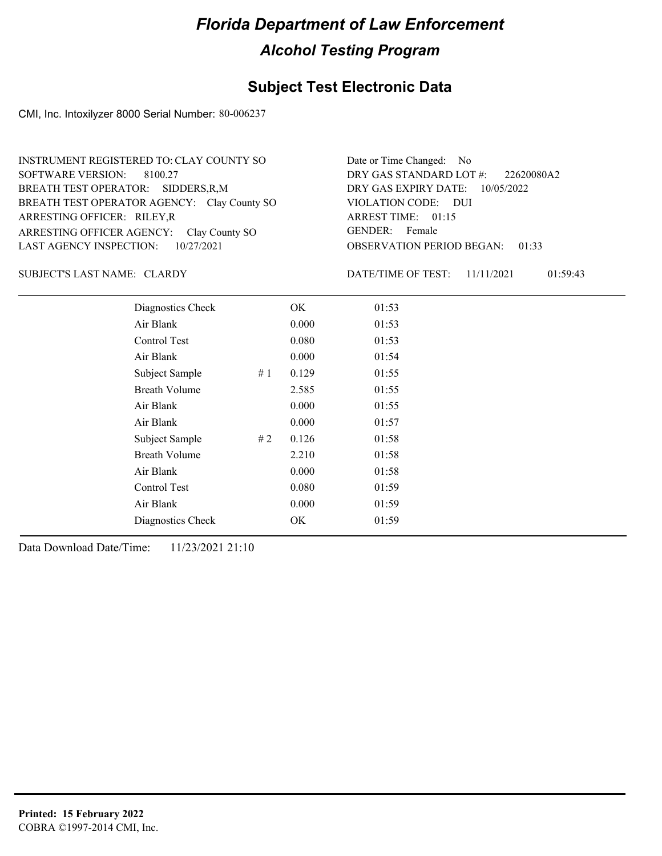### **Subject Test Electronic Data**

CMI, Inc. Intoxilyzer 8000 Serial Number: 80-006237

| INSTRUMENT REGISTERED TO: CLAY COUNTY SO    | Date or Time Changed: No               |
|---------------------------------------------|----------------------------------------|
| SOFTWARE VERSION: 8100.27                   | DRY GAS STANDARD LOT $\#$ : 22620080A2 |
| BREATH TEST OPERATOR: SIDDERS, R, M         | DRY GAS EXPIRY DATE: $10/05/2022$      |
| BREATH TEST OPERATOR AGENCY: Clay County SO | VIOLATION CODE: DUI                    |
| ARRESTING OFFICER: RILEY, R                 | ARREST TIME: $01:15$                   |
| ARRESTING OFFICER AGENCY: Clay County SO    | GENDER: Female                         |
| LAST AGENCY INSPECTION: 10/27/2021          | <b>OBSERVATION PERIOD BEGAN: 01:33</b> |

#### SUBJECT'S LAST NAME: CLARDY DATE/TIME OF TEST:

DATE/TIME OF TEST: 11/11/2021 01:59:43

| Diagnostics Check    |    | OK    | 01:53 |
|----------------------|----|-------|-------|
| Air Blank            |    | 0.000 | 01:53 |
| Control Test         |    | 0.080 | 01:53 |
| Air Blank            |    | 0.000 | 01:54 |
| Subject Sample       | #1 | 0.129 | 01:55 |
| <b>Breath Volume</b> |    | 2.585 | 01:55 |
| Air Blank            |    | 0.000 | 01:55 |
| Air Blank            |    | 0.000 | 01:57 |
| Subject Sample       | #2 | 0.126 | 01:58 |
| <b>Breath Volume</b> |    | 2.210 | 01:58 |
| Air Blank            |    | 0.000 | 01:58 |
| Control Test         |    | 0.080 | 01:59 |
| Air Blank            |    | 0.000 | 01:59 |
| Diagnostics Check    |    | OK    | 01:59 |
|                      |    |       |       |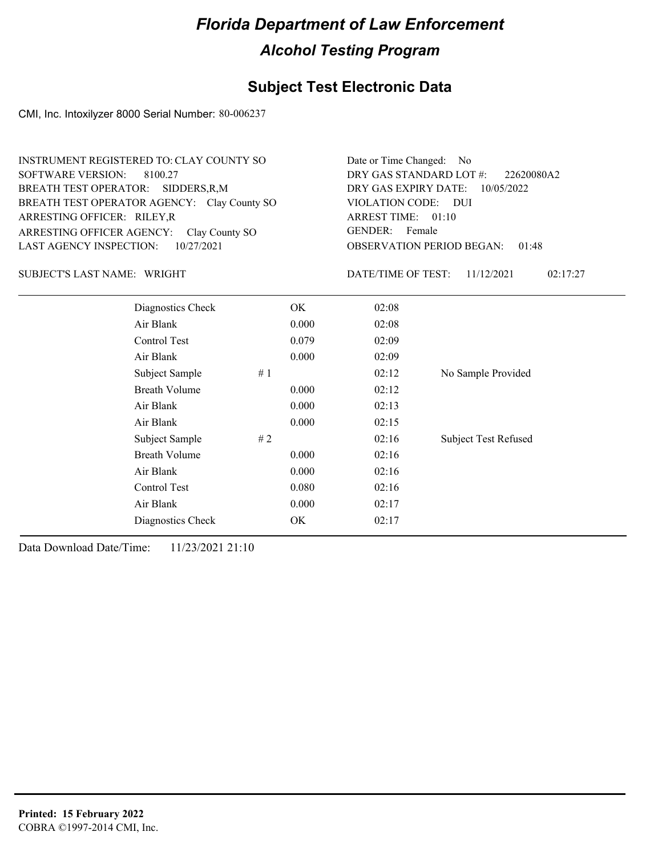## **Subject Test Electronic Data**

CMI, Inc. Intoxilyzer 8000 Serial Number: 80-006237

| INSTRUMENT REGISTERED TO: CLAY COUNTY SO    | Date or Time Changed: No               |
|---------------------------------------------|----------------------------------------|
| SOFTWARE VERSION: 8100.27                   | DRY GAS STANDARD LOT #: 22620080A2     |
| BREATH TEST OPERATOR: SIDDERS, R, M         | DRY GAS EXPIRY DATE: $10/05/2022$      |
| BREATH TEST OPERATOR AGENCY: Clay County SO | VIOLATION CODE: DUI                    |
| ARRESTING OFFICER: RILEY, R                 | ARREST TIME: 01:10                     |
| ARRESTING OFFICER AGENCY: Clay County SO    | GENDER: Female                         |
| LAST AGENCY INSPECTION: $10/27/2021$        | <b>OBSERVATION PERIOD BEGAN: 01:48</b> |

#### SUBJECT'S LAST NAME: WRIGHT **Example 2018** DATE/TIME OF TEST:

DATE/TIME OF TEST: 11/12/2021 02:17:27

| Diagnostics Check    | OK    | 02:08 |                             |
|----------------------|-------|-------|-----------------------------|
| Air Blank            | 0.000 | 02:08 |                             |
| Control Test         | 0.079 | 02:09 |                             |
| Air Blank            | 0.000 | 02:09 |                             |
| #1<br>Subject Sample |       | 02:12 | No Sample Provided          |
| <b>Breath Volume</b> | 0.000 | 02:12 |                             |
| Air Blank            | 0.000 | 02:13 |                             |
| Air Blank            | 0.000 | 02:15 |                             |
| Subject Sample<br>#2 |       | 02:16 | <b>Subject Test Refused</b> |
| <b>Breath Volume</b> | 0.000 | 02:16 |                             |
| Air Blank            | 0.000 | 02:16 |                             |
| Control Test         | 0.080 | 02:16 |                             |
| Air Blank            | 0.000 | 02:17 |                             |
| Diagnostics Check    | OK    | 02:17 |                             |
|                      |       |       |                             |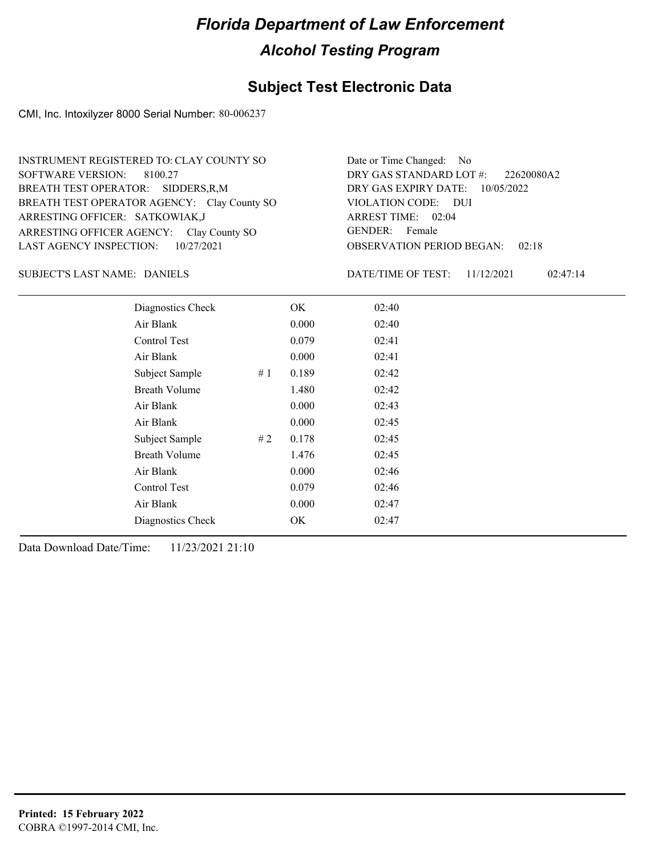#### **Subject Test Electronic Data**

CMI, Inc. Intoxilyzer 8000 Serial Number: 80-006237

ARRESTING OFFICER AGENCY: GENDER: Clay County SO BREATH TEST OPERATOR AGENCY: Clay County SO VIOLATION CODE: SOFTWARE VERSION: 8100.27 ARRESTING OFFICER: SATKOWIAK,J SIDDERS,R,M BREATH TEST OPERATOR: LAST AGENCY INSPECTION: 10/27/2021 INSTRUMENT REGISTERED TO: CLAY COUNTY SO

OBSERVATION PERIOD BEGAN: 02:18 VIOLATION CODE: DUI ARREST TIME: 02:04 DRY GAS EXPIRY DATE: 10/05/2022 22620080A2 DRY GAS STANDARD LOT #: Date or Time Changed: No GENDER: Female

#### SUBJECT'S LAST NAME: DANIELS DATE/TIME OF TEST:

DATE/TIME OF TEST: 11/12/2021 02:47:14

| Diagnostics Check    |    | OK    | 02:40 |
|----------------------|----|-------|-------|
| Air Blank            |    | 0.000 | 02:40 |
| Control Test         |    | 0.079 | 02:41 |
| Air Blank            |    | 0.000 | 02:41 |
| Subject Sample       | #1 | 0.189 | 02:42 |
| <b>Breath Volume</b> |    | 1.480 | 02:42 |
| Air Blank            |    | 0.000 | 02:43 |
| Air Blank            |    | 0.000 | 02:45 |
| Subject Sample       | #2 | 0.178 | 02:45 |
| <b>Breath Volume</b> |    | 1.476 | 02:45 |
| Air Blank            |    | 0.000 | 02:46 |
| Control Test         |    | 0.079 | 02:46 |
| Air Blank            |    | 0.000 | 02:47 |
| Diagnostics Check    |    | OK    | 02:47 |
|                      |    |       |       |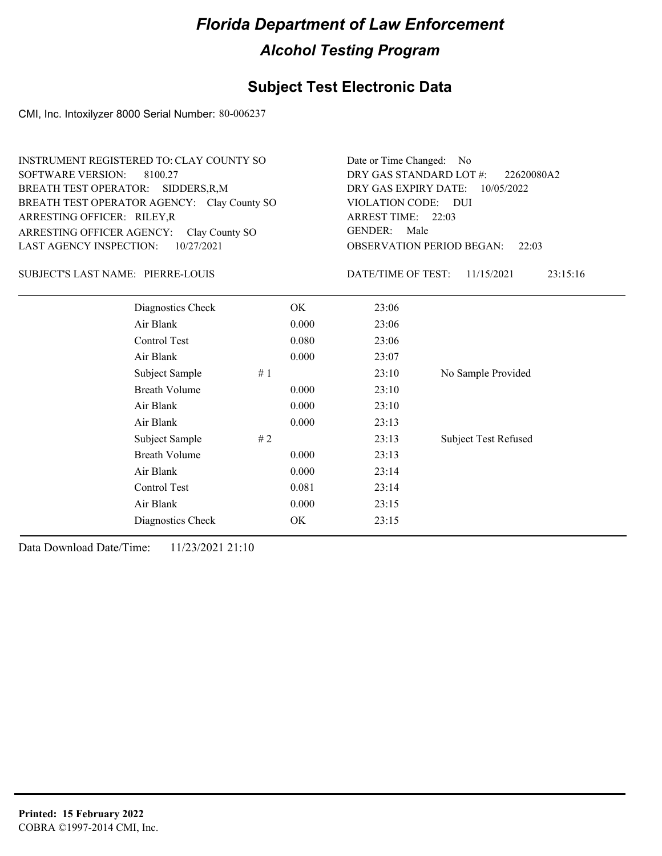## **Subject Test Electronic Data**

CMI, Inc. Intoxilyzer 8000 Serial Number: 80-006237

| INSTRUMENT REGISTERED TO: CLAY COUNTY SO    | Date or Time Changed: No               |
|---------------------------------------------|----------------------------------------|
| SOFTWARE VERSION: 8100.27                   | DRY GAS STANDARD LOT $\#$ : 22620080A2 |
| BREATH TEST OPERATOR: SIDDERS, R, M         | DRY GAS EXPIRY DATE: 10/05/2022        |
| BREATH TEST OPERATOR AGENCY: Clay County SO | VIOLATION CODE: DUI                    |
| ARRESTING OFFICER: RILEY, R                 | ARREST TIME: 22:03                     |
| ARRESTING OFFICER AGENCY: Clay County SO    | GENDER: Male                           |
| LAST AGENCY INSPECTION: $10/27/2021$        | <b>OBSERVATION PERIOD BEGAN: 22:03</b> |

#### PIERRE-LOUIS SUBJECT'S LAST NAME: DATE/TIME OF TEST:

DATE/TIME OF TEST: 11/15/2021 23:15:16

| Diagnostics Check    | OK    | 23:06 |                             |
|----------------------|-------|-------|-----------------------------|
| Air Blank            | 0.000 | 23:06 |                             |
| Control Test         | 0.080 | 23:06 |                             |
| Air Blank            | 0.000 | 23:07 |                             |
| Subject Sample<br>#1 |       | 23:10 | No Sample Provided          |
| <b>Breath Volume</b> | 0.000 | 23:10 |                             |
| Air Blank            | 0.000 | 23:10 |                             |
| Air Blank            | 0.000 | 23:13 |                             |
| Subject Sample<br>#2 |       | 23:13 | <b>Subject Test Refused</b> |
| <b>Breath Volume</b> | 0.000 | 23:13 |                             |
| Air Blank            | 0.000 | 23:14 |                             |
| Control Test         | 0.081 | 23:14 |                             |
| Air Blank            | 0.000 | 23:15 |                             |
| Diagnostics Check    | OK    | 23:15 |                             |
|                      |       |       |                             |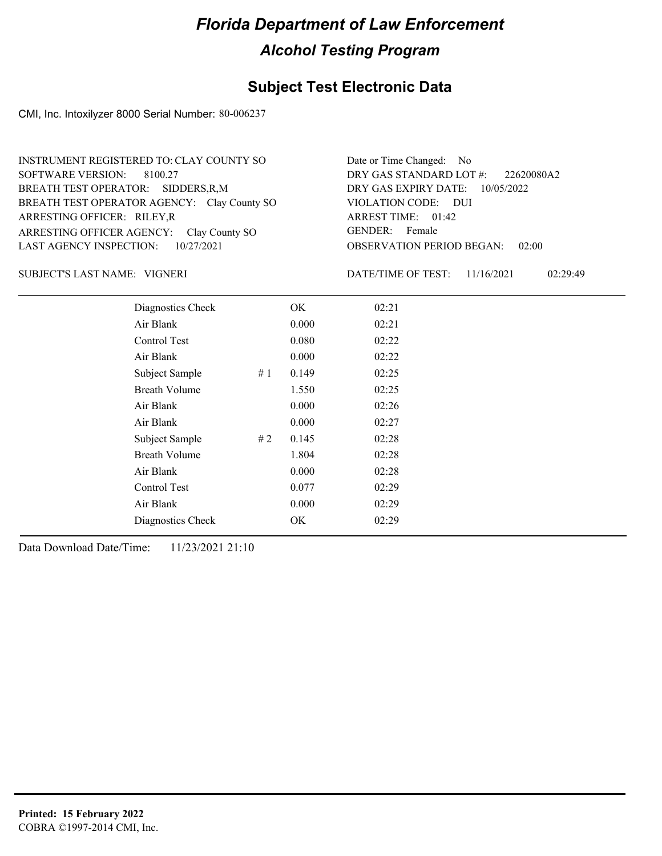## **Subject Test Electronic Data**

CMI, Inc. Intoxilyzer 8000 Serial Number: 80-006237

| INSTRUMENT REGISTERED TO: CLAY COUNTY SO    | Date or Time Changed: No               |
|---------------------------------------------|----------------------------------------|
| SOFTWARE VERSION: 8100.27                   | DRY GAS STANDARD LOT $\#$ : 22620080A2 |
| BREATH TEST OPERATOR: SIDDERS, R, M         | DRY GAS EXPIRY DATE: 10/05/2022        |
| BREATH TEST OPERATOR AGENCY: Clay County SO | VIOLATION CODE: DUI                    |
| ARRESTING OFFICER: RILEY, R                 | ARREST TIME: 01:42                     |
| ARRESTING OFFICER AGENCY: Clay County SO    | GENDER: Female                         |
| LAST AGENCY INSPECTION: $10/27/2021$        | <b>OBSERVATION PERIOD BEGAN: 02:00</b> |

VIGNERI SUBJECT'S LAST NAME: DATE/TIME OF TEST:

DATE/TIME OF TEST: 11/16/2021 02:29:49

| Diagnostics Check    |    | OK    | 02:21 |
|----------------------|----|-------|-------|
| Air Blank            |    | 0.000 | 02:21 |
| Control Test         |    | 0.080 | 02:22 |
| Air Blank            |    | 0.000 | 02:22 |
| Subject Sample       | #1 | 0.149 | 02:25 |
| <b>Breath Volume</b> |    | 1.550 | 02:25 |
| Air Blank            |    | 0.000 | 02:26 |
| Air Blank            |    | 0.000 | 02:27 |
| Subject Sample       | #2 | 0.145 | 02:28 |
| <b>Breath Volume</b> |    | 1.804 | 02:28 |
| Air Blank            |    | 0.000 | 02:28 |
| Control Test         |    | 0.077 | 02:29 |
| Air Blank            |    | 0.000 | 02:29 |
| Diagnostics Check    |    | OK    | 02:29 |
|                      |    |       |       |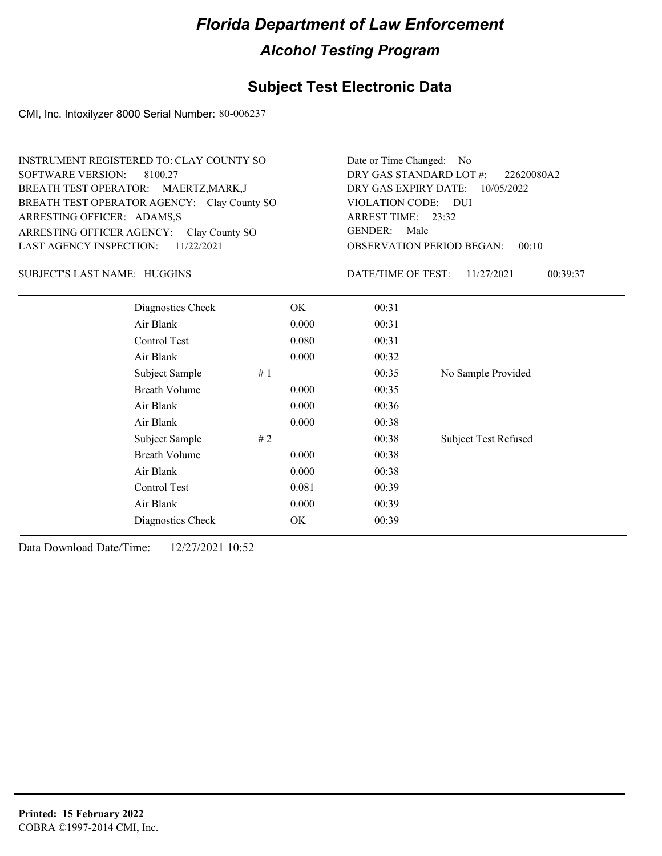## **Subject Test Electronic Data**

CMI, Inc. Intoxilyzer 8000 Serial Number: 80-006237

| <b>INSTRUMENT REGISTERED TO: CLAY COUNTY SO</b><br><b>SOFTWARE VERSION:</b><br>8100.27<br>BREATH TEST OPERATOR: MAERTZ, MARK, J<br>BREATH TEST OPERATOR AGENCY: Clay County SO<br>ARRESTING OFFICER: ADAMS,S<br>ARRESTING OFFICER AGENCY:<br>Clay County SO<br><b>LAST AGENCY INSPECTION:</b><br>11/22/2021 |           | Date or Time Changed:<br>No.<br>DRY GAS STANDARD LOT #:<br>22620080A2<br>DRY GAS EXPIRY DATE:<br>10/05/2022<br><b>VIOLATION CODE:</b><br><b>DUI</b><br>ARREST TIME: 23:32<br><b>GENDER:</b><br>Male<br><b>OBSERVATION PERIOD BEGAN:</b><br>00:10 |                             |  |
|-------------------------------------------------------------------------------------------------------------------------------------------------------------------------------------------------------------------------------------------------------------------------------------------------------------|-----------|--------------------------------------------------------------------------------------------------------------------------------------------------------------------------------------------------------------------------------------------------|-----------------------------|--|
| SUBJECT'S LAST NAME: HUGGINS                                                                                                                                                                                                                                                                                |           | DATE/TIME OF TEST:                                                                                                                                                                                                                               | 11/27/2021<br>00:39:37      |  |
| Diagnostics Check                                                                                                                                                                                                                                                                                           | <b>OK</b> | 00:31                                                                                                                                                                                                                                            |                             |  |
| Air Blank                                                                                                                                                                                                                                                                                                   | 0.000     | 00:31                                                                                                                                                                                                                                            |                             |  |
| Control Test                                                                                                                                                                                                                                                                                                | 0.080     | 00:31                                                                                                                                                                                                                                            |                             |  |
| Air Blank                                                                                                                                                                                                                                                                                                   | 0.000     | 00:32                                                                                                                                                                                                                                            |                             |  |
| Subject Sample                                                                                                                                                                                                                                                                                              | #1        | 00:35                                                                                                                                                                                                                                            | No Sample Provided          |  |
| <b>Breath Volume</b>                                                                                                                                                                                                                                                                                        | 0.000     | 00:35                                                                                                                                                                                                                                            |                             |  |
| Air Blank                                                                                                                                                                                                                                                                                                   | 0.000     | 00:36                                                                                                                                                                                                                                            |                             |  |
| Air Blank                                                                                                                                                                                                                                                                                                   | 0.000     | 00:38                                                                                                                                                                                                                                            |                             |  |
| Subject Sample                                                                                                                                                                                                                                                                                              | #2        | 00:38                                                                                                                                                                                                                                            | <b>Subject Test Refused</b> |  |
| <b>Breath Volume</b>                                                                                                                                                                                                                                                                                        | 0.000     | 00:38                                                                                                                                                                                                                                            |                             |  |
| Air Blank                                                                                                                                                                                                                                                                                                   | 0.000     | 00:38                                                                                                                                                                                                                                            |                             |  |
| Control Test                                                                                                                                                                                                                                                                                                | 0.081     | 00:39                                                                                                                                                                                                                                            |                             |  |
| Air Blank                                                                                                                                                                                                                                                                                                   | 0.000     | 00:39                                                                                                                                                                                                                                            |                             |  |

Diagnostics Check OK 00:39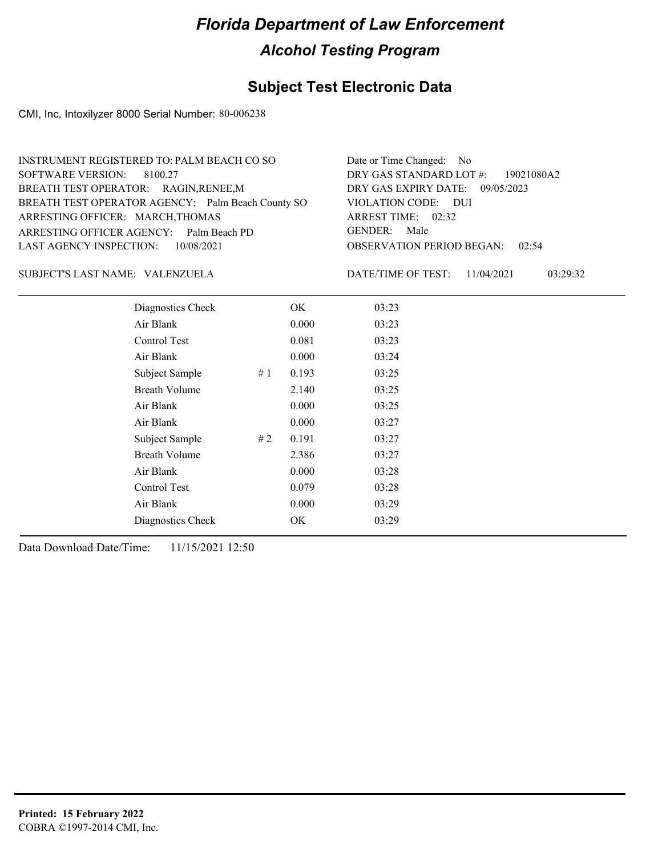## **Subject Test Electronic Data**

CMI, Inc. Intoxilyzer 8000 Serial Number: 80-006238

| INSTRUMENT REGISTERED TO: PALM BEACH CO SO        | Date or Time Changed: No               |
|---------------------------------------------------|----------------------------------------|
| SOFTWARE VERSION: 8100.27                         | DRY GAS STANDARD LOT #: 19021080A2     |
| BREATH TEST OPERATOR: RAGIN, RENEE, M             | DRY GAS EXPIRY DATE: 09/05/2023        |
| BREATH TEST OPERATOR AGENCY: Palm Beach County SO | VIOLATION CODE: DUI                    |
| ARRESTING OFFICER: MARCH, THOMAS                  | ARREST TIME: 02:32                     |
| ARRESTING OFFICER AGENCY: Palm Beach PD           | GENDER: Male                           |
| LAST AGENCY INSPECTION: 10/08/2021                | <b>OBSERVATION PERIOD BEGAN: 02:54</b> |
|                                                   |                                        |

#### VALENZUELA SUBJECT'S LAST NAME: DATE/TIME OF TEST:

DATE/TIME OF TEST: 11/04/2021 03:29:32

| Diagnostics Check    |    | OK    | 03:23 |
|----------------------|----|-------|-------|
| Air Blank            |    | 0.000 | 03:23 |
| Control Test         |    | 0.081 | 03:23 |
| Air Blank            |    | 0.000 | 03:24 |
| Subject Sample       | #1 | 0.193 | 03:25 |
| <b>Breath Volume</b> |    | 2.140 | 03:25 |
| Air Blank            |    | 0.000 | 03:25 |
| Air Blank            |    | 0.000 | 03:27 |
| Subject Sample       | #2 | 0.191 | 03:27 |
| <b>Breath Volume</b> |    | 2.386 | 03:27 |
| Air Blank            |    | 0.000 | 03:28 |
| Control Test         |    | 0.079 | 03:28 |
| Air Blank            |    | 0.000 | 03:29 |
| Diagnostics Check    |    | OK    | 03:29 |
|                      |    |       |       |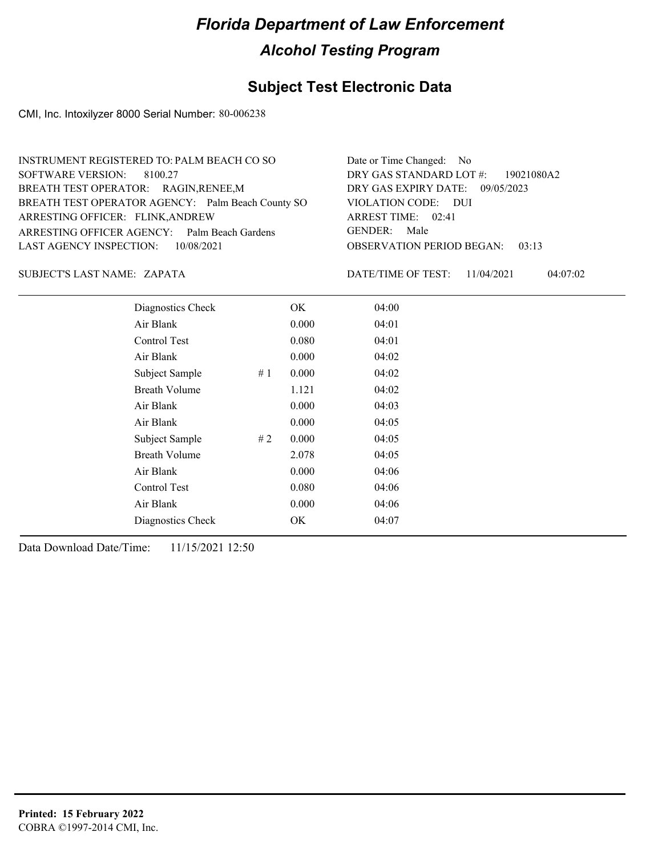### **Subject Test Electronic Data**

CMI, Inc. Intoxilyzer 8000 Serial Number: 80-006238

| Date or Time Changed: No               |
|----------------------------------------|
| DRY GAS STANDARD LOT $\#$ : 19021080A2 |
| DRY GAS EXPIRY DATE: 09/05/2023        |
| VIOLATION CODE: DUI                    |
| ARREST TIME: 02:41                     |
| GENDER: Male                           |
| <b>OBSERVATION PERIOD BEGAN: 03:13</b> |
|                                        |

#### ZAPATA SUBJECT'S LAST NAME: DATE/TIME OF TEST:

DATE/TIME OF TEST: 11/04/2021 04:07:02

| Diagnostics Check    |    | OK    | 04:00 |
|----------------------|----|-------|-------|
| Air Blank            |    | 0.000 | 04:01 |
| Control Test         |    | 0.080 | 04:01 |
| Air Blank            |    | 0.000 | 04:02 |
| Subject Sample       | #1 | 0.000 | 04:02 |
| <b>Breath Volume</b> |    | 1.121 | 04:02 |
| Air Blank            |    | 0.000 | 04:03 |
| Air Blank            |    | 0.000 | 04:05 |
| Subject Sample       | #2 | 0.000 | 04:05 |
| <b>Breath Volume</b> |    | 2.078 | 04:05 |
| Air Blank            |    | 0.000 | 04:06 |
| Control Test         |    | 0.080 | 04:06 |
| Air Blank            |    | 0.000 | 04:06 |
| Diagnostics Check    |    | OK    | 04:07 |
|                      |    |       |       |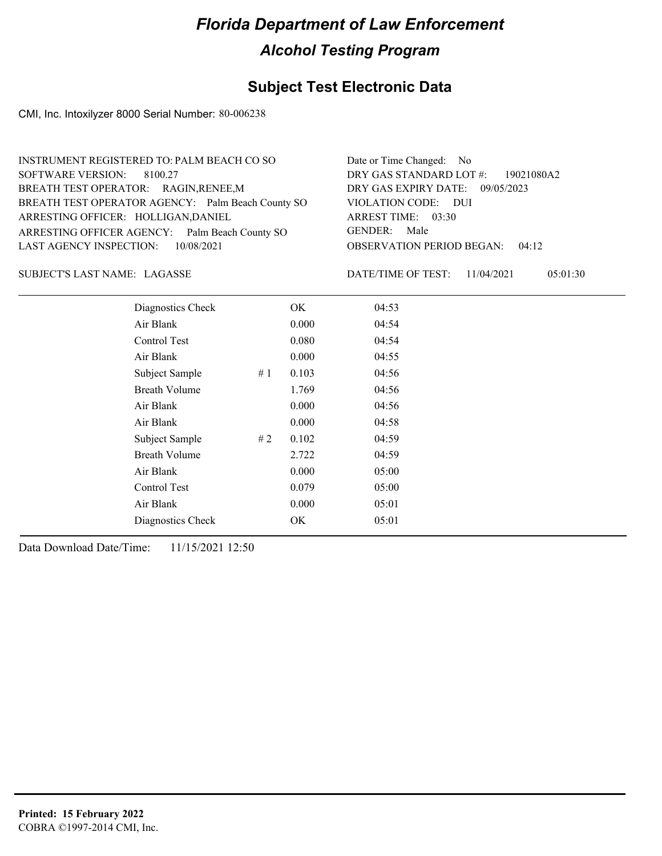### **Subject Test Electronic Data**

CMI, Inc. Intoxilyzer 8000 Serial Number: 80-006238

| INSTRUMENT REGISTERED TO: PALM BEACH CO SO        | Date or Time Changed: No               |
|---------------------------------------------------|----------------------------------------|
| SOFTWARE VERSION: 8100.27                         | DRY GAS STANDARD LOT #: 19021080A2     |
| BREATH TEST OPERATOR: RAGIN, RENEE, M             | DRY GAS EXPIRY DATE: 09/05/2023        |
| BREATH TEST OPERATOR AGENCY: Palm Beach County SO | VIOLATION CODE: DUI                    |
| ARRESTING OFFICER: HOLLIGAN, DANIEL               | ARREST TIME: 03:30                     |
| ARRESTING OFFICER AGENCY: Palm Beach County SO    | GENDER: Male                           |
| LAST AGENCY INSPECTION: 10/08/2021                | <b>OBSERVATION PERIOD BEGAN: 04:12</b> |
|                                                   |                                        |

LAGASSE SUBJECT'S LAST NAME: DATE/TIME OF TEST:

DATE/TIME OF TEST: 11/04/2021 05:01:30

| Diagnostics Check    |       | OK    | 04:53 |
|----------------------|-------|-------|-------|
| Air Blank            |       | 0.000 | 04:54 |
| Control Test         |       | 0.080 | 04:54 |
| Air Blank            |       | 0.000 | 04:55 |
| Subject Sample       | # $1$ | 0.103 | 04:56 |
| <b>Breath Volume</b> |       | 1.769 | 04:56 |
| Air Blank            |       | 0.000 | 04:56 |
| Air Blank            |       | 0.000 | 04:58 |
| Subject Sample       | #2    | 0.102 | 04:59 |
| <b>Breath Volume</b> |       | 2.722 | 04:59 |
| Air Blank            |       | 0.000 | 05:00 |
| Control Test         |       | 0.079 | 05:00 |
| Air Blank            |       | 0.000 | 05:01 |
| Diagnostics Check    |       | OK    | 05:01 |
|                      |       |       |       |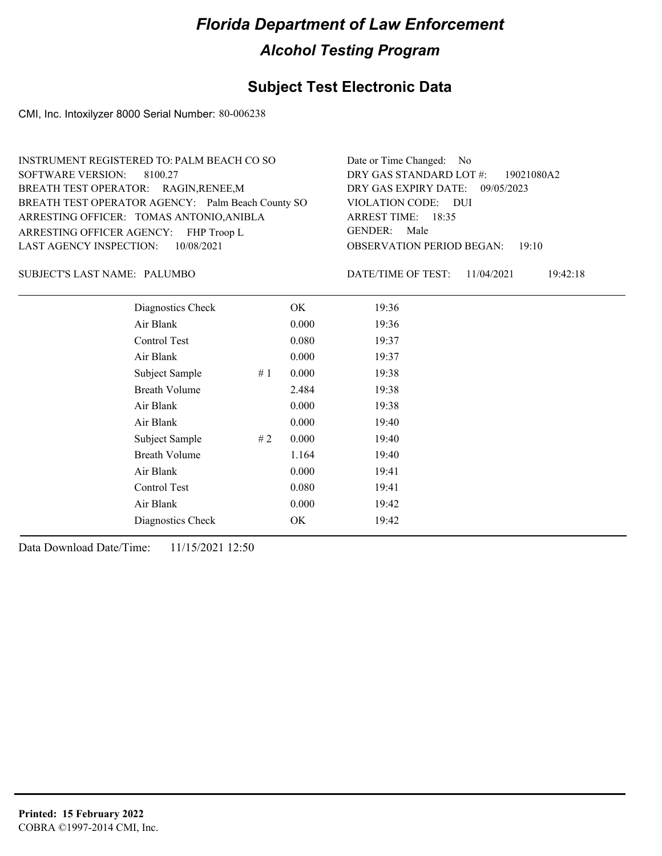## **Subject Test Electronic Data**

CMI, Inc. Intoxilyzer 8000 Serial Number: 80-006238

| INSTRUMENT REGISTERED TO: PALM BEACH CO SO        | Date or Time Changed: No               |
|---------------------------------------------------|----------------------------------------|
| SOFTWARE VERSION: 8100.27                         | DRY GAS STANDARD LOT #: 19021080A2     |
| BREATH TEST OPERATOR: RAGIN, RENEE, M             | DRY GAS EXPIRY DATE: 09/05/2023        |
| BREATH TEST OPERATOR AGENCY: Palm Beach County SO | VIOLATION CODE: DUI                    |
| ARRESTING OFFICER: TOMAS ANTONIO, ANIBLA          | ARREST TIME: 18:35                     |
| ARRESTING OFFICER AGENCY: FHP Troop L             | GENDER: Male                           |
| LAST AGENCY INSPECTION: 10/08/2021                | <b>OBSERVATION PERIOD BEGAN: 19:10</b> |
|                                                   |                                        |

#### PALUMBO SUBJECT'S LAST NAME: DATE/TIME OF TEST:

DATE/TIME OF TEST: 11/04/2021 19:42:18

| Diagnostics Check    |    | OK    | 19:36 |
|----------------------|----|-------|-------|
| Air Blank            |    | 0.000 | 19:36 |
| Control Test         |    | 0.080 | 19:37 |
| Air Blank            |    | 0.000 | 19:37 |
| Subject Sample       | #1 | 0.000 | 19:38 |
| <b>Breath Volume</b> |    | 2.484 | 19:38 |
| Air Blank            |    | 0.000 | 19:38 |
| Air Blank            |    | 0.000 | 19:40 |
| Subject Sample       | #2 | 0.000 | 19:40 |
| <b>Breath Volume</b> |    | 1.164 | 19:40 |
| Air Blank            |    | 0.000 | 19:41 |
| Control Test         |    | 0.080 | 19:41 |
| Air Blank            |    | 0.000 | 19:42 |
| Diagnostics Check    |    | OK    | 19:42 |
|                      |    |       |       |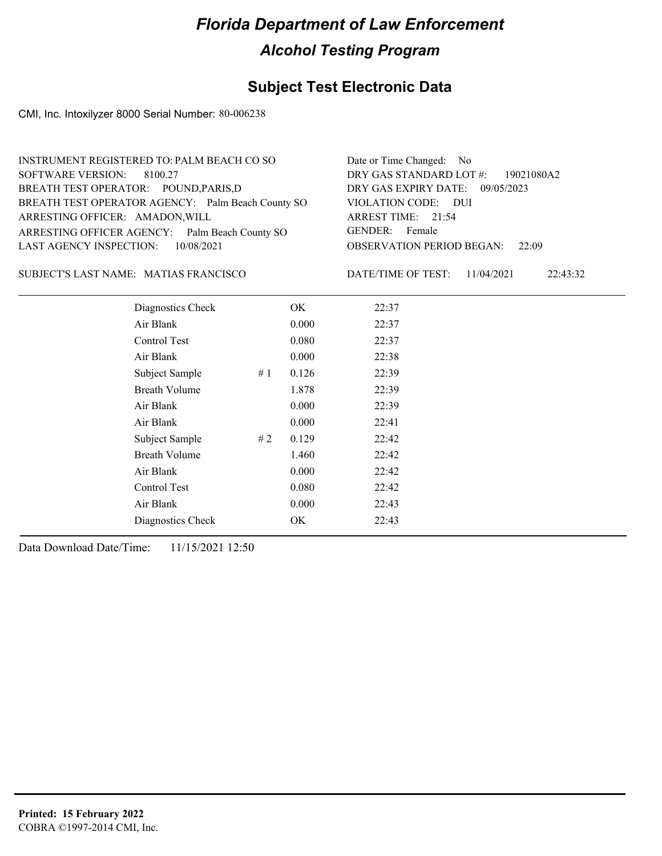### **Subject Test Electronic Data**

CMI, Inc. Intoxilyzer 8000 Serial Number: 80-006238

| INSTRUMENT REGISTERED TO: PALM BEACH CO SO        | Date or Time Changed: No               |
|---------------------------------------------------|----------------------------------------|
| SOFTWARE VERSION: 8100.27                         | DRY GAS STANDARD LOT $\#$ : 19021080A2 |
| BREATH TEST OPERATOR: POUND, PARIS, D             | DRY GAS EXPIRY DATE: 09/05/2023        |
| BREATH TEST OPERATOR AGENCY: Palm Beach County SO | VIOLATION CODE: DUI                    |
| ARRESTING OFFICER: AMADON, WILL                   | ARREST TIME: 21:54                     |
| ARRESTING OFFICER AGENCY: Palm Beach County SO    | GENDER: Female                         |
| LAST AGENCY INSPECTION: 10/08/2021                | <b>OBSERVATION PERIOD BEGAN: 22:09</b> |
|                                                   |                                        |

#### SUBJECT'S LAST NAME: MATIAS FRANCISCO DATE/TIME OF TEST:

DATE/TIME OF TEST: 11/04/2021 22:43:32

| Diagnostics Check    | OK    | 22:37 |
|----------------------|-------|-------|
| Air Blank            | 0.000 | 22:37 |
| Control Test         | 0.080 | 22:37 |
| Air Blank            | 0.000 | 22:38 |
| Subject Sample<br>#1 | 0.126 | 22:39 |
| <b>Breath Volume</b> | 1.878 | 22:39 |
| Air Blank            | 0.000 | 22:39 |
| Air Blank            | 0.000 | 22:41 |
| Subject Sample<br>#2 | 0.129 | 22:42 |
| <b>Breath Volume</b> | 1.460 | 22:42 |
| Air Blank            | 0.000 | 22:42 |
| Control Test         | 0.080 | 22:42 |
| Air Blank            | 0.000 | 22:43 |
| Diagnostics Check    | OK    | 22:43 |
|                      |       |       |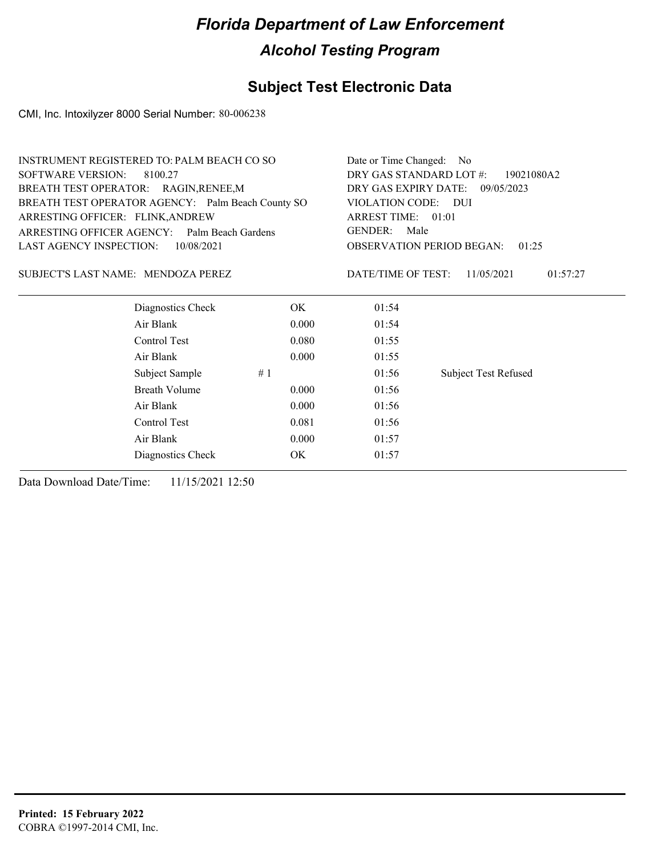## **Subject Test Electronic Data**

CMI, Inc. Intoxilyzer 8000 Serial Number: 80-006238

| <b>INSTRUMENT REGISTERED TO: PALM BEACH CO SO</b> |       | Date or Time Changed: No                  |                                 |  |
|---------------------------------------------------|-------|-------------------------------------------|---------------------------------|--|
| <b>SOFTWARE VERSION:</b><br>8100.27               |       | DRY GAS STANDARD LOT #:                   | 19021080A2                      |  |
| BREATH TEST OPERATOR: RAGIN, RENEE, M             |       |                                           | DRY GAS EXPIRY DATE: 09/05/2023 |  |
| BREATH TEST OPERATOR AGENCY: Palm Beach County SO |       | VIOLATION CODE: DUI                       |                                 |  |
| ARRESTING OFFICER: FLINK, ANDREW                  |       | ARREST TIME: 01:01                        |                                 |  |
| ARRESTING OFFICER AGENCY: Palm Beach Gardens      |       | GENDER:<br>Male                           |                                 |  |
| LAST AGENCY INSPECTION:<br>10/08/2021             |       | <b>OBSERVATION PERIOD BEGAN:</b><br>01:25 |                                 |  |
| SUBJECT'S LAST NAME: MENDOZA PEREZ                |       | DATE/TIME OF TEST:                        | 11/05/2021<br>01:57:27          |  |
| Diagnostics Check                                 | OK.   | 01:54                                     |                                 |  |
| Air Blank                                         | 0.000 | 01:54                                     |                                 |  |
| Control Test                                      | 0.080 | 01:55                                     |                                 |  |
| Air Blank                                         | 0.000 | 01:55                                     |                                 |  |
| Subject Sample                                    | #1    | 01:56                                     | <b>Subject Test Refused</b>     |  |
| <b>Breath Volume</b>                              | 0.000 | 01:56                                     |                                 |  |
| Air Blank                                         | 0.000 | 01:56                                     |                                 |  |
| Control Test                                      | 0.081 | 01:56                                     |                                 |  |
| Air Blank                                         | 0.000 | 01:57                                     |                                 |  |
| Diagnostics Check                                 | OK    | 01:57                                     |                                 |  |
|                                                   |       |                                           |                                 |  |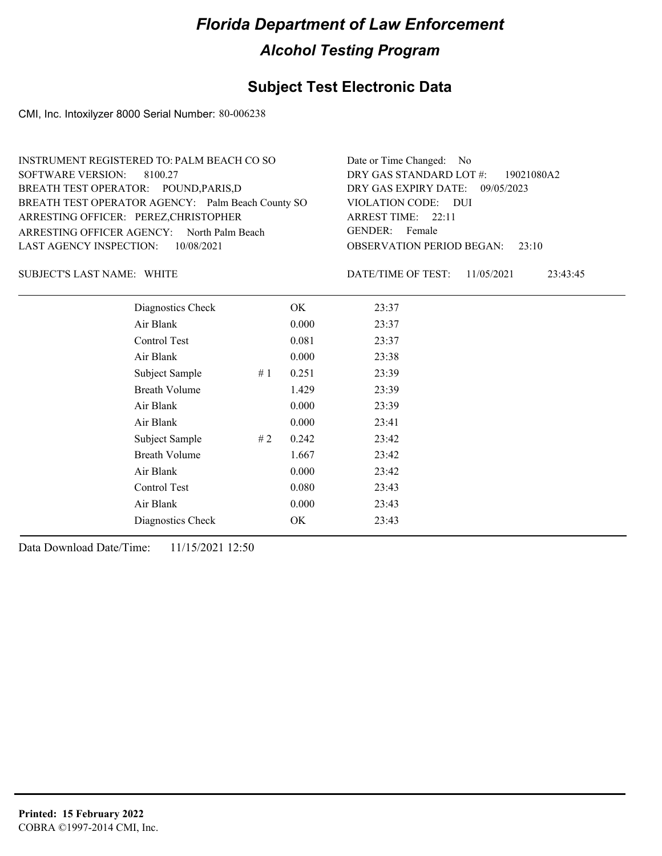### **Subject Test Electronic Data**

CMI, Inc. Intoxilyzer 8000 Serial Number: 80-006238

| INSTRUMENT REGISTERED TO: PALM BEACH CO SO        | Date or Time Changed: No               |
|---------------------------------------------------|----------------------------------------|
| SOFTWARE VERSION: 8100.27                         | DRY GAS STANDARD LOT #: 19021080A2     |
| BREATH TEST OPERATOR: POUND, PARIS, D             | DRY GAS EXPIRY DATE: 09/05/2023        |
| BREATH TEST OPERATOR AGENCY: Palm Beach County SO | VIOLATION CODE: DUI                    |
| ARRESTING OFFICER: PEREZ, CHRISTOPHER             | ARREST TIME: 22:11                     |
| ARRESTING OFFICER AGENCY: North Palm Beach        | GENDER: Female                         |
| LAST AGENCY INSPECTION: 10/08/2021                | <b>OBSERVATION PERIOD BEGAN:</b> 23:10 |
|                                                   |                                        |

SUBJECT'S LAST NAME: WHITE **Example 2018** DATE/TIME OF TEST:

DATE/TIME OF TEST: 11/05/2021 23:43:45

| Diagnostics Check    |    | OK    | 23:37 |
|----------------------|----|-------|-------|
| Air Blank            |    | 0.000 | 23:37 |
| Control Test         |    | 0.081 | 23:37 |
| Air Blank            |    | 0.000 | 23:38 |
| Subject Sample       | #1 | 0.251 | 23:39 |
| <b>Breath Volume</b> |    | 1.429 | 23:39 |
| Air Blank            |    | 0.000 | 23:39 |
| Air Blank            |    | 0.000 | 23:41 |
| Subject Sample       | #2 | 0.242 | 23:42 |
| <b>Breath Volume</b> |    | 1.667 | 23:42 |
| Air Blank            |    | 0.000 | 23:42 |
| Control Test         |    | 0.080 | 23:43 |
| Air Blank            |    | 0.000 | 23:43 |
| Diagnostics Check    |    | OK    | 23:43 |
|                      |    |       |       |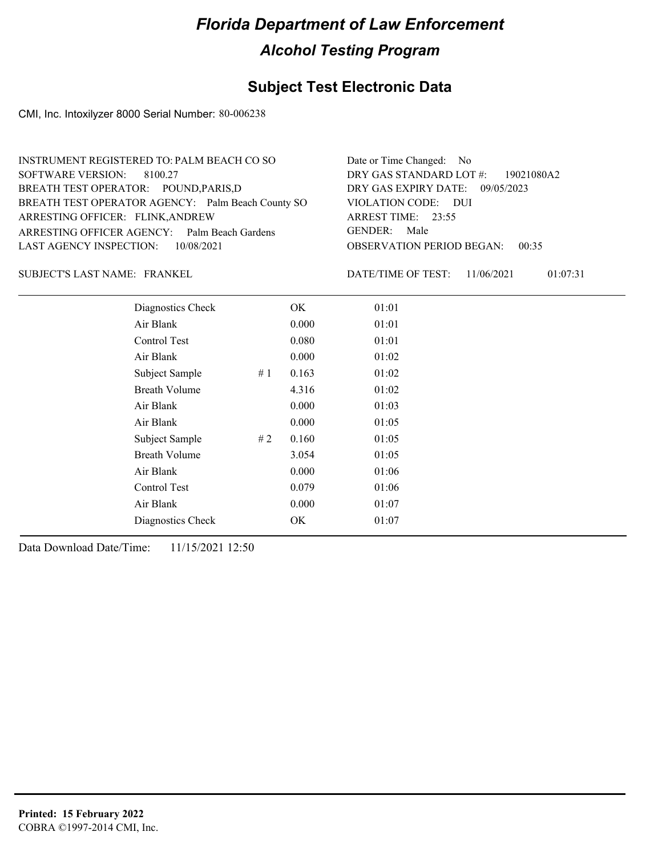### **Subject Test Electronic Data**

CMI, Inc. Intoxilyzer 8000 Serial Number: 80-006238

| INSTRUMENT REGISTERED TO: PALM BEACH CO SO        | Date or Time Changed: No               |
|---------------------------------------------------|----------------------------------------|
| SOFTWARE VERSION: 8100.27                         | DRY GAS STANDARD LOT $\#$ : 19021080A2 |
| BREATH TEST OPERATOR: POUND, PARIS, D             | DRY GAS EXPIRY DATE: 09/05/2023        |
| BREATH TEST OPERATOR AGENCY: Palm Beach County SO | VIOLATION CODE: DUI                    |
| ARRESTING OFFICER: FLINK, ANDREW                  | ARREST TIME: $23:55$                   |
| ARRESTING OFFICER AGENCY: Palm Beach Gardens      | GENDER: Male                           |
| LAST AGENCY INSPECTION: 10/08/2021                | <b>OBSERVATION PERIOD BEGAN: 00:35</b> |
|                                                   |                                        |

FRANKEL SUBJECT'S LAST NAME: DATE/TIME OF TEST:

DATE/TIME OF TEST: 11/06/2021 01:07:31

| Diagnostics Check    |    | OK    | 01:01 |
|----------------------|----|-------|-------|
| Air Blank            |    | 0.000 | 01:01 |
| Control Test         |    | 0.080 | 01:01 |
| Air Blank            |    | 0.000 | 01:02 |
| Subject Sample       | #1 | 0.163 | 01:02 |
| <b>Breath Volume</b> |    | 4.316 | 01:02 |
| Air Blank            |    | 0.000 | 01:03 |
| Air Blank            |    | 0.000 | 01:05 |
| Subject Sample       | #2 | 0.160 | 01:05 |
| <b>Breath Volume</b> |    | 3.054 | 01:05 |
| Air Blank            |    | 0.000 | 01:06 |
| Control Test         |    | 0.079 | 01:06 |
| Air Blank            |    | 0.000 | 01:07 |
| Diagnostics Check    |    | OK    | 01:07 |
|                      |    |       |       |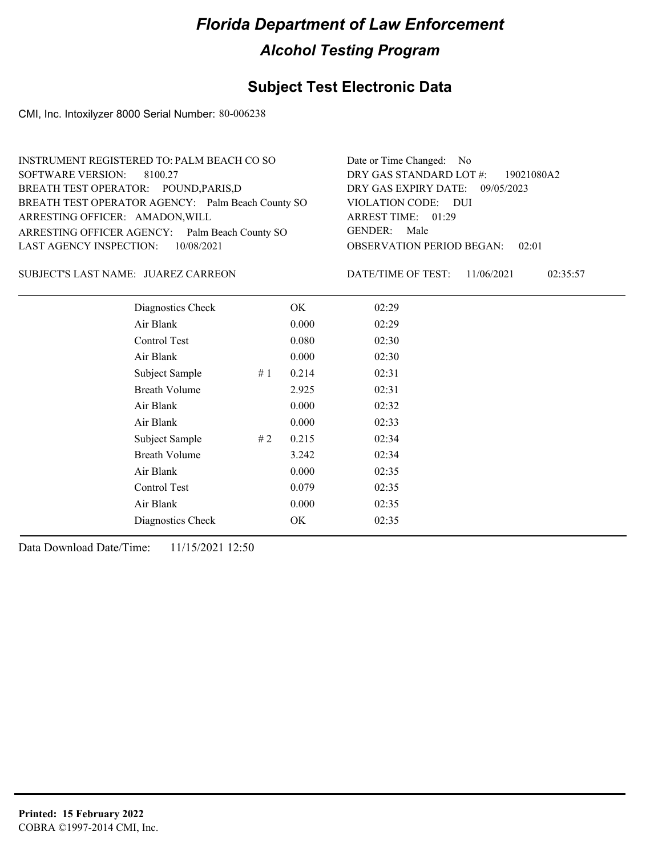### **Subject Test Electronic Data**

CMI, Inc. Intoxilyzer 8000 Serial Number: 80-006238

| INSTRUMENT REGISTERED TO: PALM BEACH CO SO        | Date or Time Changed: No               |
|---------------------------------------------------|----------------------------------------|
| SOFTWARE VERSION: 8100.27                         | DRY GAS STANDARD LOT $\#$ : 19021080A2 |
| BREATH TEST OPERATOR: POUND, PARIS, D             | DRY GAS EXPIRY DATE: 09/05/2023        |
| BREATH TEST OPERATOR AGENCY: Palm Beach County SO | VIOLATION CODE: DUI                    |
| ARRESTING OFFICER: AMADON, WILL                   | ARREST TIME: 01:29                     |
| ARRESTING OFFICER AGENCY: Palm Beach County SO    | GENDER: Male                           |
| LAST AGENCY INSPECTION: 10/08/2021                | <b>OBSERVATION PERIOD BEGAN: 02:01</b> |
|                                                   |                                        |

SUBJECT'S LAST NAME: JUAREZ CARREON DATE/TIME OF TEST:

DATE/TIME OF TEST: 11/06/2021 02:35:57

| Diagnostics Check<br>OK<br>02:29<br>Air Blank<br>0.000<br>02:29<br>Control Test<br>0.080<br>02:30 |  |
|---------------------------------------------------------------------------------------------------|--|
|                                                                                                   |  |
|                                                                                                   |  |
|                                                                                                   |  |
| Air Blank<br>0.000<br>02:30                                                                       |  |
| 0.214<br>02:31<br>Subject Sample<br>#1                                                            |  |
| <b>Breath Volume</b><br>2.925<br>02:31                                                            |  |
| Air Blank<br>0.000<br>02:32                                                                       |  |
| 0.000<br>Air Blank<br>02:33                                                                       |  |
| 0.215<br>Subject Sample<br>#2<br>02:34                                                            |  |
| <b>Breath Volume</b><br>3.242<br>02:34                                                            |  |
| Air Blank<br>0.000<br>02:35                                                                       |  |
| Control Test<br>0.079<br>02:35                                                                    |  |
| 0.000<br>Air Blank<br>02:35                                                                       |  |
| Diagnostics Check<br>02:35<br>OK                                                                  |  |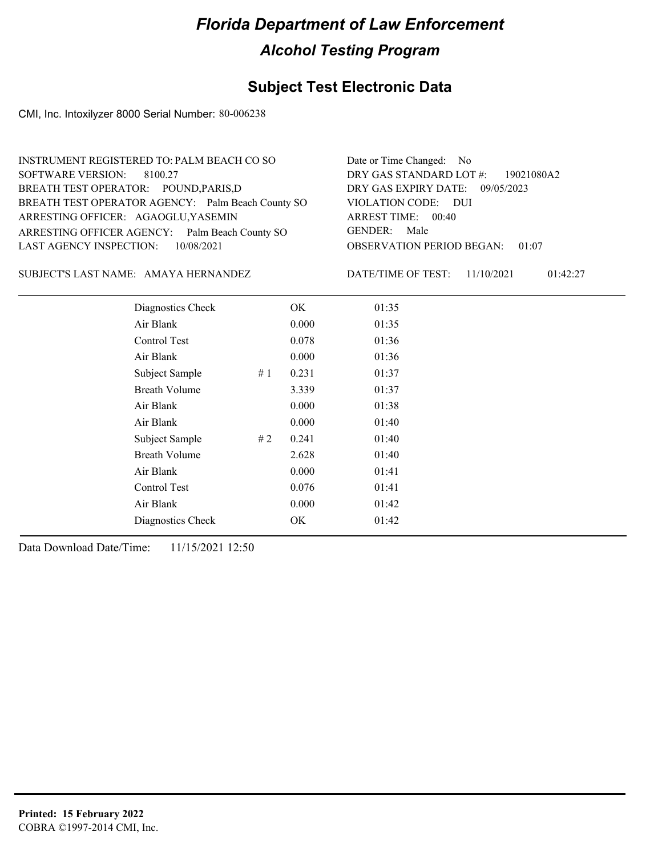### **Subject Test Electronic Data**

CMI, Inc. Intoxilyzer 8000 Serial Number: 80-006238

| INSTRUMENT REGISTERED TO: PALM BEACH CO SO        | Date or Time Changed: No               |
|---------------------------------------------------|----------------------------------------|
| SOFTWARE VERSION: 8100.27                         | DRY GAS STANDARD LOT $\#$ : 19021080A2 |
| BREATH TEST OPERATOR: POUND, PARIS, D             | DRY GAS EXPIRY DATE: 09/05/2023        |
| BREATH TEST OPERATOR AGENCY: Palm Beach County SO | VIOLATION CODE: DUI                    |
| ARRESTING OFFICER: AGAOGLU, YASEMIN               | ARREST TIME: 00:40                     |
| ARRESTING OFFICER AGENCY: Palm Beach County SO    | GENDER: Male                           |
| LAST AGENCY INSPECTION: 10/08/2021                | <b>OBSERVATION PERIOD BEGAN: 01:07</b> |
|                                                   |                                        |

SUBJECT'S LAST NAME: AMAYA HERNANDEZ DATE/TIME OF TEST:

DATE/TIME OF TEST: 11/10/2021 01:42:27

| Diagnostics Check    |    | OK    | 01:35 |
|----------------------|----|-------|-------|
| Air Blank            |    | 0.000 | 01:35 |
| Control Test         |    | 0.078 | 01:36 |
| Air Blank            |    | 0.000 | 01:36 |
| Subject Sample       | #1 | 0.231 | 01:37 |
| <b>Breath Volume</b> |    | 3.339 | 01:37 |
| Air Blank            |    | 0.000 | 01:38 |
| Air Blank            |    | 0.000 | 01:40 |
| Subject Sample       | #2 | 0.241 | 01:40 |
| <b>Breath Volume</b> |    | 2.628 | 01:40 |
| Air Blank            |    | 0.000 | 01:41 |
| Control Test         |    | 0.076 | 01:41 |
| Air Blank            |    | 0.000 | 01:42 |
| Diagnostics Check    |    | OK    | 01:42 |
|                      |    |       |       |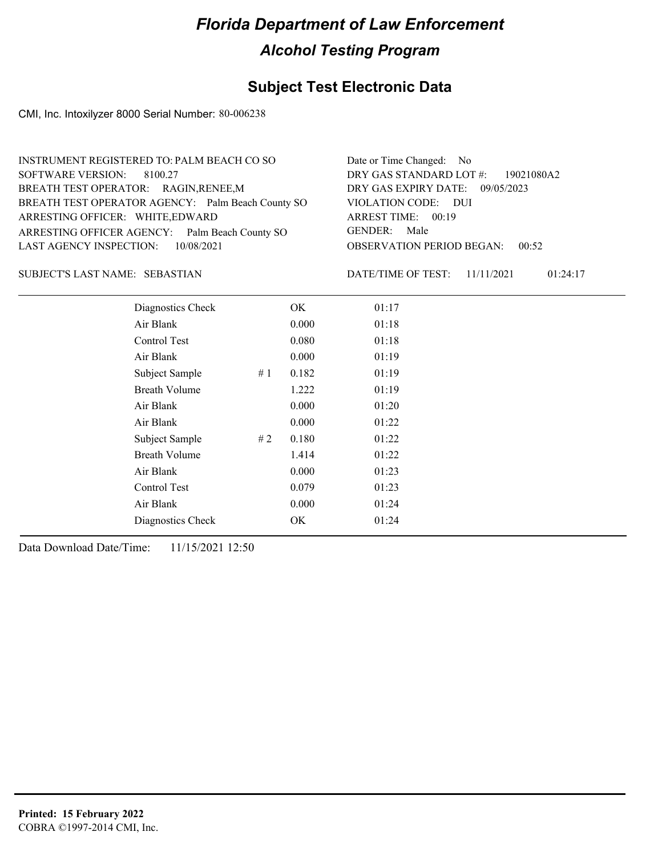### **Subject Test Electronic Data**

CMI, Inc. Intoxilyzer 8000 Serial Number: 80-006238

| INSTRUMENT REGISTERED TO: PALM BEACH CO SO        | Date or Time Changed: No               |
|---------------------------------------------------|----------------------------------------|
| SOFTWARE VERSION: 8100.27                         | DRY GAS STANDARD LOT #: 19021080A2     |
| BREATH TEST OPERATOR: RAGIN, RENEE, M             | DRY GAS EXPIRY DATE: 09/05/2023        |
| BREATH TEST OPERATOR AGENCY: Palm Beach County SO | VIOLATION CODE: DUI                    |
| ARRESTING OFFICER: WHITE, EDWARD                  | ARREST TIME: 00:19                     |
| ARRESTING OFFICER AGENCY: Palm Beach County SO    | GENDER: Male                           |
| LAST AGENCY INSPECTION: 10/08/2021                | <b>OBSERVATION PERIOD BEGAN: 00:52</b> |
|                                                   |                                        |

#### SEBASTIAN SUBJECT'S LAST NAME: DATE/TIME OF TEST:

DATE/TIME OF TEST: 11/11/2021 01:24:17

| Diagnostics Check    |    | OK    | 01:17 |
|----------------------|----|-------|-------|
| Air Blank            |    | 0.000 | 01:18 |
| Control Test         |    | 0.080 | 01:18 |
| Air Blank            |    | 0.000 | 01:19 |
| Subject Sample       | #1 | 0.182 | 01:19 |
| <b>Breath Volume</b> |    | 1.222 | 01:19 |
| Air Blank            |    | 0.000 | 01:20 |
| Air Blank            |    | 0.000 | 01:22 |
| Subject Sample       | #2 | 0.180 | 01:22 |
| <b>Breath Volume</b> |    | 1.414 | 01:22 |
| Air Blank            |    | 0.000 | 01:23 |
| Control Test         |    | 0.079 | 01:23 |
| Air Blank            |    | 0.000 | 01:24 |
| Diagnostics Check    |    | OK    | 01:24 |
|                      |    |       |       |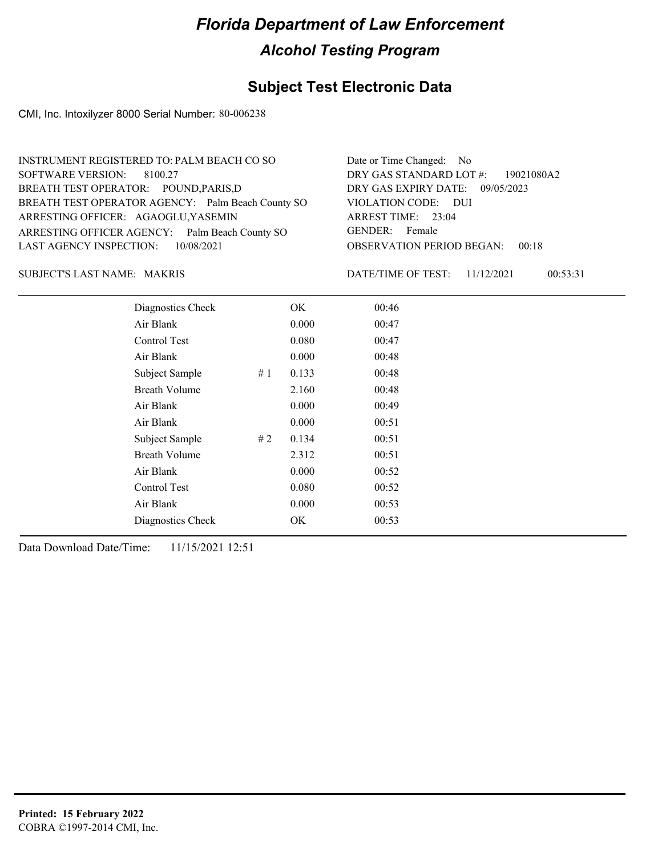### **Subject Test Electronic Data**

CMI, Inc. Intoxilyzer 8000 Serial Number: 80-006238

| INSTRUMENT REGISTERED TO: PALM BEACH CO SO        | Date or Time Changed: No               |
|---------------------------------------------------|----------------------------------------|
| SOFTWARE VERSION: 8100.27                         | DRY GAS STANDARD LOT #: 19021080A2     |
| BREATH TEST OPERATOR: POUND, PARIS, D             | DRY GAS EXPIRY DATE: 09/05/2023        |
| BREATH TEST OPERATOR AGENCY: Palm Beach County SO | VIOLATION CODE: DUI                    |
| ARRESTING OFFICER: AGAOGLU, YASEMIN               | ARREST TIME: 23:04                     |
| ARRESTING OFFICER AGENCY: Palm Beach County SO    | GENDER: Female                         |
| LAST AGENCY INSPECTION: 10/08/2021                | <b>OBSERVATION PERIOD BEGAN: 00:18</b> |
|                                                   |                                        |

#### MAKRIS SUBJECT'S LAST NAME: DATE/TIME OF TEST:

DATE/TIME OF TEST: 11/12/2021 00:53:31

| Diagnostics Check    |    | OK    | 00:46 |  |
|----------------------|----|-------|-------|--|
| Air Blank            |    | 0.000 | 00:47 |  |
| Control Test         |    | 0.080 | 00:47 |  |
| Air Blank            |    | 0.000 | 00:48 |  |
| Subject Sample       | #1 | 0.133 | 00:48 |  |
| <b>Breath Volume</b> |    | 2.160 | 00:48 |  |
| Air Blank            |    | 0.000 | 00:49 |  |
| Air Blank            |    | 0.000 | 00:51 |  |
| Subject Sample       | #2 | 0.134 | 00:51 |  |
| <b>Breath Volume</b> |    | 2.312 | 00:51 |  |
| Air Blank            |    | 0.000 | 00:52 |  |
| Control Test         |    | 0.080 | 00:52 |  |
| Air Blank            |    | 0.000 | 00:53 |  |
| Diagnostics Check    |    | OK    | 00:53 |  |
|                      |    |       |       |  |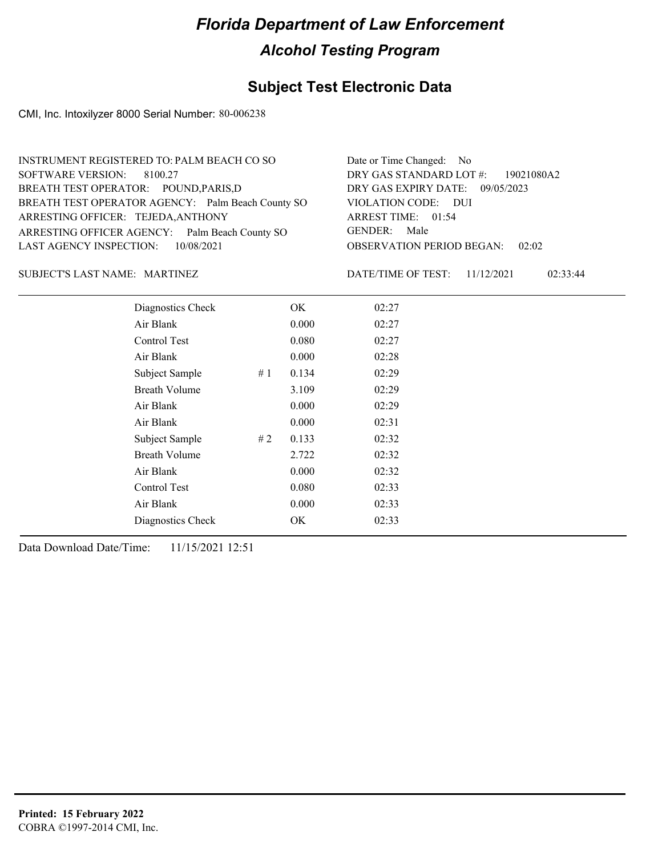### **Subject Test Electronic Data**

CMI, Inc. Intoxilyzer 8000 Serial Number: 80-006238

| INSTRUMENT REGISTERED TO: PALM BEACH CO SO        | Date or Time Changed: No               |
|---------------------------------------------------|----------------------------------------|
| SOFTWARE VERSION: 8100.27                         | DRY GAS STANDARD LOT $\#$ : 19021080A2 |
| BREATH TEST OPERATOR: POUND, PARIS, D             | DRY GAS EXPIRY DATE: 09/05/2023        |
| BREATH TEST OPERATOR AGENCY: Palm Beach County SO | VIOLATION CODE: DUI                    |
| ARRESTING OFFICER: TEJEDA, ANTHONY                | ARREST TIME: 01:54                     |
| ARRESTING OFFICER AGENCY: Palm Beach County SO    | GENDER: Male                           |
| LAST AGENCY INSPECTION: 10/08/2021                | <b>OBSERVATION PERIOD BEGAN: 02:02</b> |
|                                                   |                                        |

#### MARTINEZ SUBJECT'S LAST NAME: DATE/TIME OF TEST:

DATE/TIME OF TEST: 11/12/2021 02:33:44

| Diagnostics Check    |    | OK    | 02:27 |
|----------------------|----|-------|-------|
| Air Blank            |    | 0.000 | 02:27 |
| Control Test         |    | 0.080 | 02:27 |
| Air Blank            |    | 0.000 | 02:28 |
| Subject Sample       | #1 | 0.134 | 02:29 |
| <b>Breath Volume</b> |    | 3.109 | 02:29 |
| Air Blank            |    | 0.000 | 02:29 |
| Air Blank            |    | 0.000 | 02:31 |
| Subject Sample       | #2 | 0.133 | 02:32 |
| <b>Breath Volume</b> |    | 2.722 | 02:32 |
| Air Blank            |    | 0.000 | 02:32 |
| Control Test         |    | 0.080 | 02:33 |
| Air Blank            |    | 0.000 | 02:33 |
| Diagnostics Check    |    | OK    | 02:33 |
|                      |    |       |       |

Data Download Date/Time: 11/15/2021 12:51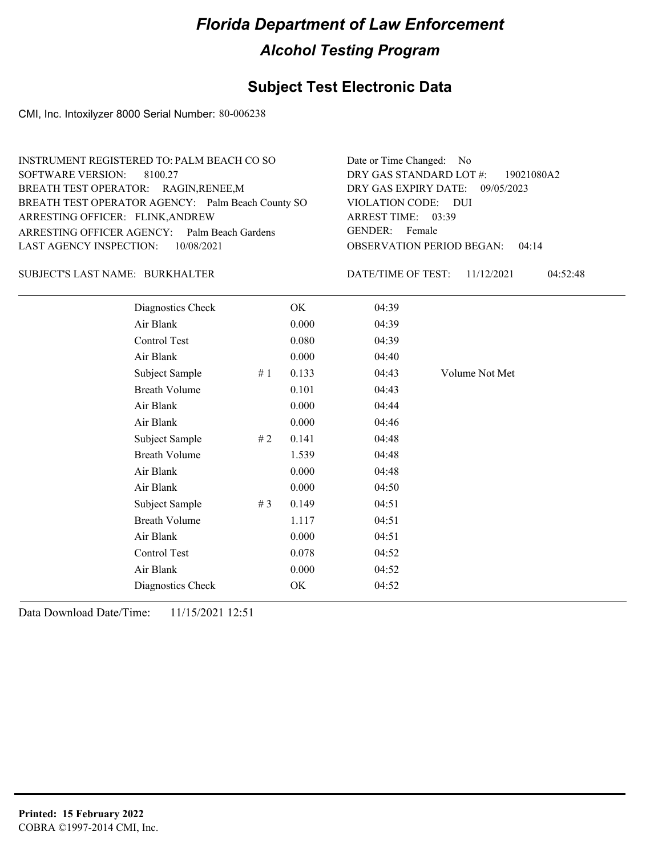## **Subject Test Electronic Data**

CMI, Inc. Intoxilyzer 8000 Serial Number: 80-006238

| INSTRUMENT REGISTERED TO: PALM BEACH CO SO        | Date or Time Changed: No               |
|---------------------------------------------------|----------------------------------------|
| SOFTWARE VERSION: 8100.27                         | DRY GAS STANDARD LOT #: 19021080A2     |
| BREATH TEST OPERATOR: RAGIN, RENEE, M             | DRY GAS EXPIRY DATE: 09/05/2023        |
| BREATH TEST OPERATOR AGENCY: Palm Beach County SO | VIOLATION CODE: DUI                    |
| ARRESTING OFFICER: FLINK, ANDREW                  | ARREST TIME: 03:39                     |
| ARRESTING OFFICER AGENCY: Palm Beach Gardens      | GENDER: Female                         |
| LAST AGENCY INSPECTION: 10/08/2021                | <b>OBSERVATION PERIOD BEGAN: 04:14</b> |
|                                                   |                                        |

#### BURKHALTER SUBJECT'S LAST NAME: DATE/TIME OF TEST:

DATE/TIME OF TEST: 11/12/2021 04:52:48

| Diagnostics Check    |       | OK    | 04:39 |                |
|----------------------|-------|-------|-------|----------------|
| Air Blank            |       | 0.000 | 04:39 |                |
| Control Test         |       | 0.080 | 04:39 |                |
| Air Blank            |       | 0.000 | 04:40 |                |
| Subject Sample       | #1    | 0.133 | 04:43 | Volume Not Met |
| <b>Breath Volume</b> |       | 0.101 | 04:43 |                |
| Air Blank            |       | 0.000 | 04:44 |                |
| Air Blank            |       | 0.000 | 04:46 |                |
| Subject Sample       | # 2   | 0.141 | 04:48 |                |
| <b>Breath Volume</b> |       | 1.539 | 04:48 |                |
| Air Blank            |       | 0.000 | 04:48 |                |
| Air Blank            |       | 0.000 | 04:50 |                |
| Subject Sample       | # $3$ | 0.149 | 04:51 |                |
| <b>Breath Volume</b> |       | 1.117 | 04:51 |                |
| Air Blank            |       | 0.000 | 04:51 |                |
| Control Test         |       | 0.078 | 04:52 |                |
| Air Blank            |       | 0.000 | 04:52 |                |
| Diagnostics Check    |       | OK    | 04:52 |                |
|                      |       |       |       |                |

Data Download Date/Time: 11/15/2021 12:51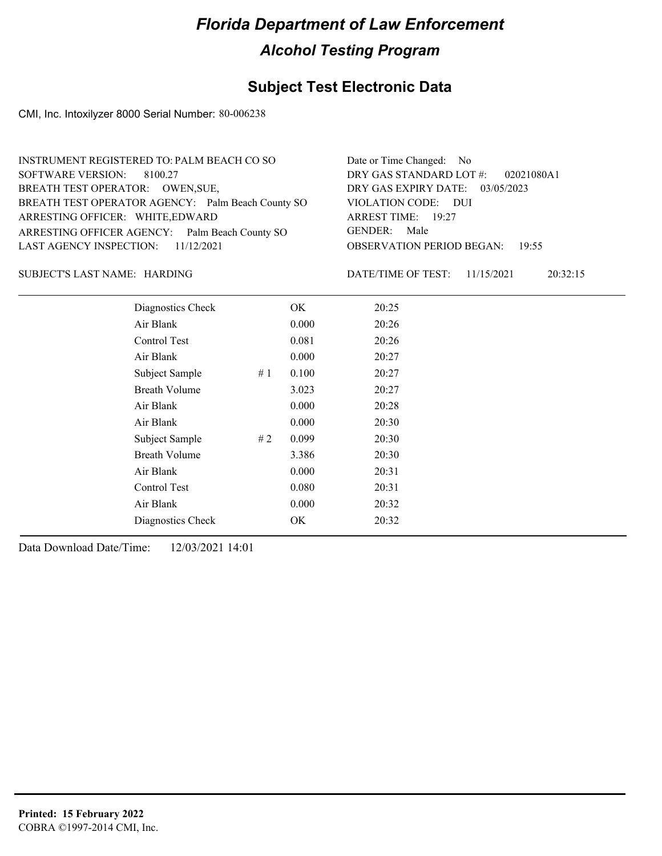### **Subject Test Electronic Data**

CMI, Inc. Intoxilyzer 8000 Serial Number: 80-006238

| INSTRUMENT REGISTERED TO: PALM BEACH CO SO        | Date or Time Changed: No               |
|---------------------------------------------------|----------------------------------------|
| SOFTWARE VERSION: 8100.27                         | DRY GAS STANDARD LOT $\#$ : 02021080A1 |
| BREATH TEST OPERATOR: OWEN, SUE,                  | DRY GAS EXPIRY DATE: 03/05/2023        |
| BREATH TEST OPERATOR AGENCY: Palm Beach County SO | VIOLATION CODE: DUI                    |
| ARRESTING OFFICER: WHITE, EDWARD                  | ARREST TIME: 19:27                     |
| ARRESTING OFFICER AGENCY: Palm Beach County SO    | GENDER: Male                           |
| LAST AGENCY INSPECTION: $11/12/2021$              | <b>OBSERVATION PERIOD BEGAN: 19:55</b> |
|                                                   |                                        |

HARDING SUBJECT'S LAST NAME: DATE/TIME OF TEST:

DATE/TIME OF TEST: 11/15/2021 20:32:15

| Diagnostics Check    |    | OK    | 20:25 |
|----------------------|----|-------|-------|
| Air Blank            |    | 0.000 | 20:26 |
| Control Test         |    | 0.081 | 20:26 |
| Air Blank            |    | 0.000 | 20:27 |
| Subject Sample       | #1 | 0.100 | 20:27 |
| <b>Breath Volume</b> |    | 3.023 | 20:27 |
| Air Blank            |    | 0.000 | 20:28 |
| Air Blank            |    | 0.000 | 20:30 |
| Subject Sample       | #2 | 0.099 | 20:30 |
| <b>Breath Volume</b> |    | 3.386 | 20:30 |
| Air Blank            |    | 0.000 | 20:31 |
| Control Test         |    | 0.080 | 20:31 |
| Air Blank            |    | 0.000 | 20:32 |
| Diagnostics Check    |    | OK    | 20:32 |
|                      |    |       |       |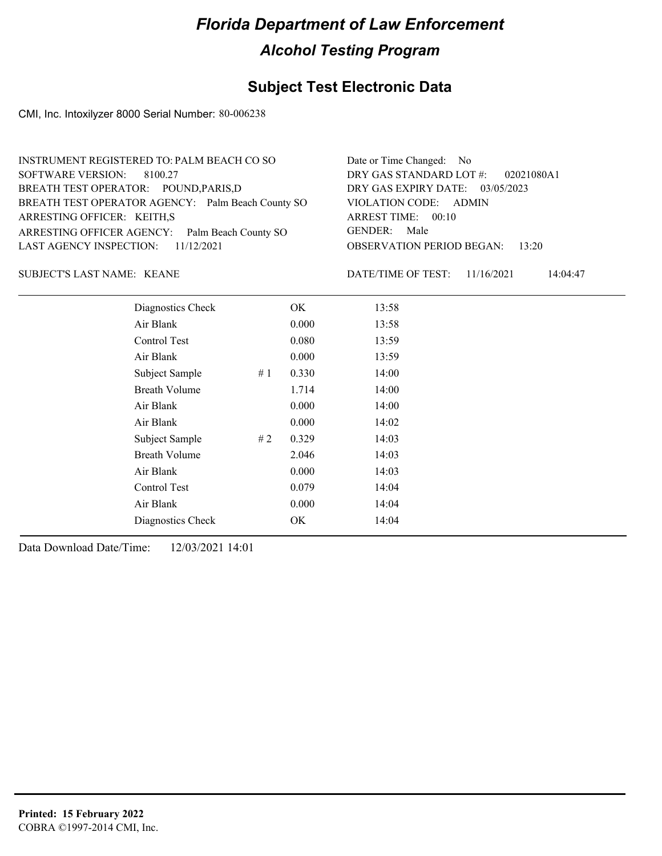### **Subject Test Electronic Data**

CMI, Inc. Intoxilyzer 8000 Serial Number: 80-006238

| INSTRUMENT REGISTERED TO: PALM BEACH CO SO        | Date or Time Changed: No               |
|---------------------------------------------------|----------------------------------------|
| SOFTWARE VERSION: 8100.27                         | DRY GAS STANDARD LOT $\#$ : 02021080A1 |
| BREATH TEST OPERATOR: POUND, PARIS, D             | DRY GAS EXPIRY DATE: 03/05/2023        |
| BREATH TEST OPERATOR AGENCY: Palm Beach County SO | VIOLATION CODE: ADMIN                  |
| ARRESTING OFFICER: KEITH,S                        | ARREST TIME: 00:10                     |
| ARRESTING OFFICER AGENCY: Palm Beach County SO    | GENDER: Male                           |
| LAST AGENCY INSPECTION: $11/12/2021$              | <b>OBSERVATION PERIOD BEGAN: 13:20</b> |
|                                                   |                                        |

#### KEANE SUBJECT'S LAST NAME: DATE/TIME OF TEST:

DATE/TIME OF TEST: 11/16/2021 14:04:47

| Diagnostics Check    |    | OK    | 13:58 |
|----------------------|----|-------|-------|
| Air Blank            |    | 0.000 | 13:58 |
| Control Test         |    | 0.080 | 13:59 |
| Air Blank            |    | 0.000 | 13:59 |
| Subject Sample       | #1 | 0.330 | 14:00 |
| <b>Breath Volume</b> |    | 1.714 | 14:00 |
| Air Blank            |    | 0.000 | 14:00 |
| Air Blank            |    | 0.000 | 14:02 |
| Subject Sample       | #2 | 0.329 | 14:03 |
| <b>Breath Volume</b> |    | 2.046 | 14:03 |
| Air Blank            |    | 0.000 | 14:03 |
| Control Test         |    | 0.079 | 14:04 |
| Air Blank            |    | 0.000 | 14:04 |
| Diagnostics Check    |    | OK    | 14:04 |
|                      |    |       |       |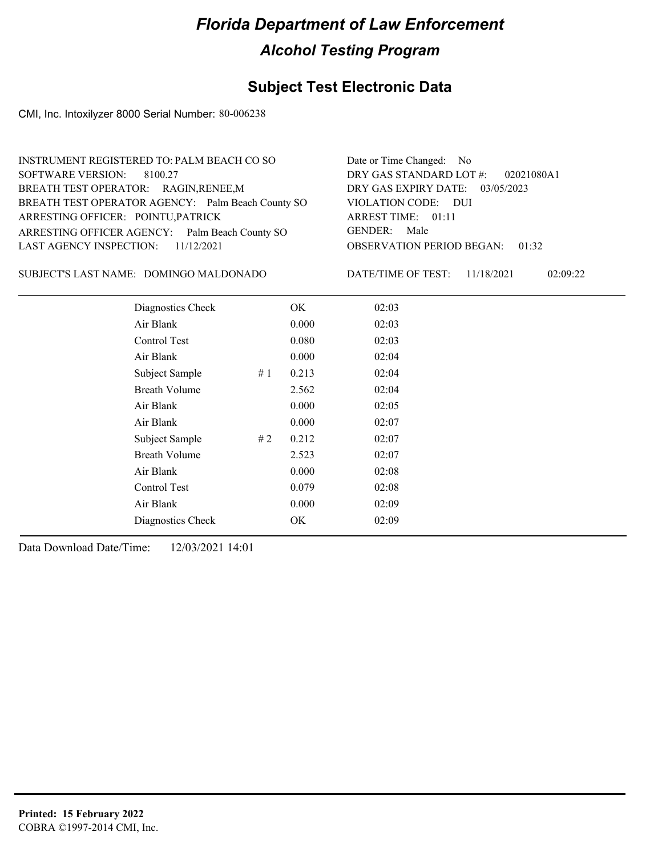## **Subject Test Electronic Data**

CMI, Inc. Intoxilyzer 8000 Serial Number: 80-006238

| INSTRUMENT REGISTERED TO: PALM BEACH CO SO        | Date or Time Changed: No               |
|---------------------------------------------------|----------------------------------------|
| SOFTWARE VERSION: 8100.27                         | DRY GAS STANDARD LOT $\#$ : 02021080A1 |
| BREATH TEST OPERATOR: RAGIN, RENEE, M             | DRY GAS EXPIRY DATE: 03/05/2023        |
| BREATH TEST OPERATOR AGENCY: Palm Beach County SO | VIOLATION CODE: DUI                    |
| ARRESTING OFFICER: POINTU, PATRICK                | ARREST TIME: 01:11                     |
| ARRESTING OFFICER AGENCY: Palm Beach County SO    | GENDER: Male                           |
| LAST AGENCY INSPECTION: $11/12/2021$              | <b>OBSERVATION PERIOD BEGAN: 01:32</b> |
|                                                   |                                        |

SUBJECT'S LAST NAME: DOMINGO MALDONADO DATE/TIME OF TEST:

DATE/TIME OF TEST: 11/18/2021 02:09:22

| Diagnostics Check    |    | OK    | 02:03 |
|----------------------|----|-------|-------|
| Air Blank            |    | 0.000 | 02:03 |
| Control Test         |    | 0.080 | 02:03 |
| Air Blank            |    | 0.000 | 02:04 |
| Subject Sample       | #1 | 0.213 | 02:04 |
| <b>Breath Volume</b> |    | 2.562 | 02:04 |
| Air Blank            |    | 0.000 | 02:05 |
| Air Blank            |    | 0.000 | 02:07 |
| Subject Sample       | #2 | 0.212 | 02:07 |
| <b>Breath Volume</b> |    | 2.523 | 02:07 |
| Air Blank            |    | 0.000 | 02:08 |
| Control Test         |    | 0.079 | 02:08 |
| Air Blank            |    | 0.000 | 02:09 |
| Diagnostics Check    |    | OK    | 02:09 |
|                      |    |       |       |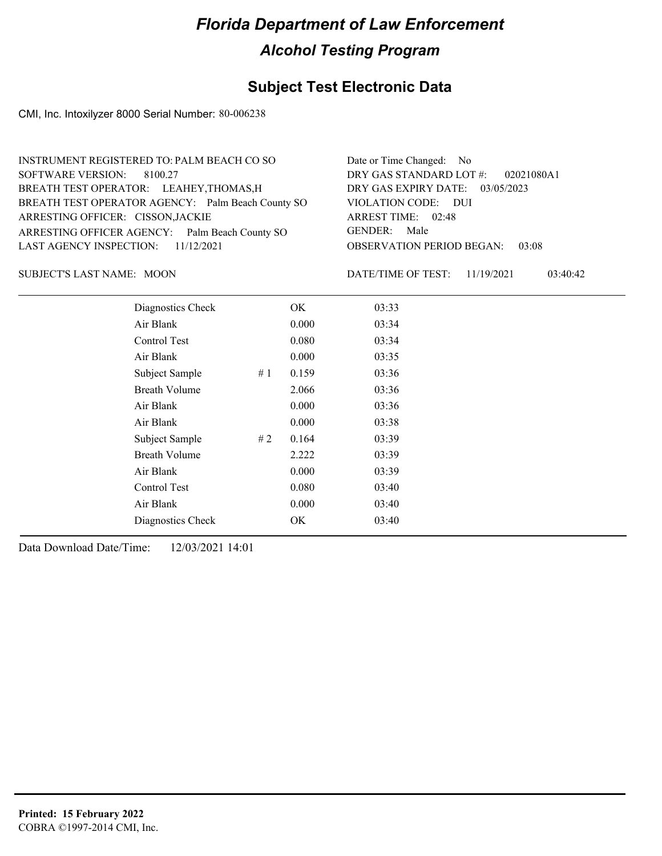## **Subject Test Electronic Data**

CMI, Inc. Intoxilyzer 8000 Serial Number: 80-006238

| INSTRUMENT REGISTERED TO: PALM BEACH CO SO        | Date or Time Changed: No               |
|---------------------------------------------------|----------------------------------------|
| SOFTWARE VERSION: 8100.27                         | DRY GAS STANDARD LOT $\#$ : 02021080A1 |
| BREATH TEST OPERATOR: LEAHEY, THOMAS, H           | DRY GAS EXPIRY DATE: 03/05/2023        |
| BREATH TEST OPERATOR AGENCY: Palm Beach County SO | VIOLATION CODE: DUI                    |
| ARRESTING OFFICER: CISSON, JACKIE                 | ARREST TIME: 02:48                     |
| ARRESTING OFFICER AGENCY: Palm Beach County SO    | GENDER: Male                           |
| LAST AGENCY INSPECTION: 11/12/2021                | <b>OBSERVATION PERIOD BEGAN: 03:08</b> |
|                                                   |                                        |

SUBJECT'S LAST NAME: MOON DATE/TIME OF TEST:

DATE/TIME OF TEST: 11/19/2021 03:40:42

| Diagnostics Check    |    | OK    | 03:33 |
|----------------------|----|-------|-------|
| Air Blank            |    | 0.000 | 03:34 |
| Control Test         |    | 0.080 | 03:34 |
| Air Blank            |    | 0.000 | 03:35 |
| Subject Sample       | #1 | 0.159 | 03:36 |
| <b>Breath Volume</b> |    | 2.066 | 03:36 |
| Air Blank            |    | 0.000 | 03:36 |
| Air Blank            |    | 0.000 | 03:38 |
| Subject Sample       | #2 | 0.164 | 03:39 |
| <b>Breath Volume</b> |    | 2.222 | 03:39 |
| Air Blank            |    | 0.000 | 03:39 |
| Control Test         |    | 0.080 | 03:40 |
| Air Blank            |    | 0.000 | 03:40 |
| Diagnostics Check    |    | OK    | 03:40 |
|                      |    |       |       |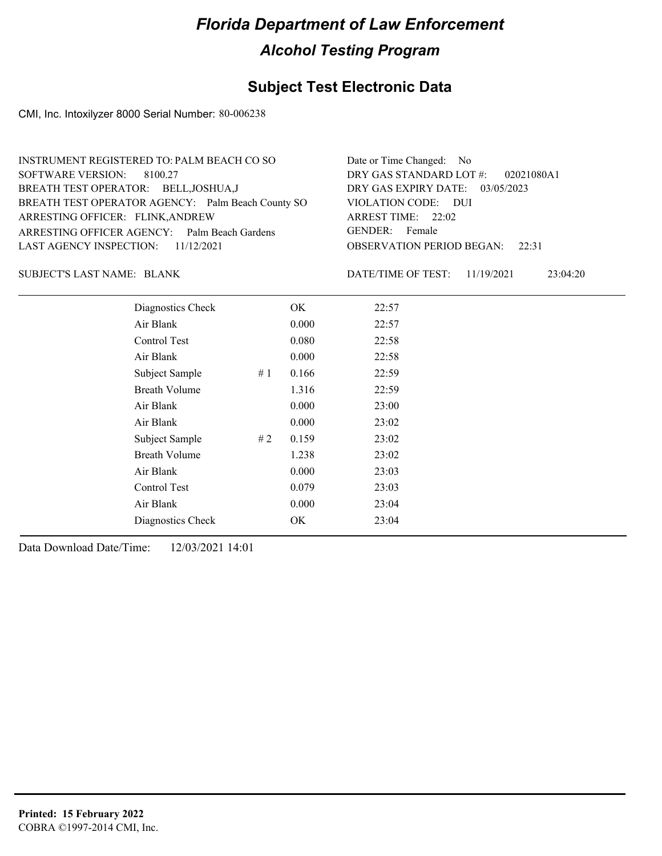### **Subject Test Electronic Data**

CMI, Inc. Intoxilyzer 8000 Serial Number: 80-006238

| INSTRUMENT REGISTERED TO: PALM BEACH CO SO        | Date or Time Changed: No               |
|---------------------------------------------------|----------------------------------------|
| SOFTWARE VERSION: 8100.27                         | DRY GAS STANDARD LOT #: 02021080A1     |
| BREATH TEST OPERATOR: BELL, JOSHUA, J             | DRY GAS EXPIRY DATE: $03/05/2023$      |
| BREATH TEST OPERATOR AGENCY: Palm Beach County SO | VIOLATION CODE: DUI                    |
| ARRESTING OFFICER: FLINK, ANDREW                  | ARREST TIME: 22:02                     |
| ARRESTING OFFICER AGENCY: Palm Beach Gardens      | GENDER: Female                         |
| LAST AGENCY INSPECTION: 11/12/2021                | <b>OBSERVATION PERIOD BEGAN: 22:31</b> |
|                                                   |                                        |

SUBJECT'S LAST NAME: BLANK DATE/TIME OF TEST:

DATE/TIME OF TEST: 11/19/2021 23:04:20

| Diagnostics Check    |    | OK    | 22:57 |
|----------------------|----|-------|-------|
| Air Blank            |    | 0.000 | 22:57 |
| Control Test         |    | 0.080 | 22:58 |
| Air Blank            |    | 0.000 | 22:58 |
| Subject Sample       | #1 | 0.166 | 22:59 |
| <b>Breath Volume</b> |    | 1.316 | 22:59 |
| Air Blank            |    | 0.000 | 23:00 |
| Air Blank            |    | 0.000 | 23:02 |
| Subject Sample       | #2 | 0.159 | 23:02 |
| <b>Breath Volume</b> |    | 1.238 | 23:02 |
| Air Blank            |    | 0.000 | 23:03 |
| Control Test         |    | 0.079 | 23:03 |
| Air Blank            |    | 0.000 | 23:04 |
| Diagnostics Check    |    | OK    | 23:04 |
|                      |    |       |       |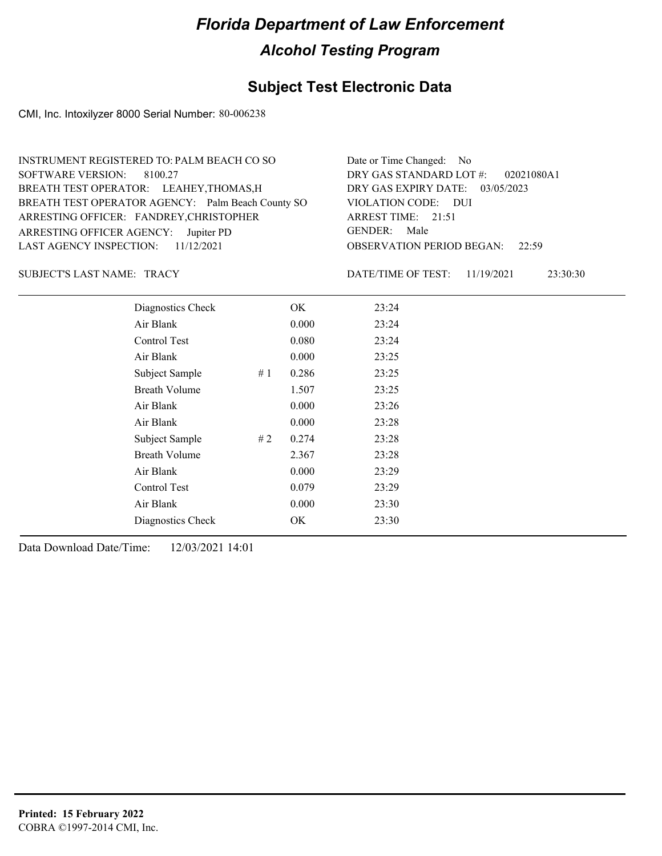## **Subject Test Electronic Data**

CMI, Inc. Intoxilyzer 8000 Serial Number: 80-006238

| INSTRUMENT REGISTERED TO: PALM BEACH CO SO        | Date or Time Changed: No               |
|---------------------------------------------------|----------------------------------------|
| SOFTWARE VERSION: 8100.27                         | DRY GAS STANDARD LOT #: 02021080A1     |
| BREATH TEST OPERATOR: LEAHEY, THOMAS, H           | DRY GAS EXPIRY DATE: 03/05/2023        |
| BREATH TEST OPERATOR AGENCY: Palm Beach County SO | VIOLATION CODE: DUI                    |
| ARRESTING OFFICER: FANDREY, CHRISTOPHER           | ARREST TIME: 21:51                     |
| ARRESTING OFFICER AGENCY: Jupiter PD              | GENDER: Male                           |
| LAST AGENCY INSPECTION: $11/12/2021$              | <b>OBSERVATION PERIOD BEGAN:</b> 22:59 |
|                                                   |                                        |

#### SUBJECT'S LAST NAME: TRACY DATE/TIME OF TEST:

DATE/TIME OF TEST: 11/19/2021 23:30:30

| Diagnostics Check    |    | OK    | 23:24 |
|----------------------|----|-------|-------|
| Air Blank            |    | 0.000 | 23:24 |
| Control Test         |    | 0.080 | 23:24 |
| Air Blank            |    | 0.000 | 23:25 |
| Subject Sample       | #1 | 0.286 | 23:25 |
| <b>Breath Volume</b> |    | 1.507 | 23:25 |
| Air Blank            |    | 0.000 | 23:26 |
| Air Blank            |    | 0.000 | 23:28 |
| Subject Sample       | #2 | 0.274 | 23:28 |
| <b>Breath Volume</b> |    | 2.367 | 23:28 |
| Air Blank            |    | 0.000 | 23:29 |
| Control Test         |    | 0.079 | 23:29 |
| Air Blank            |    | 0.000 | 23:30 |
| Diagnostics Check    |    | OK    | 23:30 |
|                      |    |       |       |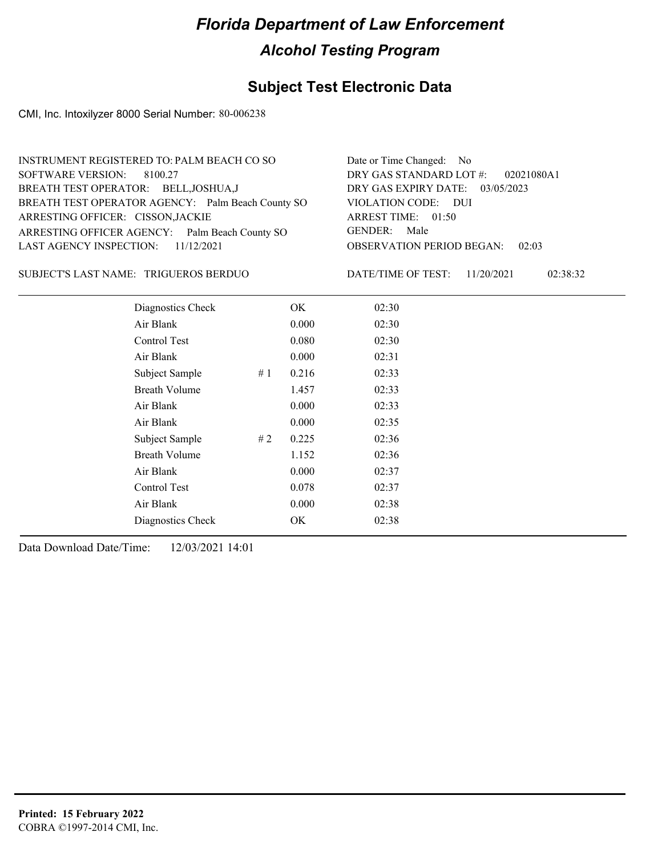### **Subject Test Electronic Data**

CMI, Inc. Intoxilyzer 8000 Serial Number: 80-006238

| INSTRUMENT REGISTERED TO: PALM BEACH CO SO        | Date or Time Changed: No               |
|---------------------------------------------------|----------------------------------------|
| SOFTWARE VERSION: 8100.27                         | DRY GAS STANDARD LOT #: 02021080A1     |
| BREATH TEST OPERATOR: BELL, JOSHUA, J             | DRY GAS EXPIRY DATE: 03/05/2023        |
| BREATH TEST OPERATOR AGENCY: Palm Beach County SO | VIOLATION CODE: DUI                    |
| ARRESTING OFFICER: CISSON, JACKIE                 | ARREST TIME: 01:50                     |
| ARRESTING OFFICER AGENCY: Palm Beach County SO    | GENDER: Male                           |
| LAST AGENCY INSPECTION: $11/12/2021$              | <b>OBSERVATION PERIOD BEGAN: 02:03</b> |
|                                                   |                                        |

TRIGUEROS BERDUO SUBJECT'S LAST NAME: DATE/TIME OF TEST:

DATE/TIME OF TEST: 11/20/2021 02:38:32

| Diagnostics Check    |    | OK    | 02:30 |
|----------------------|----|-------|-------|
| Air Blank            |    | 0.000 | 02:30 |
| Control Test         |    | 0.080 | 02:30 |
| Air Blank            |    | 0.000 | 02:31 |
| Subject Sample       | #1 | 0.216 | 02:33 |
| <b>Breath Volume</b> |    | 1.457 | 02:33 |
| Air Blank            |    | 0.000 | 02:33 |
| Air Blank            |    | 0.000 | 02:35 |
| Subject Sample       | #2 | 0.225 | 02:36 |
| <b>Breath Volume</b> |    | 1.152 | 02:36 |
| Air Blank            |    | 0.000 | 02:37 |
| Control Test         |    | 0.078 | 02:37 |
| Air Blank            |    | 0.000 | 02:38 |
| Diagnostics Check    |    | OK    | 02:38 |
|                      |    |       |       |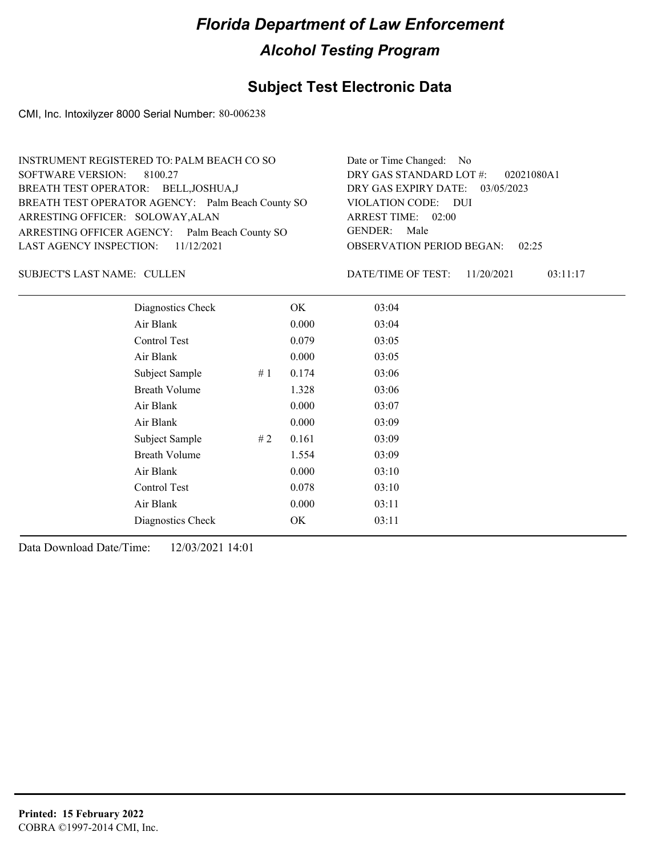### **Subject Test Electronic Data**

CMI, Inc. Intoxilyzer 8000 Serial Number: 80-006238

| INSTRUMENT REGISTERED TO: PALM BEACH CO SO        | Date or Time Changed: No               |
|---------------------------------------------------|----------------------------------------|
| SOFTWARE VERSION: 8100.27                         | DRY GAS STANDARD LOT $\#$ : 02021080A1 |
| BREATH TEST OPERATOR: BELL, JOSHUA, J             | DRY GAS EXPIRY DATE: 03/05/2023        |
| BREATH TEST OPERATOR AGENCY: Palm Beach County SO | VIOLATION CODE: DUI                    |
| ARRESTING OFFICER: SOLOWAY, ALAN                  | ARREST TIME: 02:00                     |
| ARRESTING OFFICER AGENCY: Palm Beach County SO    | GENDER: Male                           |
| LAST AGENCY INSPECTION: $11/12/2021$              | <b>OBSERVATION PERIOD BEGAN: 02:25</b> |
|                                                   |                                        |

SUBJECT'S LAST NAME: CULLEN DATE/TIME OF TEST:

DATE/TIME OF TEST: 11/20/2021 03:11:17

| Diagnostics Check    |    | OK    | 03:04 |  |
|----------------------|----|-------|-------|--|
| Air Blank            |    | 0.000 | 03:04 |  |
| Control Test         |    | 0.079 | 03:05 |  |
| Air Blank            |    | 0.000 | 03:05 |  |
| Subject Sample       | #1 | 0.174 | 03:06 |  |
| <b>Breath Volume</b> |    | 1.328 | 03:06 |  |
| Air Blank            |    | 0.000 | 03:07 |  |
| Air Blank            |    | 0.000 | 03:09 |  |
| Subject Sample       | #2 | 0.161 | 03:09 |  |
| <b>Breath Volume</b> |    | 1.554 | 03:09 |  |
| Air Blank            |    | 0.000 | 03:10 |  |
| Control Test         |    | 0.078 | 03:10 |  |
| Air Blank            |    | 0.000 | 03:11 |  |
| Diagnostics Check    |    | OK    | 03:11 |  |
|                      |    |       |       |  |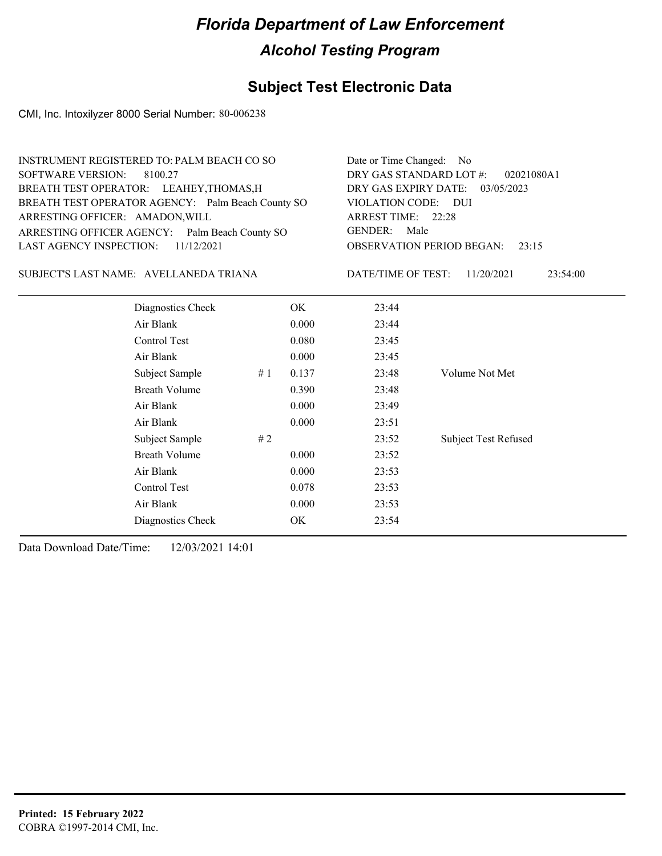## **Subject Test Electronic Data**

CMI, Inc. Intoxilyzer 8000 Serial Number: 80-006238

| <b>INSTRUMENT REGISTERED TO: PALM BEACH CO SO</b><br><b>SOFTWARE VERSION:</b><br>8100.27<br>BREATH TEST OPERATOR: LEAHEY, THOMAS, H<br>BREATH TEST OPERATOR AGENCY: Palm Beach County SO<br>ARRESTING OFFICER: AMADON, WILL<br>ARRESTING OFFICER AGENCY: Palm Beach County SO<br><b>LAST AGENCY INSPECTION:</b><br>11/12/2021 |                               |    | Date or Time Changed: No<br>DRY GAS STANDARD LOT #:<br>02021080A1<br>DRY GAS EXPIRY DATE:<br>03/05/2023<br>VIOLATION CODE: DUI<br>ARREST TIME: 22:28 |       |                             |  |                                        |
|-------------------------------------------------------------------------------------------------------------------------------------------------------------------------------------------------------------------------------------------------------------------------------------------------------------------------------|-------------------------------|----|------------------------------------------------------------------------------------------------------------------------------------------------------|-------|-----------------------------|--|----------------------------------------|
|                                                                                                                                                                                                                                                                                                                               |                               |    | <b>GENDER:</b><br>Male<br><b>OBSERVATION PERIOD BEGAN:</b><br>23:15                                                                                  |       |                             |  |                                        |
|                                                                                                                                                                                                                                                                                                                               |                               |    |                                                                                                                                                      |       |                             |  | SUBJECT'S LAST NAME: AVELLANEDA TRIANA |
|                                                                                                                                                                                                                                                                                                                               | Diagnostics Check             |    | OK.                                                                                                                                                  | 23:44 |                             |  |                                        |
|                                                                                                                                                                                                                                                                                                                               | Air Blank                     |    | 0.000                                                                                                                                                | 23:44 |                             |  |                                        |
|                                                                                                                                                                                                                                                                                                                               | Control Test<br>0.080         |    |                                                                                                                                                      |       | 23:45                       |  |                                        |
|                                                                                                                                                                                                                                                                                                                               | Air Blank                     |    | 0.000                                                                                                                                                | 23:45 |                             |  |                                        |
|                                                                                                                                                                                                                                                                                                                               | Subject Sample                | #1 | 0.137                                                                                                                                                | 23:48 | Volume Not Met              |  |                                        |
|                                                                                                                                                                                                                                                                                                                               | <b>Breath Volume</b>          |    | 0.390                                                                                                                                                | 23:48 |                             |  |                                        |
|                                                                                                                                                                                                                                                                                                                               | Air Blank                     |    | 0.000                                                                                                                                                | 23:49 |                             |  |                                        |
|                                                                                                                                                                                                                                                                                                                               | Air Blank                     |    | 0.000                                                                                                                                                | 23:51 |                             |  |                                        |
|                                                                                                                                                                                                                                                                                                                               | Subject Sample                | #2 |                                                                                                                                                      | 23:52 | <b>Subject Test Refused</b> |  |                                        |
|                                                                                                                                                                                                                                                                                                                               | <b>Breath Volume</b><br>0.000 |    |                                                                                                                                                      | 23:52 |                             |  |                                        |
| Air Blank<br>0.000<br>Control Test<br>0.078                                                                                                                                                                                                                                                                                   |                               |    | 23:53                                                                                                                                                |       |                             |  |                                        |
|                                                                                                                                                                                                                                                                                                                               |                               |    | 23:53                                                                                                                                                |       |                             |  |                                        |
|                                                                                                                                                                                                                                                                                                                               | Air Blank                     |    | 0.000                                                                                                                                                | 23:53 |                             |  |                                        |
|                                                                                                                                                                                                                                                                                                                               | Diagnostics Check             |    | OK                                                                                                                                                   | 23:54 |                             |  |                                        |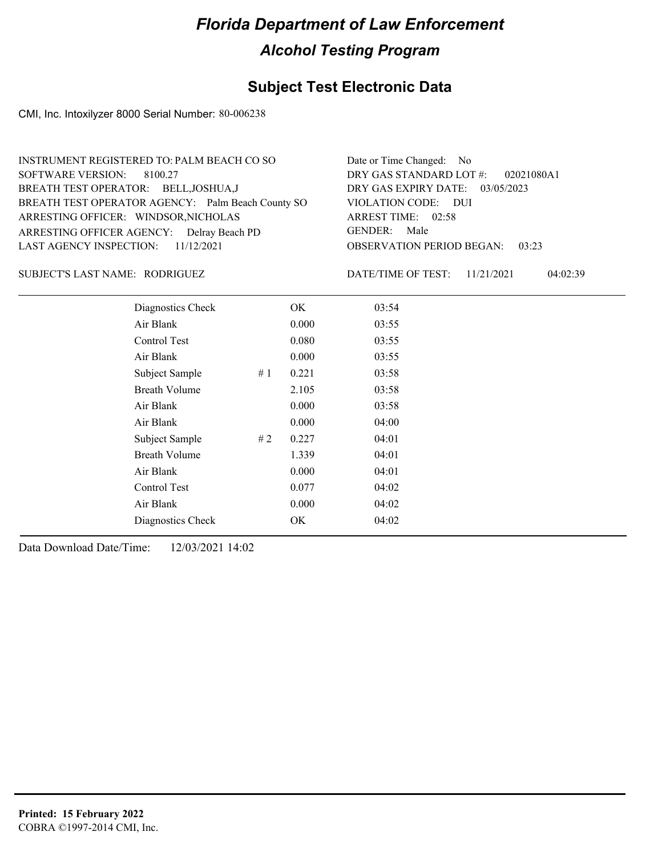### **Subject Test Electronic Data**

CMI, Inc. Intoxilyzer 8000 Serial Number: 80-006238

| INSTRUMENT REGISTERED TO: PALM BEACH CO SO        | Date or Time Changed: No               |
|---------------------------------------------------|----------------------------------------|
| SOFTWARE VERSION: 8100.27                         | DRY GAS STANDARD LOT #: 02021080A1     |
| BREATH TEST OPERATOR: BELL, JOSHUA, J             | DRY GAS EXPIRY DATE: 03/05/2023        |
| BREATH TEST OPERATOR AGENCY: Palm Beach County SO | VIOLATION CODE: DUI                    |
| ARRESTING OFFICER: WINDSOR, NICHOLAS              | ARREST TIME: 02:58                     |
| ARRESTING OFFICER AGENCY: Delray Beach PD         | GENDER: Male                           |
| LAST AGENCY INSPECTION: $11/12/2021$              | <b>OBSERVATION PERIOD BEGAN: 03:23</b> |
|                                                   |                                        |

RODRIGUEZ SUBJECT'S LAST NAME: DATE/TIME OF TEST:

DATE/TIME OF TEST: 11/21/2021 04:02:39

| Diagnostics Check    |       | OK    | 03:54 |  |
|----------------------|-------|-------|-------|--|
| Air Blank            |       | 0.000 | 03:55 |  |
| Control Test         |       | 0.080 | 03:55 |  |
| Air Blank            |       | 0.000 | 03:55 |  |
| Subject Sample       | # $1$ | 0.221 | 03:58 |  |
| <b>Breath Volume</b> |       | 2.105 | 03:58 |  |
| Air Blank            |       | 0.000 | 03:58 |  |
| Air Blank            |       | 0.000 | 04:00 |  |
| Subject Sample       | #2    | 0.227 | 04:01 |  |
| <b>Breath Volume</b> |       | 1.339 | 04:01 |  |
| Air Blank            |       | 0.000 | 04:01 |  |
| <b>Control Test</b>  |       | 0.077 | 04:02 |  |
| Air Blank            |       | 0.000 | 04:02 |  |
| Diagnostics Check    |       | OK    | 04:02 |  |
|                      |       |       |       |  |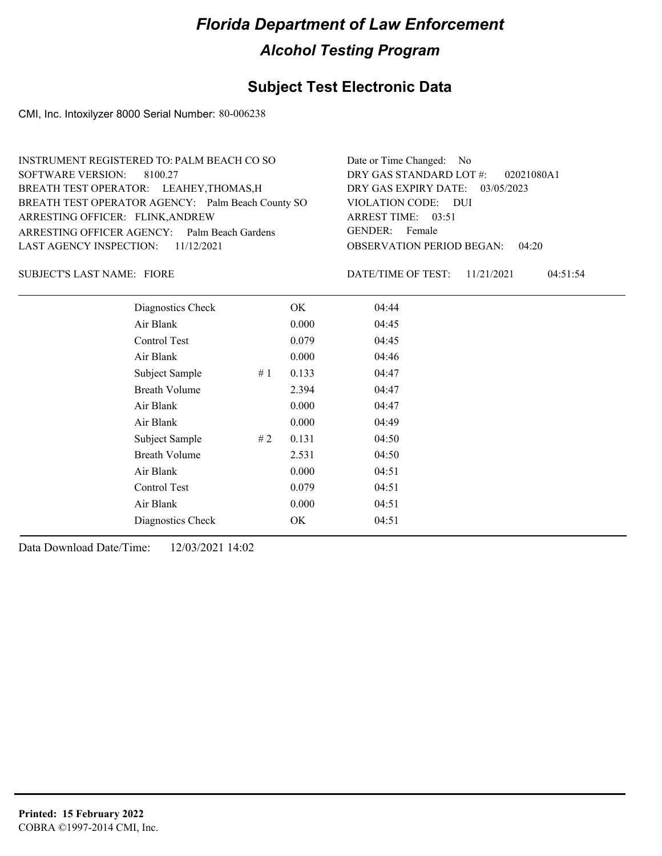### **Subject Test Electronic Data**

CMI, Inc. Intoxilyzer 8000 Serial Number: 80-006238

| INSTRUMENT REGISTERED TO: PALM BEACH CO SO        | Date or Time Changed: No               |
|---------------------------------------------------|----------------------------------------|
| SOFTWARE VERSION: 8100.27                         | DRY GAS STANDARD LOT $\#$ : 02021080A1 |
| BREATH TEST OPERATOR: LEAHEY, THOMAS, H           | DRY GAS EXPIRY DATE: 03/05/2023        |
| BREATH TEST OPERATOR AGENCY: Palm Beach County SO | VIOLATION CODE: DUI                    |
| ARRESTING OFFICER: FLINK, ANDREW                  | ARREST TIME: 03:51                     |
| ARRESTING OFFICER AGENCY: Palm Beach Gardens      | GENDER: Female                         |
| LAST AGENCY INSPECTION: 11/12/2021                | <b>OBSERVATION PERIOD BEGAN: 04:20</b> |
|                                                   |                                        |

SUBJECT'S LAST NAME: FIORE **Example 20** FOR DATE/TIME OF TEST:

DATE/TIME OF TEST: 11/21/2021 04:51:54

| Diagnostics Check    |    | OK    | 04:44 |
|----------------------|----|-------|-------|
| Air Blank            |    | 0.000 | 04:45 |
| Control Test         |    | 0.079 | 04:45 |
| Air Blank            |    | 0.000 | 04:46 |
| Subject Sample       | #1 | 0.133 | 04:47 |
| <b>Breath Volume</b> |    | 2.394 | 04:47 |
| Air Blank            |    | 0.000 | 04:47 |
| Air Blank            |    | 0.000 | 04:49 |
| Subject Sample       | #2 | 0.131 | 04:50 |
| <b>Breath Volume</b> |    | 2.531 | 04:50 |
| Air Blank            |    | 0.000 | 04:51 |
| Control Test         |    | 0.079 | 04:51 |
| Air Blank            |    | 0.000 | 04:51 |
| Diagnostics Check    |    | OK    | 04:51 |
|                      |    |       |       |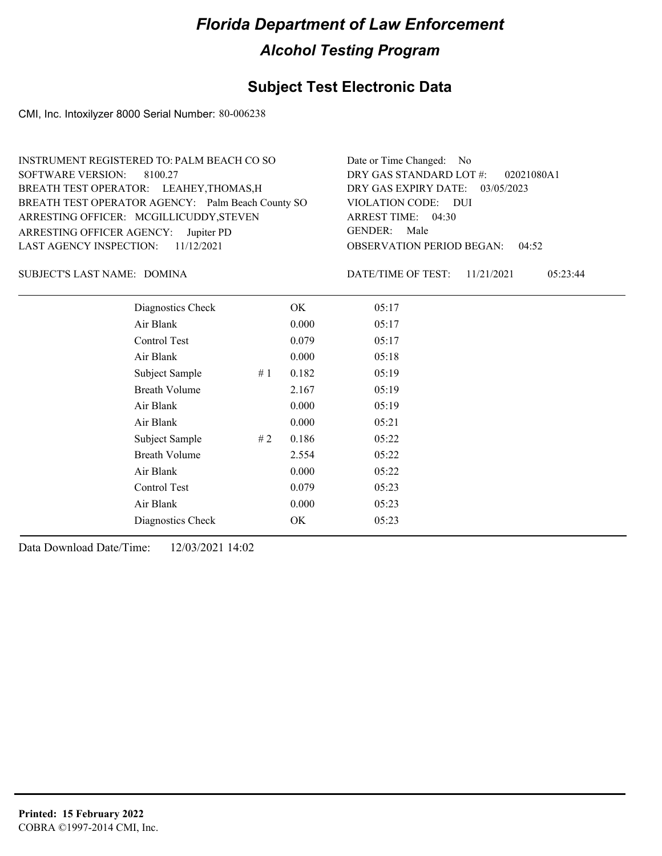### **Subject Test Electronic Data**

CMI, Inc. Intoxilyzer 8000 Serial Number: 80-006238

| INSTRUMENT REGISTERED TO: PALM BEACH CO SO        | Date or Time Changed: No               |
|---------------------------------------------------|----------------------------------------|
| SOFTWARE VERSION: 8100.27                         | DRY GAS STANDARD LOT #: 02021080A1     |
| BREATH TEST OPERATOR: LEAHEY, THOMAS, H           | DRY GAS EXPIRY DATE: 03/05/2023        |
| BREATH TEST OPERATOR AGENCY: Palm Beach County SO | VIOLATION CODE: DUI                    |
| ARRESTING OFFICER: MCGILLICUDDY, STEVEN           | ARREST TIME: 04:30                     |
| ARRESTING OFFICER AGENCY: Jupiter PD              | GENDER: Male                           |
| LAST AGENCY INSPECTION: $11/12/2021$              | <b>OBSERVATION PERIOD BEGAN: 04:52</b> |
|                                                   |                                        |

DOMINA SUBJECT'S LAST NAME: DATE/TIME OF TEST:

DATE/TIME OF TEST: 11/21/2021 05:23:44

| Diagnostics Check    |    | OK    | 05:17 |
|----------------------|----|-------|-------|
| Air Blank            |    | 0.000 | 05:17 |
| Control Test         |    | 0.079 | 05:17 |
| Air Blank            |    | 0.000 | 05:18 |
| Subject Sample       | #1 | 0.182 | 05:19 |
| <b>Breath Volume</b> |    | 2.167 | 05:19 |
| Air Blank            |    | 0.000 | 05:19 |
| Air Blank            |    | 0.000 | 05:21 |
| Subject Sample       | #2 | 0.186 | 05:22 |
| <b>Breath Volume</b> |    | 2.554 | 05:22 |
| Air Blank            |    | 0.000 | 05:22 |
| Control Test         |    | 0.079 | 05:23 |
| Air Blank            |    | 0.000 | 05:23 |
| Diagnostics Check    |    | OK    | 05:23 |
|                      |    |       |       |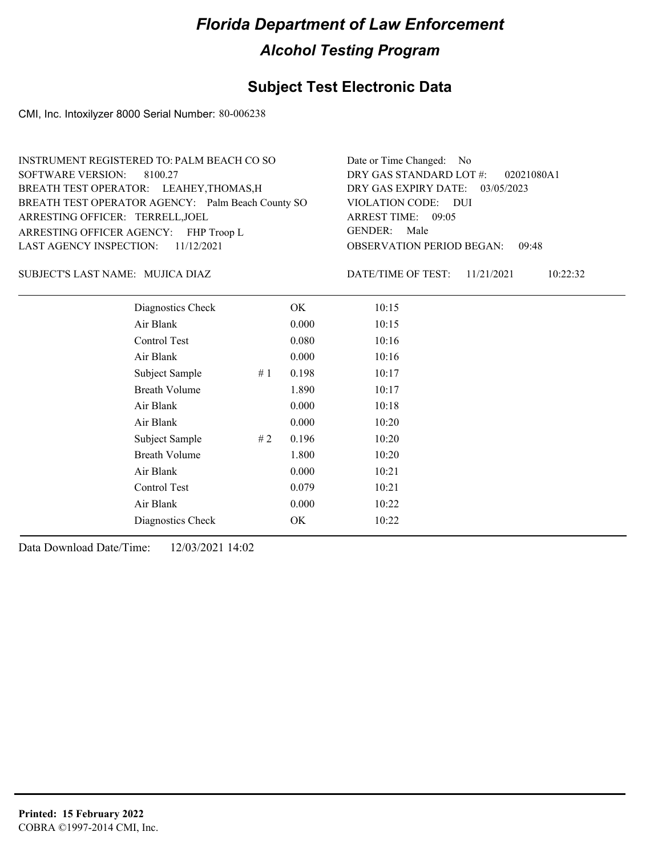### **Subject Test Electronic Data**

CMI, Inc. Intoxilyzer 8000 Serial Number: 80-006238

| INSTRUMENT REGISTERED TO: PALM BEACH CO SO        | Date or Time Changed: No               |
|---------------------------------------------------|----------------------------------------|
| SOFTWARE VERSION: 8100.27                         | DRY GAS STANDARD LOT #: 02021080A1     |
| BREATH TEST OPERATOR: LEAHEY, THOMAS, H           | DRY GAS EXPIRY DATE: 03/05/2023        |
| BREATH TEST OPERATOR AGENCY: Palm Beach County SO | VIOLATION CODE: DUI                    |
| ARRESTING OFFICER: TERRELL, JOEL                  | ARREST TIME: 09:05                     |
| ARRESTING OFFICER AGENCY: FHP Troop L             | GENDER: Male                           |
| LAST AGENCY INSPECTION: $11/12/2021$              | <b>OBSERVATION PERIOD BEGAN: 09:48</b> |
|                                                   |                                        |

#### MUJICA DIAZ SUBJECT'S LAST NAME: DATE/TIME OF TEST:

DATE/TIME OF TEST: 11/21/2021 10:22:32

| Diagnostics Check    |    | OK    | 10:15 |
|----------------------|----|-------|-------|
| Air Blank            |    | 0.000 | 10:15 |
| Control Test         |    | 0.080 | 10:16 |
| Air Blank            |    | 0.000 | 10:16 |
| Subject Sample       | #1 | 0.198 | 10:17 |
| <b>Breath Volume</b> |    | 1.890 | 10:17 |
| Air Blank            |    | 0.000 | 10:18 |
| Air Blank            |    | 0.000 | 10:20 |
| Subject Sample       | #2 | 0.196 | 10:20 |
| <b>Breath Volume</b> |    | 1.800 | 10:20 |
| Air Blank            |    | 0.000 | 10:21 |
| Control Test         |    | 0.079 | 10:21 |
| Air Blank            |    | 0.000 | 10:22 |
| Diagnostics Check    |    | OK    | 10:22 |
|                      |    |       |       |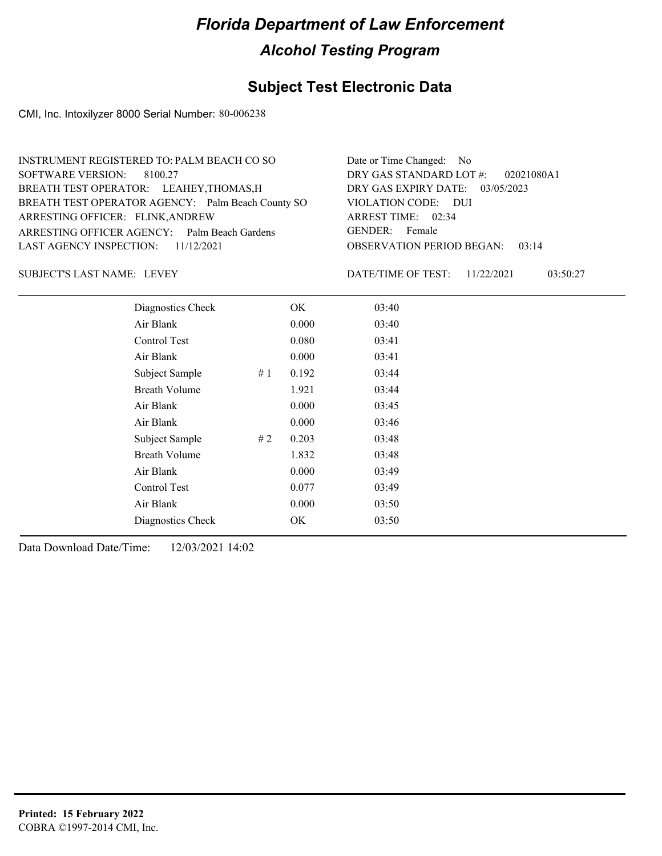### **Subject Test Electronic Data**

CMI, Inc. Intoxilyzer 8000 Serial Number: 80-006238

| INSTRUMENT REGISTERED TO: PALM BEACH CO SO        | Date or Time Changed: No               |
|---------------------------------------------------|----------------------------------------|
| SOFTWARE VERSION: 8100.27                         | DRY GAS STANDARD LOT #: 02021080A1     |
| BREATH TEST OPERATOR: LEAHEY, THOMAS, H           | DRY GAS EXPIRY DATE: 03/05/2023        |
| BREATH TEST OPERATOR AGENCY: Palm Beach County SO | VIOLATION CODE: DUI                    |
| ARRESTING OFFICER: FLINK, ANDREW                  | ARREST TIME: 02:34                     |
| ARRESTING OFFICER AGENCY: Palm Beach Gardens      | GENDER: Female                         |
| LAST AGENCY INSPECTION: 11/12/2021                | <b>OBSERVATION PERIOD BEGAN: 03:14</b> |
|                                                   |                                        |

SUBJECT'S LAST NAME: LEVEY **EXECUTE:** DATE/TIME OF TEST:

DATE/TIME OF TEST: 11/22/2021 03:50:27

| Diagnostics Check    |    | OK    | 03:40 |
|----------------------|----|-------|-------|
| Air Blank            |    | 0.000 | 03:40 |
| Control Test         |    | 0.080 | 03:41 |
| Air Blank            |    | 0.000 | 03:41 |
| Subject Sample       | #1 | 0.192 | 03:44 |
| <b>Breath Volume</b> |    | 1.921 | 03:44 |
| Air Blank            |    | 0.000 | 03:45 |
| Air Blank            |    | 0.000 | 03:46 |
| Subject Sample       | #2 | 0.203 | 03:48 |
| <b>Breath Volume</b> |    | 1.832 | 03:48 |
| Air Blank            |    | 0.000 | 03:49 |
| Control Test         |    | 0.077 | 03:49 |
| Air Blank            |    | 0.000 | 03:50 |
| Diagnostics Check    |    | OK    | 03:50 |
|                      |    |       |       |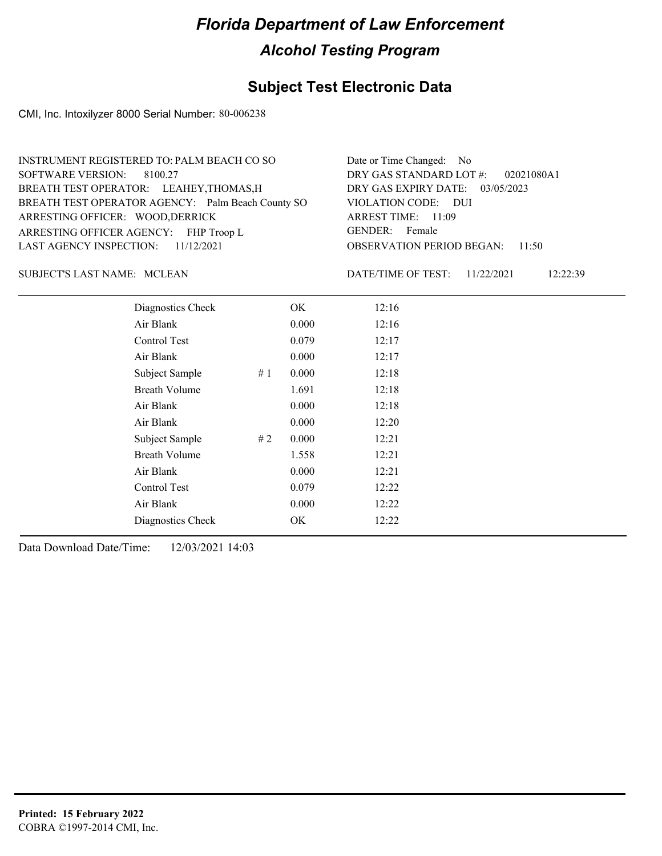### **Subject Test Electronic Data**

CMI, Inc. Intoxilyzer 8000 Serial Number: 80-006238

| Date or Time Changed: No               |
|----------------------------------------|
| DRY GAS STANDARD LOT #: 02021080A1     |
| DRY GAS EXPIRY DATE: 03/05/2023        |
| VIOLATION CODE: DUI                    |
| ARREST TIME: 11:09                     |
| GENDER: Female                         |
| <b>OBSERVATION PERIOD BEGAN:</b> 11:50 |
|                                        |

SUBJECT'S LAST NAME: MCLEAN DATE/TIME OF TEST:

DATE/TIME OF TEST: 11/22/2021 12:22:39

| Diagnostics Check    |    | OK    | 12:16 |
|----------------------|----|-------|-------|
| Air Blank            |    | 0.000 | 12:16 |
| Control Test         |    | 0.079 | 12:17 |
| Air Blank            |    | 0.000 | 12:17 |
| Subject Sample       | #1 | 0.000 | 12:18 |
| <b>Breath Volume</b> |    | 1.691 | 12:18 |
| Air Blank            |    | 0.000 | 12:18 |
| Air Blank            |    | 0.000 | 12:20 |
| Subject Sample       | #2 | 0.000 | 12:21 |
| <b>Breath Volume</b> |    | 1.558 | 12:21 |
| Air Blank            |    | 0.000 | 12:21 |
| Control Test         |    | 0.079 | 12:22 |
| Air Blank            |    | 0.000 | 12:22 |
| Diagnostics Check    |    | OK    | 12:22 |
|                      |    |       |       |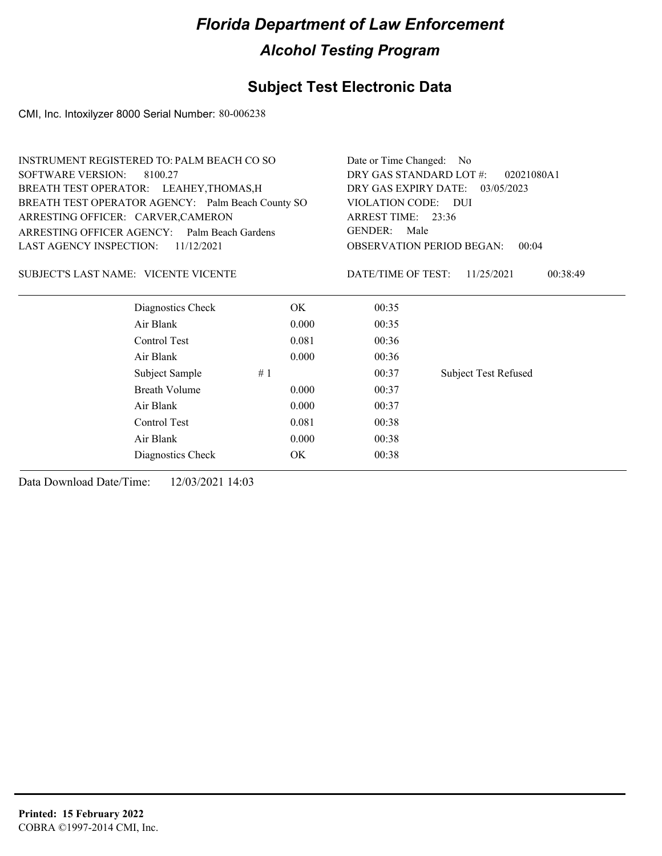## **Subject Test Electronic Data**

CMI, Inc. Intoxilyzer 8000 Serial Number: 80-006238

|                                                   | <b>INSTRUMENT REGISTERED TO: PALM BEACH CO SO</b> |                                                           |                                 |  |
|---------------------------------------------------|---------------------------------------------------|-----------------------------------------------------------|---------------------------------|--|
| <b>SOFTWARE VERSION:</b><br>8100.27               |                                                   | DRY GAS STANDARD LOT #:<br>02021080A1                     |                                 |  |
| BREATH TEST OPERATOR: LEAHEY, THOMAS, H           |                                                   |                                                           | DRY GAS EXPIRY DATE: 03/05/2023 |  |
| BREATH TEST OPERATOR AGENCY: Palm Beach County SO |                                                   | VIOLATION CODE: DUI                                       |                                 |  |
| ARRESTING OFFICER: CARVER, CAMERON                |                                                   | ARREST TIME: 23:36                                        |                                 |  |
| ARRESTING OFFICER AGENCY: Palm Beach Gardens      |                                                   | GENDER: Male<br><b>OBSERVATION PERIOD BEGAN:</b><br>00:04 |                                 |  |
| LAST AGENCY INSPECTION:<br>11/12/2021             |                                                   |                                                           |                                 |  |
| SUBJECT'S LAST NAME: VICENTE VICENTE              |                                                   | DATE/TIME OF TEST:                                        | 00:38:49<br>11/25/2021          |  |
| Diagnostics Check                                 | ОK                                                | 00:35                                                     |                                 |  |
| Air Blank                                         | 0.000                                             | 00:35                                                     |                                 |  |
| Control Test                                      | 0.081                                             | 00:36                                                     |                                 |  |
| Air Blank                                         | 0.000                                             | 00:36                                                     |                                 |  |
| Subject Sample                                    | #1                                                | 00:37                                                     | <b>Subject Test Refused</b>     |  |
| <b>Breath Volume</b>                              | 0.000                                             | 00:37                                                     |                                 |  |
| Air Blank                                         | 0.000                                             | 00:37                                                     |                                 |  |
| Control Test                                      | 0.081                                             | 00:38                                                     |                                 |  |
| Air Blank                                         | 0.000                                             | 00:38                                                     |                                 |  |
| Diagnostics Check                                 | OK                                                | 00:38                                                     |                                 |  |
|                                                   |                                                   |                                                           |                                 |  |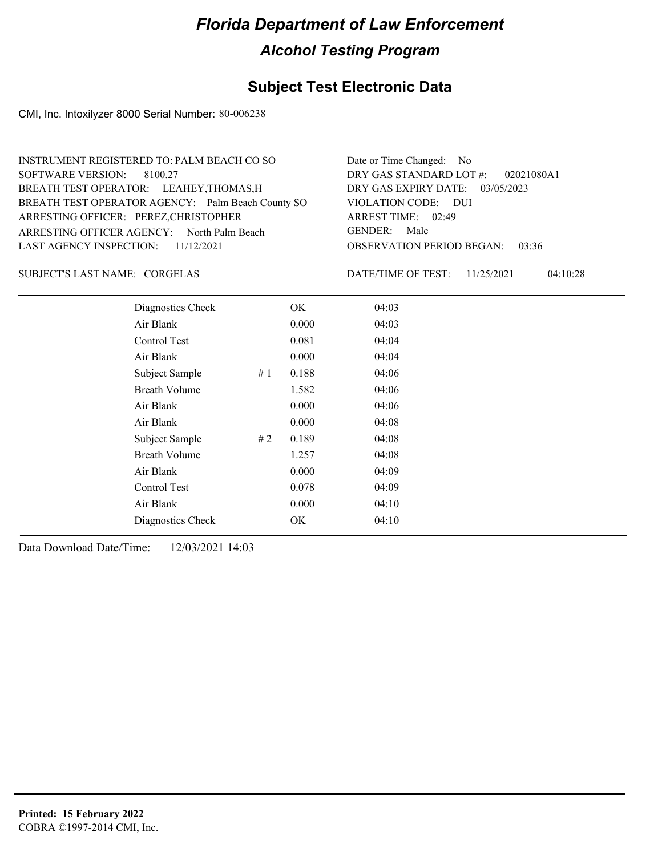### **Subject Test Electronic Data**

CMI, Inc. Intoxilyzer 8000 Serial Number: 80-006238

| INSTRUMENT REGISTERED TO: PALM BEACH CO SO        | Date or Time Changed: No               |
|---------------------------------------------------|----------------------------------------|
| SOFTWARE VERSION: 8100.27                         | DRY GAS STANDARD LOT #: 02021080A1     |
| BREATH TEST OPERATOR: LEAHEY, THOMAS, H           | DRY GAS EXPIRY DATE: 03/05/2023        |
| BREATH TEST OPERATOR AGENCY: Palm Beach County SO | VIOLATION CODE: DUI                    |
| ARRESTING OFFICER: PEREZ, CHRISTOPHER             | ARREST TIME: 02:49                     |
| ARRESTING OFFICER AGENCY: North Palm Beach        | GENDER: Male                           |
| LAST AGENCY INSPECTION: $11/12/2021$              | <b>OBSERVATION PERIOD BEGAN: 03:36</b> |
|                                                   |                                        |

CORGELAS SUBJECT'S LAST NAME: DATE/TIME OF TEST:

DATE/TIME OF TEST: 11/25/2021 04:10:28

| Diagnostics Check    |    | OK    | 04:03 |
|----------------------|----|-------|-------|
| Air Blank            |    | 0.000 | 04:03 |
| Control Test         |    | 0.081 | 04:04 |
| Air Blank            |    | 0.000 | 04:04 |
| Subject Sample       | #1 | 0.188 | 04:06 |
| <b>Breath Volume</b> |    | 1.582 | 04:06 |
| Air Blank            |    | 0.000 | 04:06 |
| Air Blank            |    | 0.000 | 04:08 |
| Subject Sample       | #2 | 0.189 | 04:08 |
| <b>Breath Volume</b> |    | 1.257 | 04:08 |
| Air Blank            |    | 0.000 | 04:09 |
| Control Test         |    | 0.078 | 04:09 |
| Air Blank            |    | 0.000 | 04:10 |
| Diagnostics Check    |    | OK    | 04:10 |
|                      |    |       |       |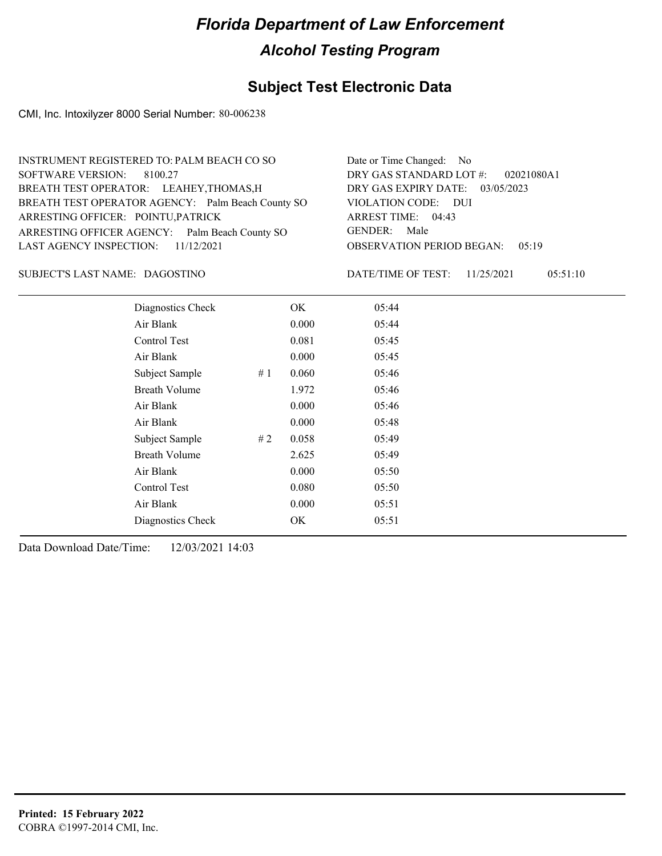## **Subject Test Electronic Data**

CMI, Inc. Intoxilyzer 8000 Serial Number: 80-006238

| INSTRUMENT REGISTERED TO: PALM BEACH CO SO        | Date or Time Changed: No               |
|---------------------------------------------------|----------------------------------------|
| SOFTWARE VERSION: 8100.27                         | DRY GAS STANDARD LOT #: 02021080A1     |
| BREATH TEST OPERATOR: LEAHEY, THOMAS, H           | DRY GAS EXPIRY DATE: 03/05/2023        |
| BREATH TEST OPERATOR AGENCY: Palm Beach County SO | VIOLATION CODE: DUI                    |
| ARRESTING OFFICER: POINTU, PATRICK                | ARREST TIME: 04:43                     |
| ARRESTING OFFICER AGENCY: Palm Beach County SO    | GENDER: Male                           |
| LAST AGENCY INSPECTION: $11/12/2021$              | <b>OBSERVATION PERIOD BEGAN: 05:19</b> |
|                                                   |                                        |

DAGOSTINO SUBJECT'S LAST NAME: DATE/TIME OF TEST:

DATE/TIME OF TEST: 11/25/2021 05:51:10

| Diagnostics Check    |    | OK    | 05:44 |
|----------------------|----|-------|-------|
| Air Blank            |    | 0.000 | 05:44 |
| Control Test         |    | 0.081 | 05:45 |
| Air Blank            |    | 0.000 | 05:45 |
| Subject Sample       | #1 | 0.060 | 05:46 |
| <b>Breath Volume</b> |    | 1.972 | 05:46 |
| Air Blank            |    | 0.000 | 05:46 |
| Air Blank            |    | 0.000 | 05:48 |
| Subject Sample       | #2 | 0.058 | 05:49 |
| <b>Breath Volume</b> |    | 2.625 | 05:49 |
| Air Blank            |    | 0.000 | 05:50 |
| Control Test         |    | 0.080 | 05:50 |
| Air Blank            |    | 0.000 | 05:51 |
| Diagnostics Check    |    | OK    | 05:51 |
|                      |    |       |       |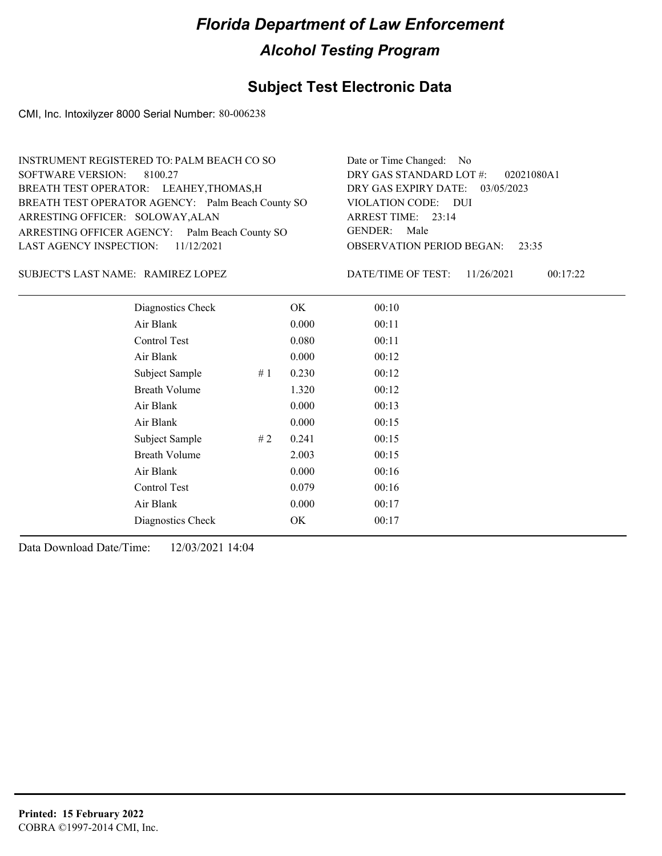### **Subject Test Electronic Data**

CMI, Inc. Intoxilyzer 8000 Serial Number: 80-006238

| INSTRUMENT REGISTERED TO: PALM BEACH CO SO        | Date or Time Changed: No               |
|---------------------------------------------------|----------------------------------------|
| SOFTWARE VERSION: 8100.27                         | DRY GAS STANDARD LOT #: 02021080A1     |
| BREATH TEST OPERATOR: LEAHEY, THOMAS, H           | DRY GAS EXPIRY DATE: 03/05/2023        |
| BREATH TEST OPERATOR AGENCY: Palm Beach County SO | VIOLATION CODE: DUI                    |
| ARRESTING OFFICER: SOLOWAY, ALAN                  | ARREST TIME: 23:14                     |
| ARRESTING OFFICER AGENCY: Palm Beach County SO    | GENDER: Male                           |
| LAST AGENCY INSPECTION: $11/12/2021$              | <b>OBSERVATION PERIOD BEGAN: 23:35</b> |
|                                                   |                                        |

RAMIREZ LOPEZ SUBJECT'S LAST NAME: DATE/TIME OF TEST:

DATE/TIME OF TEST: 11/26/2021 00:17:22

| Diagnostics Check    |    | OK    | 00:10 |
|----------------------|----|-------|-------|
| Air Blank            |    | 0.000 | 00:11 |
| Control Test         |    | 0.080 | 00:11 |
| Air Blank            |    | 0.000 | 00:12 |
| Subject Sample       | #1 | 0.230 | 00:12 |
| <b>Breath Volume</b> |    | 1.320 | 00:12 |
| Air Blank            |    | 0.000 | 00:13 |
| Air Blank            |    | 0.000 | 00:15 |
| Subject Sample       | #2 | 0.241 | 00:15 |
| <b>Breath Volume</b> |    | 2.003 | 00:15 |
| Air Blank            |    | 0.000 | 00:16 |
| Control Test         |    | 0.079 | 00:16 |
| Air Blank            |    | 0.000 | 00:17 |
| Diagnostics Check    |    | OK    | 00:17 |
|                      |    |       |       |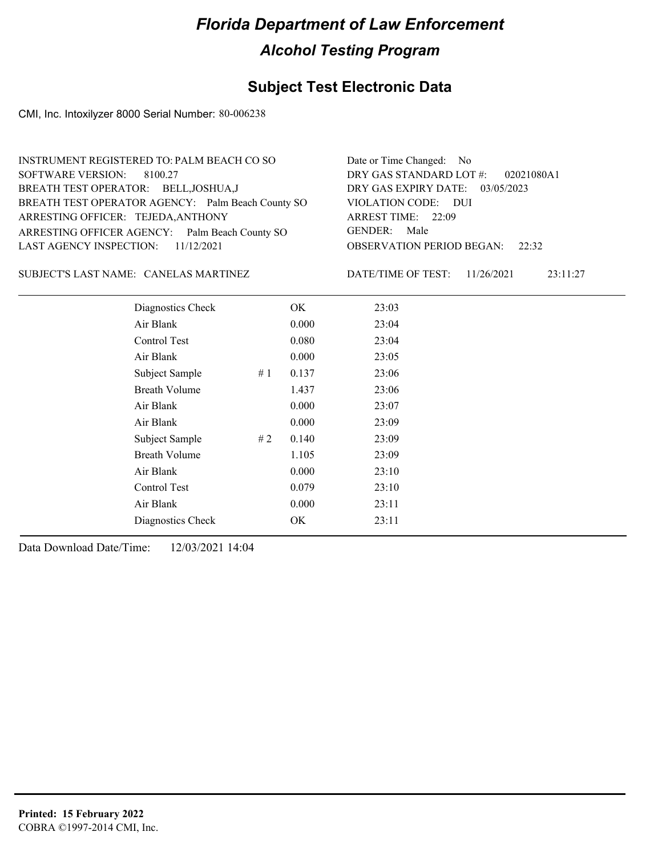### **Subject Test Electronic Data**

CMI, Inc. Intoxilyzer 8000 Serial Number: 80-006238

| INSTRUMENT REGISTERED TO: PALM BEACH CO SO        | Date or Time Changed: No               |
|---------------------------------------------------|----------------------------------------|
| SOFTWARE VERSION: 8100.27                         | DRY GAS STANDARD LOT $\#$ : 02021080A1 |
| BREATH TEST OPERATOR: BELL, JOSHUA, J             | DRY GAS EXPIRY DATE: 03/05/2023        |
| BREATH TEST OPERATOR AGENCY: Palm Beach County SO | VIOLATION CODE: DUI                    |
| ARRESTING OFFICER: TEJEDA, ANTHONY                | ARREST TIME: 22:09                     |
| ARRESTING OFFICER AGENCY: Palm Beach County SO    | GENDER: Male                           |
| LAST AGENCY INSPECTION: 11/12/2021                | <b>OBSERVATION PERIOD BEGAN:</b> 22:32 |
|                                                   |                                        |

SUBJECT'S LAST NAME: CANELAS MARTINEZ DATE/TIME OF TEST:

DATE/TIME OF TEST: 11/26/2021 23:11:27

| Diagnostics Check    | OK    | 23:03 |
|----------------------|-------|-------|
| Air Blank            | 0.000 | 23:04 |
| Control Test         | 0.080 | 23:04 |
| Air Blank            | 0.000 | 23:05 |
| Subject Sample<br>#1 | 0.137 | 23:06 |
| <b>Breath Volume</b> | 1.437 | 23:06 |
| Air Blank            | 0.000 | 23:07 |
| Air Blank            | 0.000 | 23:09 |
| Subject Sample<br>#2 | 0.140 | 23:09 |
| <b>Breath Volume</b> | 1.105 | 23:09 |
| Air Blank            | 0.000 | 23:10 |
| Control Test         | 0.079 | 23:10 |
| Air Blank            | 0.000 | 23:11 |
| Diagnostics Check    | OK    | 23:11 |
|                      |       |       |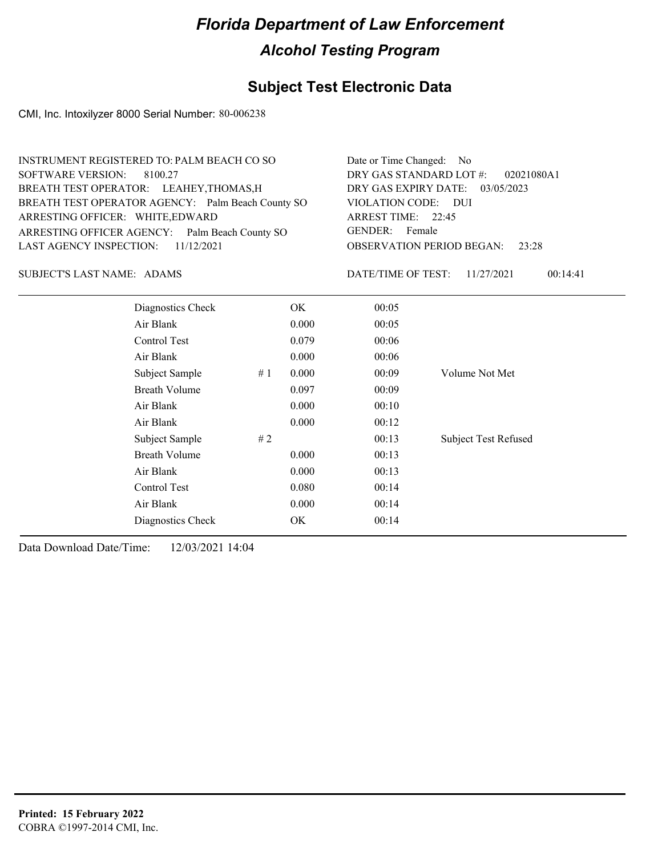## **Subject Test Electronic Data**

CMI, Inc. Intoxilyzer 8000 Serial Number: 80-006238

| INSTRUMENT REGISTERED TO: PALM BEACH CO SO        | Date or Time Changed: No               |
|---------------------------------------------------|----------------------------------------|
| SOFTWARE VERSION: 8100.27                         | DRY GAS STANDARD LOT #: 02021080A1     |
| BREATH TEST OPERATOR: LEAHEY, THOMAS, H           | DRY GAS EXPIRY DATE: 03/05/2023        |
| BREATH TEST OPERATOR AGENCY: Palm Beach County SO | VIOLATION CODE: DUI                    |
| ARRESTING OFFICER: WHITE, EDWARD                  | ARREST TIME: 22:45                     |
| ARRESTING OFFICER AGENCY: Palm Beach County SO    | GENDER: Female                         |
| LAST AGENCY INSPECTION: 11/12/2021                | <b>OBSERVATION PERIOD BEGAN: 23:28</b> |
|                                                   |                                        |

SUBJECT'S LAST NAME: ADAMS DATE/TIME OF TEST:

DATE/TIME OF TEST: 11/27/2021 00:14:41

| Diagnostics Check    |    | OK    | 00:05 |                             |
|----------------------|----|-------|-------|-----------------------------|
| Air Blank            |    | 0.000 | 00:05 |                             |
| Control Test         |    | 0.079 | 00:06 |                             |
| Air Blank            |    | 0.000 | 00:06 |                             |
| Subject Sample       | #1 | 0.000 | 00:09 | Volume Not Met              |
| <b>Breath Volume</b> |    | 0.097 | 00:09 |                             |
| Air Blank            |    | 0.000 | 00:10 |                             |
| Air Blank            |    | 0.000 | 00:12 |                             |
| Subject Sample       | #2 |       | 00:13 | <b>Subject Test Refused</b> |
| <b>Breath Volume</b> |    | 0.000 | 00:13 |                             |
| Air Blank            |    | 0.000 | 00:13 |                             |
| Control Test         |    | 0.080 | 00:14 |                             |
| Air Blank            |    | 0.000 | 00:14 |                             |
| Diagnostics Check    |    | OK    | 00:14 |                             |
|                      |    |       |       |                             |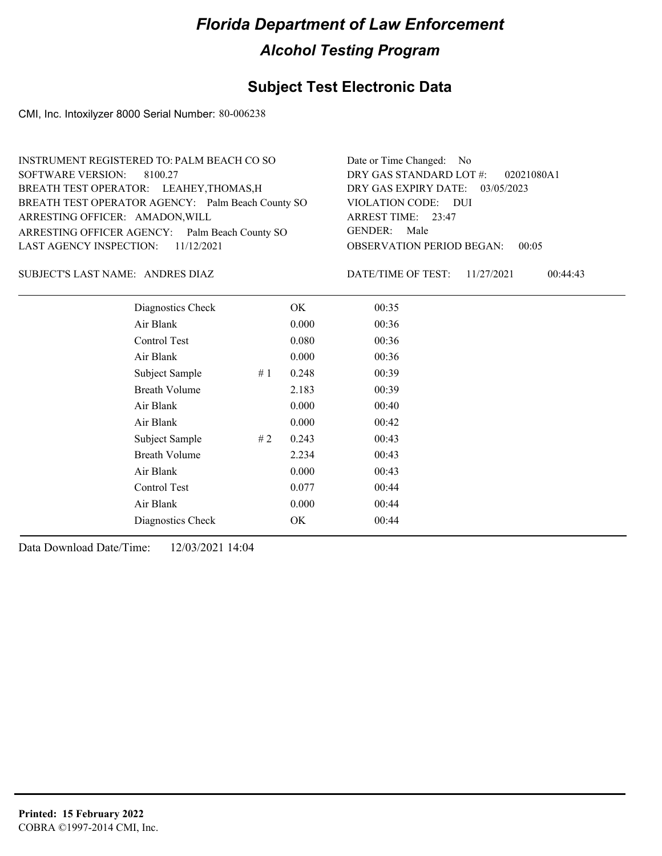## **Subject Test Electronic Data**

CMI, Inc. Intoxilyzer 8000 Serial Number: 80-006238

| INSTRUMENT REGISTERED TO: PALM BEACH CO SO        | Date or Time Changed: No               |
|---------------------------------------------------|----------------------------------------|
| SOFTWARE VERSION: 8100.27                         | DRY GAS STANDARD LOT #: 02021080A1     |
| BREATH TEST OPERATOR: LEAHEY, THOMAS, H           | DRY GAS EXPIRY DATE: 03/05/2023        |
| BREATH TEST OPERATOR AGENCY: Palm Beach County SO | VIOLATION CODE: DUI                    |
| ARRESTING OFFICER: AMADON, WILL                   | ARREST TIME: 23:47                     |
| ARRESTING OFFICER AGENCY: Palm Beach County SO    | GENDER: Male                           |
| LAST AGENCY INSPECTION: $11/12/2021$              | <b>OBSERVATION PERIOD BEGAN: 00:05</b> |
|                                                   |                                        |

ANDRES DIAZ SUBJECT'S LAST NAME: DATE/TIME OF TEST:

DATE/TIME OF TEST: 11/27/2021 00:44:43

| Diagnostics Check    |    | OK    | 00:35 |
|----------------------|----|-------|-------|
| Air Blank            |    | 0.000 | 00:36 |
| Control Test         |    | 0.080 | 00:36 |
| Air Blank            |    | 0.000 | 00:36 |
| Subject Sample       | #1 | 0.248 | 00:39 |
| <b>Breath Volume</b> |    | 2.183 | 00:39 |
| Air Blank            |    | 0.000 | 00:40 |
| Air Blank            |    | 0.000 | 00:42 |
| Subject Sample       | #2 | 0.243 | 00:43 |
| <b>Breath Volume</b> |    | 2.234 | 00:43 |
| Air Blank            |    | 0.000 | 00:43 |
| Control Test         |    | 0.077 | 00:44 |
| Air Blank            |    | 0.000 | 00:44 |
| Diagnostics Check    |    | OK    | 00:44 |
|                      |    |       |       |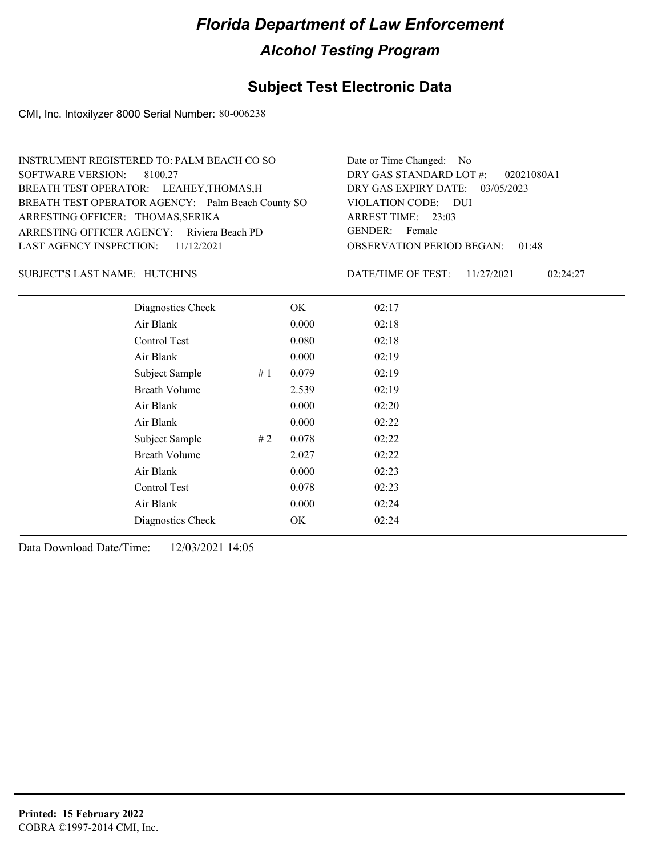### **Subject Test Electronic Data**

CMI, Inc. Intoxilyzer 8000 Serial Number: 80-006238

#### HUTCHINS SUBJECT'S LAST NAME: DATE/TIME OF TEST:

DATE/TIME OF TEST: 11/27/2021 02:24:27

| Diagnostics Check    |    | OK    | 02:17 |
|----------------------|----|-------|-------|
| Air Blank            |    | 0.000 | 02:18 |
| Control Test         |    | 0.080 | 02:18 |
| Air Blank            |    | 0.000 | 02:19 |
| Subject Sample       | #1 | 0.079 | 02:19 |
| <b>Breath Volume</b> |    | 2.539 | 02:19 |
| Air Blank            |    | 0.000 | 02:20 |
| Air Blank            |    | 0.000 | 02:22 |
| Subject Sample       | #2 | 0.078 | 02:22 |
| <b>Breath Volume</b> |    | 2.027 | 02:22 |
| Air Blank            |    | 0.000 | 02:23 |
| Control Test         |    | 0.078 | 02:23 |
| Air Blank            |    | 0.000 | 02:24 |
| Diagnostics Check    |    | OK    | 02:24 |
|                      |    |       |       |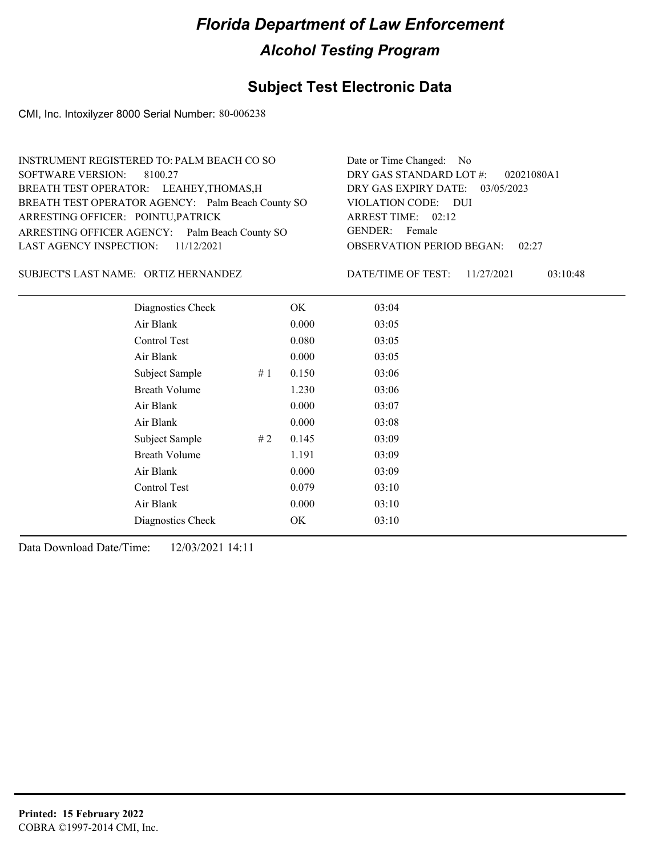### **Subject Test Electronic Data**

CMI, Inc. Intoxilyzer 8000 Serial Number: 80-006238

| INSTRUMENT REGISTERED TO: PALM BEACH CO SO        | Date or Time Changed: No               |
|---------------------------------------------------|----------------------------------------|
| SOFTWARE VERSION: 8100.27                         | DRY GAS STANDARD LOT $\#$ : 02021080A1 |
| BREATH TEST OPERATOR: LEAHEY, THOMAS, H           | DRY GAS EXPIRY DATE: 03/05/2023        |
| BREATH TEST OPERATOR AGENCY: Palm Beach County SO | VIOLATION CODE: DUI                    |
| ARRESTING OFFICER: POINTU, PATRICK                | ARREST TIME: 02:12                     |
| ARRESTING OFFICER AGENCY: Palm Beach County SO    | GENDER: Female                         |
| LAST AGENCY INSPECTION: $11/12/2021$              | <b>OBSERVATION PERIOD BEGAN: 02:27</b> |
|                                                   |                                        |

SUBJECT'S LAST NAME: ORTIZ HERNANDEZ DATE/TIME OF TEST:

DATE/TIME OF TEST: 11/27/2021 03:10:48

| Diagnostics Check    |    | OK    | 03:04 |
|----------------------|----|-------|-------|
| Air Blank            |    | 0.000 | 03:05 |
| Control Test         |    | 0.080 | 03:05 |
| Air Blank            |    | 0.000 | 03:05 |
| Subject Sample       | #1 | 0.150 | 03:06 |
| <b>Breath Volume</b> |    | 1.230 | 03:06 |
| Air Blank            |    | 0.000 | 03:07 |
| Air Blank            |    | 0.000 | 03:08 |
| Subject Sample       | #2 | 0.145 | 03:09 |
| <b>Breath Volume</b> |    | 1.191 | 03:09 |
| Air Blank            |    | 0.000 | 03:09 |
| <b>Control Test</b>  |    | 0.079 | 03:10 |
| Air Blank            |    | 0.000 | 03:10 |
| Diagnostics Check    |    | OK    | 03:10 |
|                      |    |       |       |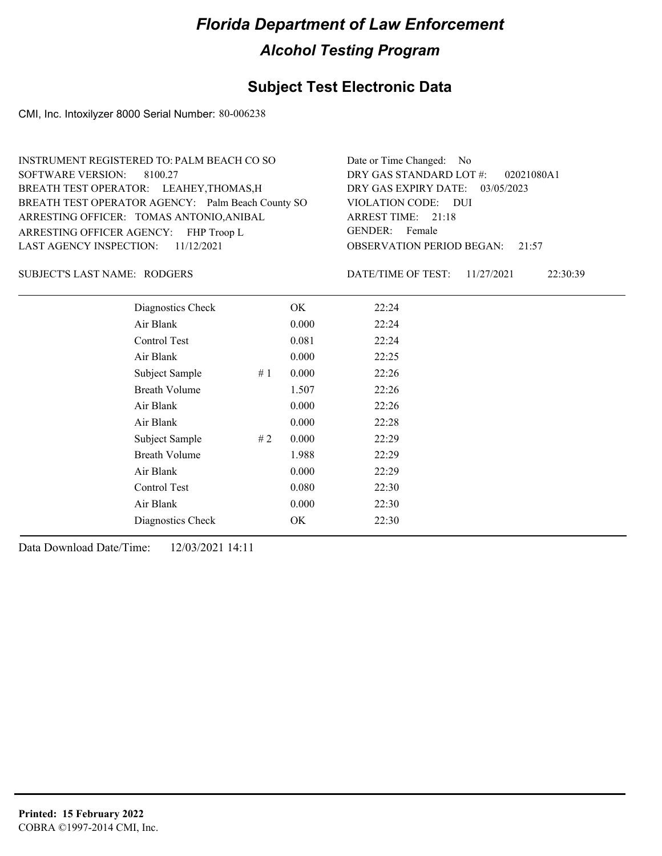## **Subject Test Electronic Data**

CMI, Inc. Intoxilyzer 8000 Serial Number: 80-006238

| INSTRUMENT REGISTERED TO: PALM BEACH CO SO        | Date or Time Changed: No               |
|---------------------------------------------------|----------------------------------------|
| SOFTWARE VERSION: 8100.27                         | DRY GAS STANDARD LOT #: 02021080A1     |
| BREATH TEST OPERATOR: LEAHEY, THOMAS, H           | DRY GAS EXPIRY DATE: 03/05/2023        |
| BREATH TEST OPERATOR AGENCY: Palm Beach County SO | VIOLATION CODE: DUI                    |
| ARRESTING OFFICER: TOMAS ANTONIO, ANIBAL          | ARREST TIME: 21:18                     |
| ARRESTING OFFICER AGENCY: FHP Troop L             | GENDER: Female                         |
| LAST AGENCY INSPECTION: 11/12/2021                | <b>OBSERVATION PERIOD BEGAN: 21:57</b> |
|                                                   |                                        |

#### SUBJECT'S LAST NAME: RODGERS DATE/TIME OF TEST:

DATE/TIME OF TEST: 11/27/2021 22:30:39

| Diagnostics Check    |    | OK    | 22:24 |
|----------------------|----|-------|-------|
| Air Blank            |    | 0.000 | 22:24 |
| Control Test         |    | 0.081 | 22:24 |
| Air Blank            |    | 0.000 | 22:25 |
| Subject Sample       | #1 | 0.000 | 22:26 |
| <b>Breath Volume</b> |    | 1.507 | 22:26 |
| Air Blank            |    | 0.000 | 22:26 |
| Air Blank            |    | 0.000 | 22:28 |
| Subject Sample       | #2 | 0.000 | 22:29 |
| <b>Breath Volume</b> |    | 1.988 | 22:29 |
| Air Blank            |    | 0.000 | 22:29 |
| Control Test         |    | 0.080 | 22:30 |
| Air Blank            |    | 0.000 | 22:30 |
| Diagnostics Check    |    | OK    | 22:30 |
|                      |    |       |       |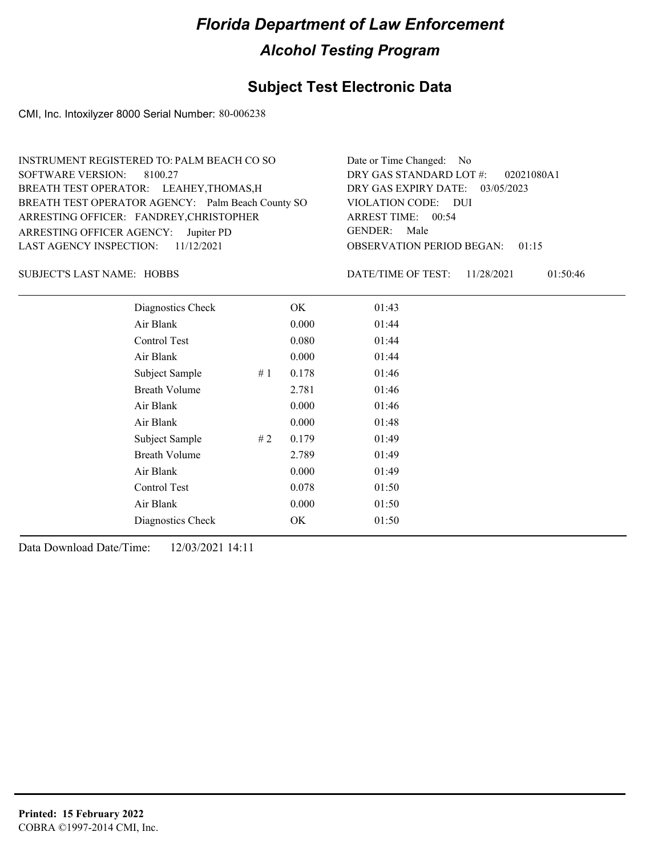### **Subject Test Electronic Data**

CMI, Inc. Intoxilyzer 8000 Serial Number: 80-006238

| INSTRUMENT REGISTERED TO: PALM BEACH CO SO        | Date or Time Changed: No               |
|---------------------------------------------------|----------------------------------------|
| SOFTWARE VERSION: 8100.27                         | DRY GAS STANDARD LOT #: 02021080A1     |
| BREATH TEST OPERATOR: LEAHEY, THOMAS, H           | DRY GAS EXPIRY DATE: 03/05/2023        |
| BREATH TEST OPERATOR AGENCY: Palm Beach County SO | VIOLATION CODE: DUI                    |
| ARRESTING OFFICER: FANDREY, CHRISTOPHER           | ARREST TIME: 00:54                     |
| ARRESTING OFFICER AGENCY: Jupiter PD              | GENDER: Male                           |
| LAST AGENCY INSPECTION: $11/12/2021$              | <b>OBSERVATION PERIOD BEGAN: 01:15</b> |
|                                                   |                                        |

SUBJECT'S LAST NAME: HOBBS **Example 20 IN THE DATE/TIME OF TEST:** 

DATE/TIME OF TEST: 11/28/2021 01:50:46

| Diagnostics Check    | OK    | 01:43 |
|----------------------|-------|-------|
| Air Blank            | 0.000 | 01:44 |
| Control Test         | 0.080 | 01:44 |
| Air Blank            | 0.000 | 01:44 |
| Subject Sample<br>#1 | 0.178 | 01:46 |
| <b>Breath Volume</b> | 2.781 | 01:46 |
| Air Blank            | 0.000 | 01:46 |
| Air Blank            | 0.000 | 01:48 |
| Subject Sample<br>#2 | 0.179 | 01:49 |
| <b>Breath Volume</b> | 2.789 | 01:49 |
| Air Blank            | 0.000 | 01:49 |
| Control Test         | 0.078 | 01:50 |
| Air Blank            | 0.000 | 01:50 |
| Diagnostics Check    | OK    | 01:50 |
|                      |       |       |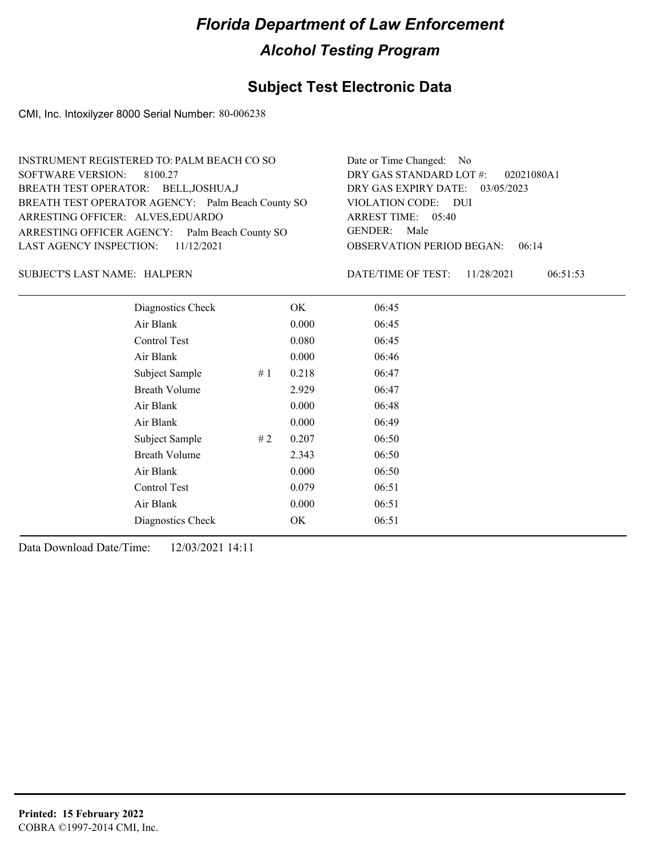### **Subject Test Electronic Data**

CMI, Inc. Intoxilyzer 8000 Serial Number: 80-006238

| INSTRUMENT REGISTERED TO: PALM BEACH CO SO        | Date or Time Changed: No               |
|---------------------------------------------------|----------------------------------------|
| SOFTWARE VERSION: 8100.27                         | DRY GAS STANDARD LOT #: 02021080A1     |
| BREATH TEST OPERATOR: BELL, JOSHUA, J             | DRY GAS EXPIRY DATE: 03/05/2023        |
| BREATH TEST OPERATOR AGENCY: Palm Beach County SO | VIOLATION CODE: DUI                    |
| ARRESTING OFFICER: ALVES, EDUARDO                 | ARREST TIME: 05:40                     |
| ARRESTING OFFICER AGENCY: Palm Beach County SO    | GENDER: Male                           |
| LAST AGENCY INSPECTION: $11/12/2021$              | <b>OBSERVATION PERIOD BEGAN: 06:14</b> |
|                                                   |                                        |

#### HALPERN SUBJECT'S LAST NAME: DATE/TIME OF TEST:

DATE/TIME OF TEST: 11/28/2021 06:51:53

| Diagnostics Check    |    | OK    | 06:45 |  |
|----------------------|----|-------|-------|--|
| Air Blank            |    | 0.000 | 06:45 |  |
| Control Test         |    | 0.080 | 06:45 |  |
| Air Blank            |    | 0.000 | 06:46 |  |
| Subject Sample       | #1 | 0.218 | 06:47 |  |
| <b>Breath Volume</b> |    | 2.929 | 06:47 |  |
| Air Blank            |    | 0.000 | 06:48 |  |
| Air Blank            |    | 0.000 | 06:49 |  |
| Subject Sample       | #2 | 0.207 | 06:50 |  |
| <b>Breath Volume</b> |    | 2.343 | 06:50 |  |
| Air Blank            |    | 0.000 | 06:50 |  |
| Control Test         |    | 0.079 | 06:51 |  |
| Air Blank            |    | 0.000 | 06:51 |  |
| Diagnostics Check    |    | OK    | 06:51 |  |
|                      |    |       |       |  |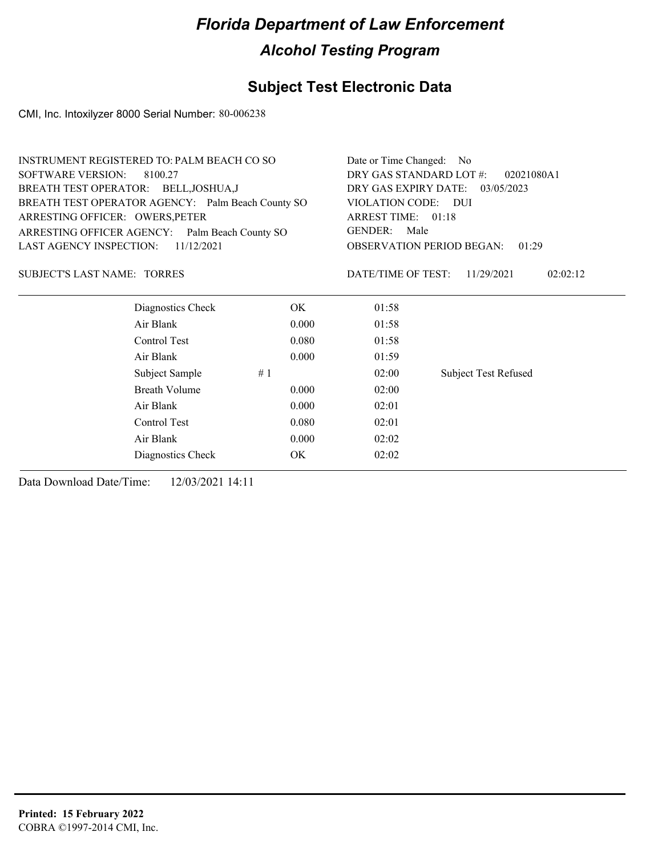## **Subject Test Electronic Data**

CMI, Inc. Intoxilyzer 8000 Serial Number: 80-006238

| <b>INSTRUMENT REGISTERED TO: PALM BEACH CO SO</b> |       | Date or Time Changed: No                  |                                 |
|---------------------------------------------------|-------|-------------------------------------------|---------------------------------|
| <b>SOFTWARE VERSION:</b><br>8100.27               |       | DRY GAS STANDARD LOT #:                   | 02021080A1                      |
| BREATH TEST OPERATOR: BELL, JOSHUA, J             |       |                                           | DRY GAS EXPIRY DATE: 03/05/2023 |
| BREATH TEST OPERATOR AGENCY: Palm Beach County SO |       | VIOLATION CODE: DUI                       |                                 |
| ARRESTING OFFICER: OWERS, PETER                   |       | ARREST TIME: 01:18                        |                                 |
| ARRESTING OFFICER AGENCY: Palm Beach County SO    |       | GENDER:<br>Male                           |                                 |
| LAST AGENCY INSPECTION:<br>11/12/2021             |       | <b>OBSERVATION PERIOD BEGAN:</b><br>01:29 |                                 |
| <b>SUBJECT'S LAST NAME: TORRES</b>                |       | DATE/TIME OF TEST:                        | 02:02:12<br>11/29/2021          |
| Diagnostics Check                                 | OK    | 01:58                                     |                                 |
| Air Blank                                         | 0.000 | 01:58                                     |                                 |
| Control Test                                      | 0.080 | 01:58                                     |                                 |
| Air Blank                                         | 0.000 | 01:59                                     |                                 |
| Subject Sample                                    | #1    | 02:00                                     | <b>Subject Test Refused</b>     |
| <b>Breath Volume</b>                              | 0.000 | 02:00                                     |                                 |
| Air Blank                                         | 0.000 | 02:01                                     |                                 |
| Control Test                                      | 0.080 | 02:01                                     |                                 |
| Air Blank                                         | 0.000 | 02:02                                     |                                 |
| Diagnostics Check                                 | OK    | 02:02                                     |                                 |
|                                                   |       |                                           |                                 |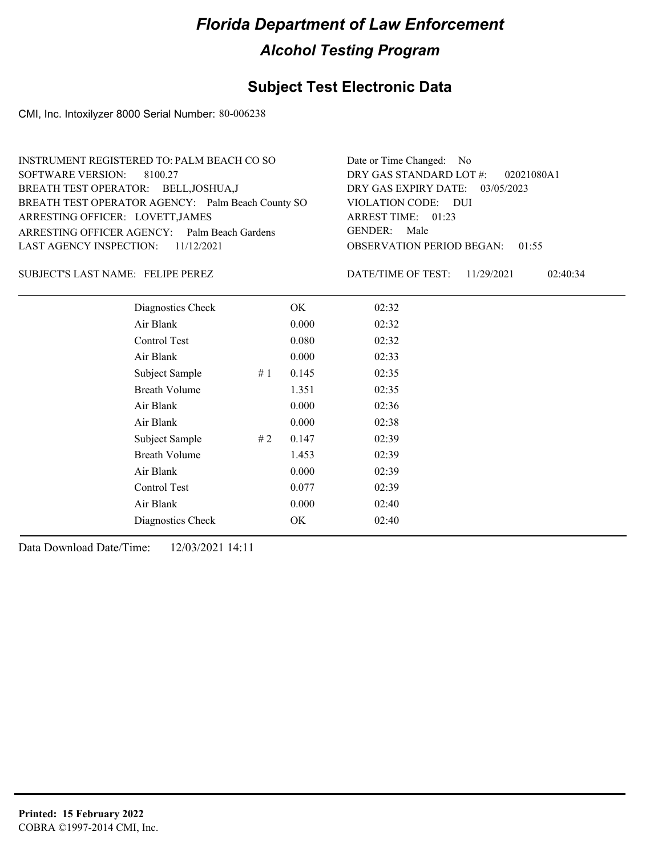### **Subject Test Electronic Data**

CMI, Inc. Intoxilyzer 8000 Serial Number: 80-006238

| INSTRUMENT REGISTERED TO: PALM BEACH CO SO        | Date or Time Changed: No               |
|---------------------------------------------------|----------------------------------------|
| SOFTWARE VERSION: 8100.27                         | DRY GAS STANDARD LOT $\#$ : 02021080A1 |
| BREATH TEST OPERATOR: BELL, JOSHUA, J             | DRY GAS EXPIRY DATE: 03/05/2023        |
| BREATH TEST OPERATOR AGENCY: Palm Beach County SO | VIOLATION CODE: DUI                    |
| ARRESTING OFFICER: LOVETT, JAMES                  | ARREST TIME: 01:23                     |
| ARRESTING OFFICER AGENCY: Palm Beach Gardens      | GENDER: Male                           |
| LAST AGENCY INSPECTION: 11/12/2021                | <b>OBSERVATION PERIOD BEGAN: 01:55</b> |
|                                                   |                                        |

#### SUBJECT'S LAST NAME: FELIPE PEREZ DATE/TIME OF TEST:

DATE/TIME OF TEST: 11/29/2021 02:40:34

| Diagnostics Check    |    | OK    | 02:32 |
|----------------------|----|-------|-------|
| Air Blank            |    | 0.000 | 02:32 |
| Control Test         |    | 0.080 | 02:32 |
| Air Blank            |    | 0.000 | 02:33 |
| Subject Sample       | #1 | 0.145 | 02:35 |
| <b>Breath Volume</b> |    | 1.351 | 02:35 |
| Air Blank            |    | 0.000 | 02:36 |
| Air Blank            |    | 0.000 | 02:38 |
| Subject Sample       | #2 | 0.147 | 02:39 |
| <b>Breath Volume</b> |    | 1.453 | 02:39 |
| Air Blank            |    | 0.000 | 02:39 |
| Control Test         |    | 0.077 | 02:39 |
| Air Blank            |    | 0.000 | 02:40 |
| Diagnostics Check    |    | OK    | 02:40 |
|                      |    |       |       |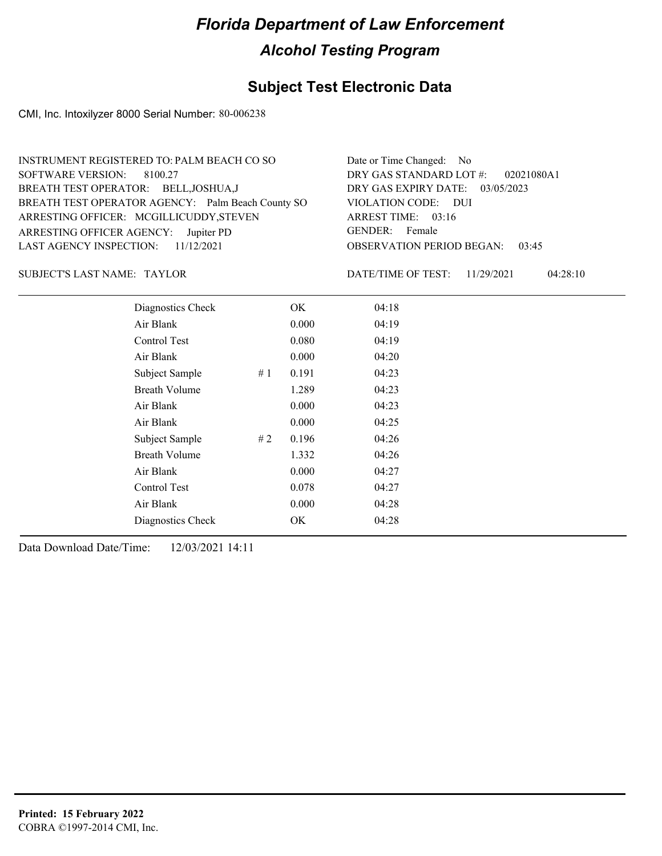### **Subject Test Electronic Data**

CMI, Inc. Intoxilyzer 8000 Serial Number: 80-006238

| INSTRUMENT REGISTERED TO: PALM BEACH CO SO        | Date or Time Changed: No               |
|---------------------------------------------------|----------------------------------------|
| SOFTWARE VERSION: 8100.27                         | DRY GAS STANDARD LOT #: 02021080A1     |
| BREATH TEST OPERATOR: BELL, JOSHUA, J             | DRY GAS EXPIRY DATE: 03/05/2023        |
| BREATH TEST OPERATOR AGENCY: Palm Beach County SO | VIOLATION CODE: DUI                    |
| ARRESTING OFFICER: MCGILLICUDDY, STEVEN           | ARREST TIME: 03:16                     |
| ARRESTING OFFICER AGENCY: Jupiter PD              | GENDER: Female                         |
| LAST AGENCY INSPECTION: $11/12/2021$              | <b>OBSERVATION PERIOD BEGAN: 03:45</b> |
|                                                   |                                        |

#### SUBJECT'S LAST NAME: TAYLOR DATE/TIME OF TEST:

DATE/TIME OF TEST: 11/29/2021 04:28:10

| Diagnostics Check    |       | OK    | 04:18 |
|----------------------|-------|-------|-------|
| Air Blank            |       | 0.000 | 04:19 |
| Control Test         |       | 0.080 | 04:19 |
| Air Blank            |       | 0.000 | 04:20 |
| Subject Sample       | # $1$ | 0.191 | 04:23 |
| <b>Breath Volume</b> |       | 1.289 | 04:23 |
| Air Blank            |       | 0.000 | 04:23 |
| Air Blank            |       | 0.000 | 04:25 |
| Subject Sample       | #2    | 0.196 | 04:26 |
| <b>Breath Volume</b> |       | 1.332 | 04:26 |
| Air Blank            |       | 0.000 | 04:27 |
| Control Test         |       | 0.078 | 04:27 |
| Air Blank            |       | 0.000 | 04:28 |
| Diagnostics Check    |       | OK    | 04:28 |
|                      |       |       |       |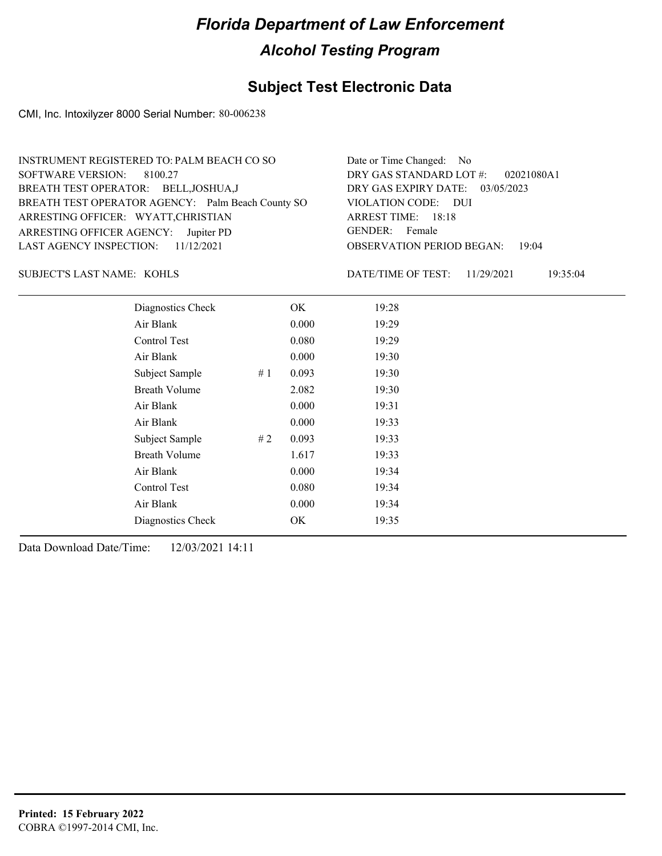## **Subject Test Electronic Data**

CMI, Inc. Intoxilyzer 8000 Serial Number: 80-006238

| Date or Time Changed: No               |
|----------------------------------------|
| DRY GAS STANDARD LOT #: 02021080A1     |
| DRY GAS EXPIRY DATE: 03/05/2023        |
| VIOLATION CODE: DUI                    |
| ARREST TIME: 18:18                     |
| GENDER: Female                         |
| <b>OBSERVATION PERIOD BEGAN: 19:04</b> |
|                                        |

KOHLS SUBJECT'S LAST NAME: DATE/TIME OF TEST:

DATE/TIME OF TEST: 11/29/2021 19:35:04

| Diagnostics Check    |    | OK    | 19:28 |
|----------------------|----|-------|-------|
| Air Blank            |    | 0.000 | 19:29 |
| Control Test         |    | 0.080 | 19:29 |
| Air Blank            |    | 0.000 | 19:30 |
| Subject Sample       | #1 | 0.093 | 19:30 |
| <b>Breath Volume</b> |    | 2.082 | 19:30 |
| Air Blank            |    | 0.000 | 19:31 |
| Air Blank            |    | 0.000 | 19:33 |
| Subject Sample       | #2 | 0.093 | 19:33 |
| <b>Breath Volume</b> |    | 1.617 | 19:33 |
| Air Blank            |    | 0.000 | 19:34 |
| <b>Control Test</b>  |    | 0.080 | 19:34 |
| Air Blank            |    | 0.000 | 19:34 |
| Diagnostics Check    |    | OK    | 19:35 |
|                      |    |       |       |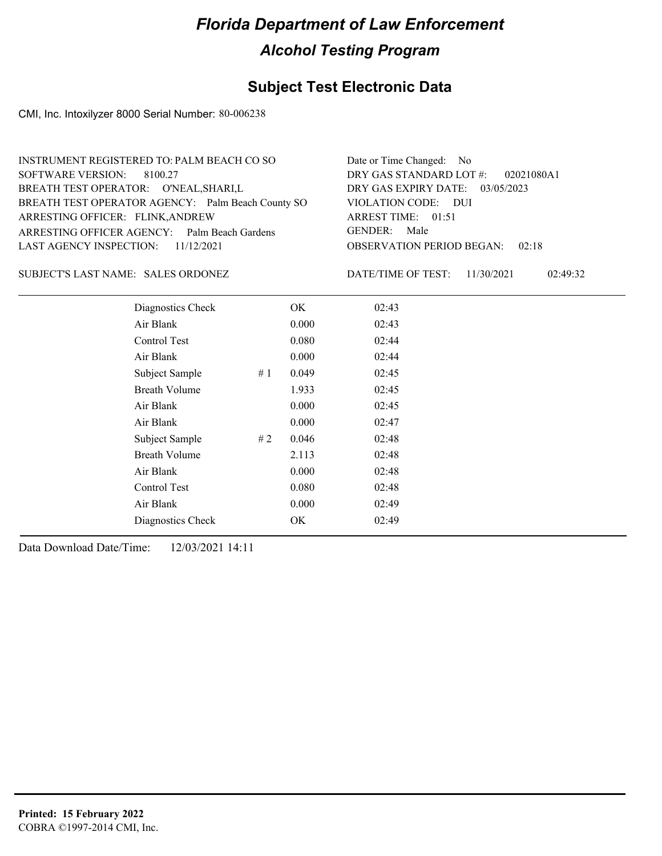### **Subject Test Electronic Data**

CMI, Inc. Intoxilyzer 8000 Serial Number: 80-006238

| INSTRUMENT REGISTERED TO: PALM BEACH CO SO        | Date or Time Changed: No               |
|---------------------------------------------------|----------------------------------------|
| SOFTWARE VERSION: 8100.27                         | DRY GAS STANDARD LOT $\#$ : 02021080A1 |
| BREATH TEST OPERATOR: O'NEAL, SHARI, L            | DRY GAS EXPIRY DATE: 03/05/2023        |
| BREATH TEST OPERATOR AGENCY: Palm Beach County SO | VIOLATION CODE: DUI                    |
| ARRESTING OFFICER: FLINK, ANDREW                  | ARREST TIME: $01:51$                   |
| ARRESTING OFFICER AGENCY: Palm Beach Gardens      | GENDER: Male                           |
| LAST AGENCY INSPECTION: 11/12/2021                | <b>OBSERVATION PERIOD BEGAN: 02:18</b> |
|                                                   |                                        |

#### SUBJECT'S LAST NAME: SALES ORDONEZ DATE/TIME OF TEST:

DATE/TIME OF TEST: 11/30/2021 02:49:32

| Diagnostics Check    |     | OK    | 02:43 |
|----------------------|-----|-------|-------|
| Air Blank            |     | 0.000 | 02:43 |
| Control Test         |     | 0.080 | 02:44 |
| Air Blank            |     | 0.000 | 02:44 |
| Subject Sample       | #1  | 0.049 | 02:45 |
| <b>Breath Volume</b> |     | 1.933 | 02:45 |
| Air Blank            |     | 0.000 | 02:45 |
| Air Blank            |     | 0.000 | 02:47 |
| Subject Sample       | # 2 | 0.046 | 02:48 |
| <b>Breath Volume</b> |     | 2.113 | 02:48 |
| Air Blank            |     | 0.000 | 02:48 |
| Control Test         |     | 0.080 | 02:48 |
| Air Blank            |     | 0.000 | 02:49 |
| Diagnostics Check    |     | OK    | 02:49 |
|                      |     |       |       |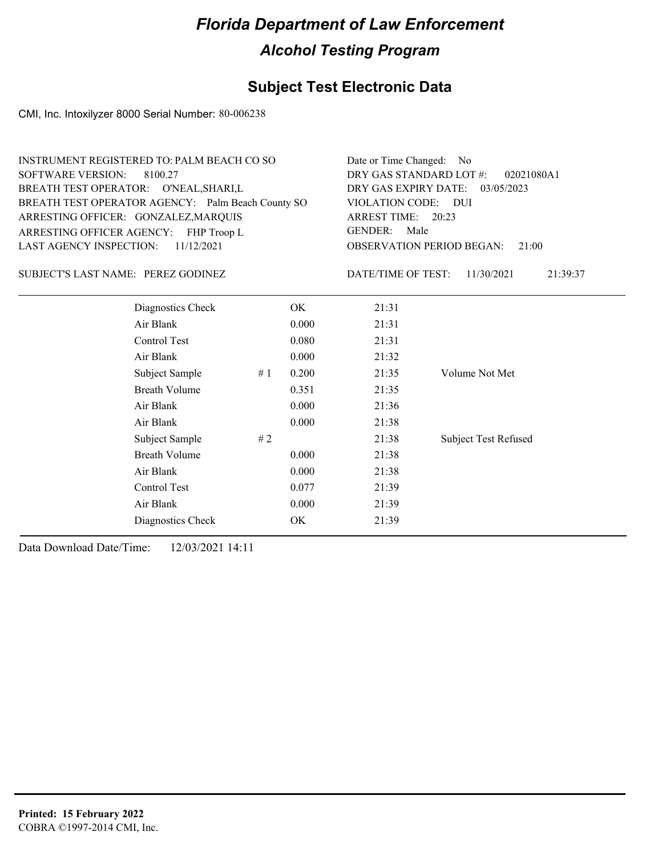## **Subject Test Electronic Data**

CMI, Inc. Intoxilyzer 8000 Serial Number: 80-006238

| <b>SOFTWARE VERSION:</b>           | <b>INSTRUMENT REGISTERED TO: PALM BEACH CO SO</b><br>8100.27<br>BREATH TEST OPERATOR: O'NEAL, SHARI, L<br>BREATH TEST OPERATOR AGENCY: Palm Beach County SO<br>ARRESTING OFFICER: GONZALEZ, MARQUIS |    |       | Date or Time Changed:<br>DRY GAS STANDARD LOT #:<br>DRY GAS EXPIRY DATE:<br>VIOLATION CODE: DUI<br>ARREST TIME: 20:23 | No.<br>02021080A1<br>03/05/2023 |
|------------------------------------|-----------------------------------------------------------------------------------------------------------------------------------------------------------------------------------------------------|----|-------|-----------------------------------------------------------------------------------------------------------------------|---------------------------------|
| <b>LAST AGENCY INSPECTION:</b>     | ARRESTING OFFICER AGENCY: FHP Troop L<br>11/12/2021                                                                                                                                                 |    |       | <b>GENDER:</b><br>Male<br><b>OBSERVATION PERIOD BEGAN:</b>                                                            |                                 |
|                                    |                                                                                                                                                                                                     |    |       |                                                                                                                       | 21:00                           |
| SUBJECT'S LAST NAME: PEREZ GODINEZ |                                                                                                                                                                                                     |    |       | DATE/TIME OF TEST:                                                                                                    | 11/30/2021<br>21:39:37          |
|                                    | Diagnostics Check                                                                                                                                                                                   |    | OK.   | 21:31                                                                                                                 |                                 |
|                                    | Air Blank                                                                                                                                                                                           |    | 0.000 | 21:31                                                                                                                 |                                 |
|                                    | Control Test                                                                                                                                                                                        |    | 0.080 | 21:31                                                                                                                 |                                 |
|                                    | Air Blank                                                                                                                                                                                           |    | 0.000 | 21:32                                                                                                                 |                                 |
|                                    | Subject Sample                                                                                                                                                                                      | #1 | 0.200 | 21:35                                                                                                                 | Volume Not Met                  |
|                                    | <b>Breath Volume</b>                                                                                                                                                                                |    | 0.351 | 21:35                                                                                                                 |                                 |
|                                    | Air Blank                                                                                                                                                                                           |    | 0.000 | 21:36                                                                                                                 |                                 |
|                                    | Air Blank                                                                                                                                                                                           |    | 0.000 | 21:38                                                                                                                 |                                 |
|                                    | Subject Sample                                                                                                                                                                                      | #2 |       | 21:38                                                                                                                 | <b>Subject Test Refused</b>     |
|                                    | <b>Breath Volume</b>                                                                                                                                                                                |    | 0.000 | 21:38                                                                                                                 |                                 |
|                                    | Air Blank                                                                                                                                                                                           |    | 0.000 | 21:38                                                                                                                 |                                 |
|                                    | Control Test                                                                                                                                                                                        |    | 0.077 | 21:39                                                                                                                 |                                 |
|                                    | Air Blank                                                                                                                                                                                           |    | 0.000 | 21:39                                                                                                                 |                                 |
|                                    | Diagnostics Check                                                                                                                                                                                   |    | OK    | 21:39                                                                                                                 |                                 |
|                                    |                                                                                                                                                                                                     |    |       |                                                                                                                       |                                 |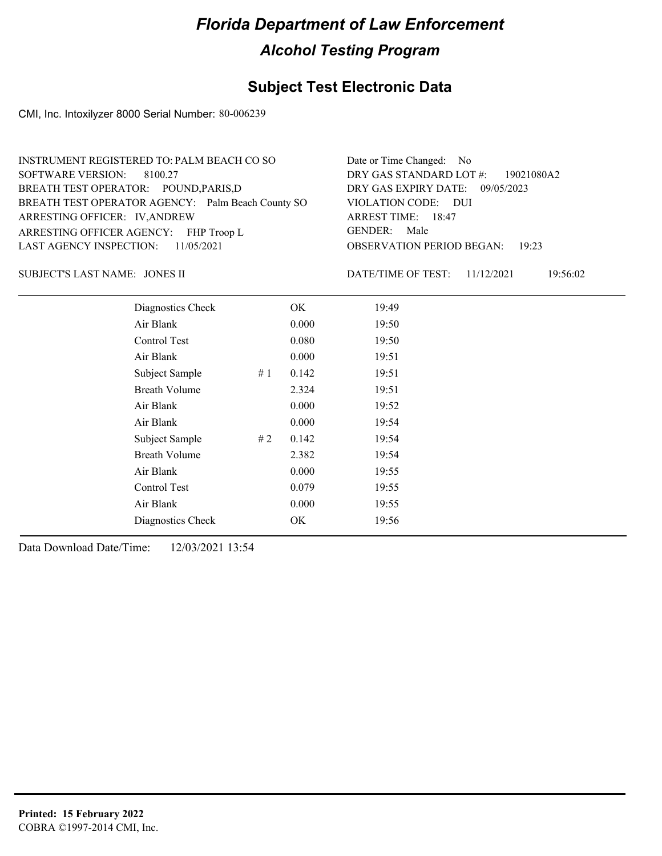## **Subject Test Electronic Data**

CMI, Inc. Intoxilyzer 8000 Serial Number: 80-006239

| INSTRUMENT REGISTERED TO: PALM BEACH CO SO        | Date or Time Changed: No               |
|---------------------------------------------------|----------------------------------------|
| SOFTWARE VERSION: 8100.27                         | DRY GAS STANDARD LOT $\#$ : 19021080A2 |
| BREATH TEST OPERATOR: POUND, PARIS, D             | DRY GAS EXPIRY DATE: 09/05/2023        |
| BREATH TEST OPERATOR AGENCY: Palm Beach County SO | VIOLATION CODE: DUI                    |
| ARRESTING OFFICER: IV, ANDREW                     | ARREST TIME: 18:47                     |
| ARRESTING OFFICER AGENCY: FHP Troop L             | GENDER: Male                           |
| LAST AGENCY INSPECTION: $11/05/2021$              | <b>OBSERVATION PERIOD BEGAN: 19:23</b> |
|                                                   |                                        |

JONES II SUBJECT'S LAST NAME: DATE/TIME OF TEST:

DATE/TIME OF TEST: 11/12/2021 19:56:02

| Diagnostics Check    |    | OK    | 19:49 |  |  |
|----------------------|----|-------|-------|--|--|
| Air Blank            |    | 0.000 | 19:50 |  |  |
| Control Test         |    | 0.080 | 19:50 |  |  |
| Air Blank            |    | 0.000 | 19:51 |  |  |
| Subject Sample       | #1 | 0.142 | 19:51 |  |  |
| <b>Breath Volume</b> |    | 2.324 | 19:51 |  |  |
| Air Blank            |    | 0.000 | 19:52 |  |  |
| Air Blank            |    | 0.000 | 19:54 |  |  |
| Subject Sample       | #2 | 0.142 | 19:54 |  |  |
| <b>Breath Volume</b> |    | 2.382 | 19:54 |  |  |
| Air Blank            |    | 0.000 | 19:55 |  |  |
| Control Test         |    | 0.079 | 19:55 |  |  |
| Air Blank            |    | 0.000 | 19:55 |  |  |
| Diagnostics Check    |    | OK    | 19:56 |  |  |
|                      |    |       |       |  |  |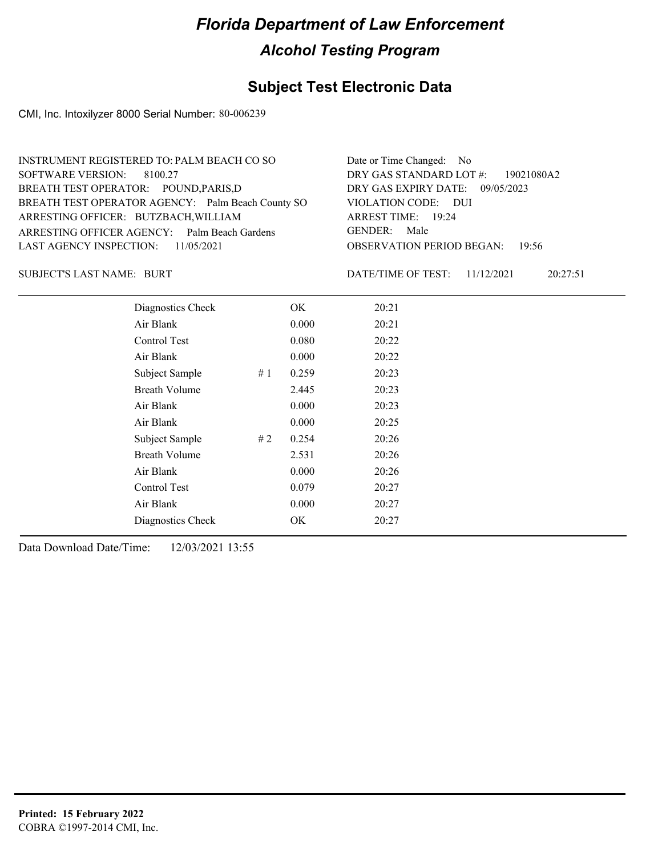### **Subject Test Electronic Data**

CMI, Inc. Intoxilyzer 8000 Serial Number: 80-006239

| INSTRUMENT REGISTERED TO: PALM BEACH CO SO        | Date or Time Changed: No               |
|---------------------------------------------------|----------------------------------------|
| SOFTWARE VERSION: 8100.27                         | DRY GAS STANDARD LOT #: 19021080A2     |
| BREATH TEST OPERATOR: POUND, PARIS, D             | DRY GAS EXPIRY DATE: 09/05/2023        |
| BREATH TEST OPERATOR AGENCY: Palm Beach County SO | VIOLATION CODE: DUI                    |
| ARRESTING OFFICER: BUTZBACH, WILLIAM              | ARREST TIME: 19:24                     |
| ARRESTING OFFICER AGENCY: Palm Beach Gardens      | GENDER: Male                           |
| LAST AGENCY INSPECTION: 11/05/2021                | <b>OBSERVATION PERIOD BEGAN: 19:56</b> |
|                                                   |                                        |

BURT SUBJECT'S LAST NAME: DATE/TIME OF TEST:

DATE/TIME OF TEST: 11/12/2021 20:27:51

| Diagnostics Check    |    | OK    | 20:21 |
|----------------------|----|-------|-------|
| Air Blank            |    | 0.000 | 20:21 |
| Control Test         |    | 0.080 | 20:22 |
| Air Blank            |    | 0.000 | 20:22 |
| Subject Sample       | #1 | 0.259 | 20:23 |
| <b>Breath Volume</b> |    | 2.445 | 20:23 |
| Air Blank            |    | 0.000 | 20:23 |
| Air Blank            |    | 0.000 | 20:25 |
| Subject Sample       | #2 | 0.254 | 20:26 |
| <b>Breath Volume</b> |    | 2.531 | 20:26 |
| Air Blank            |    | 0.000 | 20:26 |
| Control Test         |    | 0.079 | 20:27 |
| Air Blank            |    | 0.000 | 20:27 |
| Diagnostics Check    |    | OK    | 20:27 |
|                      |    |       |       |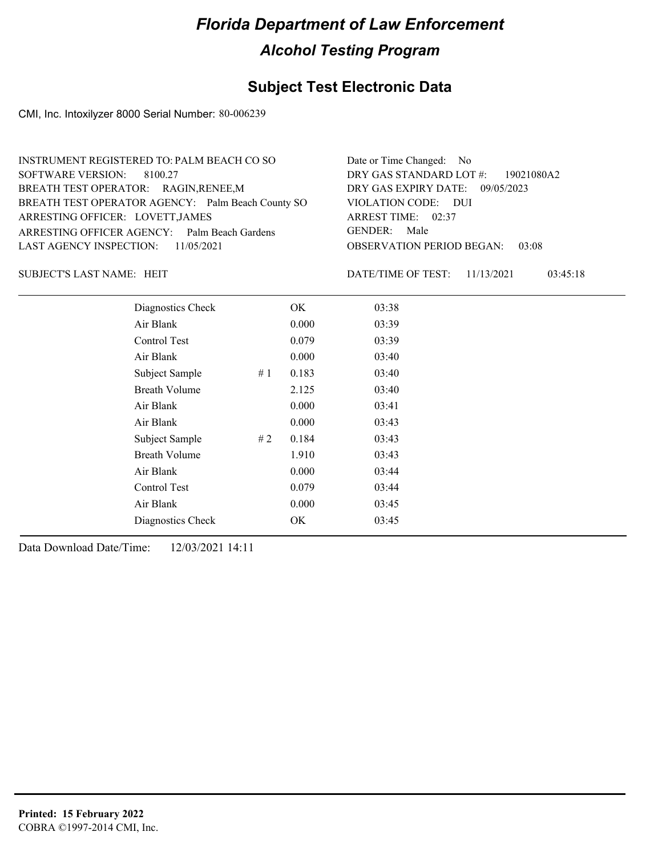### **Subject Test Electronic Data**

CMI, Inc. Intoxilyzer 8000 Serial Number: 80-006239

| INSTRUMENT REGISTERED TO: PALM BEACH CO SO        | Date or Time Changed: No               |
|---------------------------------------------------|----------------------------------------|
| SOFTWARE VERSION: 8100.27                         | DRY GAS STANDARD LOT #: 19021080A2     |
| BREATH TEST OPERATOR: RAGIN, RENEE, M             | DRY GAS EXPIRY DATE: 09/05/2023        |
| BREATH TEST OPERATOR AGENCY: Palm Beach County SO | VIOLATION CODE: DUI                    |
| ARRESTING OFFICER: LOVETT, JAMES                  | ARREST TIME: 02:37                     |
| ARRESTING OFFICER AGENCY: Palm Beach Gardens      | GENDER: Male                           |
| LAST AGENCY INSPECTION: 11/05/2021                | <b>OBSERVATION PERIOD BEGAN: 03:08</b> |
|                                                   |                                        |

SUBJECT'S LAST NAME: HEIT **EXECUTE:** DATE/TIME OF TEST:

DATE/TIME OF TEST: 11/13/2021 03:45:18

| Diagnostics Check    | OK    | 03:38 |
|----------------------|-------|-------|
| Air Blank            | 0.000 | 03:39 |
| Control Test         | 0.079 | 03:39 |
| Air Blank            | 0.000 | 03:40 |
| Subject Sample<br>#1 | 0.183 | 03:40 |
| <b>Breath Volume</b> | 2.125 | 03:40 |
| Air Blank            | 0.000 | 03:41 |
| Air Blank            | 0.000 | 03:43 |
| Subject Sample<br>#2 | 0.184 | 03:43 |
| <b>Breath Volume</b> | 1.910 | 03:43 |
| Air Blank            | 0.000 | 03:44 |
| Control Test         | 0.079 | 03:44 |
| Air Blank            | 0.000 | 03:45 |
| Diagnostics Check    | OK    | 03:45 |
|                      |       |       |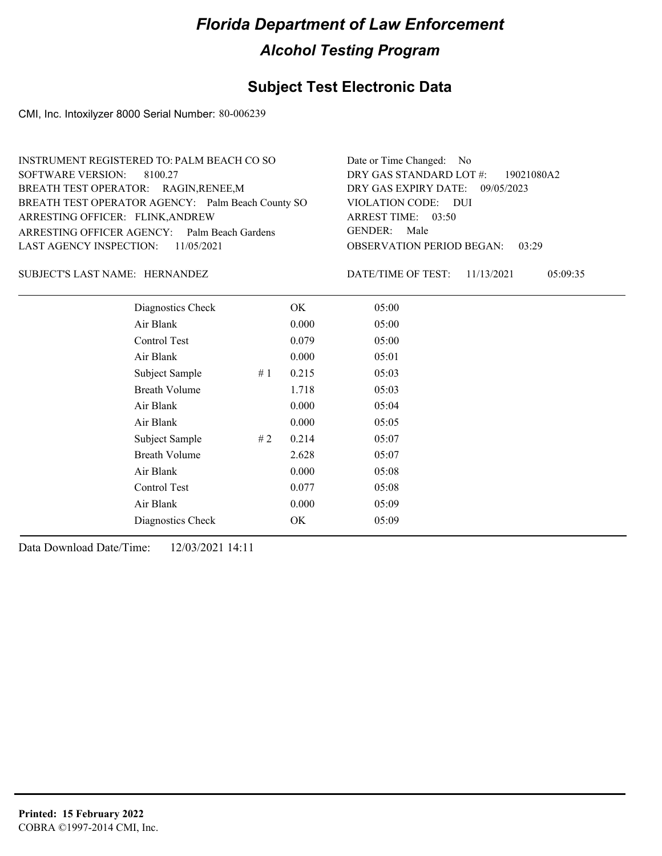### **Subject Test Electronic Data**

CMI, Inc. Intoxilyzer 8000 Serial Number: 80-006239

| INSTRUMENT REGISTERED TO: PALM BEACH CO SO        | Date or Time Changed: No               |
|---------------------------------------------------|----------------------------------------|
| SOFTWARE VERSION: 8100.27                         | DRY GAS STANDARD LOT #: 19021080A2     |
| BREATH TEST OPERATOR: RAGIN, RENEE, M             | DRY GAS EXPIRY DATE: $09/05/2023$      |
| BREATH TEST OPERATOR AGENCY: Palm Beach County SO | VIOLATION CODE: DUI                    |
| ARRESTING OFFICER: FLINK, ANDREW                  | ARREST TIME: $03:50$                   |
| ARRESTING OFFICER AGENCY: Palm Beach Gardens      | GENDER: Male                           |
| LAST AGENCY INSPECTION: $11/05/2021$              | <b>OBSERVATION PERIOD BEGAN: 03:29</b> |
|                                                   |                                        |

SUBJECT'S LAST NAME: HERNANDEZ DATE/TIME OF TEST:

DATE/TIME OF TEST: 11/13/2021 05:09:35

| Diagnostics Check    |    | OK    | 05:00 |
|----------------------|----|-------|-------|
| Air Blank            |    | 0.000 | 05:00 |
| Control Test         |    | 0.079 | 05:00 |
| Air Blank            |    | 0.000 | 05:01 |
| Subject Sample       | #1 | 0.215 | 05:03 |
| <b>Breath Volume</b> |    | 1.718 | 05:03 |
| Air Blank            |    | 0.000 | 05:04 |
| Air Blank            |    | 0.000 | 05:05 |
| Subject Sample       | #2 | 0.214 | 05:07 |
| <b>Breath Volume</b> |    | 2.628 | 05:07 |
| Air Blank            |    | 0.000 | 05:08 |
| Control Test         |    | 0.077 | 05:08 |
| Air Blank            |    | 0.000 | 05:09 |
| Diagnostics Check    |    | OK    | 05:09 |
|                      |    |       |       |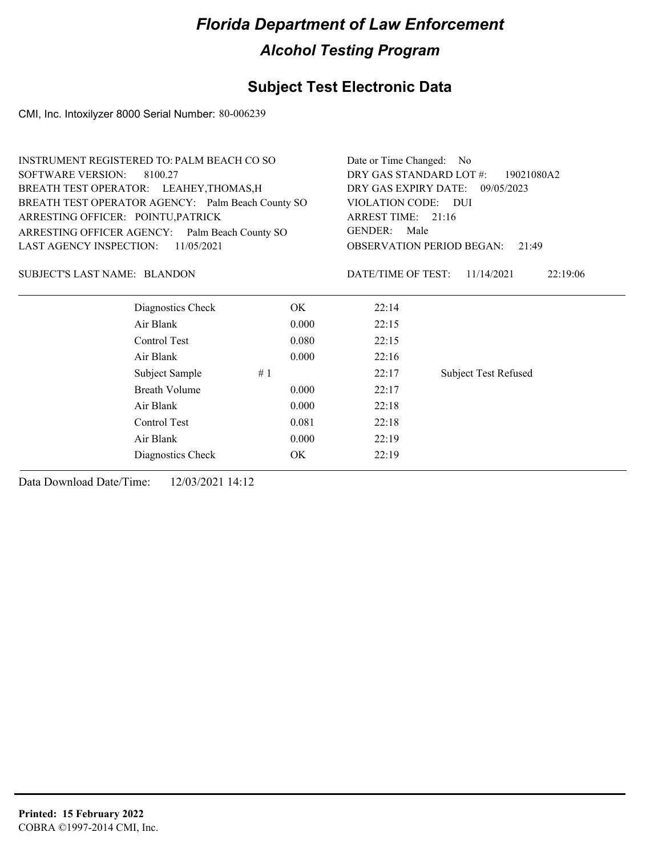### **Subject Test Electronic Data**

CMI, Inc. Intoxilyzer 8000 Serial Number: 80-006239

| <b>INSTRUMENT REGISTERED TO: PALM BEACH CO SO</b> |       | Date or Time Changed: No |                                           |
|---------------------------------------------------|-------|--------------------------|-------------------------------------------|
| <b>SOFTWARE VERSION:</b><br>8100.27               |       | DRY GAS STANDARD LOT #:  | 19021080A2                                |
| BREATH TEST OPERATOR: LEAHEY, THOMAS, H           |       |                          | DRY GAS EXPIRY DATE: 09/05/2023           |
| BREATH TEST OPERATOR AGENCY: Palm Beach County SO |       | VIOLATION CODE: DUI      |                                           |
| ARRESTING OFFICER: POINTU, PATRICK                |       | ARREST TIME: 21:16       |                                           |
| ARRESTING OFFICER AGENCY: Palm Beach County SO    |       | GENDER:<br>Male          |                                           |
| <b>LAST AGENCY INSPECTION:</b><br>11/05/2021      |       |                          | <b>OBSERVATION PERIOD BEGAN:</b><br>21:49 |
| SUBJECT'S LAST NAME: BLANDON                      |       | DATE/TIME OF TEST:       | 11/14/2021<br>22:19:06                    |
| Diagnostics Check                                 | OK.   | 22:14                    |                                           |
| Air Blank                                         | 0.000 | 22:15                    |                                           |
| Control Test                                      | 0.080 | 22:15                    |                                           |
| Air Blank                                         | 0.000 | 22:16                    |                                           |
| Subject Sample                                    | #1    | 22:17                    | <b>Subject Test Refused</b>               |
| <b>Breath Volume</b>                              | 0.000 | 22:17                    |                                           |
| Air Blank                                         | 0.000 | 22:18                    |                                           |
| Control Test                                      | 0.081 | 22:18                    |                                           |
| Air Blank                                         | 0.000 | 22:19                    |                                           |
| Diagnostics Check                                 | OK    | 22:19                    |                                           |
|                                                   |       |                          |                                           |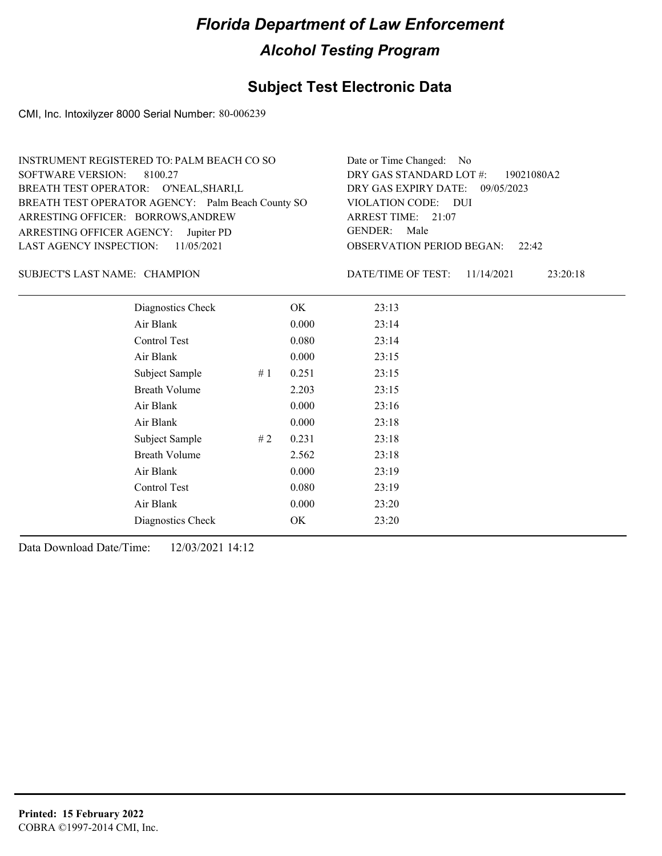### **Subject Test Electronic Data**

CMI, Inc. Intoxilyzer 8000 Serial Number: 80-006239

| INSTRUMENT REGISTERED TO: PALM BEACH CO SO        | Date or Time Changed: No               |
|---------------------------------------------------|----------------------------------------|
| SOFTWARE VERSION: 8100.27                         | DRY GAS STANDARD LOT #: 19021080A2     |
| BREATH TEST OPERATOR: O'NEAL, SHARI, L            | DRY GAS EXPIRY DATE: 09/05/2023        |
| BREATH TEST OPERATOR AGENCY: Palm Beach County SO | VIOLATION CODE: DUI                    |
| ARRESTING OFFICER: BORROWS, ANDREW                | ARREST TIME: 21:07                     |
| ARRESTING OFFICER AGENCY: Jupiter PD              | GENDER: Male                           |
| LAST AGENCY INSPECTION: $11/05/2021$              | <b>OBSERVATION PERIOD BEGAN: 22:42</b> |
|                                                   |                                        |

#### SUBJECT'S LAST NAME: CHAMPION DATE/TIME OF TEST:

DATE/TIME OF TEST: 11/14/2021 23:20:18

| Diagnostics Check    |    | OK    | 23:13 |
|----------------------|----|-------|-------|
| Air Blank            |    | 0.000 | 23:14 |
| Control Test         |    | 0.080 | 23:14 |
| Air Blank            |    | 0.000 | 23:15 |
| Subject Sample       | #1 | 0.251 | 23:15 |
| <b>Breath Volume</b> |    | 2.203 | 23:15 |
| Air Blank            |    | 0.000 | 23:16 |
| Air Blank            |    | 0.000 | 23:18 |
| Subject Sample       | #2 | 0.231 | 23:18 |
| <b>Breath Volume</b> |    | 2.562 | 23:18 |
| Air Blank            |    | 0.000 | 23:19 |
| Control Test         |    | 0.080 | 23:19 |
| Air Blank            |    | 0.000 | 23:20 |
| Diagnostics Check    |    | OK    | 23:20 |
|                      |    |       |       |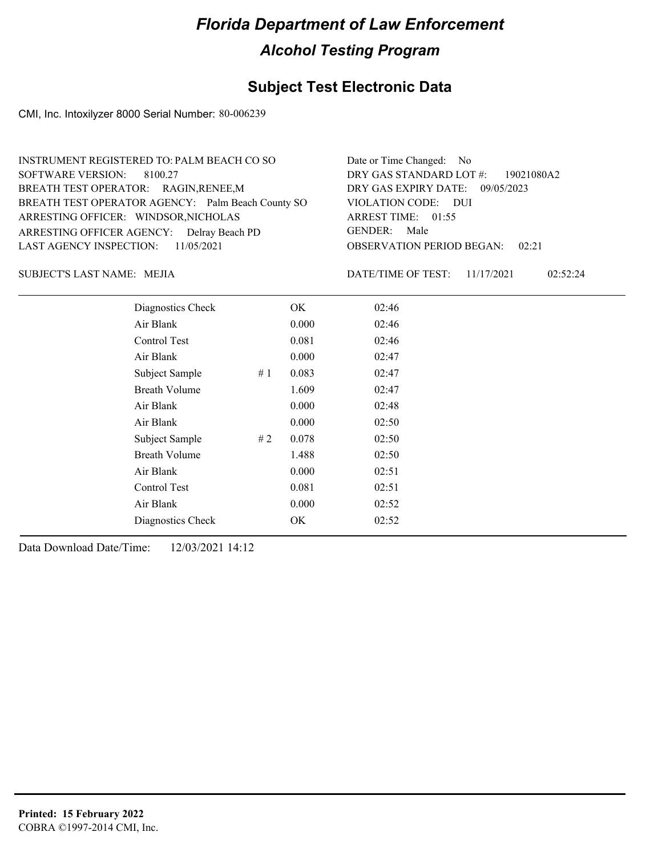### **Subject Test Electronic Data**

CMI, Inc. Intoxilyzer 8000 Serial Number: 80-006239

| INSTRUMENT REGISTERED TO: PALM BEACH CO SO        | Date or Time Changed: No               |
|---------------------------------------------------|----------------------------------------|
| SOFTWARE VERSION: 8100.27                         | DRY GAS STANDARD LOT #: 19021080A2     |
| BREATH TEST OPERATOR: RAGIN, RENEE, M             | DRY GAS EXPIRY DATE: 09/05/2023        |
| BREATH TEST OPERATOR AGENCY: Palm Beach County SO | VIOLATION CODE: DUI                    |
| ARRESTING OFFICER: WINDSOR, NICHOLAS              | ARREST TIME: 01:55                     |
| ARRESTING OFFICER AGENCY: Delray Beach PD         | GENDER: Male                           |
| LAST AGENCY INSPECTION: 11/05/2021                | <b>OBSERVATION PERIOD BEGAN: 02:21</b> |
|                                                   |                                        |

MEJIA SUBJECT'S LAST NAME: DATE/TIME OF TEST:

DATE/TIME OF TEST: 11/17/2021 02:52:24

| Diagnostics Check    |    | OK    | 02:46 |
|----------------------|----|-------|-------|
| Air Blank            |    | 0.000 | 02:46 |
| Control Test         |    | 0.081 | 02:46 |
| Air Blank            |    | 0.000 | 02:47 |
| Subject Sample       | #1 | 0.083 | 02:47 |
| <b>Breath Volume</b> |    | 1.609 | 02:47 |
| Air Blank            |    | 0.000 | 02:48 |
| Air Blank            |    | 0.000 | 02:50 |
| Subject Sample       | #2 | 0.078 | 02:50 |
| <b>Breath Volume</b> |    | 1.488 | 02:50 |
| Air Blank            |    | 0.000 | 02:51 |
| Control Test         |    | 0.081 | 02:51 |
| Air Blank            |    | 0.000 | 02:52 |
| Diagnostics Check    |    | OK    | 02:52 |
|                      |    |       |       |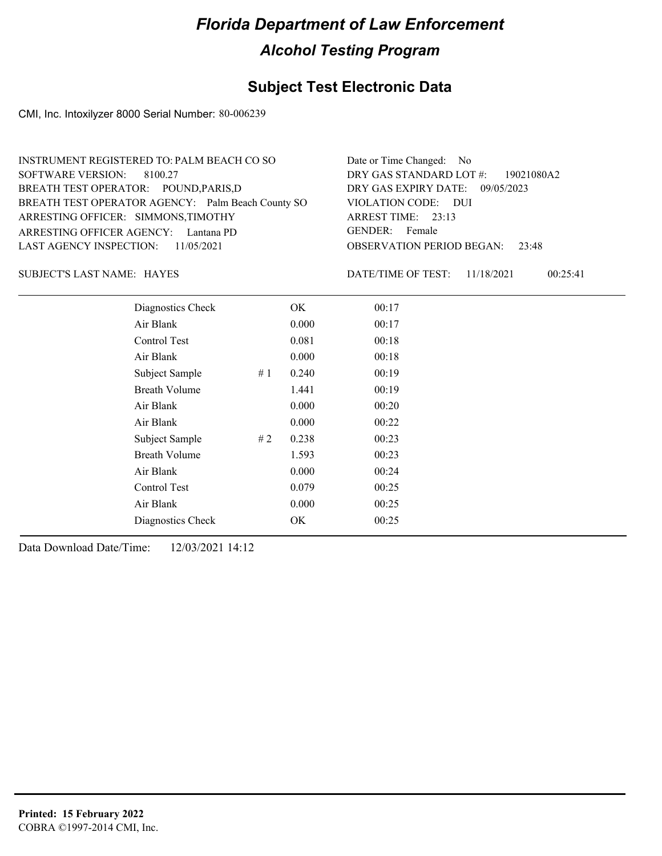### **Subject Test Electronic Data**

CMI, Inc. Intoxilyzer 8000 Serial Number: 80-006239

| INSTRUMENT REGISTERED TO: PALM BEACH CO SO        | Date or Time Changed: No               |
|---------------------------------------------------|----------------------------------------|
| SOFTWARE VERSION: 8100.27                         | DRY GAS STANDARD LOT #: 19021080A2     |
| BREATH TEST OPERATOR: POUND, PARIS, D             | DRY GAS EXPIRY DATE: 09/05/2023        |
| BREATH TEST OPERATOR AGENCY: Palm Beach County SO | VIOLATION CODE: DUI                    |
| ARRESTING OFFICER: SIMMONS, TIMOTHY               | ARREST TIME: $23:13$                   |
| ARRESTING OFFICER AGENCY: Lantana PD              | GENDER: Female                         |
| LAST AGENCY INSPECTION: 11/05/2021                | <b>OBSERVATION PERIOD BEGAN: 23:48</b> |
|                                                   |                                        |

HAYES SUBJECT'S LAST NAME: DATE/TIME OF TEST:

DATE/TIME OF TEST: 11/18/2021 00:25:41

| Diagnostics Check    |    | OK    | 00:17 |
|----------------------|----|-------|-------|
| Air Blank            |    | 0.000 | 00:17 |
| Control Test         |    | 0.081 | 00:18 |
| Air Blank            |    | 0.000 | 00:18 |
| Subject Sample       | #1 | 0.240 | 00:19 |
| <b>Breath Volume</b> |    | 1.441 | 00:19 |
| Air Blank            |    | 0.000 | 00:20 |
| Air Blank            |    | 0.000 | 00:22 |
| Subject Sample       | #2 | 0.238 | 00:23 |
| <b>Breath Volume</b> |    | 1.593 | 00:23 |
| Air Blank            |    | 0.000 | 00:24 |
| Control Test         |    | 0.079 | 00:25 |
| Air Blank            |    | 0.000 | 00:25 |
| Diagnostics Check    |    | OK    | 00:25 |
|                      |    |       |       |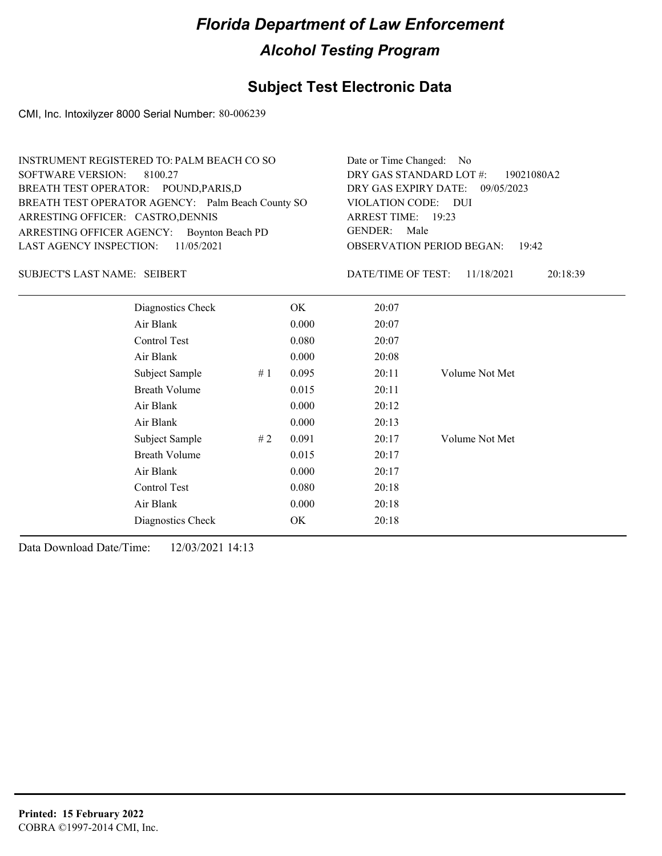### **Subject Test Electronic Data**

CMI, Inc. Intoxilyzer 8000 Serial Number: 80-006239

| INSTRUMENT REGISTERED TO: PALM BEACH CO SO        | Date or Time Changed: No               |
|---------------------------------------------------|----------------------------------------|
| SOFTWARE VERSION: 8100.27                         | DRY GAS STANDARD LOT #: 19021080A2     |
| BREATH TEST OPERATOR: POUND, PARIS, D             | DRY GAS EXPIRY DATE: 09/05/2023        |
| BREATH TEST OPERATOR AGENCY: Palm Beach County SO | VIOLATION CODE: DUI                    |
| ARRESTING OFFICER: CASTRO, DENNIS                 | ARREST TIME: 19:23                     |
| ARRESTING OFFICER AGENCY: Boynton Beach PD        | GENDER: Male                           |
| LAST AGENCY INSPECTION: 11/05/2021                | <b>OBSERVATION PERIOD BEGAN: 19:42</b> |
|                                                   |                                        |

#### SUBJECT'S LAST NAME: SEIBERT DATE/TIME OF TEST:

DATE/TIME OF TEST: 11/18/2021 20:18:39

| Diagnostics Check    |    | OK    | 20:07 |                |
|----------------------|----|-------|-------|----------------|
| Air Blank            |    | 0.000 | 20:07 |                |
| Control Test         |    | 0.080 | 20:07 |                |
| Air Blank            |    | 0.000 | 20:08 |                |
| Subject Sample       | #1 | 0.095 | 20:11 | Volume Not Met |
| <b>Breath Volume</b> |    | 0.015 | 20:11 |                |
| Air Blank            |    | 0.000 | 20:12 |                |
| Air Blank            |    | 0.000 | 20:13 |                |
| Subject Sample       | #2 | 0.091 | 20:17 | Volume Not Met |
| <b>Breath Volume</b> |    | 0.015 | 20:17 |                |
| Air Blank            |    | 0.000 | 20:17 |                |
| Control Test         |    | 0.080 | 20:18 |                |
| Air Blank            |    | 0.000 | 20:18 |                |
| Diagnostics Check    |    | OK    | 20:18 |                |
|                      |    |       |       |                |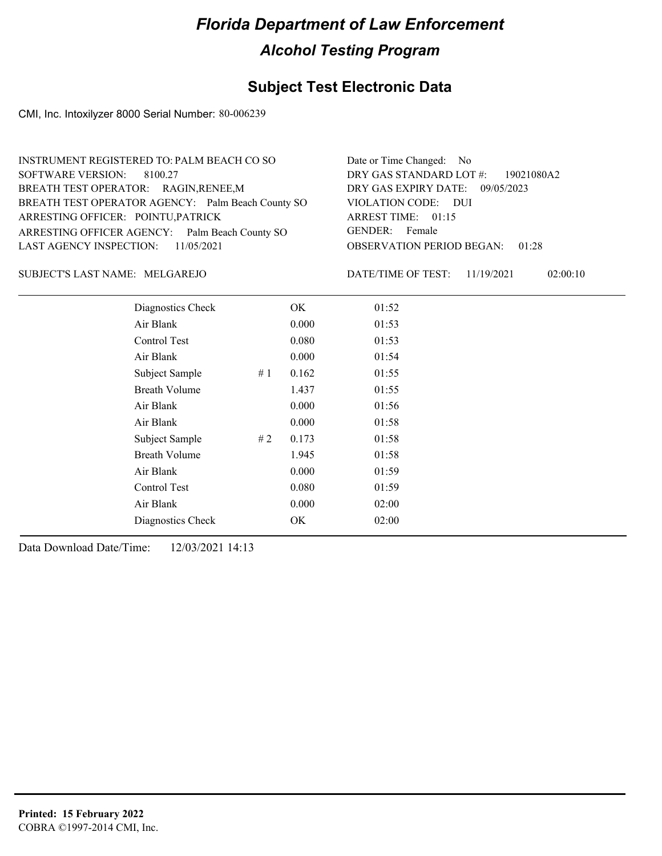### **Subject Test Electronic Data**

CMI, Inc. Intoxilyzer 8000 Serial Number: 80-006239

| INSTRUMENT REGISTERED TO: PALM BEACH CO SO        | Date or Time Changed: No               |
|---------------------------------------------------|----------------------------------------|
| SOFTWARE VERSION: 8100.27                         | DRY GAS STANDARD LOT #: 19021080A2     |
| BREATH TEST OPERATOR: RAGIN, RENEE, M             | DRY GAS EXPIRY DATE: 09/05/2023        |
| BREATH TEST OPERATOR AGENCY: Palm Beach County SO | VIOLATION CODE: DUI                    |
| ARRESTING OFFICER: POINTU, PATRICK                | ARREST TIME: 01:15                     |
| ARRESTING OFFICER AGENCY: Palm Beach County SO    | GENDER: Female                         |
| LAST AGENCY INSPECTION: $11/05/2021$              | <b>OBSERVATION PERIOD BEGAN: 01:28</b> |
|                                                   |                                        |

#### MELGAREJO SUBJECT'S LAST NAME: DATE/TIME OF TEST:

DATE/TIME OF TEST: 11/19/2021 02:00:10

| Diagnostics Check    |    | OK    | 01:52 |
|----------------------|----|-------|-------|
| Air Blank            |    | 0.000 | 01:53 |
| Control Test         |    | 0.080 | 01:53 |
| Air Blank            |    | 0.000 | 01:54 |
| Subject Sample       | #1 | 0.162 | 01:55 |
| <b>Breath Volume</b> |    | 1.437 | 01:55 |
| Air Blank            |    | 0.000 | 01:56 |
| Air Blank            |    | 0.000 | 01:58 |
| Subject Sample       | #2 | 0.173 | 01:58 |
| <b>Breath Volume</b> |    | 1.945 | 01:58 |
| Air Blank            |    | 0.000 | 01:59 |
| Control Test         |    | 0.080 | 01:59 |
| Air Blank            |    | 0.000 | 02:00 |
| Diagnostics Check    |    | OK    | 02:00 |
|                      |    |       |       |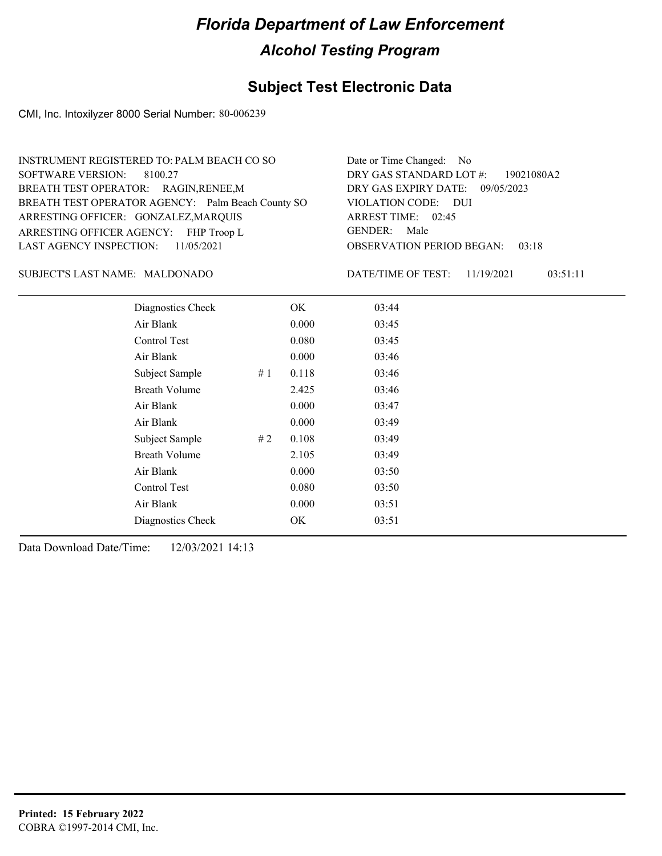### **Subject Test Electronic Data**

CMI, Inc. Intoxilyzer 8000 Serial Number: 80-006239

| INSTRUMENT REGISTERED TO: PALM BEACH CO SO        | Date or Time Changed: No               |
|---------------------------------------------------|----------------------------------------|
| SOFTWARE VERSION: 8100.27                         | DRY GAS STANDARD LOT #: 19021080A2     |
| BREATH TEST OPERATOR: RAGIN, RENEE, M             | DRY GAS EXPIRY DATE: 09/05/2023        |
| BREATH TEST OPERATOR AGENCY: Palm Beach County SO | VIOLATION CODE: DUI                    |
| ARRESTING OFFICER: GONZALEZ, MARQUIS              | ARREST TIME: 02:45                     |
| ARRESTING OFFICER AGENCY: FHP Troop L             | GENDER: Male                           |
| LAST AGENCY INSPECTION: $11/05/2021$              | <b>OBSERVATION PERIOD BEGAN: 03:18</b> |
|                                                   |                                        |

#### MALDONADO SUBJECT'S LAST NAME: DATE/TIME OF TEST:

DATE/TIME OF TEST: 11/19/2021 03:51:11

| Diagnostics Check    |    | OK    | 03:44 |
|----------------------|----|-------|-------|
| Air Blank            |    | 0.000 | 03:45 |
| Control Test         |    | 0.080 | 03:45 |
| Air Blank            |    | 0.000 | 03:46 |
| Subject Sample       | #1 | 0.118 | 03:46 |
| <b>Breath Volume</b> |    | 2.425 | 03:46 |
| Air Blank            |    | 0.000 | 03:47 |
| Air Blank            |    | 0.000 | 03:49 |
| Subject Sample       | #2 | 0.108 | 03:49 |
| <b>Breath Volume</b> |    | 2.105 | 03:49 |
| Air Blank            |    | 0.000 | 03:50 |
| Control Test         |    | 0.080 | 03:50 |
| Air Blank            |    | 0.000 | 03:51 |
| Diagnostics Check    |    | OK    | 03:51 |
|                      |    |       |       |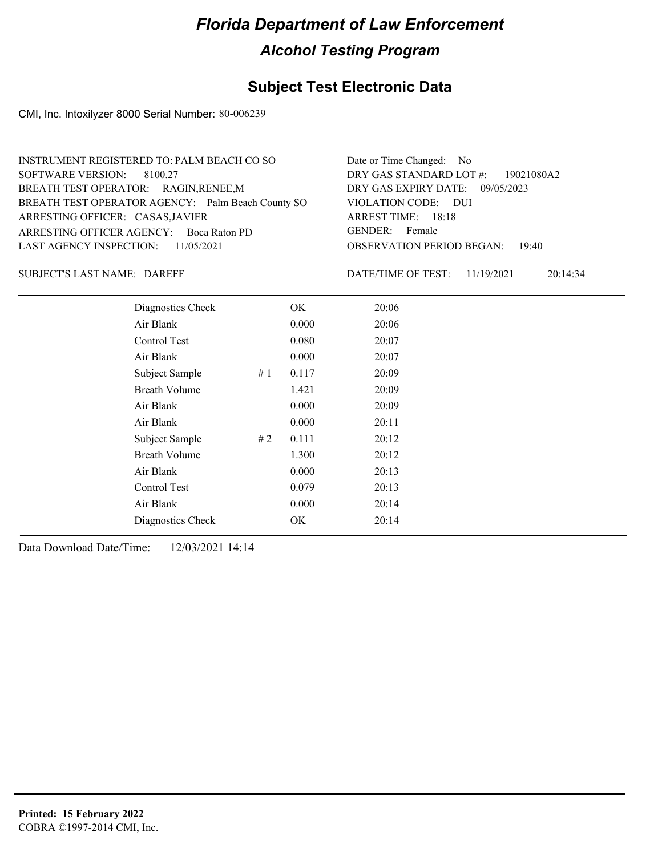### **Subject Test Electronic Data**

CMI, Inc. Intoxilyzer 8000 Serial Number: 80-006239

| INSTRUMENT REGISTERED TO: PALM BEACH CO SO        | Date or Time Changed: No               |
|---------------------------------------------------|----------------------------------------|
| SOFTWARE VERSION: 8100.27                         | DRY GAS STANDARD LOT #: 19021080A2     |
| BREATH TEST OPERATOR: RAGIN, RENEE, M             | DRY GAS EXPIRY DATE: 09/05/2023        |
| BREATH TEST OPERATOR AGENCY: Palm Beach County SO | VIOLATION CODE: DUI                    |
| ARRESTING OFFICER: CASAS, JAVIER                  | ARREST TIME: 18:18                     |
| ARRESTING OFFICER AGENCY: Boca Raton PD           | GENDER: Female                         |
| LAST AGENCY INSPECTION: $11/05/2021$              | <b>OBSERVATION PERIOD BEGAN: 19:40</b> |
|                                                   |                                        |

SUBJECT'S LAST NAME: DAREFF **EXECUTE:** DATE/TIME OF TEST:

DATE/TIME OF TEST: 11/19/2021 20:14:34

| Diagnostics Check    | OK    | 20:06 |
|----------------------|-------|-------|
| Air Blank            | 0.000 | 20:06 |
| Control Test         | 0.080 | 20:07 |
| Air Blank            | 0.000 | 20:07 |
| Subject Sample<br>#1 | 0.117 | 20:09 |
| <b>Breath Volume</b> | 1.421 | 20:09 |
| Air Blank            | 0.000 | 20:09 |
| Air Blank            | 0.000 | 20:11 |
| Subject Sample<br>#2 | 0.111 | 20:12 |
| <b>Breath Volume</b> | 1.300 | 20:12 |
| Air Blank            | 0.000 | 20:13 |
| Control Test         | 0.079 | 20:13 |
| Air Blank            | 0.000 | 20:14 |
| Diagnostics Check    | OK    | 20:14 |
|                      |       |       |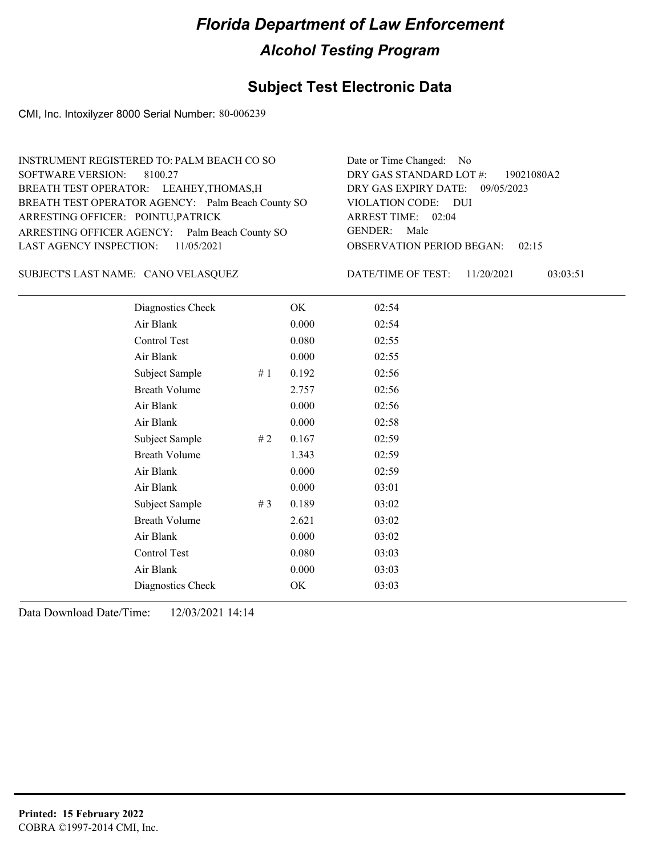#### **Subject Test Electronic Data**

CMI, Inc. Intoxilyzer 8000 Serial Number: 80-006239

| INSTRUMENT REGISTERED TO: PALM BEACH CO SO        | Date or Time Changed: No               |
|---------------------------------------------------|----------------------------------------|
| SOFTWARE VERSION: 8100.27                         | DRY GAS STANDARD LOT #: 19021080A2     |
| BREATH TEST OPERATOR: LEAHEY, THOMAS, H           | DRY GAS EXPIRY DATE: 09/05/2023        |
| BREATH TEST OPERATOR AGENCY: Palm Beach County SO | VIOLATION CODE: DUI                    |
| ARRESTING OFFICER: POINTU, PATRICK                | ARREST TIME: 02:04                     |
| ARRESTING OFFICER AGENCY: Palm Beach County SO    | GENDER: Male                           |
| LAST AGENCY INSPECTION: $11/05/2021$              | <b>OBSERVATION PERIOD BEGAN: 02:15</b> |
|                                                   |                                        |

CANO VELASQUEZ SUBJECT'S LAST NAME: DATE/TIME OF TEST:

DATE/TIME OF TEST: 11/20/2021 03:03:51

| Diagnostics Check    |       | OK    | 02:54 |
|----------------------|-------|-------|-------|
| Air Blank            |       | 0.000 | 02:54 |
| Control Test         |       | 0.080 | 02:55 |
| Air Blank            |       | 0.000 | 02:55 |
| Subject Sample       | #1    | 0.192 | 02:56 |
| <b>Breath Volume</b> |       | 2.757 | 02:56 |
| Air Blank            |       | 0.000 | 02:56 |
| Air Blank            |       | 0.000 | 02:58 |
| Subject Sample       | #2    | 0.167 | 02:59 |
| <b>Breath Volume</b> |       | 1.343 | 02:59 |
| Air Blank            |       | 0.000 | 02:59 |
| Air Blank            |       | 0.000 | 03:01 |
| Subject Sample       | # $3$ | 0.189 | 03:02 |
| <b>Breath Volume</b> |       | 2.621 | 03:02 |
| Air Blank            |       | 0.000 | 03:02 |
| Control Test         |       | 0.080 | 03:03 |
| Air Blank            |       | 0.000 | 03:03 |
| Diagnostics Check    |       | OK    | 03:03 |
|                      |       |       |       |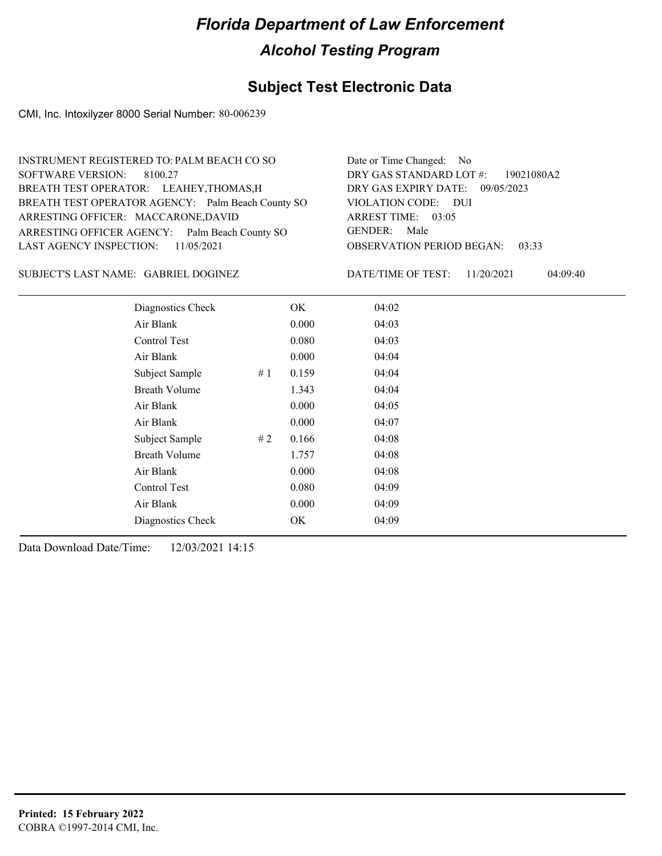### **Subject Test Electronic Data**

CMI, Inc. Intoxilyzer 8000 Serial Number: 80-006239

| INSTRUMENT REGISTERED TO: PALM BEACH CO SO        | Date or Time Changed: No               |
|---------------------------------------------------|----------------------------------------|
| SOFTWARE VERSION: 8100.27                         | DRY GAS STANDARD LOT #: 19021080A2     |
| BREATH TEST OPERATOR: LEAHEY, THOMAS, H           | DRY GAS EXPIRY DATE: 09/05/2023        |
| BREATH TEST OPERATOR AGENCY: Palm Beach County SO | VIOLATION CODE: DUI                    |
| ARRESTING OFFICER: MACCARONE, DAVID               | ARREST TIME: 03:05                     |
| ARRESTING OFFICER AGENCY: Palm Beach County SO    | GENDER: Male                           |
| LAST AGENCY INSPECTION: $11/05/2021$              | <b>OBSERVATION PERIOD BEGAN: 03:33</b> |
|                                                   |                                        |

SUBJECT'S LAST NAME: GABRIEL DOGINEZ DATE/TIME OF TEST:

DATE/TIME OF TEST: 11/20/2021 04:09:40

| Diagnostics Check    |    | OK    | 04:02 |
|----------------------|----|-------|-------|
| Air Blank            |    | 0.000 | 04:03 |
| Control Test         |    | 0.080 | 04:03 |
| Air Blank            |    | 0.000 | 04:04 |
| Subject Sample       | #1 | 0.159 | 04:04 |
| <b>Breath Volume</b> |    | 1.343 | 04:04 |
| Air Blank            |    | 0.000 | 04:05 |
| Air Blank            |    | 0.000 | 04:07 |
| Subject Sample       | #2 | 0.166 | 04:08 |
| <b>Breath Volume</b> |    | 1.757 | 04:08 |
| Air Blank            |    | 0.000 | 04:08 |
| Control Test         |    | 0.080 | 04:09 |
| Air Blank            |    | 0.000 | 04:09 |
| Diagnostics Check    |    | OK    | 04:09 |
|                      |    |       |       |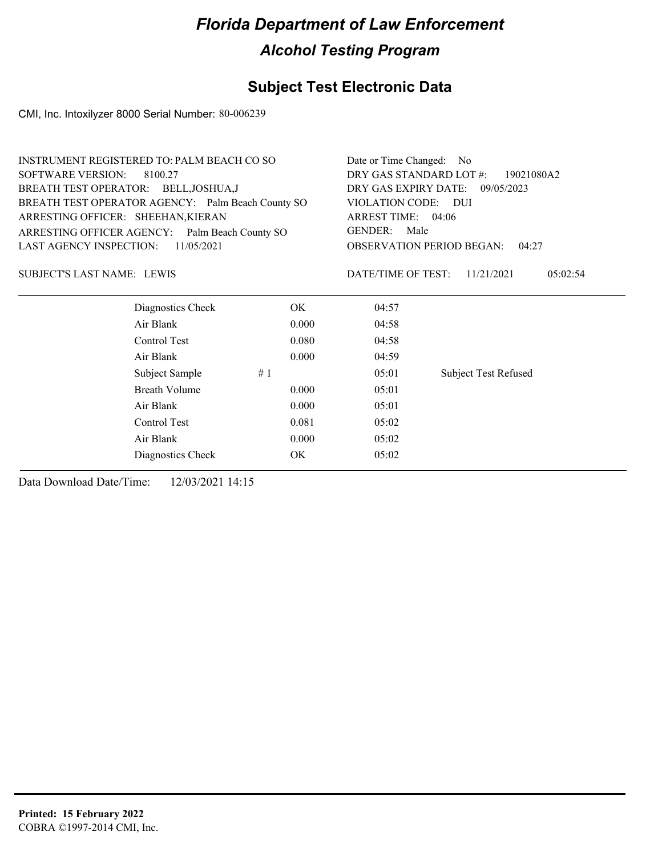### **Subject Test Electronic Data**

CMI, Inc. Intoxilyzer 8000 Serial Number: 80-006239

| INSTRUMENT REGISTERED TO: PALM BEACH CO SO        |           | Date or Time Changed: No                                     |                             |  |
|---------------------------------------------------|-----------|--------------------------------------------------------------|-----------------------------|--|
| <b>SOFTWARE VERSION:</b><br>8100.27               |           | DRY GAS STANDARD LOT #:<br>19021080A2                        |                             |  |
| BREATH TEST OPERATOR: BELL, JOSHUA, J             |           | DRY GAS EXPIRY DATE:                                         | 09/05/2023                  |  |
| BREATH TEST OPERATOR AGENCY: Palm Beach County SO |           | VIOLATION CODE: DUI<br>ARREST TIME: 04:06<br>GENDER:<br>Male |                             |  |
| ARRESTING OFFICER: SHEEHAN, KIERAN                |           |                                                              |                             |  |
| ARRESTING OFFICER AGENCY: Palm Beach County SO    |           |                                                              |                             |  |
| LAST AGENCY INSPECTION:<br>11/05/2021             |           | <b>OBSERVATION PERIOD BEGAN:</b><br>04:27                    |                             |  |
| <b>SUBJECT'S LAST NAME: LEWIS</b>                 |           | DATE/TIME OF TEST:                                           | 05:02:54<br>11/21/2021      |  |
| Diagnostics Check                                 | OK.       | 04:57                                                        |                             |  |
| Air Blank                                         | 0.000     | 04:58                                                        |                             |  |
| Control Test                                      | 0.080     | 04:58                                                        |                             |  |
| Air Blank                                         | 0.000     | 04:59                                                        |                             |  |
| Subject Sample                                    | #1        | 05:01                                                        | <b>Subject Test Refused</b> |  |
| <b>Breath Volume</b>                              | 0.000     | 05:01                                                        |                             |  |
| Air Blank                                         | 0.000     | 05:01                                                        |                             |  |
| Control Test                                      | 0.081     | 05:02                                                        |                             |  |
| Air Blank                                         | 0.000     | 05:02                                                        |                             |  |
| Diagnostics Check                                 | <b>OK</b> | 05:02                                                        |                             |  |
|                                                   |           |                                                              |                             |  |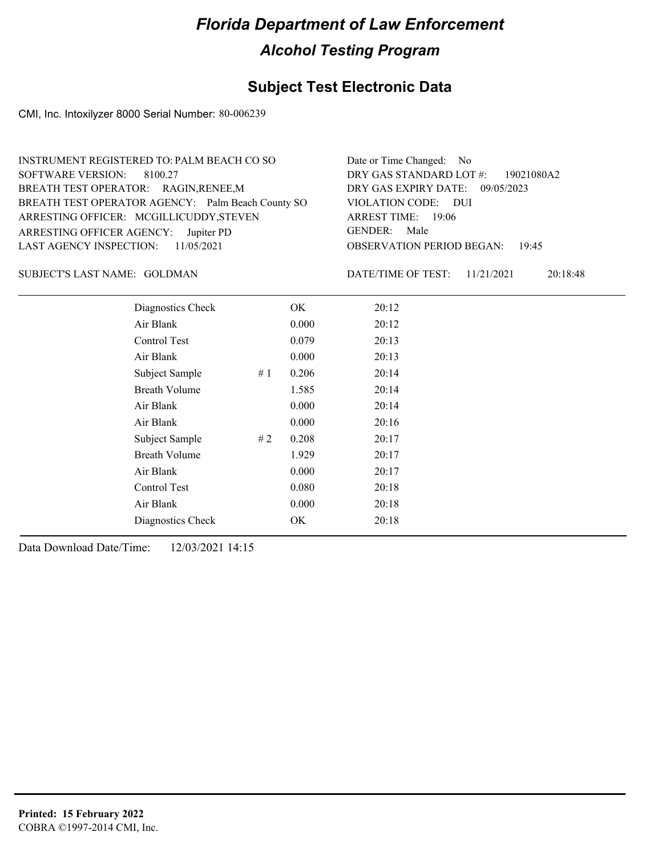### **Subject Test Electronic Data**

CMI, Inc. Intoxilyzer 8000 Serial Number: 80-006239

| INSTRUMENT REGISTERED TO: PALM BEACH CO SO        | Date or Time Changed: No               |
|---------------------------------------------------|----------------------------------------|
| SOFTWARE VERSION: 8100.27                         | DRY GAS STANDARD LOT #: 19021080A2     |
| BREATH TEST OPERATOR: RAGIN, RENEE, M             | DRY GAS EXPIRY DATE: 09/05/2023        |
| BREATH TEST OPERATOR AGENCY: Palm Beach County SO | VIOLATION CODE: DUI                    |
| ARRESTING OFFICER: MCGILLICUDDY, STEVEN           | ARREST TIME: 19:06                     |
| ARRESTING OFFICER AGENCY: Jupiter PD              | GENDER: Male                           |
| LAST AGENCY INSPECTION: $11/05/2021$              | <b>OBSERVATION PERIOD BEGAN: 19:45</b> |
|                                                   |                                        |

#### GOLDMAN SUBJECT'S LAST NAME: DATE/TIME OF TEST:

DATE/TIME OF TEST: 11/21/2021 20:18:48

| Diagnostics Check    |    | OK    | 20:12 |
|----------------------|----|-------|-------|
| Air Blank            |    | 0.000 | 20:12 |
| Control Test         |    | 0.079 | 20:13 |
| Air Blank            |    | 0.000 | 20:13 |
| Subject Sample       | #1 | 0.206 | 20:14 |
| <b>Breath Volume</b> |    | 1.585 | 20:14 |
| Air Blank            |    | 0.000 | 20:14 |
| Air Blank            |    | 0.000 | 20:16 |
| Subject Sample       | #2 | 0.208 | 20:17 |
| <b>Breath Volume</b> |    | 1.929 | 20:17 |
| Air Blank            |    | 0.000 | 20:17 |
| <b>Control Test</b>  |    | 0.080 | 20:18 |
| Air Blank            |    | 0.000 | 20:18 |
| Diagnostics Check    |    | OK    | 20:18 |
|                      |    |       |       |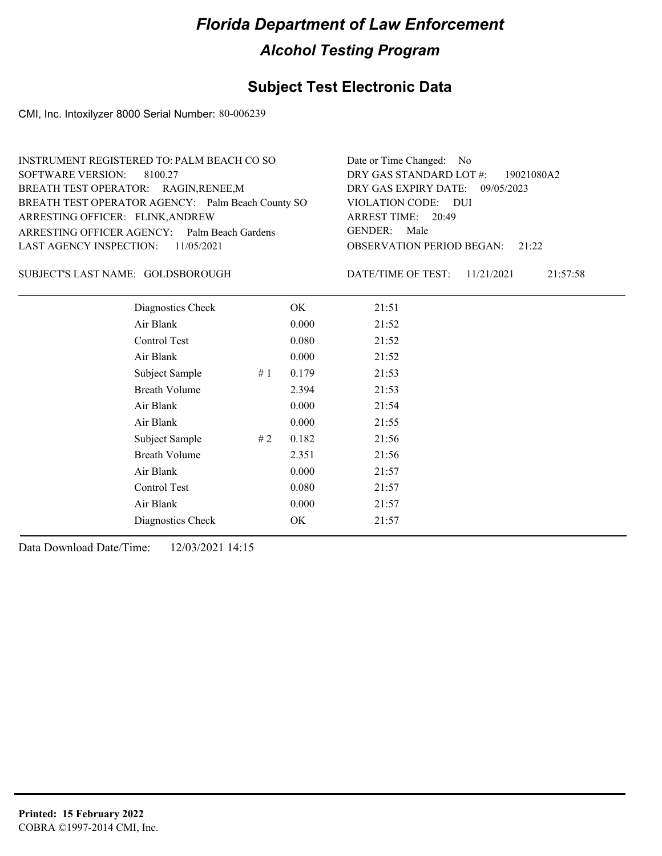### **Subject Test Electronic Data**

CMI, Inc. Intoxilyzer 8000 Serial Number: 80-006239

| INSTRUMENT REGISTERED TO: PALM BEACH CO SO<br>SOFTWARE VERSION: 8100.27<br>BREATH TEST OPERATOR: RAGIN, RENEE, M<br>BREATH TEST OPERATOR AGENCY: Palm Beach County SO<br>ARRESTING OFFICER: FLINK, ANDREW<br>ARRESTING OFFICER AGENCY: Palm Beach Gardens | Date or Time Changed: No<br>DRY GAS STANDARD LOT #: 19021080A2<br>DRY GAS EXPIRY DATE: 09/05/2023<br>VIOLATION CODE: DUI<br>ARREST TIME: 20:49<br>GENDER: Male |
|-----------------------------------------------------------------------------------------------------------------------------------------------------------------------------------------------------------------------------------------------------------|----------------------------------------------------------------------------------------------------------------------------------------------------------------|
| LAST AGENCY INSPECTION: 11/05/2021                                                                                                                                                                                                                        | <b>OBSERVATION PERIOD BEGAN:</b> 21:22                                                                                                                         |

#### SUBJECT'S LAST NAME: GOLDSBOROUGH DATE/TIME OF TEST:

DATE/TIME OF TEST: 11/21/2021 21:57:58

| Diagnostics Check    | OK    | 21:51 |
|----------------------|-------|-------|
| Air Blank            | 0.000 | 21:52 |
| Control Test         | 0.080 | 21:52 |
| Air Blank            | 0.000 | 21:52 |
| Subject Sample<br>#1 | 0.179 | 21:53 |
| <b>Breath Volume</b> | 2.394 | 21:53 |
| Air Blank            | 0.000 | 21:54 |
| Air Blank            | 0.000 | 21:55 |
| Subject Sample<br>#2 | 0.182 | 21:56 |
| <b>Breath Volume</b> | 2.351 | 21:56 |
| Air Blank            | 0.000 | 21:57 |
| Control Test         | 0.080 | 21:57 |
| Air Blank            | 0.000 | 21:57 |
| Diagnostics Check    | OK    | 21:57 |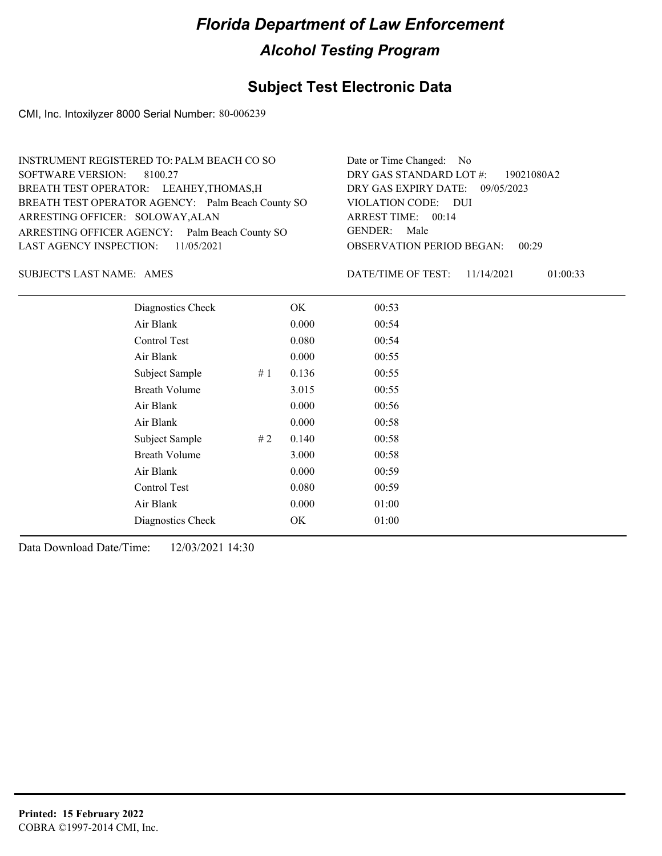### **Subject Test Electronic Data**

CMI, Inc. Intoxilyzer 8000 Serial Number: 80-006239

| INSTRUMENT REGISTERED TO: PALM BEACH CO SO        | Date or Time Changed: No               |
|---------------------------------------------------|----------------------------------------|
| SOFTWARE VERSION: 8100.27                         | DRY GAS STANDARD LOT #: 19021080A2     |
| BREATH TEST OPERATOR: LEAHEY, THOMAS, H           | DRY GAS EXPIRY DATE: 09/05/2023        |
| BREATH TEST OPERATOR AGENCY: Palm Beach County SO | VIOLATION CODE: DUI                    |
| ARRESTING OFFICER: SOLOWAY, ALAN                  | ARREST TIME: 00:14                     |
| ARRESTING OFFICER AGENCY: Palm Beach County SO    | GENDER: Male                           |
| LAST AGENCY INSPECTION: $11/05/2021$              | <b>OBSERVATION PERIOD BEGAN: 00:29</b> |
|                                                   |                                        |

AMES SUBJECT'S LAST NAME: DATE/TIME OF TEST:

DATE/TIME OF TEST: 11/14/2021 01:00:33

| Diagnostics Check    |    | OK    | 00:53 |  |
|----------------------|----|-------|-------|--|
| Air Blank            |    | 0.000 | 00:54 |  |
| Control Test         |    | 0.080 | 00:54 |  |
| Air Blank            |    | 0.000 | 00:55 |  |
| Subject Sample       | #1 | 0.136 | 00:55 |  |
| <b>Breath Volume</b> |    | 3.015 | 00:55 |  |
| Air Blank            |    | 0.000 | 00:56 |  |
| Air Blank            |    | 0.000 | 00:58 |  |
| Subject Sample       | #2 | 0.140 | 00:58 |  |
| <b>Breath Volume</b> |    | 3.000 | 00:58 |  |
| Air Blank            |    | 0.000 | 00:59 |  |
| Control Test         |    | 0.080 | 00:59 |  |
| Air Blank            |    | 0.000 | 01:00 |  |
| Diagnostics Check    |    | OK    | 01:00 |  |
|                      |    |       |       |  |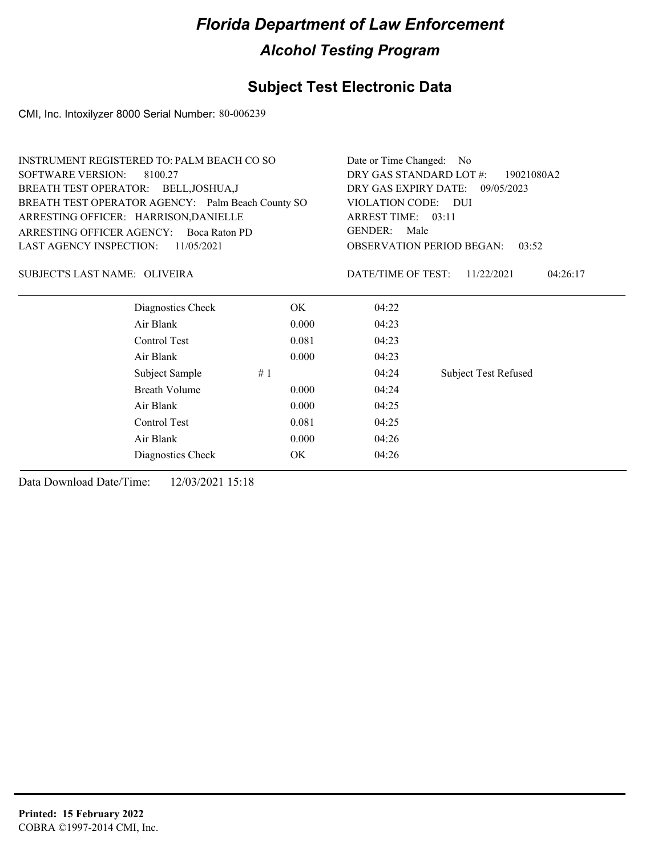### **Subject Test Electronic Data**

CMI, Inc. Intoxilyzer 8000 Serial Number: 80-006239

| <b>INSTRUMENT REGISTERED TO: PALM BEACH CO SO</b> |                                                   |                        | Date or Time Changed: No                  |                             |  |
|---------------------------------------------------|---------------------------------------------------|------------------------|-------------------------------------------|-----------------------------|--|
| <b>SOFTWARE VERSION:</b><br>8100.27               |                                                   |                        | DRY GAS STANDARD LOT #:<br>19021080A2     |                             |  |
|                                                   | BREATH TEST OPERATOR: BELL, JOSHUA, J             |                        | DRY GAS EXPIRY DATE: 09/05/2023           |                             |  |
|                                                   | BREATH TEST OPERATOR AGENCY: Palm Beach County SO | VIOLATION CODE: DUI    |                                           |                             |  |
|                                                   | ARRESTING OFFICER: HARRISON, DANIELLE             |                        | ARREST TIME: 03:11                        |                             |  |
| ARRESTING OFFICER AGENCY:                         | Boca Raton PD                                     | <b>GENDER:</b><br>Male |                                           |                             |  |
| <b>LAST AGENCY INSPECTION:</b>                    | 11/05/2021                                        |                        | <b>OBSERVATION PERIOD BEGAN:</b><br>03:52 |                             |  |
| SUBJECT'S LAST NAME: OLIVEIRA                     |                                                   |                        | DATE/TIME OF TEST:                        | 11/22/2021<br>04:26:17      |  |
|                                                   | Diagnostics Check                                 | OK.                    | 04:22                                     |                             |  |
|                                                   | Air Blank                                         | 0.000                  | 04:23                                     |                             |  |
|                                                   | Control Test                                      | 0.081                  | 04:23                                     |                             |  |
|                                                   | Air Blank                                         | 0.000                  | 04:23                                     |                             |  |
|                                                   | Subject Sample                                    | #1                     | 04:24                                     | <b>Subject Test Refused</b> |  |
|                                                   | <b>Breath Volume</b>                              | 0.000                  | 04:24                                     |                             |  |
|                                                   | Air Blank                                         | 0.000                  | 04:25                                     |                             |  |
|                                                   | Control Test                                      | 0.081                  | 04:25                                     |                             |  |
|                                                   | Air Blank                                         | 0.000                  | 04:26                                     |                             |  |
|                                                   | Diagnostics Check                                 | OK                     | 04:26                                     |                             |  |
|                                                   |                                                   |                        |                                           |                             |  |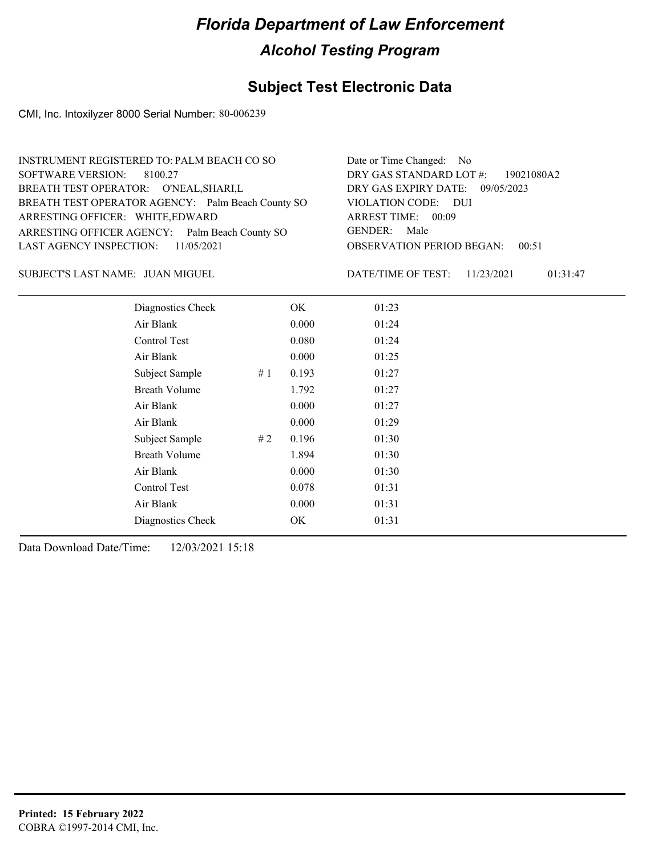### **Subject Test Electronic Data**

CMI, Inc. Intoxilyzer 8000 Serial Number: 80-006239

| INSTRUMENT REGISTERED TO: PALM BEACH CO SO        | Date or Time Changed: No               |
|---------------------------------------------------|----------------------------------------|
| SOFTWARE VERSION: 8100.27                         | DRY GAS STANDARD LOT #: 19021080A2     |
| BREATH TEST OPERATOR: O'NEAL, SHARI, L            | DRY GAS EXPIRY DATE: 09/05/2023        |
| BREATH TEST OPERATOR AGENCY: Palm Beach County SO | VIOLATION CODE: DUI                    |
| ARRESTING OFFICER: WHITE, EDWARD                  | ARREST TIME: 00:09                     |
| ARRESTING OFFICER AGENCY: Palm Beach County SO    | GENDER: Male                           |
| LAST AGENCY INSPECTION: $11/05/2021$              | <b>OBSERVATION PERIOD BEGAN: 00:51</b> |
|                                                   |                                        |

JUAN MIGUEL SUBJECT'S LAST NAME: DATE/TIME OF TEST:

DATE/TIME OF TEST: 11/23/2021 01:31:47

| Diagnostics Check    |    | OK    | 01:23 |
|----------------------|----|-------|-------|
| Air Blank            |    | 0.000 | 01:24 |
| Control Test         |    | 0.080 | 01:24 |
| Air Blank            |    | 0.000 | 01:25 |
| Subject Sample       | #1 | 0.193 | 01:27 |
| <b>Breath Volume</b> |    | 1.792 | 01:27 |
| Air Blank            |    | 0.000 | 01:27 |
| Air Blank            |    | 0.000 | 01:29 |
| Subject Sample       | #2 | 0.196 | 01:30 |
| <b>Breath Volume</b> |    | 1.894 | 01:30 |
| Air Blank            |    | 0.000 | 01:30 |
| Control Test         |    | 0.078 | 01:31 |
| Air Blank            |    | 0.000 | 01:31 |
| Diagnostics Check    |    | OK    | 01:31 |
|                      |    |       |       |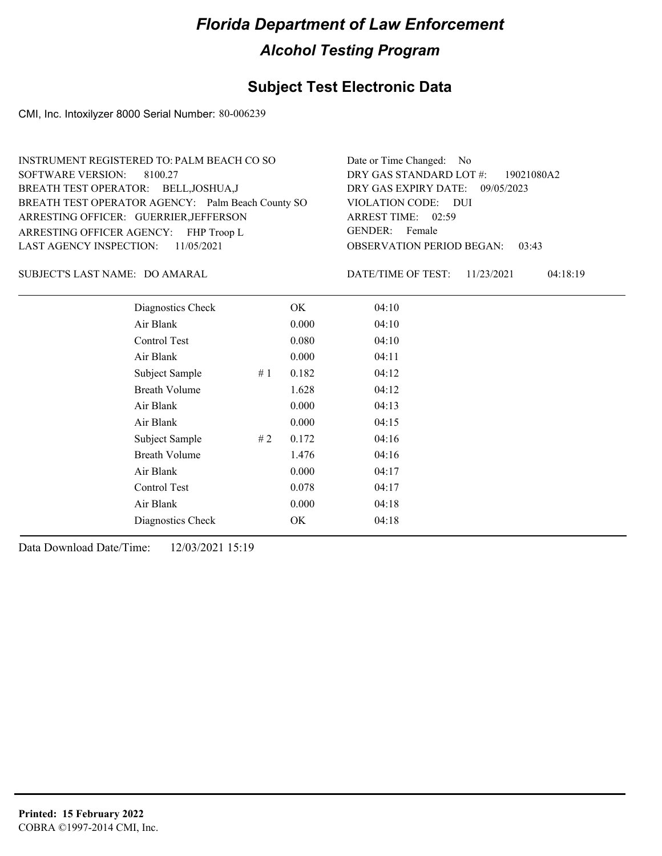### **Subject Test Electronic Data**

CMI, Inc. Intoxilyzer 8000 Serial Number: 80-006239

| Date or Time Changed: No               |
|----------------------------------------|
| DRY GAS STANDARD LOT #: 19021080A2     |
| DRY GAS EXPIRY DATE: 09/05/2023        |
| VIOLATION CODE: DUI                    |
| ARREST TIME: 02:59                     |
| GENDER: Female                         |
| <b>OBSERVATION PERIOD BEGAN: 03:43</b> |
|                                        |

SUBJECT'S LAST NAME: DO AMARAL DATE/TIME OF TEST:

DATE/TIME OF TEST: 11/23/2021 04:18:19

| Diagnostics Check    |    | OK    | 04:10 |
|----------------------|----|-------|-------|
| Air Blank            |    | 0.000 | 04:10 |
| Control Test         |    | 0.080 | 04:10 |
| Air Blank            |    | 0.000 | 04:11 |
| Subject Sample       | #1 | 0.182 | 04:12 |
| <b>Breath Volume</b> |    | 1.628 | 04:12 |
| Air Blank            |    | 0.000 | 04:13 |
| Air Blank            |    | 0.000 | 04:15 |
| Subject Sample       | #2 | 0.172 | 04:16 |
| <b>Breath Volume</b> |    | 1.476 | 04:16 |
| Air Blank            |    | 0.000 | 04:17 |
| <b>Control Test</b>  |    | 0.078 | 04:17 |
| Air Blank            |    | 0.000 | 04:18 |
| Diagnostics Check    |    | OK    | 04:18 |
|                      |    |       |       |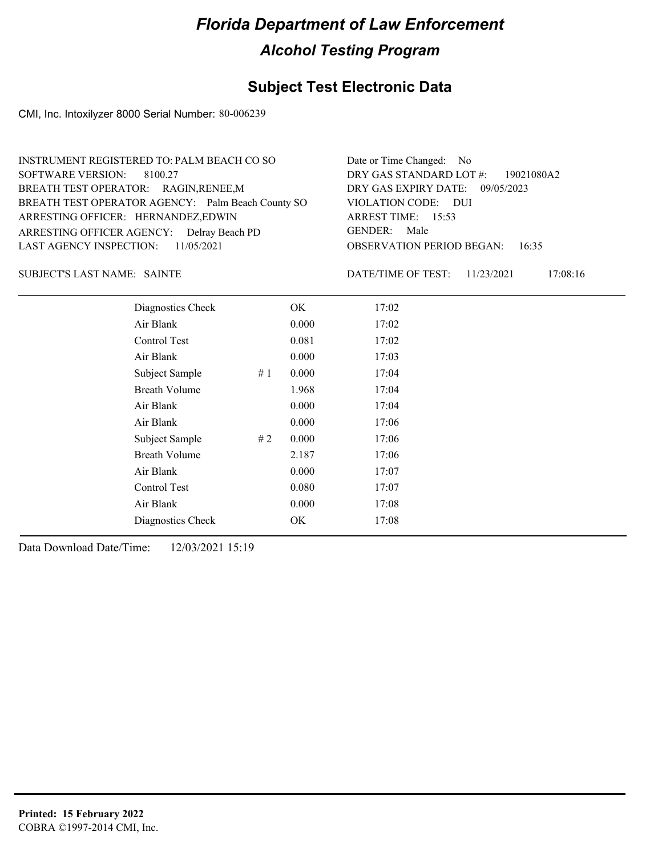### **Subject Test Electronic Data**

CMI, Inc. Intoxilyzer 8000 Serial Number: 80-006239

| INSTRUMENT REGISTERED TO: PALM BEACH CO SO        | Date or Time Changed: No               |
|---------------------------------------------------|----------------------------------------|
| SOFTWARE VERSION: 8100.27                         | DRY GAS STANDARD LOT #: 19021080A2     |
| BREATH TEST OPERATOR: RAGIN, RENEE, M             | DRY GAS EXPIRY DATE: 09/05/2023        |
| BREATH TEST OPERATOR AGENCY: Palm Beach County SO | VIOLATION CODE: DUI                    |
| ARRESTING OFFICER: HERNANDEZ,EDWIN                | ARREST TIME: 15:53                     |
| ARRESTING OFFICER AGENCY: Delray Beach PD         | GENDER: Male                           |
| LAST AGENCY INSPECTION: 11/05/2021                | <b>OBSERVATION PERIOD BEGAN: 16:35</b> |
|                                                   |                                        |

SUBJECT'S LAST NAME: SAINTE **SAINT EXECUTE OF THE SET EXAMPLE OF TEST:** 

DATE/TIME OF TEST: 11/23/2021 17:08:16

| Diagnostics Check     | OK    | 17:02 |
|-----------------------|-------|-------|
| Air Blank             | 0.000 | 17:02 |
| Control Test          | 0.081 | 17:02 |
| Air Blank             | 0.000 | 17:03 |
| Subject Sample<br>#1  | 0.000 | 17:04 |
| <b>Breath Volume</b>  | 1.968 | 17:04 |
| Air Blank             | 0.000 | 17:04 |
| Air Blank             | 0.000 | 17:06 |
| Subject Sample<br># 2 | 0.000 | 17:06 |
| <b>Breath Volume</b>  | 2.187 | 17:06 |
| Air Blank             | 0.000 | 17:07 |
| Control Test          | 0.080 | 17:07 |
| Air Blank             | 0.000 | 17:08 |
| Diagnostics Check     | OK    | 17:08 |
|                       |       |       |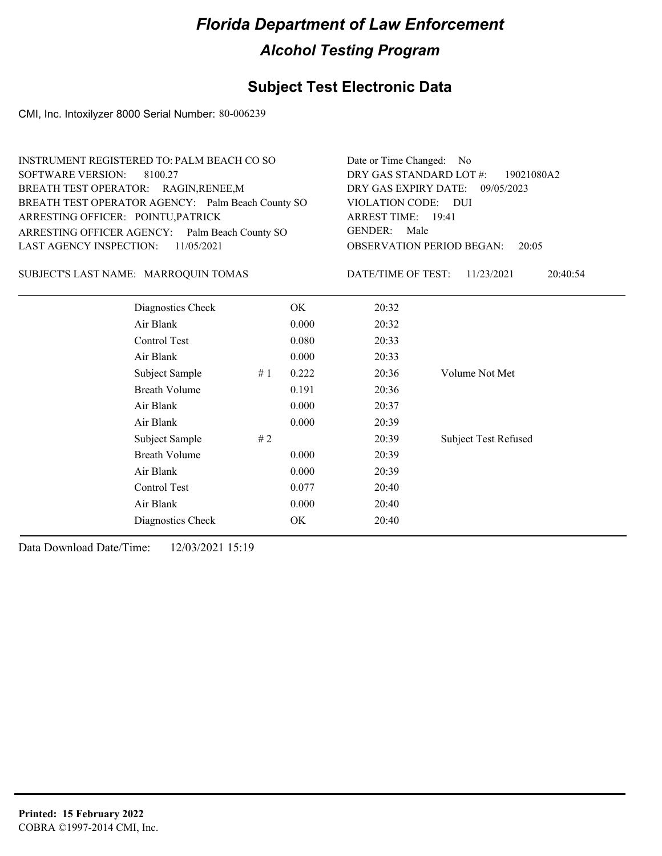### **Subject Test Electronic Data**

CMI, Inc. Intoxilyzer 8000 Serial Number: 80-006239

| <b>SOFTWARE VERSION:</b><br>ARRESTING OFFICER: POINTU, PATRICK | INSTRUMENT REGISTERED TO: PALM BEACH CO SO<br>8100.27<br>BREATH TEST OPERATOR: RAGIN, RENEE, M<br>BREATH TEST OPERATOR AGENCY: Palm Beach County SO | Date or Time Changed:<br>DRY GAS STANDARD LOT #:<br>DRY GAS EXPIRY DATE:<br><b>VIOLATION CODE:</b><br><b>ARREST TIME:</b> 19:41 | No.<br>19021080A2<br>09/05/2023<br>- DUI |                                  |                             |
|----------------------------------------------------------------|-----------------------------------------------------------------------------------------------------------------------------------------------------|---------------------------------------------------------------------------------------------------------------------------------|------------------------------------------|----------------------------------|-----------------------------|
|                                                                | ARRESTING OFFICER AGENCY: Palm Beach County SO                                                                                                      | <b>GENDER:</b><br>Male                                                                                                          |                                          |                                  |                             |
| LAST AGENCY INSPECTION:                                        | 11/05/2021                                                                                                                                          |                                                                                                                                 |                                          | <b>OBSERVATION PERIOD BEGAN:</b> | 20:05                       |
|                                                                | SUBJECT'S LAST NAME: MARROQUIN TOMAS                                                                                                                |                                                                                                                                 |                                          | DATE/TIME OF TEST:               | 11/23/2021<br>20:40:54      |
|                                                                | Diagnostics Check                                                                                                                                   |                                                                                                                                 | OK.                                      | 20:32                            |                             |
|                                                                | Air Blank                                                                                                                                           |                                                                                                                                 | 0.000                                    | 20:32                            |                             |
|                                                                | Control Test                                                                                                                                        |                                                                                                                                 | 0.080                                    | 20:33                            |                             |
|                                                                | Air Blank                                                                                                                                           |                                                                                                                                 | 0.000                                    | 20:33                            |                             |
|                                                                | Subject Sample                                                                                                                                      | #1                                                                                                                              | 0.222                                    | 20:36                            | Volume Not Met              |
|                                                                | <b>Breath Volume</b>                                                                                                                                |                                                                                                                                 | 0.191                                    | 20:36                            |                             |
|                                                                | Air Blank                                                                                                                                           |                                                                                                                                 | 0.000                                    | 20:37                            |                             |
|                                                                | Air Blank                                                                                                                                           |                                                                                                                                 | 0.000                                    | 20:39                            |                             |
|                                                                | Subject Sample                                                                                                                                      | #2                                                                                                                              |                                          | 20:39                            | <b>Subject Test Refused</b> |
|                                                                | <b>Breath Volume</b>                                                                                                                                |                                                                                                                                 | 0.000                                    | 20:39                            |                             |
|                                                                | Air Blank                                                                                                                                           |                                                                                                                                 | 0.000                                    | 20:39                            |                             |
|                                                                | Control Test                                                                                                                                        |                                                                                                                                 | 0.077                                    | 20:40                            |                             |
|                                                                | Air Blank                                                                                                                                           |                                                                                                                                 | 0.000                                    | 20:40                            |                             |
|                                                                | Diagnostics Check                                                                                                                                   |                                                                                                                                 | OK                                       | 20:40                            |                             |
|                                                                |                                                                                                                                                     |                                                                                                                                 |                                          |                                  |                             |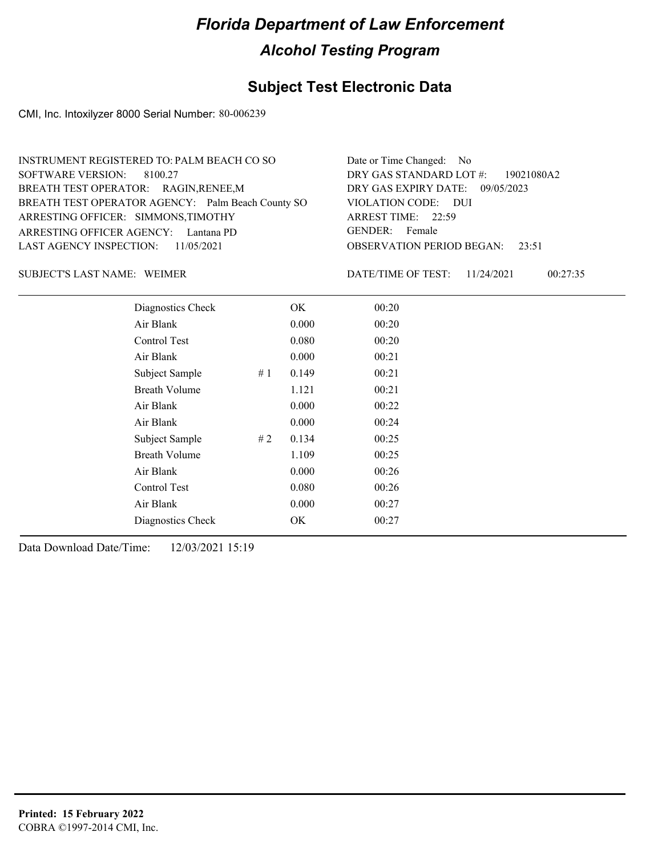### **Subject Test Electronic Data**

CMI, Inc. Intoxilyzer 8000 Serial Number: 80-006239

| INSTRUMENT REGISTERED TO: PALM BEACH CO SO        | Date or Time Changed: No               |
|---------------------------------------------------|----------------------------------------|
| SOFTWARE VERSION: 8100.27                         | DRY GAS STANDARD LOT #: 19021080A2     |
| BREATH TEST OPERATOR: RAGIN, RENEE, M             | DRY GAS EXPIRY DATE: 09/05/2023        |
| BREATH TEST OPERATOR AGENCY: Palm Beach County SO | VIOLATION CODE: DUI                    |
| ARRESTING OFFICER: SIMMONS, TIMOTHY               | ARREST TIME: 22:59                     |
| ARRESTING OFFICER AGENCY: Lantana PD              | GENDER: Female                         |
| LAST AGENCY INSPECTION: 11/05/2021                | <b>OBSERVATION PERIOD BEGAN:</b> 23:51 |
|                                                   |                                        |

SUBJECT'S LAST NAME: WEIMER **EXECUTE:** DATE/TIME OF TEST:

DATE/TIME OF TEST: 11/24/2021 00:27:35

| Diagnostics Check    |    | OK    | 00:20 |
|----------------------|----|-------|-------|
| Air Blank            |    | 0.000 | 00:20 |
| Control Test         |    | 0.080 | 00:20 |
| Air Blank            |    | 0.000 | 00:21 |
| Subject Sample       | #1 | 0.149 | 00:21 |
| <b>Breath Volume</b> |    | 1.121 | 00:21 |
| Air Blank            |    | 0.000 | 00:22 |
| Air Blank            |    | 0.000 | 00:24 |
| Subject Sample       | #2 | 0.134 | 00:25 |
| <b>Breath Volume</b> |    | 1.109 | 00:25 |
| Air Blank            |    | 0.000 | 00:26 |
| Control Test         |    | 0.080 | 00:26 |
| Air Blank            |    | 0.000 | 00:27 |
| Diagnostics Check    |    | OK    | 00:27 |
|                      |    |       |       |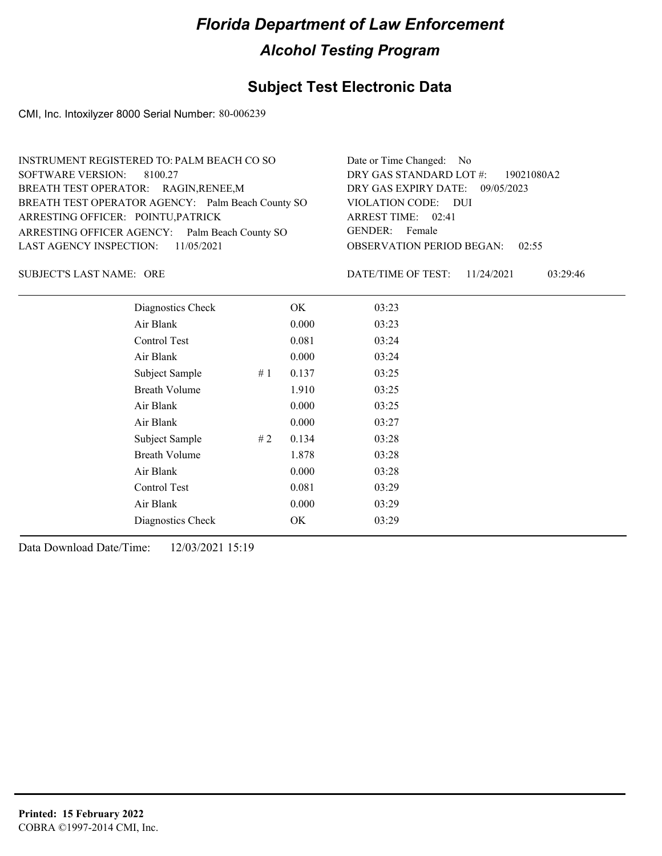### **Subject Test Electronic Data**

CMI, Inc. Intoxilyzer 8000 Serial Number: 80-006239

| INSTRUMENT REGISTERED TO: PALM BEACH CO SO        | Date or Time Changed: No               |
|---------------------------------------------------|----------------------------------------|
| SOFTWARE VERSION: 8100.27                         | DRY GAS STANDARD LOT #: 19021080A2     |
| BREATH TEST OPERATOR: RAGIN, RENEE, M             | DRY GAS EXPIRY DATE: 09/05/2023        |
| BREATH TEST OPERATOR AGENCY: Palm Beach County SO | VIOLATION CODE: DUI                    |
| ARRESTING OFFICER: POINTU, PATRICK                | ARREST TIME: 02:41                     |
| ARRESTING OFFICER AGENCY: Palm Beach County SO    | GENDER: Female                         |
| LAST AGENCY INSPECTION: $11/05/2021$              | <b>OBSERVATION PERIOD BEGAN: 02:55</b> |
|                                                   |                                        |

SUBJECT'S LAST NAME: ORE  $\qquad \qquad$  DATE/TIME OF TEST:

DATE/TIME OF TEST: 11/24/2021 03:29:46

| Diagnostics Check    |    | OK    | 03:23 |
|----------------------|----|-------|-------|
| Air Blank            |    | 0.000 | 03:23 |
| Control Test         |    | 0.081 | 03:24 |
| Air Blank            |    | 0.000 | 03:24 |
| Subject Sample       | #1 | 0.137 | 03:25 |
| <b>Breath Volume</b> |    | 1.910 | 03:25 |
| Air Blank            |    | 0.000 | 03:25 |
| Air Blank            |    | 0.000 | 03:27 |
| Subject Sample       | #2 | 0.134 | 03:28 |
| <b>Breath Volume</b> |    | 1.878 | 03:28 |
| Air Blank            |    | 0.000 | 03:28 |
| Control Test         |    | 0.081 | 03:29 |
| Air Blank            |    | 0.000 | 03:29 |
| Diagnostics Check    |    | OK    | 03:29 |
|                      |    |       |       |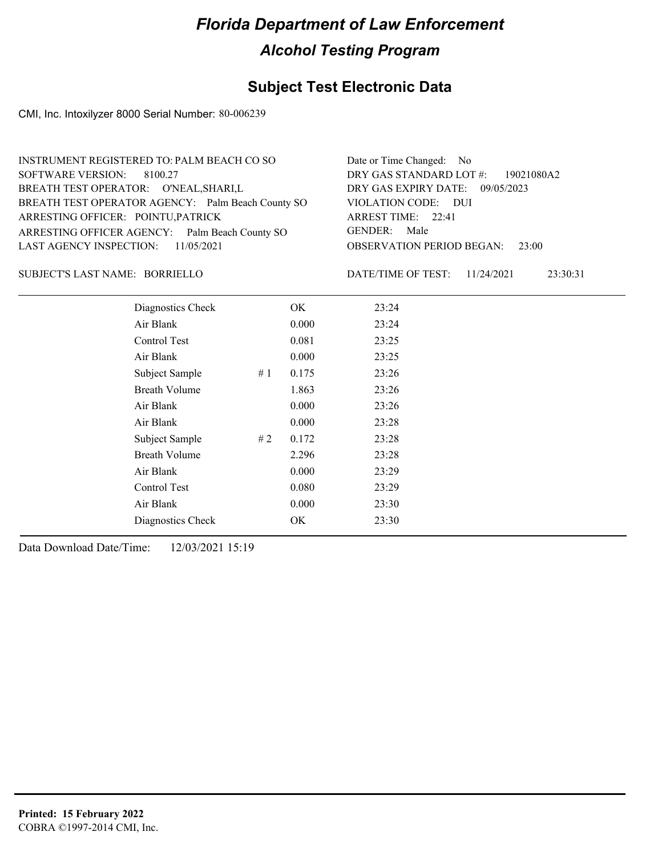### **Subject Test Electronic Data**

CMI, Inc. Intoxilyzer 8000 Serial Number: 80-006239

| INSTRUMENT REGISTERED TO: PALM BEACH CO SO        | Date or Time Changed: No               |
|---------------------------------------------------|----------------------------------------|
| SOFTWARE VERSION: 8100.27                         | DRY GAS STANDARD LOT $\#$ : 19021080A2 |
| BREATH TEST OPERATOR: O'NEAL, SHARI, L            | DRY GAS EXPIRY DATE: 09/05/2023        |
| BREATH TEST OPERATOR AGENCY: Palm Beach County SO | VIOLATION CODE: DUI                    |
| ARRESTING OFFICER: POINTU, PATRICK                | ARREST TIME: 22:41                     |
| ARRESTING OFFICER AGENCY: Palm Beach County SO    | GENDER: Male                           |
| LAST AGENCY INSPECTION: 11/05/2021                | <b>OBSERVATION PERIOD BEGAN: 23:00</b> |
|                                                   |                                        |

#### BORRIELLO SUBJECT'S LAST NAME: DATE/TIME OF TEST:

DATE/TIME OF TEST: 11/24/2021 23:30:31

| Diagnostics Check    |    | OK    | 23:24 |
|----------------------|----|-------|-------|
| Air Blank            |    | 0.000 | 23:24 |
| Control Test         |    | 0.081 | 23:25 |
| Air Blank            |    | 0.000 | 23:25 |
| Subject Sample       | #1 | 0.175 | 23:26 |
| <b>Breath Volume</b> |    | 1.863 | 23:26 |
| Air Blank            |    | 0.000 | 23:26 |
| Air Blank            |    | 0.000 | 23:28 |
| Subject Sample       | #2 | 0.172 | 23:28 |
| <b>Breath Volume</b> |    | 2.296 | 23:28 |
| Air Blank            |    | 0.000 | 23:29 |
| Control Test         |    | 0.080 | 23:29 |
| Air Blank            |    | 0.000 | 23:30 |
| Diagnostics Check    |    | OK    | 23:30 |
|                      |    |       |       |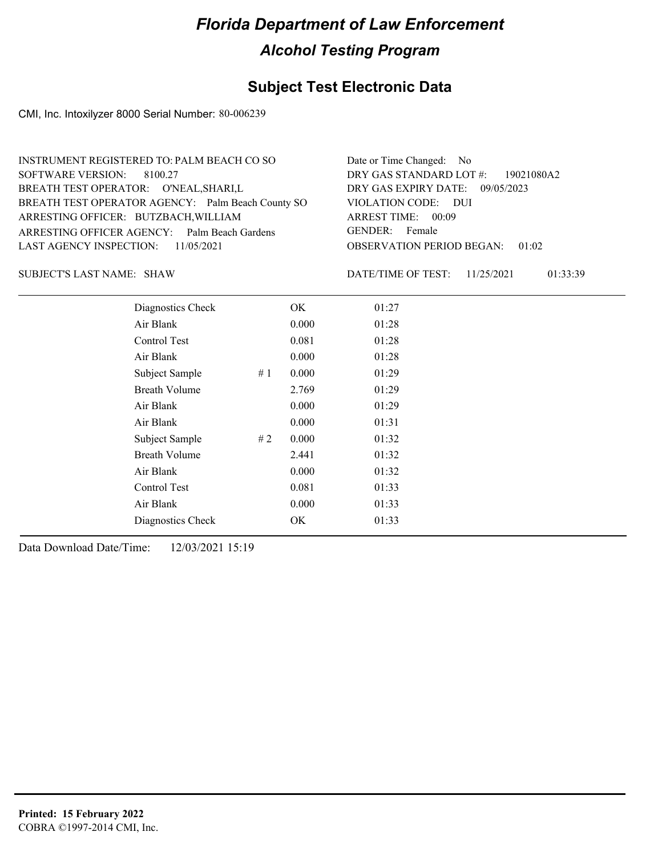### **Subject Test Electronic Data**

CMI, Inc. Intoxilyzer 8000 Serial Number: 80-006239

| INSTRUMENT REGISTERED TO: PALM BEACH CO SO        | Date or Time Changed: No               |
|---------------------------------------------------|----------------------------------------|
| SOFTWARE VERSION: 8100.27                         | DRY GAS STANDARD LOT #: 19021080A2     |
| BREATH TEST OPERATOR: O'NEAL, SHARI, L            | DRY GAS EXPIRY DATE: 09/05/2023        |
| BREATH TEST OPERATOR AGENCY: Palm Beach County SO | VIOLATION CODE: DUI                    |
| ARRESTING OFFICER: BUTZBACH, WILLIAM              | ARREST TIME: 00:09                     |
| ARRESTING OFFICER AGENCY: Palm Beach Gardens      | GENDER: Female                         |
| LAST AGENCY INSPECTION: $11/05/2021$              | <b>OBSERVATION PERIOD BEGAN: 01:02</b> |
|                                                   |                                        |

SUBJECT'S LAST NAME: SHAW DATE/TIME OF TEST:

DATE/TIME OF TEST: 11/25/2021 01:33:39

| Diagnostics Check    |    | OK    | 01:27 |
|----------------------|----|-------|-------|
| Air Blank            |    | 0.000 | 01:28 |
| Control Test         |    | 0.081 | 01:28 |
| Air Blank            |    | 0.000 | 01:28 |
| Subject Sample       | #1 | 0.000 | 01:29 |
| <b>Breath Volume</b> |    | 2.769 | 01:29 |
| Air Blank            |    | 0.000 | 01:29 |
| Air Blank            |    | 0.000 | 01:31 |
| Subject Sample       | #2 | 0.000 | 01:32 |
| <b>Breath Volume</b> |    | 2.441 | 01:32 |
| Air Blank            |    | 0.000 | 01:32 |
| <b>Control Test</b>  |    | 0.081 | 01:33 |
| Air Blank            |    | 0.000 | 01:33 |
| Diagnostics Check    |    | OK    | 01:33 |
|                      |    |       |       |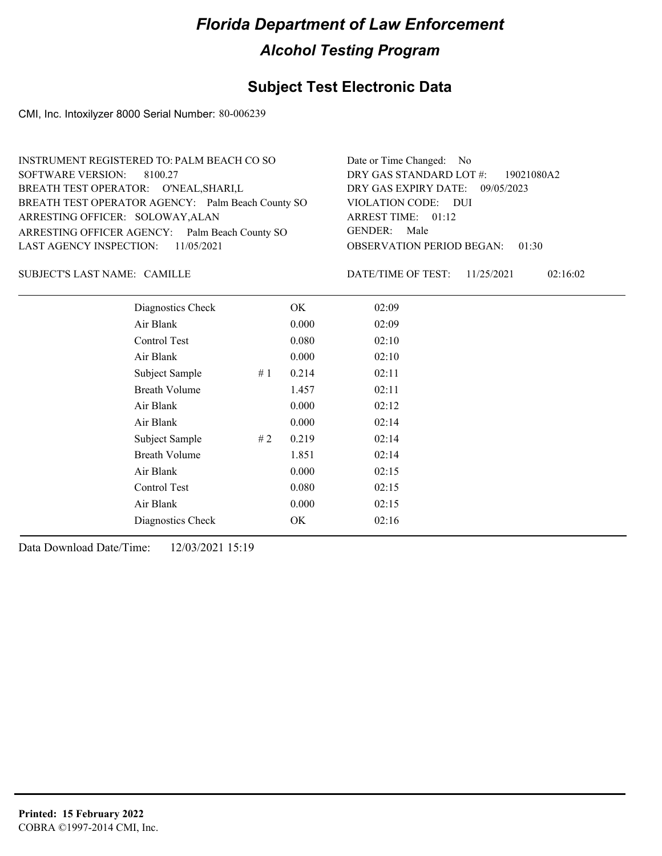### **Subject Test Electronic Data**

CMI, Inc. Intoxilyzer 8000 Serial Number: 80-006239

| INSTRUMENT REGISTERED TO: PALM BEACH CO SO        | Date or Time Changed: No               |
|---------------------------------------------------|----------------------------------------|
| SOFTWARE VERSION: 8100.27                         | DRY GAS STANDARD LOT #: 19021080A2     |
| BREATH TEST OPERATOR: O'NEAL, SHARI, L            | DRY GAS EXPIRY DATE: 09/05/2023        |
| BREATH TEST OPERATOR AGENCY: Palm Beach County SO | VIOLATION CODE: DUI                    |
| ARRESTING OFFICER: SOLOWAY, ALAN                  | ARREST TIME: 01:12                     |
| ARRESTING OFFICER AGENCY: Palm Beach County SO    | GENDER: Male                           |
| LAST AGENCY INSPECTION: 11/05/2021                | <b>OBSERVATION PERIOD BEGAN: 01:30</b> |
|                                                   |                                        |

#### SUBJECT'S LAST NAME: CAMILLE **Example 19** DATE/TIME OF TEST:

DATE/TIME OF TEST: 11/25/2021 02:16:02

| Diagnostics Check    |    | OK    | 02:09 |
|----------------------|----|-------|-------|
| Air Blank            |    | 0.000 | 02:09 |
| Control Test         |    | 0.080 | 02:10 |
| Air Blank            |    | 0.000 | 02:10 |
| Subject Sample       | #1 | 0.214 | 02:11 |
| <b>Breath Volume</b> |    | 1.457 | 02:11 |
| Air Blank            |    | 0.000 | 02:12 |
| Air Blank            |    | 0.000 | 02:14 |
| Subject Sample       | #2 | 0.219 | 02:14 |
| <b>Breath Volume</b> |    | 1.851 | 02:14 |
| Air Blank            |    | 0.000 | 02:15 |
| Control Test         |    | 0.080 | 02:15 |
| Air Blank            |    | 0.000 | 02:15 |
| Diagnostics Check    |    | OK    | 02:16 |
|                      |    |       |       |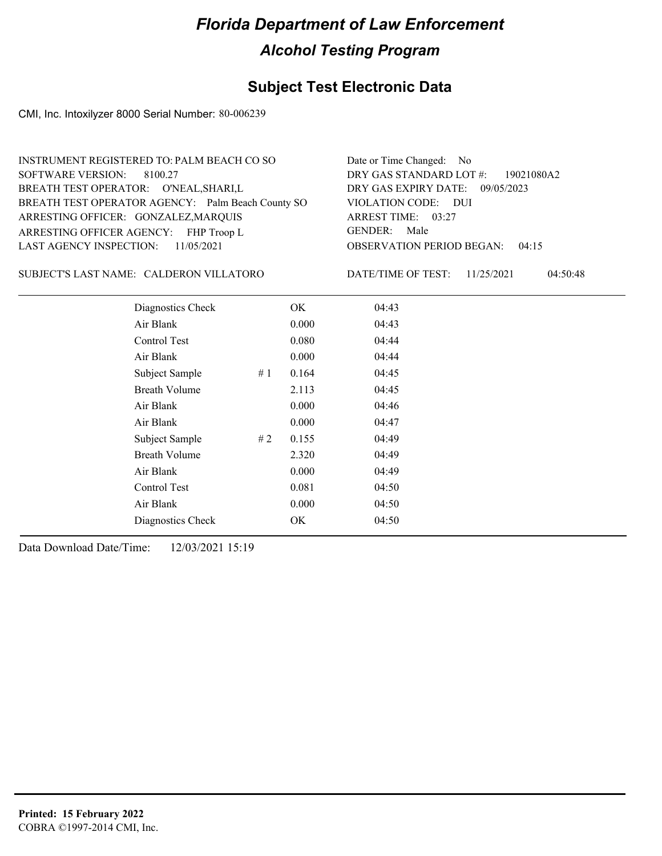### **Subject Test Electronic Data**

CMI, Inc. Intoxilyzer 8000 Serial Number: 80-006239

| INSTRUMENT REGISTERED TO: PALM BEACH CO SO        | Date or Time Changed: No               |
|---------------------------------------------------|----------------------------------------|
| SOFTWARE VERSION: 8100.27                         | DRY GAS STANDARD LOT $\#$ : 19021080A2 |
| BREATH TEST OPERATOR: O'NEAL, SHARI, L            | DRY GAS EXPIRY DATE: 09/05/2023        |
| BREATH TEST OPERATOR AGENCY: Palm Beach County SO | VIOLATION CODE: DUI                    |
| ARRESTING OFFICER: GONZALEZ, MARQUIS              | ARREST TIME: 03:27                     |
| ARRESTING OFFICER AGENCY: FHP Troop L             | GENDER: Male                           |
| LAST AGENCY INSPECTION: 11/05/2021                | <b>OBSERVATION PERIOD BEGAN: 04:15</b> |
|                                                   |                                        |

CALDERON VILLATORO SUBJECT'S LAST NAME: DATE/TIME OF TEST:

DATE/TIME OF TEST: 11/25/2021 04:50:48

| Diagnostics Check    |     | OK    | 04:43 |  |
|----------------------|-----|-------|-------|--|
| Air Blank            |     | 0.000 | 04:43 |  |
| Control Test         |     | 0.080 | 04:44 |  |
| Air Blank            |     | 0.000 | 04:44 |  |
| Subject Sample       | #1  | 0.164 | 04:45 |  |
| <b>Breath Volume</b> |     | 2.113 | 04:45 |  |
| Air Blank            |     | 0.000 | 04:46 |  |
| Air Blank            |     | 0.000 | 04:47 |  |
| Subject Sample       | # 2 | 0.155 | 04:49 |  |
| <b>Breath Volume</b> |     | 2.320 | 04:49 |  |
| Air Blank            |     | 0.000 | 04:49 |  |
| Control Test         |     | 0.081 | 04:50 |  |
| Air Blank            |     | 0.000 | 04:50 |  |
| Diagnostics Check    |     | OK    | 04:50 |  |
|                      |     |       |       |  |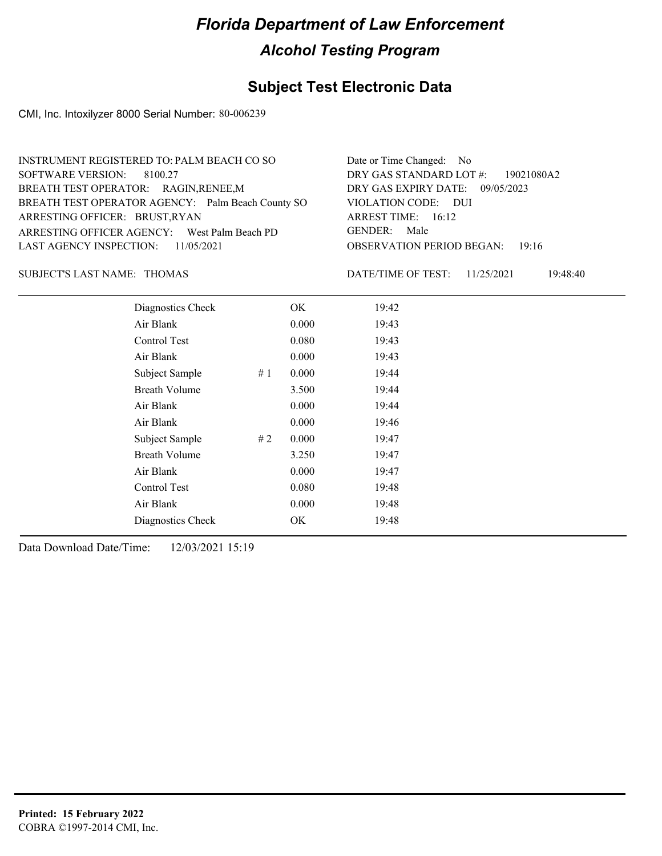### **Subject Test Electronic Data**

CMI, Inc. Intoxilyzer 8000 Serial Number: 80-006239

| INSTRUMENT REGISTERED TO: PALM BEACH CO SO        | Date or Time Changed: No               |
|---------------------------------------------------|----------------------------------------|
| SOFTWARE VERSION: 8100.27                         | DRY GAS STANDARD LOT #: 19021080A2     |
| BREATH TEST OPERATOR: RAGIN, RENEE, M             | DRY GAS EXPIRY DATE: 09/05/2023        |
| BREATH TEST OPERATOR AGENCY: Palm Beach County SO | VIOLATION CODE: DUI                    |
| ARRESTING OFFICER: BRUST, RYAN                    | ARREST TIME: 16:12                     |
| ARRESTING OFFICER AGENCY: West Palm Beach PD      | GENDER: Male                           |
| LAST AGENCY INSPECTION: $11/05/2021$              | <b>OBSERVATION PERIOD BEGAN: 19:16</b> |
|                                                   |                                        |

#### SUBJECT'S LAST NAME: THOMAS DATE/TIME OF TEST:

DATE/TIME OF TEST: 11/25/2021 19:48:40

| Diagnostics Check    |    | OK    | 19:42 |
|----------------------|----|-------|-------|
| Air Blank            |    | 0.000 | 19:43 |
| Control Test         |    | 0.080 | 19:43 |
| Air Blank            |    | 0.000 | 19:43 |
| Subject Sample       | #1 | 0.000 | 19:44 |
| <b>Breath Volume</b> |    | 3.500 | 19:44 |
| Air Blank            |    | 0.000 | 19:44 |
| Air Blank            |    | 0.000 | 19:46 |
| Subject Sample       | #2 | 0.000 | 19:47 |
| <b>Breath Volume</b> |    | 3.250 | 19:47 |
| Air Blank            |    | 0.000 | 19:47 |
| Control Test         |    | 0.080 | 19:48 |
| Air Blank            |    | 0.000 | 19:48 |
| Diagnostics Check    |    | OK    | 19:48 |
|                      |    |       |       |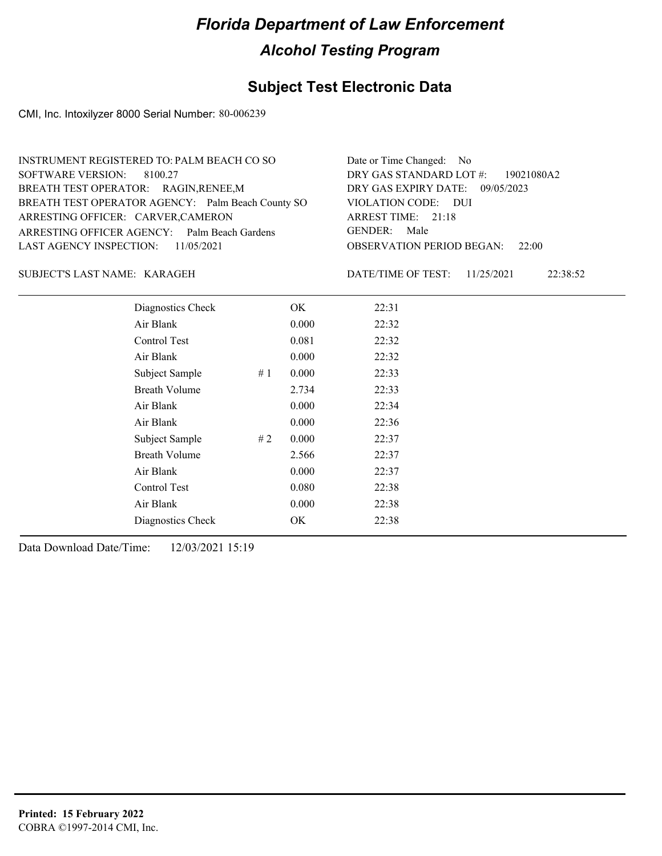### **Subject Test Electronic Data**

CMI, Inc. Intoxilyzer 8000 Serial Number: 80-006239

| INSTRUMENT REGISTERED TO: PALM BEACH CO SO        | Date or Time Changed: No               |
|---------------------------------------------------|----------------------------------------|
| SOFTWARE VERSION: 8100.27                         | DRY GAS STANDARD LOT #: 19021080A2     |
| BREATH TEST OPERATOR: RAGIN, RENEE, M             | DRY GAS EXPIRY DATE: 09/05/2023        |
| BREATH TEST OPERATOR AGENCY: Palm Beach County SO | VIOLATION CODE: DUI                    |
| ARRESTING OFFICER: CARVER, CAMERON                | ARREST TIME: 21:18                     |
| ARRESTING OFFICER AGENCY: Palm Beach Gardens      | GENDER: Male                           |
| LAST AGENCY INSPECTION: $11/05/2021$              | <b>OBSERVATION PERIOD BEGAN: 22:00</b> |
|                                                   |                                        |

#### KARAGEH SUBJECT'S LAST NAME: DATE/TIME OF TEST:

DATE/TIME OF TEST: 11/25/2021 22:38:52

| Diagnostics Check    |    | OK    | 22:31 |
|----------------------|----|-------|-------|
| Air Blank            |    | 0.000 | 22:32 |
| Control Test         |    | 0.081 | 22:32 |
| Air Blank            |    | 0.000 | 22:32 |
| Subject Sample       | #1 | 0.000 | 22:33 |
| <b>Breath Volume</b> |    | 2.734 | 22:33 |
| Air Blank            |    | 0.000 | 22:34 |
| Air Blank            |    | 0.000 | 22:36 |
| Subject Sample       | #2 | 0.000 | 22:37 |
| <b>Breath Volume</b> |    | 2.566 | 22:37 |
| Air Blank            |    | 0.000 | 22:37 |
| <b>Control Test</b>  |    | 0.080 | 22:38 |
| Air Blank            |    | 0.000 | 22:38 |
| Diagnostics Check    |    | OK    | 22:38 |
|                      |    |       |       |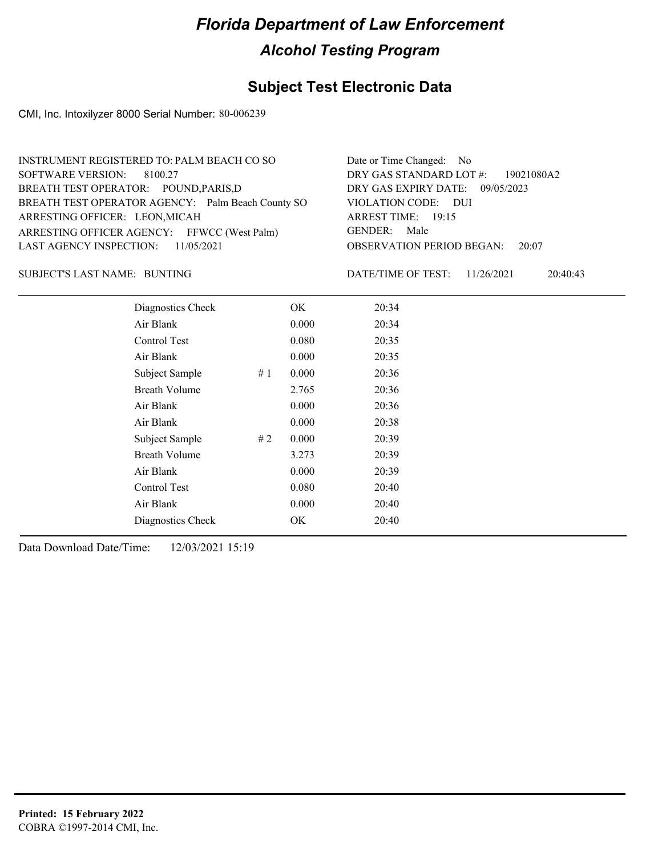### **Subject Test Electronic Data**

CMI, Inc. Intoxilyzer 8000 Serial Number: 80-006239

| INSTRUMENT REGISTERED TO: PALM BEACH CO SO        | Date or Time Changed: No               |
|---------------------------------------------------|----------------------------------------|
| SOFTWARE VERSION: 8100.27                         | DRY GAS STANDARD LOT #: 19021080A2     |
| BREATH TEST OPERATOR: POUND, PARIS, D             | DRY GAS EXPIRY DATE: 09/05/2023        |
| BREATH TEST OPERATOR AGENCY: Palm Beach County SO | VIOLATION CODE: DUI                    |
| ARRESTING OFFICER: LEON, MICAH                    | ARREST TIME: 19:15                     |
| ARRESTING OFFICER AGENCY: FFWCC (West Palm)       | GENDER: Male                           |
| LAST AGENCY INSPECTION: $11/05/2021$              | <b>OBSERVATION PERIOD BEGAN: 20:07</b> |
|                                                   |                                        |

#### BUNTING SUBJECT'S LAST NAME: DATE/TIME OF TEST:

DATE/TIME OF TEST: 11/26/2021 20:40:43

| Diagnostics Check    |     | OK    | 20:34 |
|----------------------|-----|-------|-------|
| Air Blank            |     | 0.000 | 20:34 |
| Control Test         |     | 0.080 | 20:35 |
| Air Blank            |     | 0.000 | 20:35 |
| Subject Sample       | #1  | 0.000 | 20:36 |
| <b>Breath Volume</b> |     | 2.765 | 20:36 |
| Air Blank            |     | 0.000 | 20:36 |
| Air Blank            |     | 0.000 | 20:38 |
| Subject Sample       | # 2 | 0.000 | 20:39 |
| <b>Breath Volume</b> |     | 3.273 | 20:39 |
| Air Blank            |     | 0.000 | 20:39 |
| Control Test         |     | 0.080 | 20:40 |
| Air Blank            |     | 0.000 | 20:40 |
| Diagnostics Check    |     | OK    | 20:40 |
|                      |     |       |       |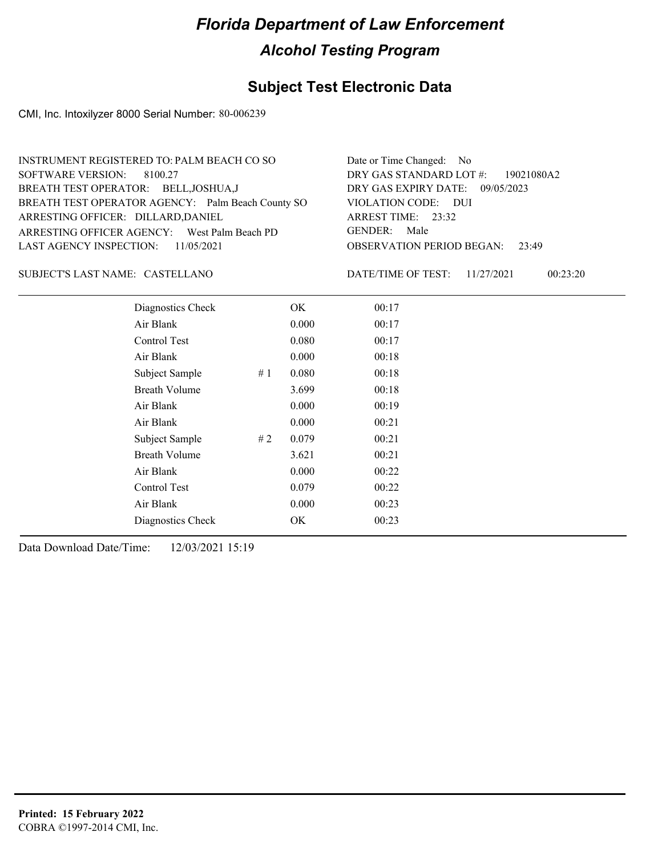### **Subject Test Electronic Data**

CMI, Inc. Intoxilyzer 8000 Serial Number: 80-006239

| INSTRUMENT REGISTERED TO: PALM BEACH CO SO        | Date or Time Changed: No               |
|---------------------------------------------------|----------------------------------------|
| SOFTWARE VERSION: 8100.27                         | DRY GAS STANDARD LOT #: 19021080A2     |
| BREATH TEST OPERATOR: BELL, JOSHUA, J             | DRY GAS EXPIRY DATE: 09/05/2023        |
| BREATH TEST OPERATOR AGENCY: Palm Beach County SO | VIOLATION CODE: DUI                    |
| ARRESTING OFFICER: DILLARD, DANIEL                | ARREST TIME: 23:32                     |
| ARRESTING OFFICER AGENCY: West Palm Beach PD      | GENDER: Male                           |
| LAST AGENCY INSPECTION: $11/05/2021$              | <b>OBSERVATION PERIOD BEGAN: 23:49</b> |
|                                                   |                                        |

#### CASTELLANO SUBJECT'S LAST NAME: DATE/TIME OF TEST:

DATE/TIME OF TEST: 11/27/2021 00:23:20

| Diagnostics Check    |    | OK    | 00:17 |
|----------------------|----|-------|-------|
| Air Blank            |    | 0.000 | 00:17 |
| Control Test         |    | 0.080 | 00:17 |
| Air Blank            |    | 0.000 | 00:18 |
| Subject Sample       | #1 | 0.080 | 00:18 |
| <b>Breath Volume</b> |    | 3.699 | 00:18 |
| Air Blank            |    | 0.000 | 00:19 |
| Air Blank            |    | 0.000 | 00:21 |
| Subject Sample       | #2 | 0.079 | 00:21 |
| <b>Breath Volume</b> |    | 3.621 | 00:21 |
| Air Blank            |    | 0.000 | 00:22 |
| Control Test         |    | 0.079 | 00:22 |
| Air Blank            |    | 0.000 | 00:23 |
| Diagnostics Check    |    | OK    | 00:23 |
|                      |    |       |       |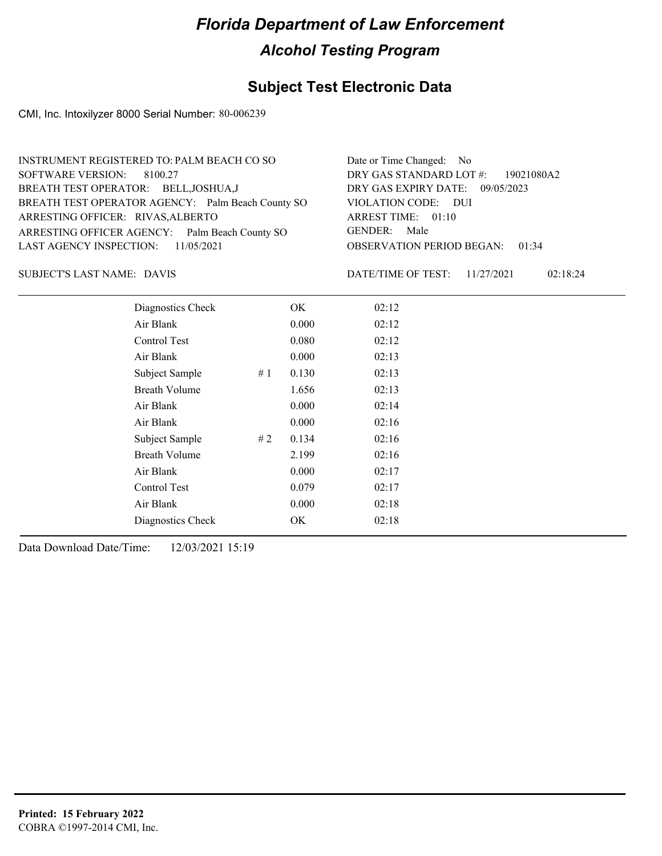### **Subject Test Electronic Data**

CMI, Inc. Intoxilyzer 8000 Serial Number: 80-006239

| INSTRUMENT REGISTERED TO: PALM BEACH CO SO        | Date or Time Changed: No               |
|---------------------------------------------------|----------------------------------------|
| SOFTWARE VERSION: 8100.27                         | DRY GAS STANDARD LOT #: 19021080A2     |
| BREATH TEST OPERATOR: BELL, JOSHUA, J             | DRY GAS EXPIRY DATE: 09/05/2023        |
| BREATH TEST OPERATOR AGENCY: Palm Beach County SO | VIOLATION CODE: DUI                    |
| ARRESTING OFFICER: RIVAS, ALBERTO                 | ARREST TIME: 01:10                     |
| ARRESTING OFFICER AGENCY: Palm Beach County SO    | GENDER: Male                           |
| LAST AGENCY INSPECTION: $11/05/2021$              | <b>OBSERVATION PERIOD BEGAN: 01:34</b> |
|                                                   |                                        |

DAVIS SUBJECT'S LAST NAME: DATE/TIME OF TEST:

DATE/TIME OF TEST: 11/27/2021 02:18:24

| Diagnostics Check    |    | OK    | 02:12 |
|----------------------|----|-------|-------|
| Air Blank            |    | 0.000 | 02:12 |
| Control Test         |    | 0.080 | 02:12 |
| Air Blank            |    | 0.000 | 02:13 |
| Subject Sample       | #1 | 0.130 | 02:13 |
| <b>Breath Volume</b> |    | 1.656 | 02:13 |
| Air Blank            |    | 0.000 | 02:14 |
| Air Blank            |    | 0.000 | 02:16 |
| Subject Sample       | #2 | 0.134 | 02:16 |
| <b>Breath Volume</b> |    | 2.199 | 02:16 |
| Air Blank            |    | 0.000 | 02:17 |
| Control Test         |    | 0.079 | 02:17 |
| Air Blank            |    | 0.000 | 02:18 |
| Diagnostics Check    |    | OK    | 02:18 |
|                      |    |       |       |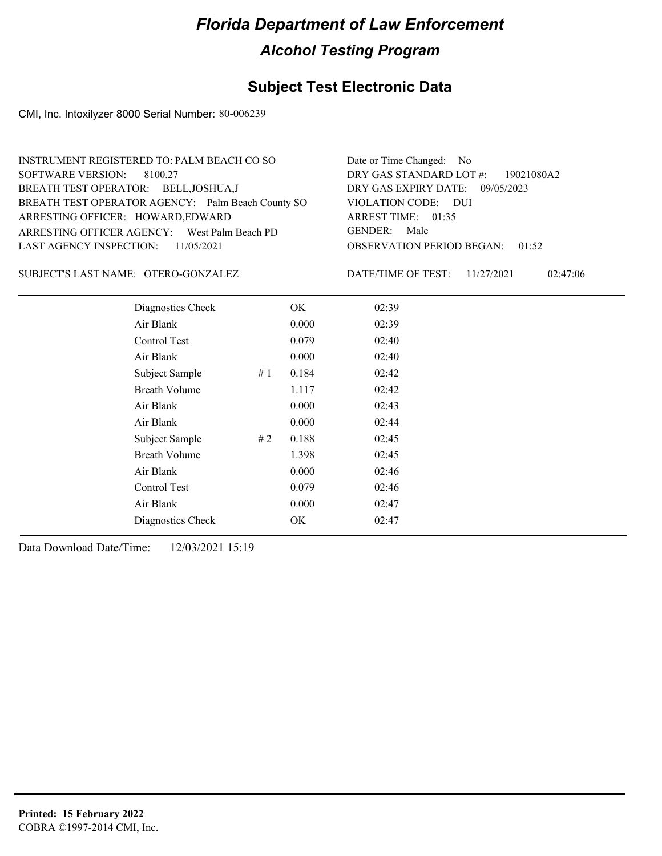### **Subject Test Electronic Data**

CMI, Inc. Intoxilyzer 8000 Serial Number: 80-006239

| INSTRUMENT REGISTERED TO: PALM BEACH CO SO        | Date or Time Changed: No               |
|---------------------------------------------------|----------------------------------------|
| SOFTWARE VERSION: 8100.27                         | DRY GAS STANDARD LOT #: 19021080A2     |
| BREATH TEST OPERATOR: BELL, JOSHUA, J             | DRY GAS EXPIRY DATE: 09/05/2023        |
| BREATH TEST OPERATOR AGENCY: Palm Beach County SO | VIOLATION CODE: DUI                    |
| ARRESTING OFFICER: HOWARD, EDWARD                 | ARREST TIME: $01:35$                   |
| ARRESTING OFFICER AGENCY: West Palm Beach PD      | GENDER: Male                           |
| LAST AGENCY INSPECTION: 11/05/2021                | <b>OBSERVATION PERIOD BEGAN: 01:52</b> |
|                                                   |                                        |

SUBJECT'S LAST NAME: OTERO-GONZALEZ DATE/TIME OF TEST:

DATE/TIME OF TEST: 11/27/2021 02:47:06

| Diagnostics Check    |    | OK    | 02:39 |  |
|----------------------|----|-------|-------|--|
| Air Blank            |    | 0.000 | 02:39 |  |
| Control Test         |    | 0.079 | 02:40 |  |
| Air Blank            |    | 0.000 | 02:40 |  |
| Subject Sample       | #1 | 0.184 | 02:42 |  |
| <b>Breath Volume</b> |    | 1.117 | 02:42 |  |
| Air Blank            |    | 0.000 | 02:43 |  |
| Air Blank            |    | 0.000 | 02:44 |  |
| Subject Sample       | #2 | 0.188 | 02:45 |  |
| <b>Breath Volume</b> |    | 1.398 | 02:45 |  |
| Air Blank            |    | 0.000 | 02:46 |  |
| Control Test         |    | 0.079 | 02:46 |  |
| Air Blank            |    | 0.000 | 02:47 |  |
| Diagnostics Check    |    | OK    | 02:47 |  |
|                      |    |       |       |  |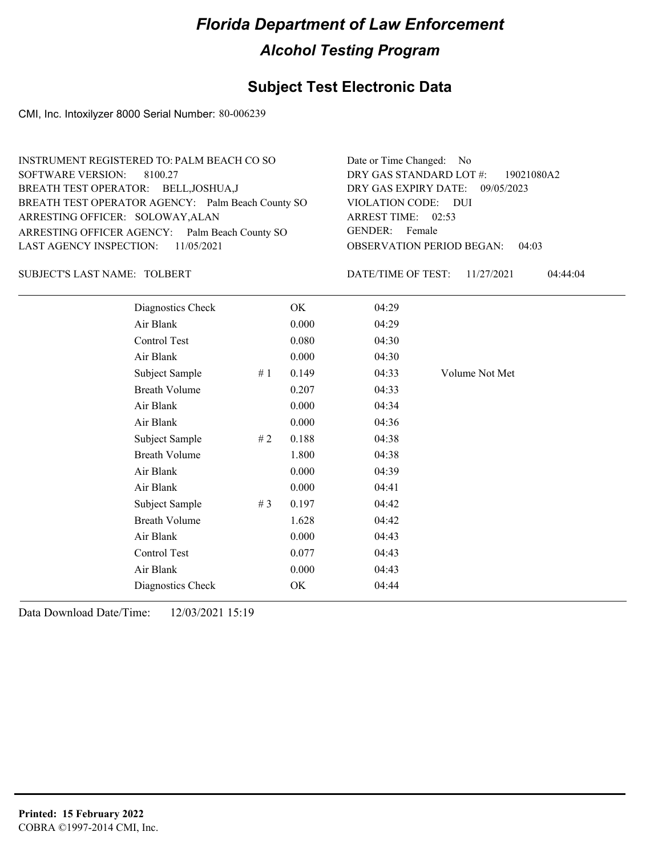### **Subject Test Electronic Data**

CMI, Inc. Intoxilyzer 8000 Serial Number: 80-006239

| INSTRUMENT REGISTERED TO: PALM BEACH CO SO        | Date or Time Changed: No               |
|---------------------------------------------------|----------------------------------------|
| SOFTWARE VERSION: 8100.27                         | DRY GAS STANDARD LOT #: 19021080A2     |
| BREATH TEST OPERATOR: BELL, JOSHUA, J             | DRY GAS EXPIRY DATE: 09/05/2023        |
| BREATH TEST OPERATOR AGENCY: Palm Beach County SO | VIOLATION CODE: DUI                    |
| ARRESTING OFFICER: SOLOWAY, ALAN                  | ARREST TIME: 02:53                     |
| ARRESTING OFFICER AGENCY: Palm Beach County SO    | GENDER: Female                         |
| LAST AGENCY INSPECTION: $11/05/2021$              | <b>OBSERVATION PERIOD BEGAN: 04:03</b> |
|                                                   |                                        |

#### TOLBERT SUBJECT'S LAST NAME: DATE/TIME OF TEST:

DATE/TIME OF TEST: 11/27/2021 04:44:04

| Diagnostics Check    |    | OK    | 04:29 |                |
|----------------------|----|-------|-------|----------------|
| Air Blank            |    | 0.000 | 04:29 |                |
| Control Test         |    | 0.080 | 04:30 |                |
| Air Blank            |    | 0.000 | 04:30 |                |
| Subject Sample       | #1 | 0.149 | 04:33 | Volume Not Met |
| <b>Breath Volume</b> |    | 0.207 | 04:33 |                |
| Air Blank            |    | 0.000 | 04:34 |                |
| Air Blank            |    | 0.000 | 04:36 |                |
| Subject Sample       | #2 | 0.188 | 04:38 |                |
| <b>Breath Volume</b> |    | 1.800 | 04:38 |                |
| Air Blank            |    | 0.000 | 04:39 |                |
| Air Blank            |    | 0.000 | 04:41 |                |
| Subject Sample       | #3 | 0.197 | 04:42 |                |
| <b>Breath Volume</b> |    | 1.628 | 04:42 |                |
| Air Blank            |    | 0.000 | 04:43 |                |
| Control Test         |    | 0.077 | 04:43 |                |
| Air Blank            |    | 0.000 | 04:43 |                |
| Diagnostics Check    |    | OK    | 04:44 |                |
|                      |    |       |       |                |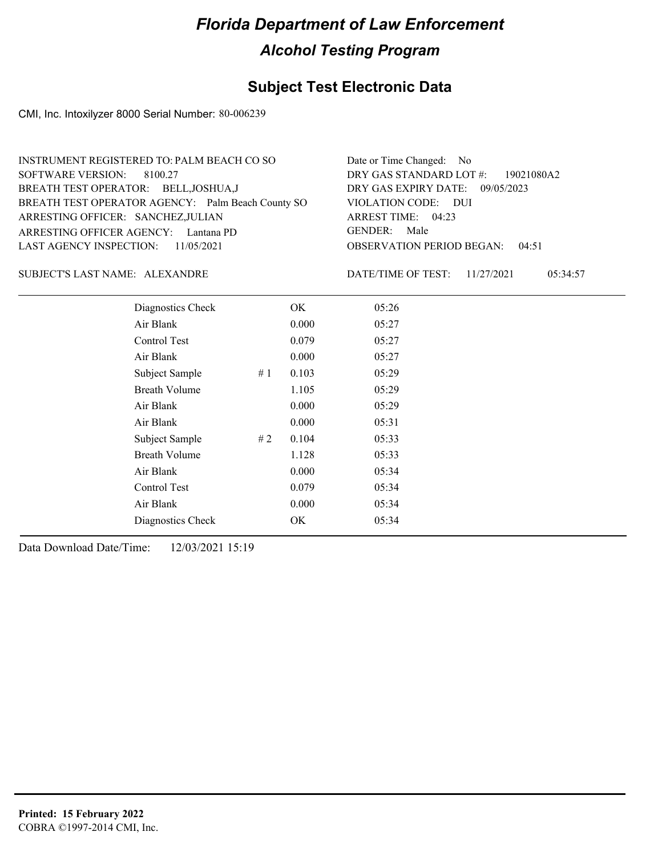### **Subject Test Electronic Data**

CMI, Inc. Intoxilyzer 8000 Serial Number: 80-006239

| INSTRUMENT REGISTERED TO: PALM BEACH CO SO        | Date or Time Changed: No               |
|---------------------------------------------------|----------------------------------------|
| SOFTWARE VERSION: 8100.27                         | DRY GAS STANDARD LOT #: 19021080A2     |
| BREATH TEST OPERATOR: BELL, JOSHUA, J             | DRY GAS EXPIRY DATE: 09/05/2023        |
| BREATH TEST OPERATOR AGENCY: Palm Beach County SO | VIOLATION CODE: DUI                    |
| ARRESTING OFFICER: SANCHEZ, JULIAN                | ARREST TIME: 04:23                     |
| ARRESTING OFFICER AGENCY: Lantana PD              | GENDER: Male                           |
| LAST AGENCY INSPECTION: 11/05/2021                | <b>OBSERVATION PERIOD BEGAN: 04:51</b> |
|                                                   |                                        |

ALEXANDRE SUBJECT'S LAST NAME: DATE/TIME OF TEST:

DATE/TIME OF TEST: 11/27/2021 05:34:57

| Diagnostics Check    |       | OK    | 05:26 |  |
|----------------------|-------|-------|-------|--|
| Air Blank            |       | 0.000 | 05:27 |  |
| Control Test         |       | 0.079 | 05:27 |  |
| Air Blank            |       | 0.000 | 05:27 |  |
| Subject Sample       | # $1$ | 0.103 | 05:29 |  |
| <b>Breath Volume</b> |       | 1.105 | 05:29 |  |
| Air Blank            |       | 0.000 | 05:29 |  |
| Air Blank            |       | 0.000 | 05:31 |  |
| Subject Sample       | #2    | 0.104 | 05:33 |  |
| <b>Breath Volume</b> |       | 1.128 | 05:33 |  |
| Air Blank            |       | 0.000 | 05:34 |  |
| Control Test         |       | 0.079 | 05:34 |  |
| Air Blank            |       | 0.000 | 05:34 |  |
| Diagnostics Check    |       | OK    | 05:34 |  |
|                      |       |       |       |  |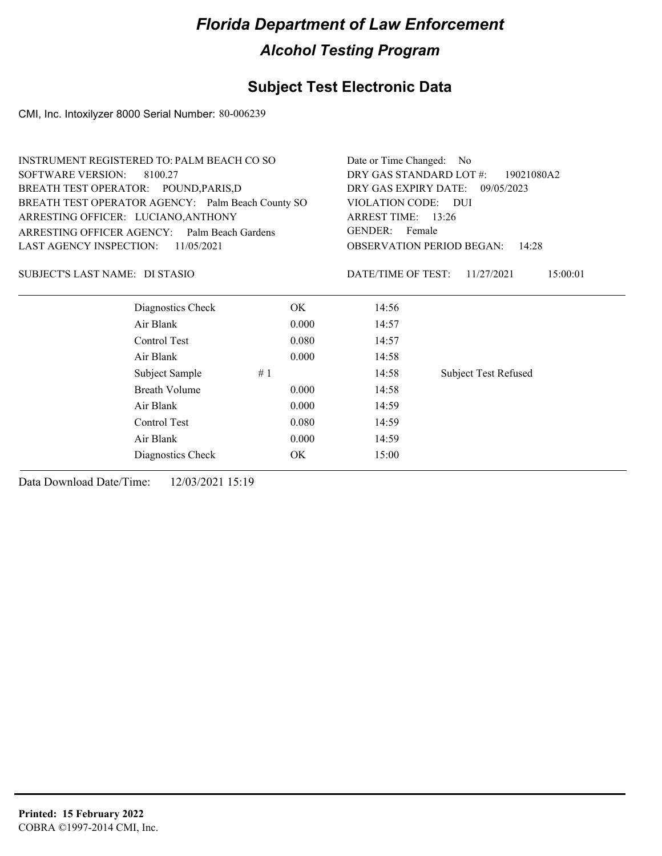### **Subject Test Electronic Data**

CMI, Inc. Intoxilyzer 8000 Serial Number: 80-006239

| <b>INSTRUMENT REGISTERED TO: PALM BEACH CO SO</b> |       | Date or Time Changed: No                                                          |                             |  |  |
|---------------------------------------------------|-------|-----------------------------------------------------------------------------------|-----------------------------|--|--|
| <b>SOFTWARE VERSION:</b><br>8100.27               |       | DRY GAS STANDARD LOT #:<br>19021080A2                                             |                             |  |  |
| BREATH TEST OPERATOR: POUND, PARIS, D             |       | DRY GAS EXPIRY DATE: 09/05/2023<br>VIOLATION CODE: DUI                            |                             |  |  |
| BREATH TEST OPERATOR AGENCY: Palm Beach County SO |       |                                                                                   |                             |  |  |
| ARRESTING OFFICER: LUCIANO, ANTHONY               |       | ARREST TIME: 13:26<br>GENDER: Female<br><b>OBSERVATION PERIOD BEGAN:</b><br>14:28 |                             |  |  |
| ARRESTING OFFICER AGENCY: Palm Beach Gardens      |       |                                                                                   |                             |  |  |
| LAST AGENCY INSPECTION:<br>11/05/2021             |       |                                                                                   |                             |  |  |
| SUBJECT'S LAST NAME: DI STASIO                    |       | DATE/TIME OF TEST:                                                                | 11/27/2021<br>15:00:01      |  |  |
| Diagnostics Check                                 | OK    | 14:56                                                                             |                             |  |  |
| Air Blank                                         | 0.000 | 14:57                                                                             |                             |  |  |
| Control Test                                      | 0.080 | 14:57                                                                             |                             |  |  |
| Air Blank                                         | 0.000 | 14:58                                                                             |                             |  |  |
| Subject Sample                                    | #1    | 14:58                                                                             | <b>Subject Test Refused</b> |  |  |
| Breath Volume                                     | 0.000 | 14:58                                                                             |                             |  |  |
| Air Blank                                         | 0.000 | 14:59                                                                             |                             |  |  |
| Control Test                                      | 0.080 | 14:59                                                                             |                             |  |  |
| Air Blank                                         | 0.000 | 14:59                                                                             |                             |  |  |
| Diagnostics Check                                 | OK.   | 15:00                                                                             |                             |  |  |
|                                                   |       |                                                                                   |                             |  |  |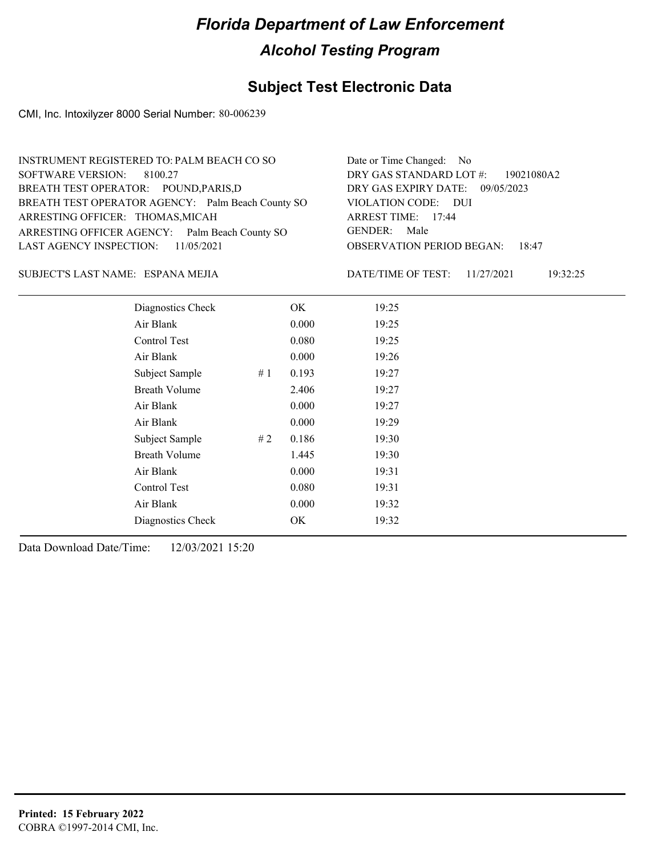#### **Subject Test Electronic Data**

CMI, Inc. Intoxilyzer 8000 Serial Number: 80-006239

| INSTRUMENT REGISTERED TO: PALM BEACH CO SO        | Date or Time Changed: No               |
|---------------------------------------------------|----------------------------------------|
| SOFTWARE VERSION: 8100.27                         | DRY GAS STANDARD LOT #: 19021080A2     |
| BREATH TEST OPERATOR: POUND, PARIS, D             | DRY GAS EXPIRY DATE: 09/05/2023        |
| BREATH TEST OPERATOR AGENCY: Palm Beach County SO | VIOLATION CODE: DUI                    |
| ARRESTING OFFICER: THOMAS, MICAH                  | ARREST TIME: 17:44                     |
| ARRESTING OFFICER AGENCY: Palm Beach County SO    | GENDER: Male                           |
| LAST AGENCY INSPECTION: $11/05/2021$              | <b>OBSERVATION PERIOD BEGAN: 18:47</b> |
|                                                   |                                        |

ESPANA MEJIA SUBJECT'S LAST NAME: DATE/TIME OF TEST:

DATE/TIME OF TEST: 11/27/2021 19:32:25

| Diagnostics Check    | OK    | 19:25 |
|----------------------|-------|-------|
| Air Blank            | 0.000 | 19:25 |
| Control Test         | 0.080 | 19:25 |
| Air Blank            | 0.000 | 19:26 |
| Subject Sample<br>#1 | 0.193 | 19:27 |
| <b>Breath Volume</b> | 2.406 | 19:27 |
| Air Blank            | 0.000 | 19:27 |
| Air Blank            | 0.000 | 19:29 |
| Subject Sample<br>#2 | 0.186 | 19:30 |
| <b>Breath Volume</b> | 1.445 | 19:30 |
| Air Blank            | 0.000 | 19:31 |
| Control Test         | 0.080 | 19:31 |
| Air Blank            | 0.000 | 19:32 |
| Diagnostics Check    | OK    | 19:32 |
|                      |       |       |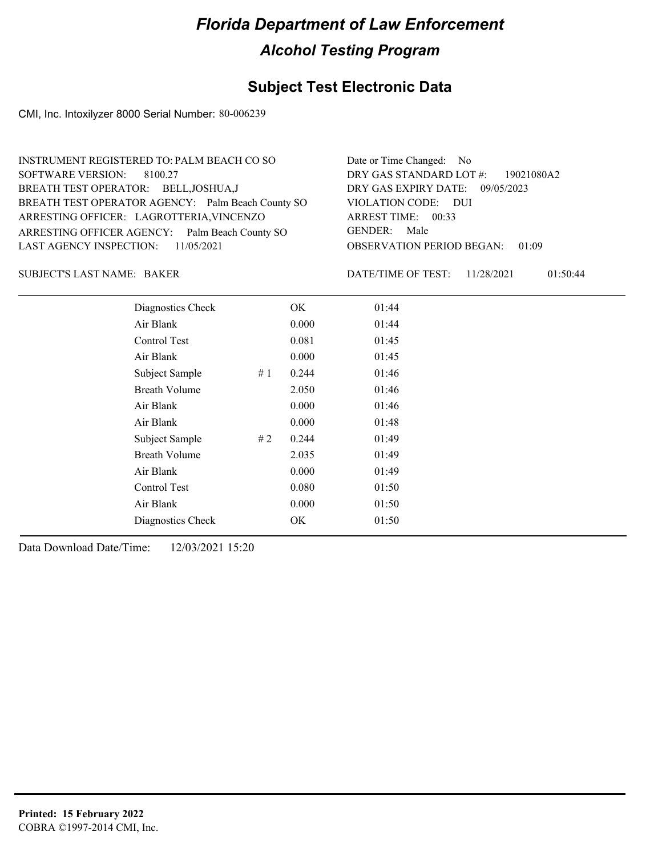#### **Subject Test Electronic Data**

CMI, Inc. Intoxilyzer 8000 Serial Number: 80-006239

| INSTRUMENT REGISTERED TO: PALM BEACH CO SO        | Date or Time Changed: No               |
|---------------------------------------------------|----------------------------------------|
| SOFTWARE VERSION: 8100.27                         | DRY GAS STANDARD LOT #: 19021080A2     |
| BREATH TEST OPERATOR: BELL, JOSHUA, J             | DRY GAS EXPIRY DATE: 09/05/2023        |
| BREATH TEST OPERATOR AGENCY: Palm Beach County SO | VIOLATION CODE: DUI                    |
| ARRESTING OFFICER: LAGROTTERIA, VINCENZO          | ARREST TIME: 00:33                     |
| ARRESTING OFFICER AGENCY: Palm Beach County SO    | GENDER: Male                           |
| LAST AGENCY INSPECTION: 11/05/2021                | <b>OBSERVATION PERIOD BEGAN: 01:09</b> |
|                                                   |                                        |

BAKER SUBJECT'S LAST NAME: DATE/TIME OF TEST:

DATE/TIME OF TEST: 11/28/2021 01:50:44

| Diagnostics Check    |    | OK    | 01:44 |  |
|----------------------|----|-------|-------|--|
| Air Blank            |    | 0.000 | 01:44 |  |
| Control Test         |    | 0.081 | 01:45 |  |
| Air Blank            |    | 0.000 | 01:45 |  |
| Subject Sample       | #1 | 0.244 | 01:46 |  |
| <b>Breath Volume</b> |    | 2.050 | 01:46 |  |
| Air Blank            |    | 0.000 | 01:46 |  |
| Air Blank            |    | 0.000 | 01:48 |  |
| Subject Sample       | #2 | 0.244 | 01:49 |  |
| <b>Breath Volume</b> |    | 2.035 | 01:49 |  |
| Air Blank            |    | 0.000 | 01:49 |  |
| Control Test         |    | 0.080 | 01:50 |  |
| Air Blank            |    | 0.000 | 01:50 |  |
| Diagnostics Check    |    | OK    | 01:50 |  |
|                      |    |       |       |  |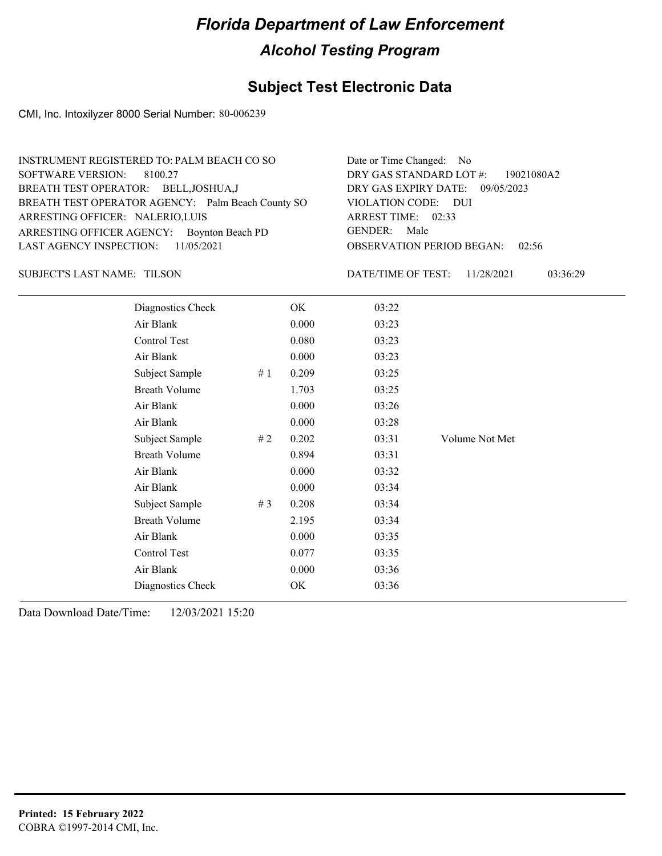#### **Subject Test Electronic Data**

CMI, Inc. Intoxilyzer 8000 Serial Number: 80-006239

| INSTRUMENT REGISTERED TO: PALM BEACH CO SO        | Date or Time Changed: No               |
|---------------------------------------------------|----------------------------------------|
| SOFTWARE VERSION: 8100.27                         | DRY GAS STANDARD LOT #: 19021080A2     |
| BREATH TEST OPERATOR: BELL, JOSHUA, J             | DRY GAS EXPIRY DATE: 09/05/2023        |
| BREATH TEST OPERATOR AGENCY: Palm Beach County SO | VIOLATION CODE: DUI                    |
| ARRESTING OFFICER: NALERIO, LUIS                  | ARREST TIME: 02:33                     |
| ARRESTING OFFICER AGENCY: Boynton Beach PD        | GENDER: Male                           |
| LAST AGENCY INSPECTION: $11/05/2021$              | <b>OBSERVATION PERIOD BEGAN: 02:56</b> |
|                                                   |                                        |

TILSON SUBJECT'S LAST NAME: DATE/TIME OF TEST:

DATE/TIME OF TEST: 11/28/2021 03:36:29

| Diagnostics Check    |    | OK    | 03:22 |                |
|----------------------|----|-------|-------|----------------|
| Air Blank            |    | 0.000 | 03:23 |                |
| Control Test         |    | 0.080 | 03:23 |                |
| Air Blank            |    | 0.000 | 03:23 |                |
| Subject Sample       | #1 | 0.209 | 03:25 |                |
| <b>Breath Volume</b> |    | 1.703 | 03:25 |                |
| Air Blank            |    | 0.000 | 03:26 |                |
| Air Blank            |    | 0.000 | 03:28 |                |
| Subject Sample       | #2 | 0.202 | 03:31 | Volume Not Met |
| <b>Breath Volume</b> |    | 0.894 | 03:31 |                |
| Air Blank            |    | 0.000 | 03:32 |                |
| Air Blank            |    | 0.000 | 03:34 |                |
| Subject Sample       | #3 | 0.208 | 03:34 |                |
| <b>Breath Volume</b> |    | 2.195 | 03:34 |                |
| Air Blank            |    | 0.000 | 03:35 |                |
| Control Test         |    | 0.077 | 03:35 |                |
| Air Blank            |    | 0.000 | 03:36 |                |
| Diagnostics Check    |    | OK    | 03:36 |                |
|                      |    |       |       |                |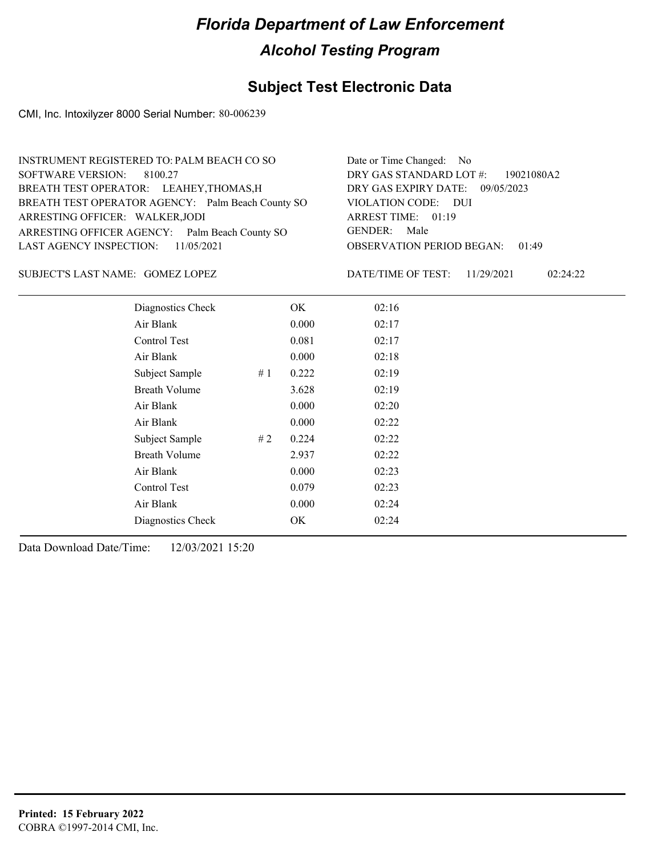#### **Subject Test Electronic Data**

CMI, Inc. Intoxilyzer 8000 Serial Number: 80-006239

| INSTRUMENT REGISTERED TO: PALM BEACH CO SO        | Date or Time Changed: No               |
|---------------------------------------------------|----------------------------------------|
| SOFTWARE VERSION: 8100.27                         | DRY GAS STANDARD LOT #: 19021080A2     |
| BREATH TEST OPERATOR: LEAHEY, THOMAS, H           | DRY GAS EXPIRY DATE: 09/05/2023        |
| BREATH TEST OPERATOR AGENCY: Palm Beach County SO | VIOLATION CODE: DUI                    |
| ARRESTING OFFICER: WALKER, JODI                   | ARREST TIME: 01:19                     |
| ARRESTING OFFICER AGENCY: Palm Beach County SO    | GENDER: Male                           |
| LAST AGENCY INSPECTION: $11/05/2021$              | <b>OBSERVATION PERIOD BEGAN: 01:49</b> |
|                                                   |                                        |

SUBJECT'S LAST NAME: GOMEZ LOPEZ DATE/TIME OF TEST:

DATE/TIME OF TEST: 11/29/2021 02:24:22

| Diagnostics Check    |    | OK    | 02:16 |  |  |
|----------------------|----|-------|-------|--|--|
| Air Blank            |    | 0.000 | 02:17 |  |  |
| Control Test         |    | 0.081 | 02:17 |  |  |
| Air Blank            |    | 0.000 | 02:18 |  |  |
| Subject Sample       | #1 | 0.222 | 02:19 |  |  |
| <b>Breath Volume</b> |    | 3.628 | 02:19 |  |  |
| Air Blank            |    | 0.000 | 02:20 |  |  |
| Air Blank            |    | 0.000 | 02:22 |  |  |
| Subject Sample       | #2 | 0.224 | 02:22 |  |  |
| <b>Breath Volume</b> |    | 2.937 | 02:22 |  |  |
| Air Blank            |    | 0.000 | 02:23 |  |  |
| Control Test         |    | 0.079 | 02:23 |  |  |
| Air Blank            |    | 0.000 | 02:24 |  |  |
| Diagnostics Check    |    | OK    | 02:24 |  |  |
|                      |    |       |       |  |  |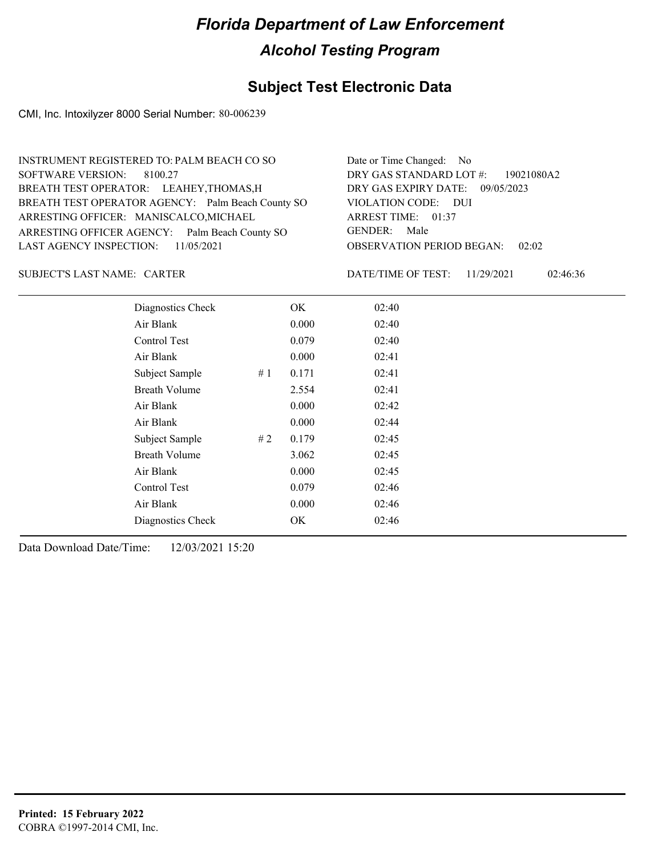#### **Subject Test Electronic Data**

CMI, Inc. Intoxilyzer 8000 Serial Number: 80-006239

| INSTRUMENT REGISTERED TO: PALM BEACH CO SO        | Date or Time Changed: No               |
|---------------------------------------------------|----------------------------------------|
| SOFTWARE VERSION: 8100.27                         | DRY GAS STANDARD LOT #: 19021080A2     |
| BREATH TEST OPERATOR: LEAHEY, THOMAS, H           | DRY GAS EXPIRY DATE: 09/05/2023        |
| BREATH TEST OPERATOR AGENCY: Palm Beach County SO | VIOLATION CODE: DUI                    |
| ARRESTING OFFICER: MANISCALCO, MICHAEL            | ARREST TIME: 01:37                     |
| ARRESTING OFFICER AGENCY: Palm Beach County SO    | GENDER: Male                           |
| LAST AGENCY INSPECTION: $11/05/2021$              | <b>OBSERVATION PERIOD BEGAN: 02:02</b> |
|                                                   |                                        |

SUBJECT'S LAST NAME: CARTER DATE/TIME OF TEST:

DATE/TIME OF TEST: 11/29/2021 02:46:36

| Diagnostics Check    |    | OK    | 02:40 |
|----------------------|----|-------|-------|
| Air Blank            |    | 0.000 | 02:40 |
| Control Test         |    | 0.079 | 02:40 |
| Air Blank            |    | 0.000 | 02:41 |
| Subject Sample       | #1 | 0.171 | 02:41 |
| <b>Breath Volume</b> |    | 2.554 | 02:41 |
| Air Blank            |    | 0.000 | 02:42 |
| Air Blank            |    | 0.000 | 02:44 |
| Subject Sample       | #2 | 0.179 | 02:45 |
| <b>Breath Volume</b> |    | 3.062 | 02:45 |
| Air Blank            |    | 0.000 | 02:45 |
| Control Test         |    | 0.079 | 02:46 |
| Air Blank            |    | 0.000 | 02:46 |
| Diagnostics Check    |    | OK    | 02:46 |
|                      |    |       |       |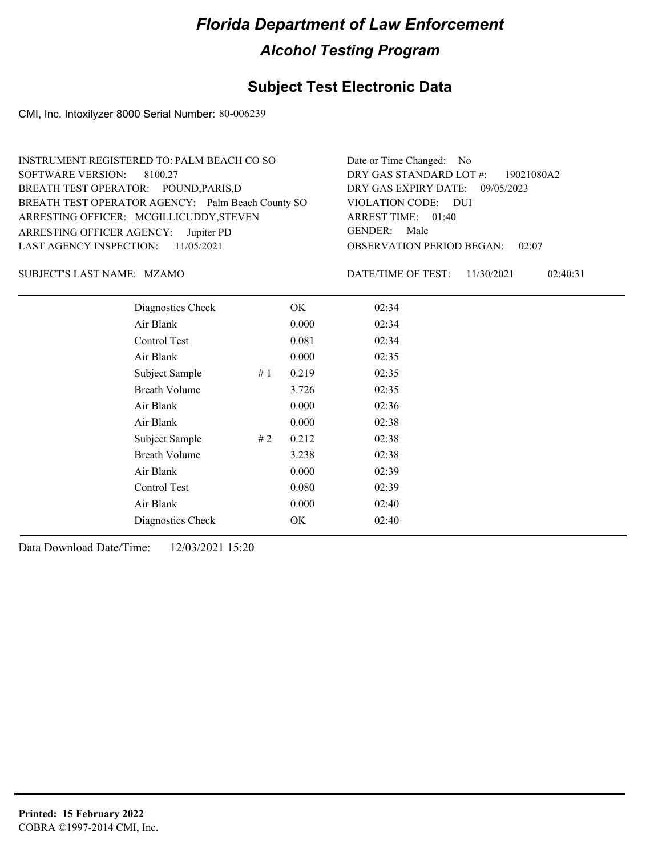#### **Subject Test Electronic Data**

CMI, Inc. Intoxilyzer 8000 Serial Number: 80-006239

| INSTRUMENT REGISTERED TO: PALM BEACH CO SO        | Date or Time Changed: No               |
|---------------------------------------------------|----------------------------------------|
| SOFTWARE VERSION: 8100.27                         | DRY GAS STANDARD LOT #: 19021080A2     |
| BREATH TEST OPERATOR: POUND, PARIS, D             | DRY GAS EXPIRY DATE: 09/05/2023        |
| BREATH TEST OPERATOR AGENCY: Palm Beach County SO | VIOLATION CODE: DUI                    |
| ARRESTING OFFICER: MCGILLICUDDY, STEVEN           | ARREST TIME: 01:40                     |
| ARRESTING OFFICER AGENCY: Jupiter PD              | GENDER: Male                           |
| LAST AGENCY INSPECTION: $11/05/2021$              | <b>OBSERVATION PERIOD BEGAN: 02:07</b> |
|                                                   |                                        |

#### MZAMO SUBJECT'S LAST NAME: DATE/TIME OF TEST:

DATE/TIME OF TEST: 11/30/2021 02:40:31

| Diagnostics Check    | OK    | 02:34 |
|----------------------|-------|-------|
| Air Blank            | 0.000 | 02:34 |
| Control Test         | 0.081 | 02:34 |
| Air Blank            | 0.000 | 02:35 |
| Subject Sample<br>#1 | 0.219 | 02:35 |
| <b>Breath Volume</b> | 3.726 | 02:35 |
| Air Blank            | 0.000 | 02:36 |
| Air Blank            | 0.000 | 02:38 |
| Subject Sample<br>#2 | 0.212 | 02:38 |
| <b>Breath Volume</b> | 3.238 | 02:38 |
| Air Blank            | 0.000 | 02:39 |
| Control Test         | 0.080 | 02:39 |
| Air Blank            | 0.000 | 02:40 |
| Diagnostics Check    | OK    | 02:40 |
|                      |       |       |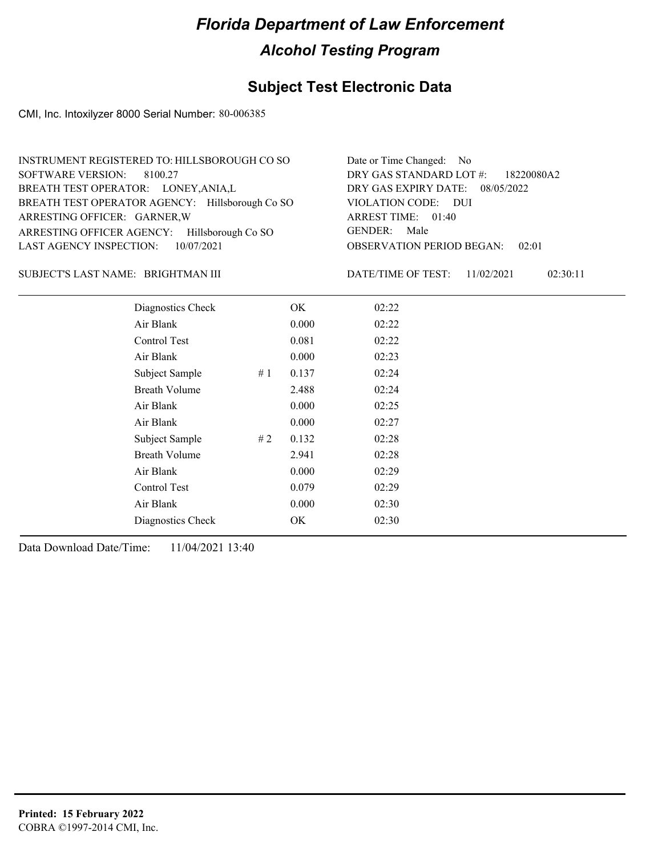#### **Subject Test Electronic Data**

CMI, Inc. Intoxilyzer 8000 Serial Number: 80-006385

| INSTRUMENT REGISTERED TO: HILLSBOROUGH CO SO    | Date or Time Changed: No               |
|-------------------------------------------------|----------------------------------------|
| SOFTWARE VERSION: 8100.27                       | DRY GAS STANDARD LOT #: 18220080A2     |
| BREATH TEST OPERATOR: LONEY, ANIA, L            | DRY GAS EXPIRY DATE: 08/05/2022        |
| BREATH TEST OPERATOR AGENCY: Hillsborough Co SO | VIOLATION CODE: DUI                    |
| ARRESTING OFFICER: GARNER, W                    | ARREST TIME: 01:40                     |
| ARRESTING OFFICER AGENCY: Hillsborough Co SO    | GENDER: Male                           |
| LAST AGENCY INSPECTION: $10/07/2021$            | <b>OBSERVATION PERIOD BEGAN: 02:01</b> |

#### BRIGHTMAN III SUBJECT'S LAST NAME: DATE/TIME OF TEST:

DATE/TIME OF TEST: 11/02/2021 02:30:11

| Diagnostics Check    |    | OK    | 02:22 |
|----------------------|----|-------|-------|
| Air Blank            |    | 0.000 | 02:22 |
| Control Test         |    | 0.081 | 02:22 |
| Air Blank            |    | 0.000 | 02:23 |
| Subject Sample       | #1 | 0.137 | 02:24 |
| Breath Volume        |    | 2.488 | 02:24 |
| Air Blank            |    | 0.000 | 02:25 |
| Air Blank            |    | 0.000 | 02:27 |
| Subject Sample       | #2 | 0.132 | 02:28 |
| <b>Breath Volume</b> |    | 2.941 | 02:28 |
| Air Blank            |    | 0.000 | 02:29 |
| Control Test         |    | 0.079 | 02:29 |
| Air Blank            |    | 0.000 | 02:30 |
| Diagnostics Check    |    | OK    | 02:30 |
|                      |    |       |       |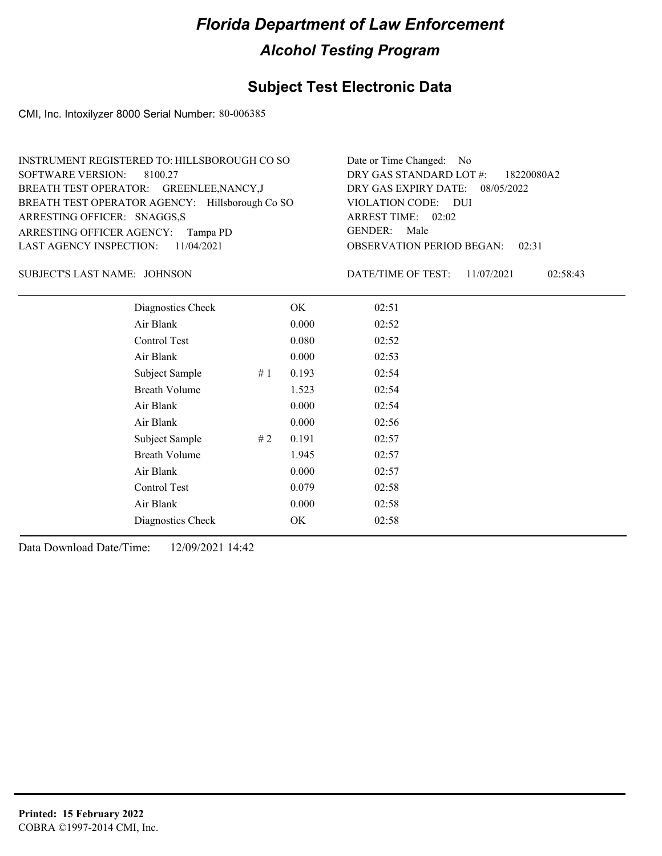#### **Subject Test Electronic Data**

CMI, Inc. Intoxilyzer 8000 Serial Number: 80-006385

| INSTRUMENT REGISTERED TO: HILLSBOROUGH CO SO    | Date or Time Changed: No               |
|-------------------------------------------------|----------------------------------------|
| SOFTWARE VERSION: 8100.27                       | DRY GAS STANDARD LOT #: 18220080A2     |
| BREATH TEST OPERATOR: GREENLEE, NANCY, J        | DRY GAS EXPIRY DATE: 08/05/2022        |
| BREATH TEST OPERATOR AGENCY: Hillsborough Co SO | VIOLATION CODE: DUI                    |
| ARRESTING OFFICER: SNAGGS,S                     | ARREST TIME: 02:02                     |
| ARRESTING OFFICER AGENCY: Tampa PD              | GENDER: Male                           |
| LAST AGENCY INSPECTION: 11/04/2021              | <b>OBSERVATION PERIOD BEGAN: 02:31</b> |

JOHNSON SUBJECT'S LAST NAME: DATE/TIME OF TEST:

DATE/TIME OF TEST: 11/07/2021 02:58:43

| Diagnostics Check    |    | OK    | 02:51 |
|----------------------|----|-------|-------|
| Air Blank            |    | 0.000 | 02:52 |
| Control Test         |    | 0.080 | 02:52 |
| Air Blank            |    | 0.000 | 02:53 |
| Subject Sample       | #1 | 0.193 | 02:54 |
| <b>Breath Volume</b> |    | 1.523 | 02:54 |
| Air Blank            |    | 0.000 | 02:54 |
| Air Blank            |    | 0.000 | 02:56 |
| Subject Sample       | #2 | 0.191 | 02:57 |
| <b>Breath Volume</b> |    | 1.945 | 02:57 |
| Air Blank            |    | 0.000 | 02:57 |
| Control Test         |    | 0.079 | 02:58 |
| Air Blank            |    | 0.000 | 02:58 |
| Diagnostics Check    |    | OK    | 02:58 |
|                      |    |       |       |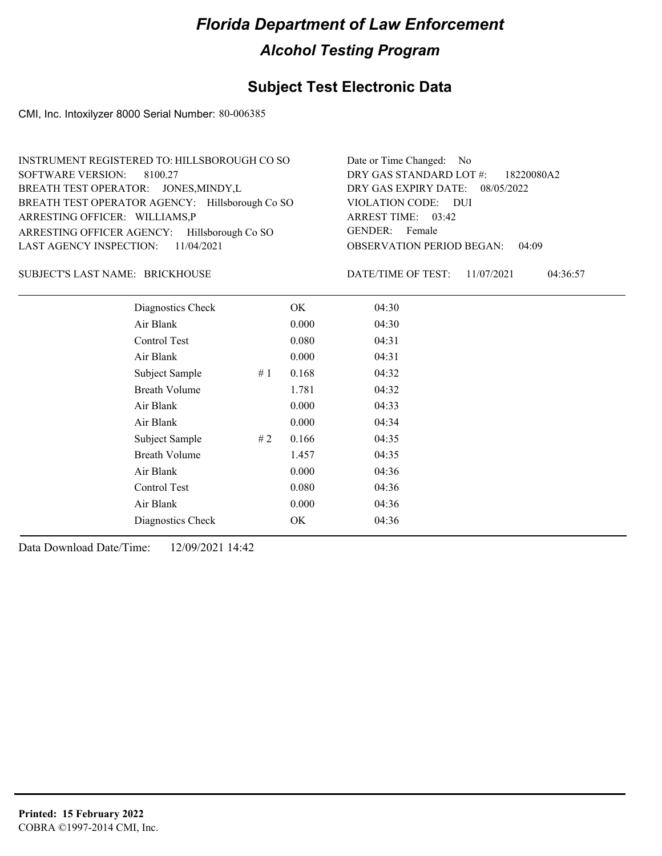#### **Subject Test Electronic Data**

CMI, Inc. Intoxilyzer 8000 Serial Number: 80-006385

| INSTRUMENT REGISTERED TO: HILLSBOROUGH CO SO    | Date or Time Changed: No               |
|-------------------------------------------------|----------------------------------------|
| SOFTWARE VERSION: 8100.27                       | DRY GAS STANDARD LOT $\#$ : 18220080A2 |
| BREATH TEST OPERATOR: JONES, MINDY, L           | DRY GAS EXPIRY DATE: 08/05/2022        |
| BREATH TEST OPERATOR AGENCY: Hillsborough Co SO | VIOLATION CODE: DUI                    |
| ARRESTING OFFICER: WILLIAMS,P                   | ARREST TIME: 03:42                     |
| ARRESTING OFFICER AGENCY: Hillsborough Co SO    | GENDER: Female                         |
| LAST AGENCY INSPECTION: 11/04/2021              | <b>OBSERVATION PERIOD BEGAN: 04:09</b> |

#### BRICKHOUSE SUBJECT'S LAST NAME: DATE/TIME OF TEST:

DATE/TIME OF TEST: 11/07/2021 04:36:57

| Diagnostics Check    |    | OK    | 04:30 |
|----------------------|----|-------|-------|
| Air Blank            |    | 0.000 | 04:30 |
| <b>Control Test</b>  |    | 0.080 | 04:31 |
| Air Blank            |    | 0.000 | 04:31 |
| Subject Sample       | #1 | 0.168 | 04:32 |
| <b>Breath Volume</b> |    | 1.781 | 04:32 |
| Air Blank            |    | 0.000 | 04:33 |
| Air Blank            |    | 0.000 | 04:34 |
| Subject Sample       | #2 | 0.166 | 04:35 |
| <b>Breath Volume</b> |    | 1.457 | 04:35 |
| Air Blank            |    | 0.000 | 04:36 |
| Control Test         |    | 0.080 | 04:36 |
| Air Blank            |    | 0.000 | 04:36 |
| Diagnostics Check    |    | OK    | 04:36 |
|                      |    |       |       |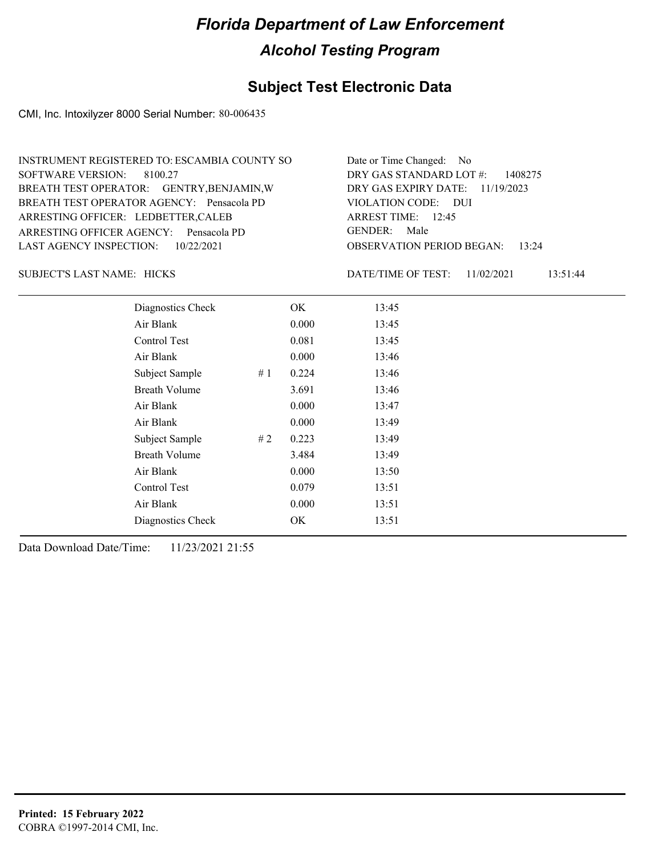#### **Subject Test Electronic Data**

CMI, Inc. Intoxilyzer 8000 Serial Number: 80-006435

| INSTRUMENT REGISTERED TO: ESCAMBIA COUNTY SO | Date or Time Changed: No               |
|----------------------------------------------|----------------------------------------|
| SOFTWARE VERSION: 8100.27                    | DRY GAS STANDARD LOT $\#$ : 1408275    |
| BREATH TEST OPERATOR: GENTRY, BENJAMIN, W    | DRY GAS EXPIRY DATE: $11/19/2023$      |
| BREATH TEST OPERATOR AGENCY: Pensacola PD    | VIOLATION CODE: DUI                    |
| ARRESTING OFFICER: LEDBETTER, CALEB          | ARREST TIME: $12:45$                   |
| ARRESTING OFFICER AGENCY: Pensacola PD       | GENDER: Male                           |
| LAST AGENCY INSPECTION: 10/22/2021           | <b>OBSERVATION PERIOD BEGAN: 13:24</b> |

SUBJECT'S LAST NAME: HICKS DATE/TIME OF TEST:

DATE/TIME OF TEST: 11/02/2021 13:51:44

| Diagnostics Check    |    | OK.   | 13:45 |
|----------------------|----|-------|-------|
| Air Blank            |    | 0.000 | 13:45 |
| Control Test         |    | 0.081 | 13:45 |
| Air Blank            |    | 0.000 | 13:46 |
| Subject Sample       | #1 | 0.224 | 13:46 |
| <b>Breath Volume</b> |    | 3.691 | 13:46 |
| Air Blank            |    | 0.000 | 13:47 |
| Air Blank            |    | 0.000 | 13:49 |
| Subject Sample       | #2 | 0.223 | 13:49 |
| <b>Breath Volume</b> |    | 3.484 | 13:49 |
| Air Blank            |    | 0.000 | 13:50 |
| Control Test         |    | 0.079 | 13:51 |
| Air Blank            |    | 0.000 | 13:51 |
| Diagnostics Check    |    | OK    | 13:51 |
|                      |    |       |       |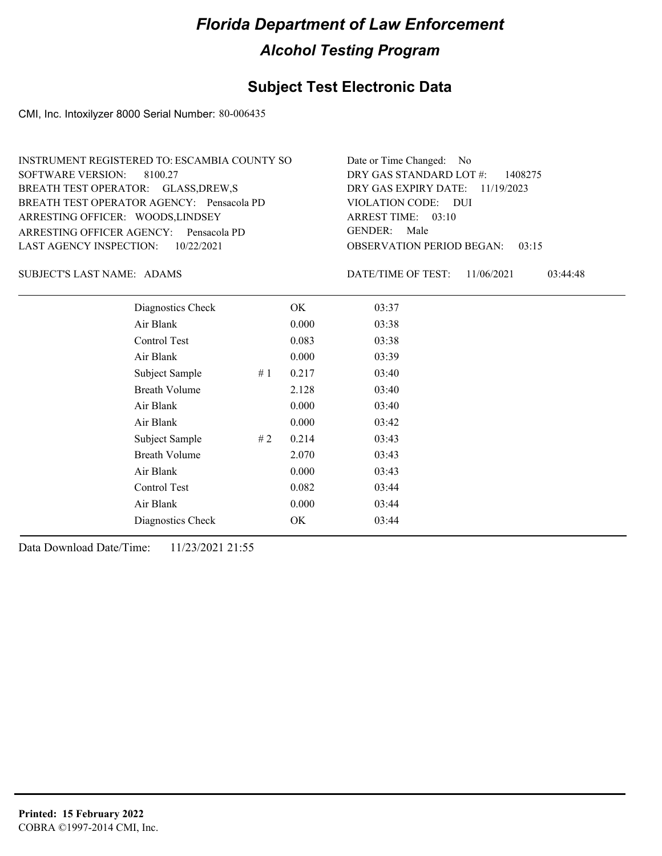#### **Subject Test Electronic Data**

CMI, Inc. Intoxilyzer 8000 Serial Number: 80-006435

| INSTRUMENT REGISTERED TO: ESCAMBIA COUNTY SO | Date or Time Changed: No               |
|----------------------------------------------|----------------------------------------|
| SOFTWARE VERSION: 8100.27                    | DRY GAS STANDARD LOT $\#$ : 1408275    |
| BREATH TEST OPERATOR: GLASS, DREW, S         | DRY GAS EXPIRY DATE: $11/19/2023$      |
| BREATH TEST OPERATOR AGENCY: Pensacola PD    | VIOLATION CODE: DUI                    |
| ARRESTING OFFICER: WOODS, LINDSEY            | ARREST TIME: $03:10$                   |
| ARRESTING OFFICER AGENCY: Pensacola PD       | GENDER: Male                           |
| LAST AGENCY INSPECTION: 10/22/2021           | <b>OBSERVATION PERIOD BEGAN: 03:15</b> |

SUBJECT'S LAST NAME: ADAMS DATE/TIME OF TEST:

DATE/TIME OF TEST: 11/06/2021 03:44:48

| Diagnostics Check    |    | OK    | 03:37 |
|----------------------|----|-------|-------|
| Air Blank            |    | 0.000 | 03:38 |
| Control Test         |    | 0.083 | 03:38 |
| Air Blank            |    | 0.000 | 03:39 |
| Subject Sample       | #1 | 0.217 | 03:40 |
| <b>Breath Volume</b> |    | 2.128 | 03:40 |
| Air Blank            |    | 0.000 | 03:40 |
| Air Blank            |    | 0.000 | 03:42 |
| Subject Sample       | #2 | 0.214 | 03:43 |
| <b>Breath Volume</b> |    | 2.070 | 03:43 |
| Air Blank            |    | 0.000 | 03:43 |
| <b>Control Test</b>  |    | 0.082 | 03:44 |
| Air Blank            |    | 0.000 | 03:44 |
| Diagnostics Check    |    | OK    | 03:44 |
|                      |    |       |       |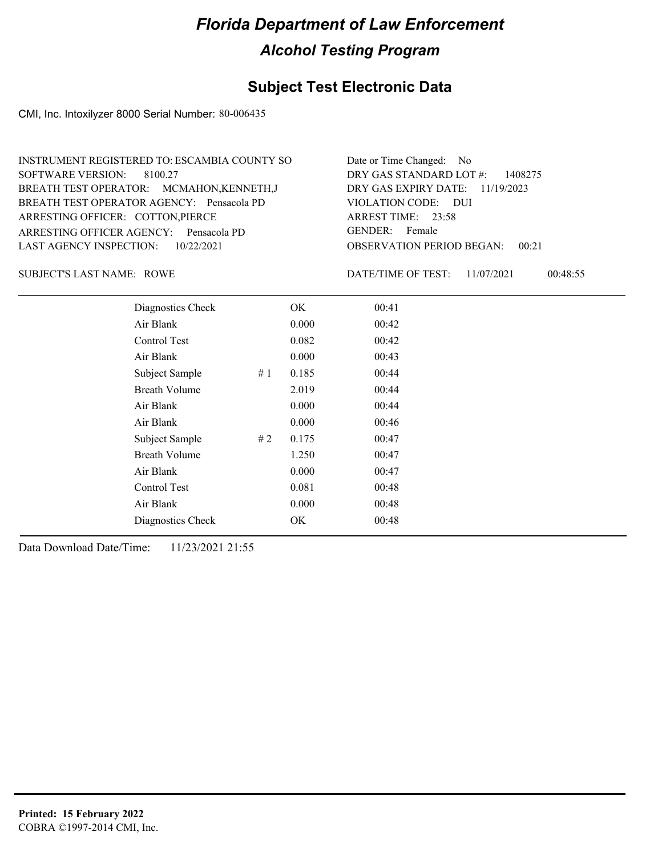#### **Subject Test Electronic Data**

CMI, Inc. Intoxilyzer 8000 Serial Number: 80-006435

| INSTRUMENT REGISTERED TO: ESCAMBIA COUNTY SO | Date or Time Changed: No               |
|----------------------------------------------|----------------------------------------|
| SOFTWARE VERSION: 8100.27                    | DRY GAS STANDARD LOT $\#$ : 1408275    |
| BREATH TEST OPERATOR: MCMAHON, KENNETH, J    | DRY GAS EXPIRY DATE: $11/19/2023$      |
| BREATH TEST OPERATOR AGENCY: Pensacola PD    | VIOLATION CODE: DUI                    |
| ARRESTING OFFICER: COTTON, PIERCE            | ARREST TIME: 23:58                     |
| ARRESTING OFFICER AGENCY: Pensacola PD       | GENDER: Female                         |
| LAST AGENCY INSPECTION: $10/22/2021$         | <b>OBSERVATION PERIOD BEGAN: 00:21</b> |

SUBJECT'S LAST NAME: ROWE DATE/TIME OF TEST:

DATE/TIME OF TEST: 11/07/2021 00:48:55

| Diagnostics Check    |    | OK    | 00:41 |  |
|----------------------|----|-------|-------|--|
| Air Blank            |    | 0.000 | 00:42 |  |
| <b>Control Test</b>  |    | 0.082 | 00:42 |  |
| Air Blank            |    | 0.000 | 00:43 |  |
| Subject Sample       | #1 | 0.185 | 00:44 |  |
| <b>Breath Volume</b> |    | 2.019 | 00:44 |  |
| Air Blank            |    | 0.000 | 00:44 |  |
| Air Blank            |    | 0.000 | 00:46 |  |
| Subject Sample       | #2 | 0.175 | 00:47 |  |
| <b>Breath Volume</b> |    | 1.250 | 00:47 |  |
| Air Blank            |    | 0.000 | 00:47 |  |
| <b>Control Test</b>  |    | 0.081 | 00:48 |  |
| Air Blank            |    | 0.000 | 00:48 |  |
| Diagnostics Check    |    | OK    | 00:48 |  |
|                      |    |       |       |  |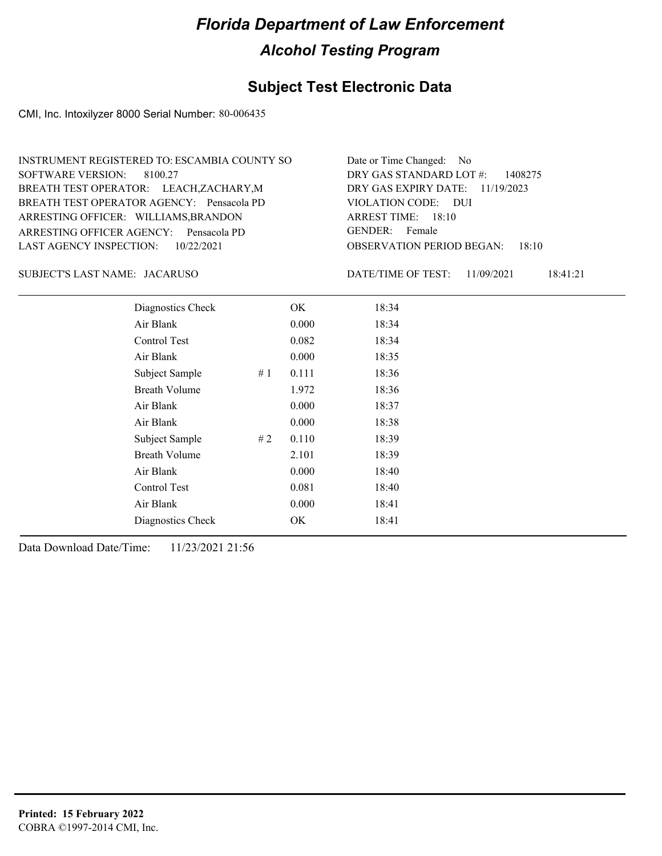#### **Subject Test Electronic Data**

CMI, Inc. Intoxilyzer 8000 Serial Number: 80-006435

| <b>INSTRUMENT REGISTERED TO: ESCAMBIA COUNTY SO</b> | Date or Time Changed: No               |
|-----------------------------------------------------|----------------------------------------|
| SOFTWARE VERSION: 8100.27                           | DRY GAS STANDARD LOT $\#$ : 1408275    |
| BREATH TEST OPERATOR: LEACH, ZACHARY, M             | DRY GAS EXPIRY DATE: $11/19/2023$      |
| BREATH TEST OPERATOR AGENCY: Pensacola PD           | VIOLATION CODE: DUI                    |
| ARRESTING OFFICER: WILLIAMS, BRANDON                | ARREST TIME: 18:10                     |
| ARRESTING OFFICER AGENCY: Pensacola PD              | GENDER: Female                         |
| LAST AGENCY INSPECTION: $10/22/2021$                | <b>OBSERVATION PERIOD BEGAN: 18:10</b> |

JACARUSO SUBJECT'S LAST NAME: DATE/TIME OF TEST:

DATE/TIME OF TEST: 11/09/2021 18:41:21

| Diagnostics Check    |    | OK    | 18:34 |
|----------------------|----|-------|-------|
| Air Blank            |    | 0.000 | 18:34 |
| Control Test         |    | 0.082 | 18:34 |
| Air Blank            |    | 0.000 | 18:35 |
| Subject Sample       | #1 | 0.111 | 18:36 |
| <b>Breath Volume</b> |    | 1.972 | 18:36 |
| Air Blank            |    | 0.000 | 18:37 |
| Air Blank            |    | 0.000 | 18:38 |
| Subject Sample       | #2 | 0.110 | 18:39 |
| <b>Breath Volume</b> |    | 2.101 | 18:39 |
| Air Blank            |    | 0.000 | 18:40 |
| Control Test         |    | 0.081 | 18:40 |
| Air Blank            |    | 0.000 | 18:41 |
| Diagnostics Check    |    | OK    | 18:41 |
|                      |    |       |       |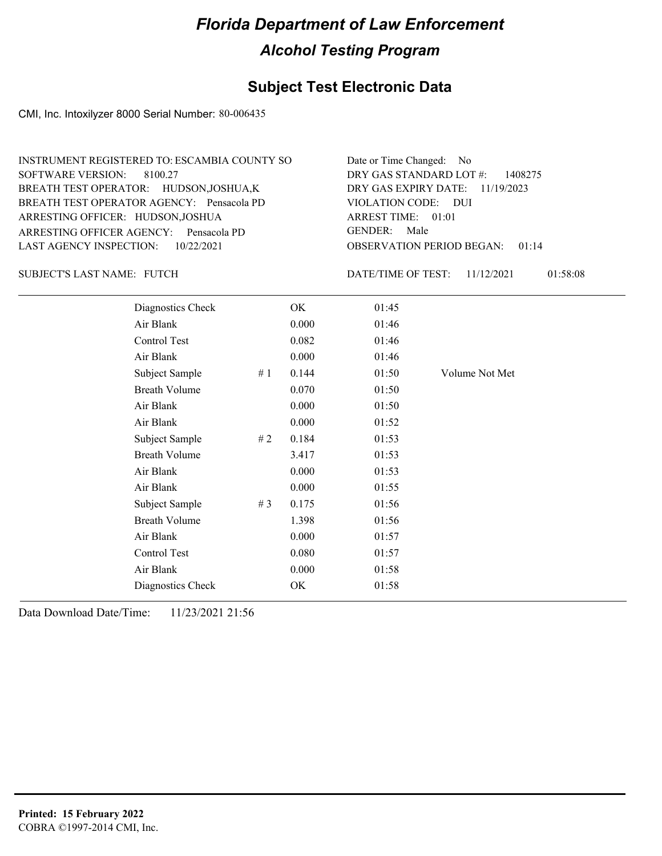#### **Subject Test Electronic Data**

CMI, Inc. Intoxilyzer 8000 Serial Number: 80-006435

| INSTRUMENT REGISTERED TO: ESCAMBIA COUNTY SO | Date or Time Changed: No               |
|----------------------------------------------|----------------------------------------|
| SOFTWARE VERSION: 8100.27                    | DRY GAS STANDARD LOT $\#$ : 1408275    |
| BREATH TEST OPERATOR: HUDSON, JOSHUA, K      | DRY GAS EXPIRY DATE: $11/19/2023$      |
| BREATH TEST OPERATOR AGENCY: Pensacola PD    | VIOLATION CODE: DUI                    |
| ARRESTING OFFICER: HUDSON, JOSHUA            | ARREST TIME: $01:01$                   |
| ARRESTING OFFICER AGENCY: Pensacola PD       | GENDER: Male                           |
| LAST AGENCY INSPECTION: 10/22/2021           | <b>OBSERVATION PERIOD BEGAN: 01:14</b> |

SUBJECT'S LAST NAME: FUTCH EXECUTE THE DATE/TIME OF TEST:

DATE/TIME OF TEST: 11/12/2021 01:58:08

| Diagnostics Check    |    | OK    | 01:45 |                |
|----------------------|----|-------|-------|----------------|
| Air Blank            |    | 0.000 | 01:46 |                |
| Control Test         |    | 0.082 | 01:46 |                |
| Air Blank            |    | 0.000 | 01:46 |                |
| Subject Sample       | #1 | 0.144 | 01:50 | Volume Not Met |
| <b>Breath Volume</b> |    | 0.070 | 01:50 |                |
| Air Blank            |    | 0.000 | 01:50 |                |
| Air Blank            |    | 0.000 | 01:52 |                |
| Subject Sample       | #2 | 0.184 | 01:53 |                |
| <b>Breath Volume</b> |    | 3.417 | 01:53 |                |
| Air Blank            |    | 0.000 | 01:53 |                |
| Air Blank            |    | 0.000 | 01:55 |                |
| Subject Sample       | #3 | 0.175 | 01:56 |                |
| <b>Breath Volume</b> |    | 1.398 | 01:56 |                |
| Air Blank            |    | 0.000 | 01:57 |                |
| <b>Control Test</b>  |    | 0.080 | 01:57 |                |
| Air Blank            |    | 0.000 | 01:58 |                |
| Diagnostics Check    |    | OK    | 01:58 |                |
|                      |    |       |       |                |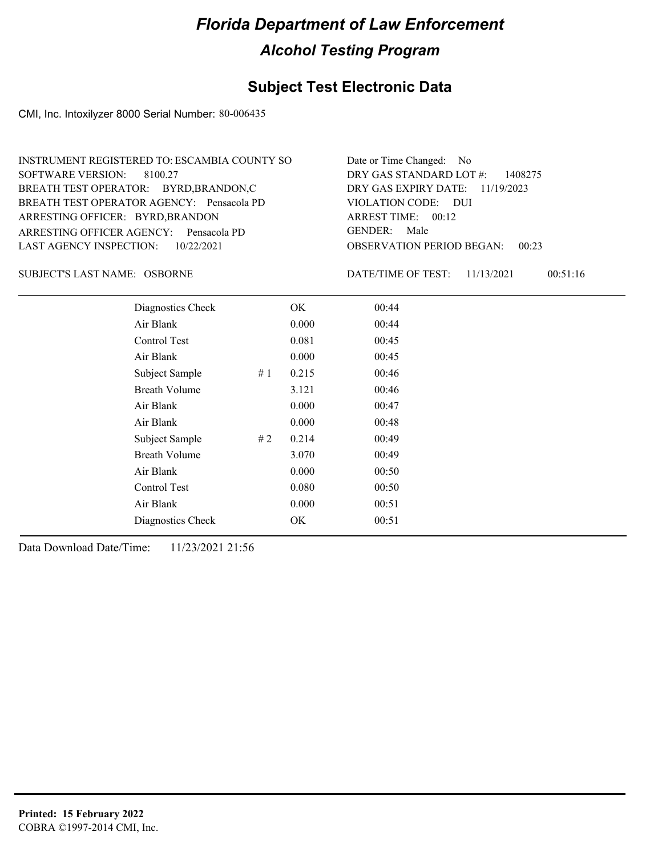#### **Subject Test Electronic Data**

CMI, Inc. Intoxilyzer 8000 Serial Number: 80-006435

| Date or Time Changed: No               |
|----------------------------------------|
| DRY GAS STANDARD LOT $\#$ : 1408275    |
| DRY GAS EXPIRY DATE: $11/19/2023$      |
| VIOLATION CODE: DUI                    |
| ARREST TIME: 00:12                     |
| GENDER: Male                           |
| <b>OBSERVATION PERIOD BEGAN: 00:23</b> |
|                                        |

OSBORNE SUBJECT'S LAST NAME: DATE/TIME OF TEST:

DATE/TIME OF TEST: 11/13/2021 00:51:16

| Diagnostics Check    |    | OK    | 00:44 |
|----------------------|----|-------|-------|
| Air Blank            |    | 0.000 | 00:44 |
| Control Test         |    | 0.081 | 00:45 |
| Air Blank            |    | 0.000 | 00:45 |
| Subject Sample       | #1 | 0.215 | 00:46 |
| <b>Breath Volume</b> |    | 3.121 | 00:46 |
| Air Blank            |    | 0.000 | 00:47 |
| Air Blank            |    | 0.000 | 00:48 |
| Subject Sample       | #2 | 0.214 | 00:49 |
| <b>Breath Volume</b> |    | 3.070 | 00:49 |
| Air Blank            |    | 0.000 | 00:50 |
| <b>Control Test</b>  |    | 0.080 | 00:50 |
| Air Blank            |    | 0.000 | 00:51 |
| Diagnostics Check    |    | OK    | 00:51 |
|                      |    |       |       |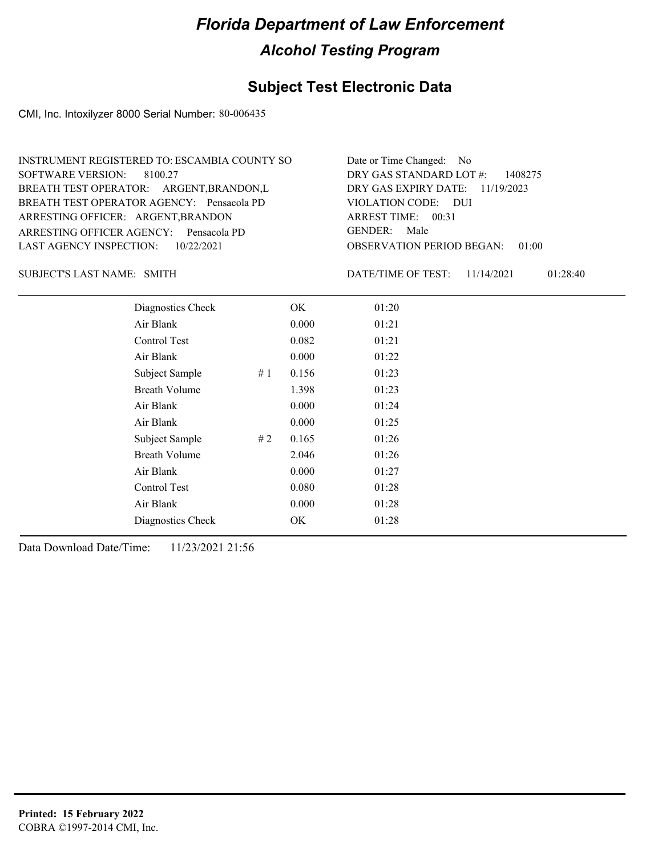#### **Subject Test Electronic Data**

CMI, Inc. Intoxilyzer 8000 Serial Number: 80-006435

| INSTRUMENT REGISTERED TO: ESCAMBIA COUNTY SO | Date or Time Changed: No               |
|----------------------------------------------|----------------------------------------|
| SOFTWARE VERSION: 8100.27                    | DRY GAS STANDARD LOT $\#$ : 1408275    |
| BREATH TEST OPERATOR: ARGENT, BRANDON, L     | DRY GAS EXPIRY DATE: 11/19/2023        |
| BREATH TEST OPERATOR AGENCY: Pensacola PD    | VIOLATION CODE: DUI                    |
| ARRESTING OFFICER: ARGENT, BRANDON           | ARREST TIME: $00:31$                   |
| ARRESTING OFFICER AGENCY: Pensacola PD       | GENDER: Male                           |
| LAST AGENCY INSPECTION: 10/22/2021           | <b>OBSERVATION PERIOD BEGAN: 01:00</b> |

SUBJECT'S LAST NAME: SMITH **Example 2018** DATE/TIME OF TEST:

DATE/TIME OF TEST: 11/14/2021 01:28:40

| Diagnostics Check    |    | OK    | 01:20 |
|----------------------|----|-------|-------|
| Air Blank            |    | 0.000 | 01:21 |
| Control Test         |    | 0.082 | 01:21 |
| Air Blank            |    | 0.000 | 01:22 |
| Subject Sample       | #1 | 0.156 | 01:23 |
| <b>Breath Volume</b> |    | 1.398 | 01:23 |
| Air Blank            |    | 0.000 | 01:24 |
| Air Blank            |    | 0.000 | 01:25 |
| Subject Sample       | #2 | 0.165 | 01:26 |
| <b>Breath Volume</b> |    | 2.046 | 01:26 |
| Air Blank            |    | 0.000 | 01:27 |
| Control Test         |    | 0.080 | 01:28 |
| Air Blank            |    | 0.000 | 01:28 |
| Diagnostics Check    |    | OK    | 01:28 |
|                      |    |       |       |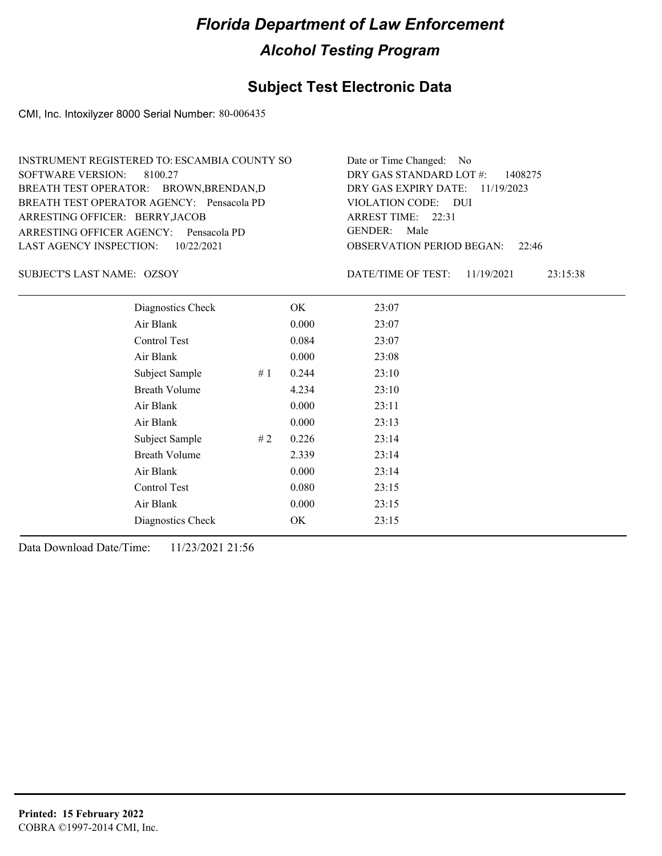#### **Subject Test Electronic Data**

CMI, Inc. Intoxilyzer 8000 Serial Number: 80-006435

| INSTRUMENT REGISTERED TO: ESCAMBIA COUNTY SO | Date or Time Changed: No               |
|----------------------------------------------|----------------------------------------|
| SOFTWARE VERSION: 8100.27                    | DRY GAS STANDARD LOT $\#$ : 1408275    |
| BREATH TEST OPERATOR: BROWN, BRENDAN, D      | DRY GAS EXPIRY DATE: 11/19/2023        |
| BREATH TEST OPERATOR AGENCY: Pensacola PD    | VIOLATION CODE: DUI                    |
| ARRESTING OFFICER: BERRY, JACOB              | ARREST TIME: $22:31$                   |
| ARRESTING OFFICER AGENCY: Pensacola PD       | GENDER: Male                           |
| LAST AGENCY INSPECTION: 10/22/2021           | <b>OBSERVATION PERIOD BEGAN: 22:46</b> |

SUBJECT'S LAST NAME: OZSOY DATE/TIME OF TEST:

DATE/TIME OF TEST: 11/19/2021 23:15:38

| Diagnostics Check    |    | OK    | 23:07 |
|----------------------|----|-------|-------|
| Air Blank            |    | 0.000 | 23:07 |
| Control Test         |    | 0.084 | 23:07 |
| Air Blank            |    | 0.000 | 23:08 |
| Subject Sample       | #1 | 0.244 | 23:10 |
| <b>Breath Volume</b> |    | 4.234 | 23:10 |
| Air Blank            |    | 0.000 | 23:11 |
| Air Blank            |    | 0.000 | 23:13 |
| Subject Sample       | #2 | 0.226 | 23:14 |
| <b>Breath Volume</b> |    | 2.339 | 23:14 |
| Air Blank            |    | 0.000 | 23:14 |
| <b>Control Test</b>  |    | 0.080 | 23:15 |
| Air Blank            |    | 0.000 | 23:15 |
| Diagnostics Check    |    | OK    | 23:15 |
|                      |    |       |       |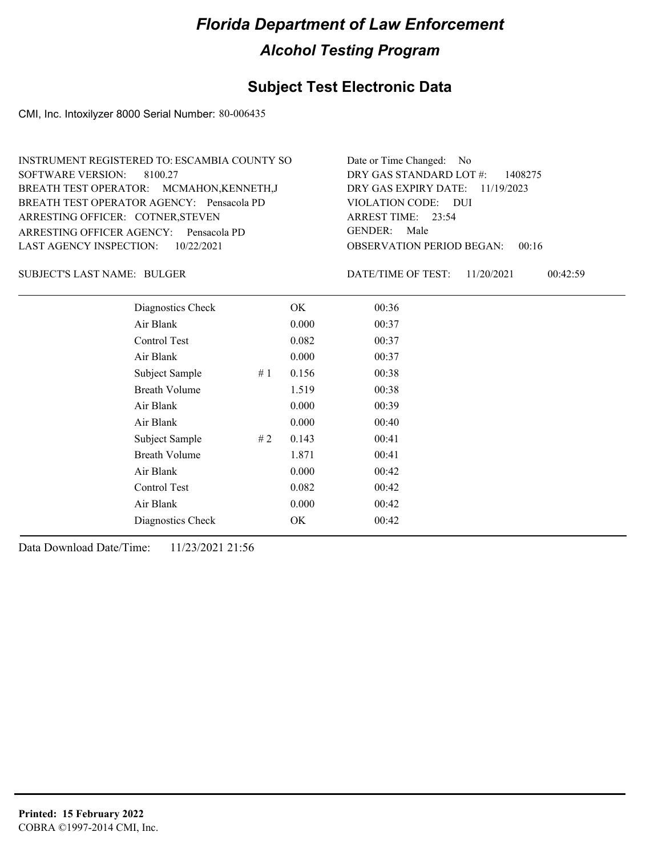#### **Subject Test Electronic Data**

CMI, Inc. Intoxilyzer 8000 Serial Number: 80-006435

| INSTRUMENT REGISTERED TO: ESCAMBIA COUNTY SO | Date or Time Changed: No                     |
|----------------------------------------------|----------------------------------------------|
| SOFTWARE VERSION: 8100.27                    | DRY GAS STANDARD LOT $\#$ : 1408275          |
| BREATH TEST OPERATOR: MCMAHON, KENNETH, J    | DRY GAS EXPIRY DATE: $11/19/2023$            |
| BREATH TEST OPERATOR AGENCY: Pensacola PD    | VIOLATION CODE: DUI                          |
| ARRESTING OFFICER: COTNER, STEVEN            | ARREST TIME: $23:54$                         |
| ARRESTING OFFICER AGENCY: Pensacola PD       | GENDER: Male                                 |
| LAST AGENCY INSPECTION: 10/22/2021           | <b>OBSERVATION PERIOD BEGAN:</b><br>$-00:16$ |

BULGER SUBJECT'S LAST NAME: DATE/TIME OF TEST:

DATE/TIME OF TEST: 11/20/2021 00:42:59

| Diagnostics Check    |    | OK    | 00:36 |
|----------------------|----|-------|-------|
| Air Blank            |    | 0.000 | 00:37 |
| Control Test         |    | 0.082 | 00:37 |
| Air Blank            |    | 0.000 | 00:37 |
| Subject Sample       | #1 | 0.156 | 00:38 |
| <b>Breath Volume</b> |    | 1.519 | 00:38 |
| Air Blank            |    | 0.000 | 00:39 |
| Air Blank            |    | 0.000 | 00:40 |
| Subject Sample       | #2 | 0.143 | 00:41 |
| <b>Breath Volume</b> |    | 1.871 | 00:41 |
| Air Blank            |    | 0.000 | 00:42 |
| Control Test         |    | 0.082 | 00:42 |
| Air Blank            |    | 0.000 | 00:42 |
| Diagnostics Check    |    | OK    | 00:42 |
|                      |    |       |       |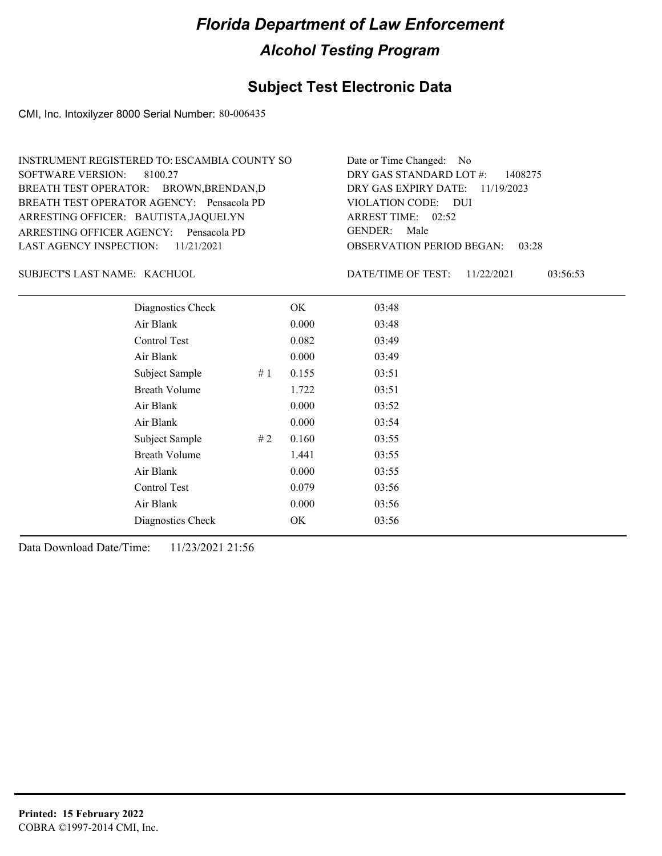#### **Subject Test Electronic Data**

CMI, Inc. Intoxilyzer 8000 Serial Number: 80-006435

| INSTRUMENT REGISTERED TO: ESCAMBIA COUNTY SO | Date or Time Changed: No               |
|----------------------------------------------|----------------------------------------|
| SOFTWARE VERSION: 8100.27                    | DRY GAS STANDARD LOT $\#$ : 1408275    |
| BREATH TEST OPERATOR: BROWN, BRENDAN, D      | DRY GAS EXPIRY DATE: 11/19/2023        |
| BREATH TEST OPERATOR AGENCY: Pensacola PD    | VIOLATION CODE: DUI                    |
| ARRESTING OFFICER: BAUTISTA, JAQUELYN        | ARREST TIME: $02:52$                   |
| ARRESTING OFFICER AGENCY: Pensacola PD       | GENDER: Male                           |
| LAST AGENCY INSPECTION: $11/21/2021$         | <b>OBSERVATION PERIOD BEGAN: 03:28</b> |

KACHUOL SUBJECT'S LAST NAME: DATE/TIME OF TEST:

DATE/TIME OF TEST: 11/22/2021 03:56:53

| Diagnostics Check    |    | OK    | 03:48 |
|----------------------|----|-------|-------|
| Air Blank            |    | 0.000 | 03:48 |
| Control Test         |    | 0.082 | 03:49 |
| Air Blank            |    | 0.000 | 03:49 |
| Subject Sample       | #1 | 0.155 | 03:51 |
| <b>Breath Volume</b> |    | 1.722 | 03:51 |
| Air Blank            |    | 0.000 | 03:52 |
| Air Blank            |    | 0.000 | 03:54 |
| Subject Sample       | #2 | 0.160 | 03:55 |
| <b>Breath Volume</b> |    | 1.441 | 03:55 |
| Air Blank            |    | 0.000 | 03:55 |
| <b>Control Test</b>  |    | 0.079 | 03:56 |
| Air Blank            |    | 0.000 | 03:56 |
| Diagnostics Check    |    | OK    | 03:56 |
|                      |    |       |       |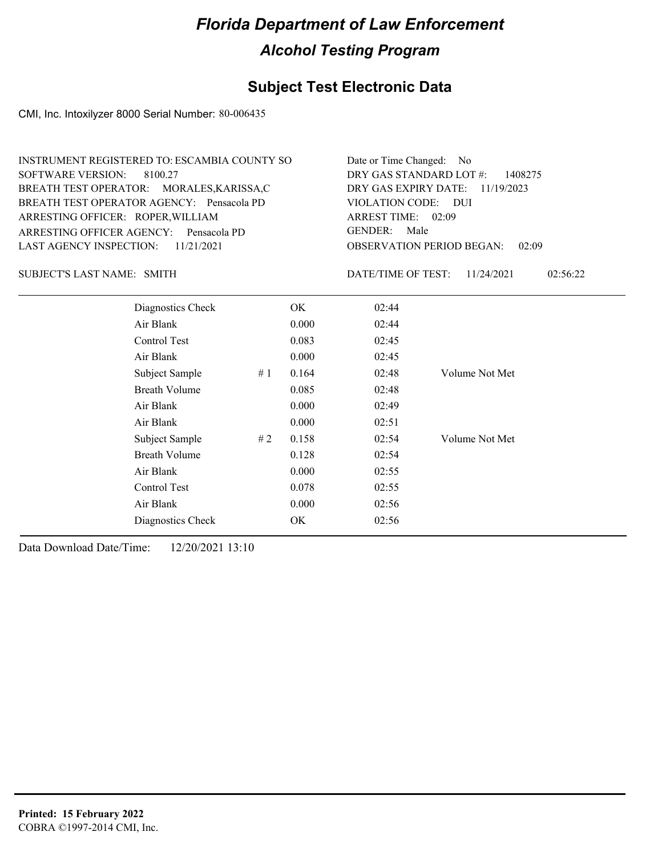#### **Subject Test Electronic Data**

CMI, Inc. Intoxilyzer 8000 Serial Number: 80-006435

| INSTRUMENT REGISTERED TO: ESCAMBIA COUNTY SO | Date or Time Changed: No               |
|----------------------------------------------|----------------------------------------|
| SOFTWARE VERSION: 8100.27                    | DRY GAS STANDARD LOT $\#$ : 1408275    |
| BREATH TEST OPERATOR: MORALES, KARISSA, C    | DRY GAS EXPIRY DATE: $11/19/2023$      |
| BREATH TEST OPERATOR AGENCY: Pensacola PD    | VIOLATION CODE: DUI                    |
| ARRESTING OFFICER: ROPER, WILLIAM            | ARREST TIME: $02:09$                   |
| ARRESTING OFFICER AGENCY: Pensacola PD       | GENDER: Male                           |
| LAST AGENCY INSPECTION: $11/21/2021$         | <b>OBSERVATION PERIOD BEGAN: 02:09</b> |

SUBJECT'S LAST NAME: SMITH **Example 2018** DATE/TIME OF TEST:

DATE/TIME OF TEST: 11/24/2021 02:56:22

| Diagnostics Check    |    | OK    | 02:44 |                |
|----------------------|----|-------|-------|----------------|
| Air Blank            |    | 0.000 | 02:44 |                |
| Control Test         |    | 0.083 | 02:45 |                |
| Air Blank            |    | 0.000 | 02:45 |                |
| Subject Sample       | #1 | 0.164 | 02:48 | Volume Not Met |
| <b>Breath Volume</b> |    | 0.085 | 02:48 |                |
| Air Blank            |    | 0.000 | 02:49 |                |
| Air Blank            |    | 0.000 | 02:51 |                |
| Subject Sample       | #2 | 0.158 | 02:54 | Volume Not Met |
| <b>Breath Volume</b> |    | 0.128 | 02:54 |                |
| Air Blank            |    | 0.000 | 02:55 |                |
| Control Test         |    | 0.078 | 02:55 |                |
| Air Blank            |    | 0.000 | 02:56 |                |
| Diagnostics Check    |    | OK    | 02:56 |                |
|                      |    |       |       |                |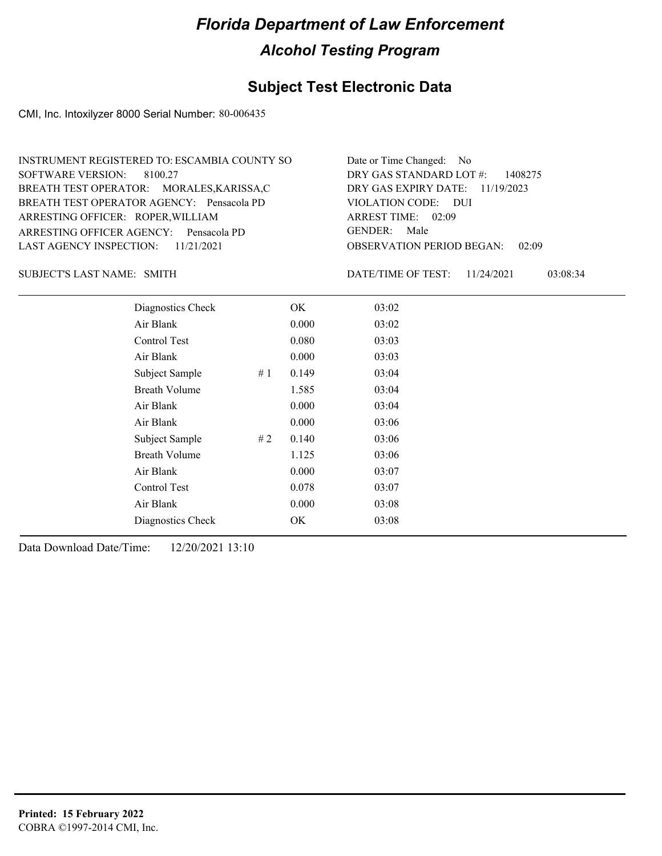#### **Subject Test Electronic Data**

CMI, Inc. Intoxilyzer 8000 Serial Number: 80-006435

| INSTRUMENT REGISTERED TO: ESCAMBIA COUNTY SO | Date or Time Changed: No               |
|----------------------------------------------|----------------------------------------|
| SOFTWARE VERSION: 8100.27                    | DRY GAS STANDARD LOT $\#$ : 1408275    |
| BREATH TEST OPERATOR: MORALES, KARISSA, C    | DRY GAS EXPIRY DATE: $11/19/2023$      |
| BREATH TEST OPERATOR AGENCY: Pensacola PD    | VIOLATION CODE: DUI                    |
| ARRESTING OFFICER: ROPER, WILLIAM            | ARREST TIME: 02:09                     |
| ARRESTING OFFICER AGENCY: Pensacola PD       | GENDER: Male                           |
| LAST AGENCY INSPECTION: 11/21/2021           | <b>OBSERVATION PERIOD BEGAN: 02:09</b> |

SUBJECT'S LAST NAME: SMITH **Example 2018** DATE/TIME OF TEST:

DATE/TIME OF TEST: 11/24/2021 03:08:34

| Diagnostics Check    | OK    | 03:02 |
|----------------------|-------|-------|
| Air Blank            | 0.000 | 03:02 |
| Control Test         | 0.080 | 03:03 |
| Air Blank            | 0.000 | 03:03 |
| Subject Sample<br>#1 | 0.149 | 03:04 |
| <b>Breath Volume</b> | 1.585 | 03:04 |
| Air Blank            | 0.000 | 03:04 |
| Air Blank            | 0.000 | 03:06 |
| Subject Sample<br>#2 | 0.140 | 03:06 |
| <b>Breath Volume</b> | 1.125 | 03:06 |
| Air Blank            | 0.000 | 03:07 |
| Control Test         | 0.078 | 03:07 |
| Air Blank            | 0.000 | 03:08 |
| Diagnostics Check    | OK    | 03:08 |
|                      |       |       |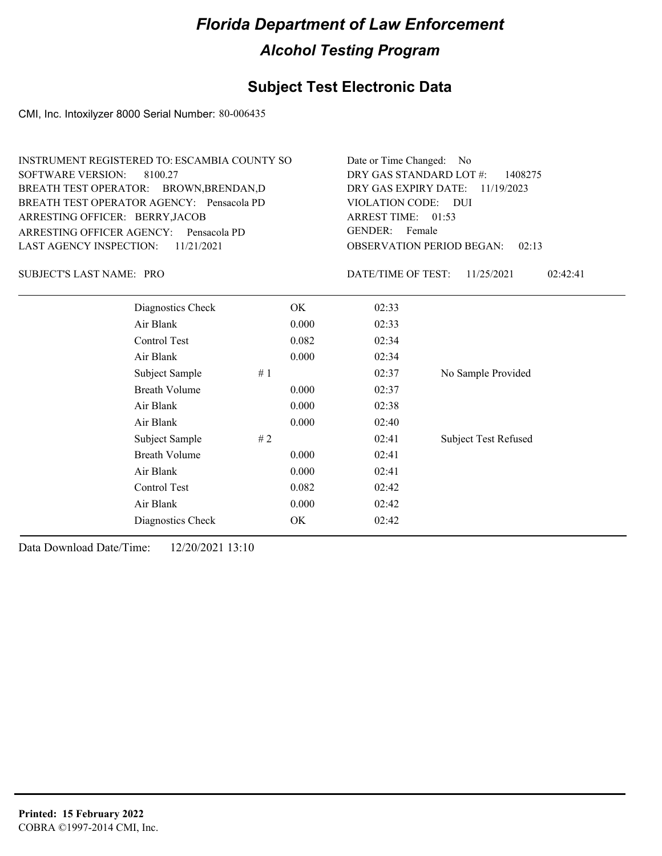### **Subject Test Electronic Data**

CMI, Inc. Intoxilyzer 8000 Serial Number: 80-006435

| <b>SOFTWARE VERSION:</b><br>ARRESTING OFFICER: BERRY, JACOB | <b>INSTRUMENT REGISTERED TO: ESCAMBIA COUNTY SO</b><br>8100.27<br>BREATH TEST OPERATOR: BROWN, BRENDAN, D<br>BREATH TEST OPERATOR AGENCY: Pensacola PD<br>ARRESTING OFFICER AGENCY: Pensacola PD |       | Date or Time Changed:<br>- No<br>DRY GAS STANDARD LOT #:<br>1408275<br>DRY GAS EXPIRY DATE:<br>11/19/2023<br><b>VIOLATION CODE:</b><br><b>DUI</b><br>ARREST TIME: 01:53<br><b>GENDER:</b><br>Female |                             |  |
|-------------------------------------------------------------|--------------------------------------------------------------------------------------------------------------------------------------------------------------------------------------------------|-------|-----------------------------------------------------------------------------------------------------------------------------------------------------------------------------------------------------|-----------------------------|--|
| <b>LAST AGENCY INSPECTION:</b>                              | 11/21/2021                                                                                                                                                                                       |       | <b>OBSERVATION PERIOD BEGAN:</b><br>02:13                                                                                                                                                           |                             |  |
| <b>SUBJECT'S LAST NAME: PRO</b>                             |                                                                                                                                                                                                  |       | DATE/TIME OF TEST:                                                                                                                                                                                  | 11/25/2021<br>02:42:41      |  |
|                                                             | Diagnostics Check                                                                                                                                                                                | OK.   | 02:33                                                                                                                                                                                               |                             |  |
|                                                             | Air Blank                                                                                                                                                                                        | 0.000 | 02:33                                                                                                                                                                                               |                             |  |
|                                                             | Control Test                                                                                                                                                                                     | 0.082 | 02:34                                                                                                                                                                                               |                             |  |
|                                                             | Air Blank                                                                                                                                                                                        | 0.000 | 02:34                                                                                                                                                                                               |                             |  |
|                                                             | Subject Sample                                                                                                                                                                                   | #1    | 02:37                                                                                                                                                                                               | No Sample Provided          |  |
|                                                             | <b>Breath Volume</b>                                                                                                                                                                             | 0.000 | 02:37                                                                                                                                                                                               |                             |  |
|                                                             | Air Blank                                                                                                                                                                                        | 0.000 | 02:38                                                                                                                                                                                               |                             |  |
|                                                             | Air Blank                                                                                                                                                                                        | 0.000 | 02:40                                                                                                                                                                                               |                             |  |
|                                                             | Subject Sample                                                                                                                                                                                   | #2    | 02:41                                                                                                                                                                                               | <b>Subject Test Refused</b> |  |
|                                                             | <b>Breath Volume</b>                                                                                                                                                                             | 0.000 | 02:41                                                                                                                                                                                               |                             |  |
|                                                             | Air Blank                                                                                                                                                                                        | 0.000 | 02:41                                                                                                                                                                                               |                             |  |
|                                                             | Control Test                                                                                                                                                                                     | 0.082 | 02:42                                                                                                                                                                                               |                             |  |
|                                                             | Air Blank                                                                                                                                                                                        | 0.000 | 02:42                                                                                                                                                                                               |                             |  |
|                                                             | Diagnostics Check                                                                                                                                                                                | OK    | 02:42                                                                                                                                                                                               |                             |  |
|                                                             |                                                                                                                                                                                                  |       |                                                                                                                                                                                                     |                             |  |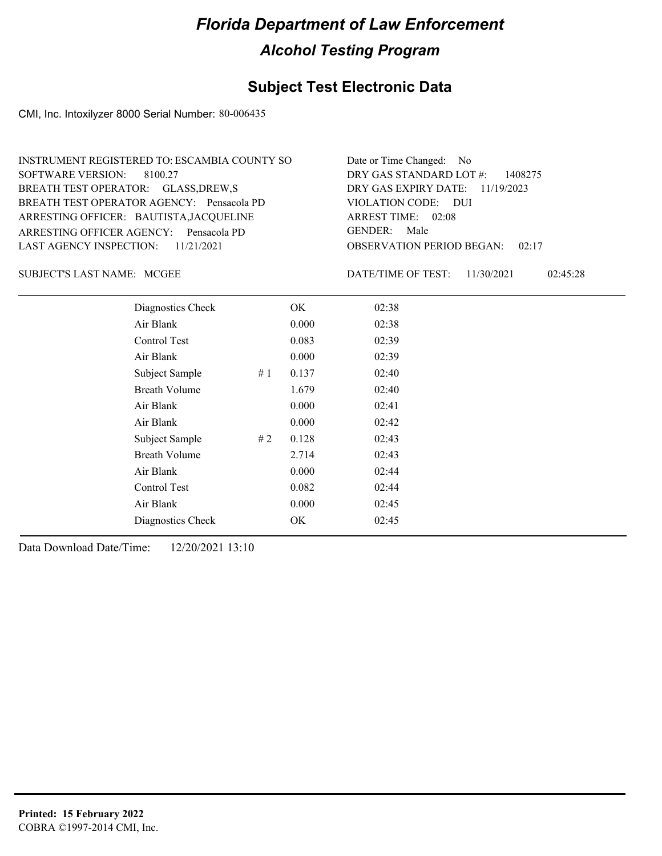#### **Subject Test Electronic Data**

CMI, Inc. Intoxilyzer 8000 Serial Number: 80-006435

| INSTRUMENT REGISTERED TO: ESCAMBIA COUNTY SO | Date or Time Changed: No               |
|----------------------------------------------|----------------------------------------|
| SOFTWARE VERSION: 8100.27                    | DRY GAS STANDARD LOT $\#$ : 1408275    |
| BREATH TEST OPERATOR: GLASS, DREW, S         | DRY GAS EXPIRY DATE: 11/19/2023        |
| BREATH TEST OPERATOR AGENCY: Pensacola PD    | VIOLATION CODE: DUI                    |
| ARRESTING OFFICER: BAUTISTA, JACQUELINE      | ARREST TIME: 02:08                     |
| ARRESTING OFFICER AGENCY: Pensacola PD       | GENDER: Male                           |
| LAST AGENCY INSPECTION: $11/21/2021$         | <b>OBSERVATION PERIOD BEGAN: 02:17</b> |

SUBJECT'S LAST NAME: MCGEE **Example 20** DATE/TIME OF TEST:

DATE/TIME OF TEST: 11/30/2021 02:45:28

| Diagnostics Check    |    | OK    | 02:38 |
|----------------------|----|-------|-------|
| Air Blank            |    | 0.000 | 02:38 |
| Control Test         |    | 0.083 | 02:39 |
| Air Blank            |    | 0.000 | 02:39 |
| Subject Sample       | #1 | 0.137 | 02:40 |
| <b>Breath Volume</b> |    | 1.679 | 02:40 |
| Air Blank            |    | 0.000 | 02:41 |
| Air Blank            |    | 0.000 | 02:42 |
| Subject Sample       | #2 | 0.128 | 02:43 |
| <b>Breath Volume</b> |    | 2.714 | 02:43 |
| Air Blank            |    | 0.000 | 02:44 |
| Control Test         |    | 0.082 | 02:44 |
| Air Blank            |    | 0.000 | 02:45 |
| Diagnostics Check    |    | OK    | 02:45 |
|                      |    |       |       |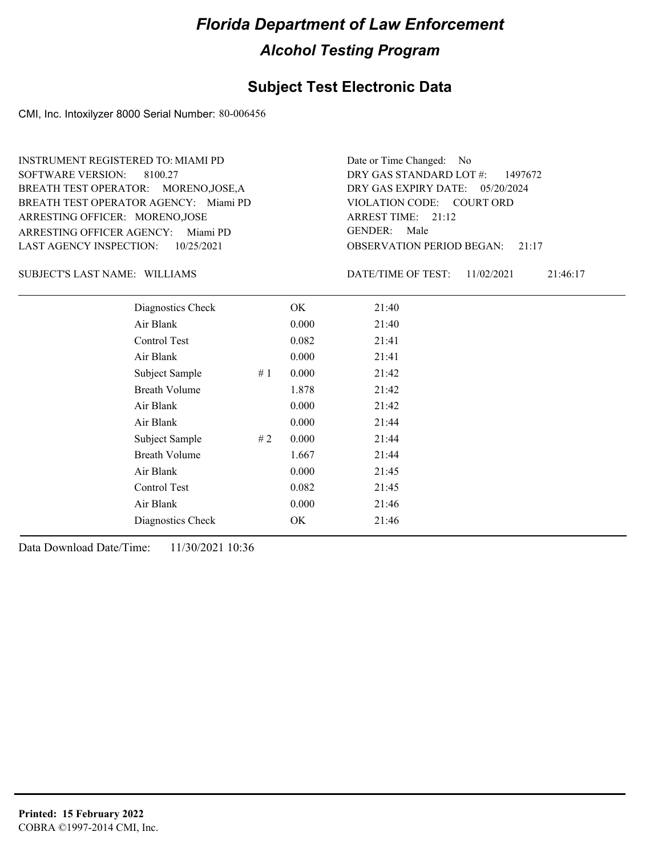#### **Subject Test Electronic Data**

CMI, Inc. Intoxilyzer 8000 Serial Number: 80-006456

ARRESTING OFFICER AGENCY: Miami PD GENDER: BREATH TEST OPERATOR AGENCY: Miami PD VIOLATION CODE: SOFTWARE VERSION: 8100.27 ARRESTING OFFICER: MORENO,JOSE BREATH TEST OPERATOR: MORENO,JOSE,A LAST AGENCY INSPECTION: 10/25/2021 INSTRUMENT REGISTERED TO: MIAMI PD

OBSERVATION PERIOD BEGAN: 21:17 VIOLATION CODE: COURT ORD 21:12 ARREST TIME: DRY GAS EXPIRY DATE: 05/20/2024 DRY GAS STANDARD LOT #: 1497672 Date or Time Changed: No GENDER: Male

SUBJECT'S LAST NAME: WILLIAMS DATE/TIME OF TEST:

DATE/TIME OF TEST: 11/02/2021 21:46:17

| Diagnostics Check    |    | OK    | 21:40 |
|----------------------|----|-------|-------|
| Air Blank            |    | 0.000 | 21:40 |
| Control Test         |    | 0.082 | 21:41 |
| Air Blank            |    | 0.000 | 21:41 |
| Subject Sample       | #1 | 0.000 | 21:42 |
| <b>Breath Volume</b> |    | 1.878 | 21:42 |
| Air Blank            |    | 0.000 | 21:42 |
| Air Blank            |    | 0.000 | 21:44 |
| Subject Sample       | #2 | 0.000 | 21:44 |
| <b>Breath Volume</b> |    | 1.667 | 21:44 |
| Air Blank            |    | 0.000 | 21:45 |
| Control Test         |    | 0.082 | 21:45 |
| Air Blank            |    | 0.000 | 21:46 |
| Diagnostics Check    |    | OK.   | 21:46 |
|                      |    |       |       |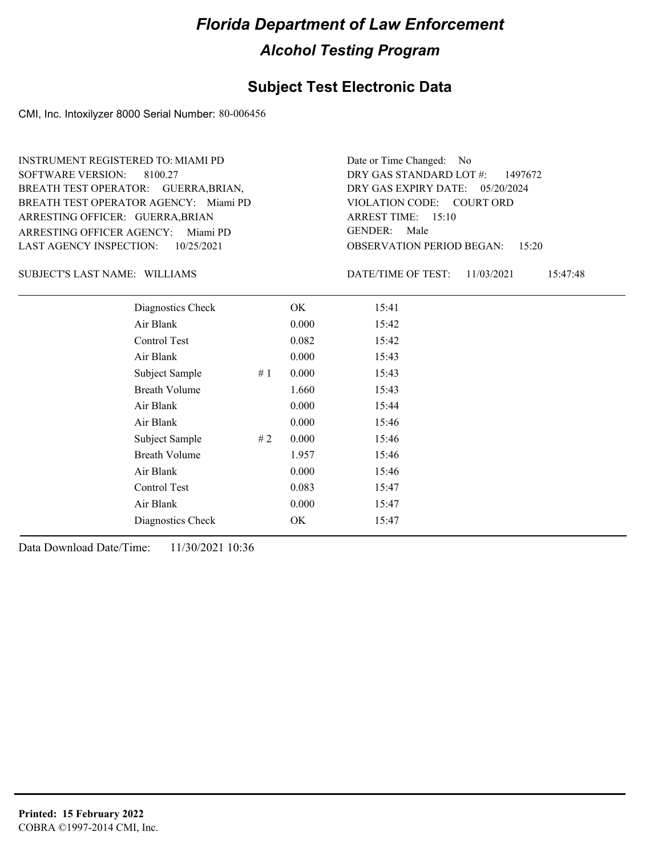#### **Subject Test Electronic Data**

CMI, Inc. Intoxilyzer 8000 Serial Number: 80-006456

ARRESTING OFFICER AGENCY: Miami PD GENDER: BREATH TEST OPERATOR AGENCY: Miami PD VIOLATION CODE: SOFTWARE VERSION: 8100.27 ARRESTING OFFICER: GUERRA, BRIAN BREATH TEST OPERATOR: GUERRA,BRIAN, LAST AGENCY INSPECTION: 10/25/2021 INSTRUMENT REGISTERED TO: MIAMI PD

OBSERVATION PERIOD BEGAN: 15:20 VIOLATION CODE: COURT ORD ARREST TIME: 15:10 DRY GAS EXPIRY DATE: 05/20/2024 DRY GAS STANDARD LOT #: 1497672 Date or Time Changed: No GENDER: Male

SUBJECT'S LAST NAME: WILLIAMS DATE/TIME OF TEST:

DATE/TIME OF TEST: 11/03/2021 15:47:48

| Diagnostics Check    | OK    | 15:41 |
|----------------------|-------|-------|
| Air Blank            | 0.000 | 15:42 |
| Control Test         | 0.082 | 15:42 |
| Air Blank            | 0.000 | 15:43 |
| Subject Sample<br>#1 | 0.000 | 15:43 |
| <b>Breath Volume</b> | 1.660 | 15:43 |
| Air Blank            | 0.000 | 15:44 |
| Air Blank            | 0.000 | 15:46 |
| Subject Sample<br>#2 | 0.000 | 15:46 |
| <b>Breath Volume</b> | 1.957 | 15:46 |
| Air Blank            | 0.000 | 15:46 |
| Control Test         | 0.083 | 15:47 |
| Air Blank            | 0.000 | 15:47 |
| Diagnostics Check    | OK    | 15:47 |
|                      |       |       |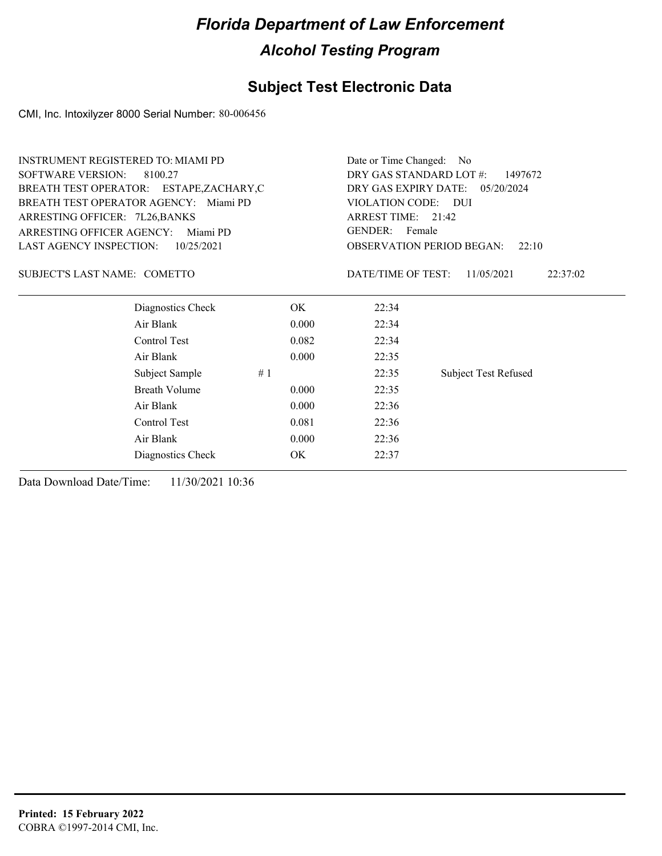#### **Subject Test Electronic Data**

CMI, Inc. Intoxilyzer 8000 Serial Number: 80-006456

| <b>INSTRUMENT REGISTERED TO: MIAMI PD</b> |                                          |                                    | Date or Time Changed:<br>- No      |                             |  |
|-------------------------------------------|------------------------------------------|------------------------------------|------------------------------------|-----------------------------|--|
| <b>SOFTWARE VERSION:</b>                  | 8100.27                                  | DRY GAS STANDARD LOT #:<br>1497672 |                                    |                             |  |
|                                           | BREATH TEST OPERATOR: ESTAPE, ZACHARY, C |                                    | DRY GAS EXPIRY DATE:<br>05/20/2024 |                             |  |
|                                           | BREATH TEST OPERATOR AGENCY: Miami PD    |                                    | VIOLATION CODE: DUI                |                             |  |
| ARRESTING OFFICER: 7L26, BANKS            |                                          |                                    | ARREST TIME: 21:42                 |                             |  |
| <b>ARRESTING OFFICER AGENCY:</b>          | Miami PD                                 |                                    | <b>GENDER:</b><br>Female           |                             |  |
| <b>LAST AGENCY INSPECTION:</b>            | 10/25/2021                               |                                    | <b>OBSERVATION PERIOD BEGAN:</b>   | 22:10                       |  |
| SUBJECT'S LAST NAME: COMETTO              |                                          |                                    | DATE/TIME OF TEST:                 | 11/05/2021<br>22:37:02      |  |
|                                           | Diagnostics Check                        | OK.                                | 22:34                              |                             |  |
|                                           | Air Blank                                | 0.000                              | 22:34                              |                             |  |
|                                           | Control Test                             | 0.082                              | 22:34                              |                             |  |
|                                           | Air Blank                                | 0.000                              | 22:35                              |                             |  |
|                                           | Subject Sample<br>#1                     |                                    | 22:35                              | <b>Subject Test Refused</b> |  |
|                                           | <b>Breath Volume</b>                     | 0.000                              | 22:35                              |                             |  |
|                                           | Air Blank                                | 0.000                              | 22:36                              |                             |  |
|                                           | Control Test                             | 0.081                              | 22:36                              |                             |  |
|                                           | Air Blank                                | 0.000                              | 22:36                              |                             |  |
|                                           | Diagnostics Check                        | OK.                                | 22:37                              |                             |  |
|                                           |                                          |                                    |                                    |                             |  |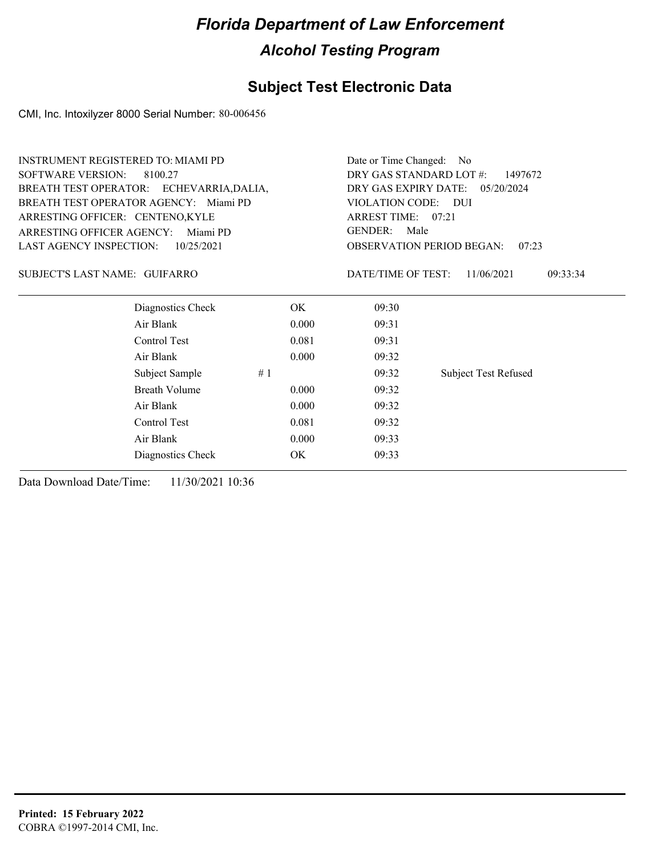#### **Subject Test Electronic Data**

CMI, Inc. Intoxilyzer 8000 Serial Number: 80-006456

| <b>SOFTWARE VERSION:</b><br>DRY GAS STANDARD LOT #:<br>8100.27<br>1497672<br>BREATH TEST OPERATOR: ECHEVARRIA, DALIA,<br>DRY GAS EXPIRY DATE:<br>05/20/2024<br>BREATH TEST OPERATOR AGENCY: Miami PD<br>VIOLATION CODE: DUI<br>ARREST TIME: 07:21<br>ARRESTING OFFICER: CENTENO, KYLE<br><b>GENDER:</b><br>Male<br><b>ARRESTING OFFICER AGENCY:</b><br>Miami PD<br><b>LAST AGENCY INSPECTION:</b><br><b>OBSERVATION PERIOD BEGAN:</b><br>10/25/2021<br>07:23<br>SUBJECT'S LAST NAME: GUIFARRO<br>DATE/TIME OF TEST:<br>11/06/2021<br>09:33:34<br>Diagnostics Check<br>OK.<br>09:30<br>Air Blank<br>0.000<br>09:31<br>Control Test<br>0.081<br>09:31<br>Air Blank<br>0.000<br>09:32<br>Subject Sample<br>#1<br>09:32<br><b>Subject Test Refused</b><br><b>Breath Volume</b><br>0.000<br>09:32<br>Air Blank<br>0.000<br>09:32<br>Control Test<br>0.081<br>09:32<br>Air Blank<br>0.000<br>09:33 | <b>INSTRUMENT REGISTERED TO: MIAMI PD</b> | Date or Time Changed: No |       |  |
|----------------------------------------------------------------------------------------------------------------------------------------------------------------------------------------------------------------------------------------------------------------------------------------------------------------------------------------------------------------------------------------------------------------------------------------------------------------------------------------------------------------------------------------------------------------------------------------------------------------------------------------------------------------------------------------------------------------------------------------------------------------------------------------------------------------------------------------------------------------------------------------------|-------------------------------------------|--------------------------|-------|--|
|                                                                                                                                                                                                                                                                                                                                                                                                                                                                                                                                                                                                                                                                                                                                                                                                                                                                                              |                                           |                          |       |  |
|                                                                                                                                                                                                                                                                                                                                                                                                                                                                                                                                                                                                                                                                                                                                                                                                                                                                                              |                                           |                          |       |  |
|                                                                                                                                                                                                                                                                                                                                                                                                                                                                                                                                                                                                                                                                                                                                                                                                                                                                                              |                                           |                          |       |  |
|                                                                                                                                                                                                                                                                                                                                                                                                                                                                                                                                                                                                                                                                                                                                                                                                                                                                                              |                                           |                          |       |  |
|                                                                                                                                                                                                                                                                                                                                                                                                                                                                                                                                                                                                                                                                                                                                                                                                                                                                                              |                                           |                          |       |  |
|                                                                                                                                                                                                                                                                                                                                                                                                                                                                                                                                                                                                                                                                                                                                                                                                                                                                                              |                                           |                          |       |  |
|                                                                                                                                                                                                                                                                                                                                                                                                                                                                                                                                                                                                                                                                                                                                                                                                                                                                                              |                                           |                          |       |  |
|                                                                                                                                                                                                                                                                                                                                                                                                                                                                                                                                                                                                                                                                                                                                                                                                                                                                                              |                                           |                          |       |  |
|                                                                                                                                                                                                                                                                                                                                                                                                                                                                                                                                                                                                                                                                                                                                                                                                                                                                                              |                                           |                          |       |  |
|                                                                                                                                                                                                                                                                                                                                                                                                                                                                                                                                                                                                                                                                                                                                                                                                                                                                                              |                                           |                          |       |  |
|                                                                                                                                                                                                                                                                                                                                                                                                                                                                                                                                                                                                                                                                                                                                                                                                                                                                                              |                                           |                          |       |  |
|                                                                                                                                                                                                                                                                                                                                                                                                                                                                                                                                                                                                                                                                                                                                                                                                                                                                                              |                                           |                          |       |  |
|                                                                                                                                                                                                                                                                                                                                                                                                                                                                                                                                                                                                                                                                                                                                                                                                                                                                                              |                                           |                          |       |  |
|                                                                                                                                                                                                                                                                                                                                                                                                                                                                                                                                                                                                                                                                                                                                                                                                                                                                                              |                                           |                          |       |  |
|                                                                                                                                                                                                                                                                                                                                                                                                                                                                                                                                                                                                                                                                                                                                                                                                                                                                                              |                                           |                          |       |  |
|                                                                                                                                                                                                                                                                                                                                                                                                                                                                                                                                                                                                                                                                                                                                                                                                                                                                                              |                                           |                          |       |  |
|                                                                                                                                                                                                                                                                                                                                                                                                                                                                                                                                                                                                                                                                                                                                                                                                                                                                                              | Diagnostics Check                         | OK                       | 09:33 |  |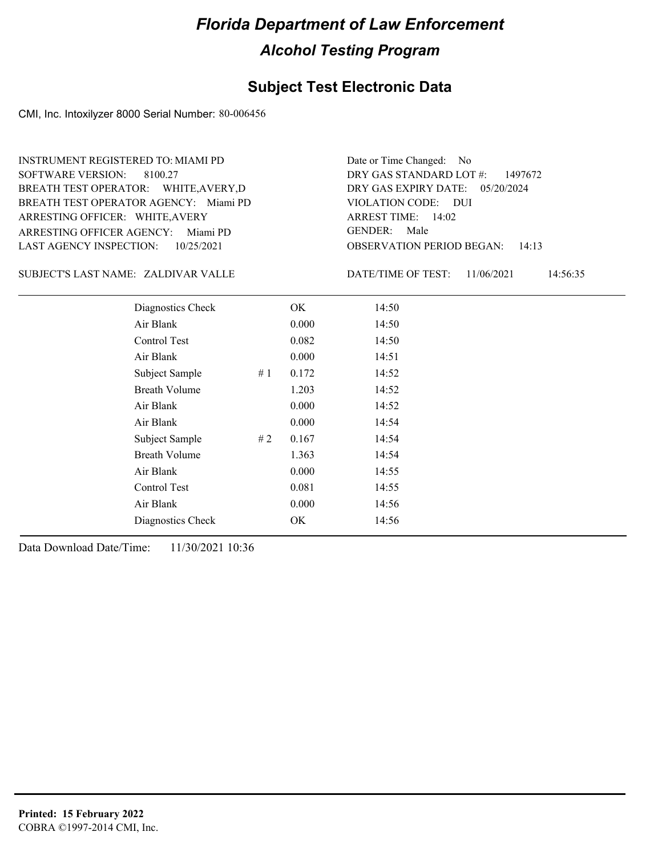#### **Subject Test Electronic Data**

CMI, Inc. Intoxilyzer 8000 Serial Number: 80-006456

ARRESTING OFFICER AGENCY: Miami PD GENDER: BREATH TEST OPERATOR AGENCY: Miami PD VIOLATION CODE: SOFTWARE VERSION: 8100.27 ARRESTING OFFICER: WHITE,AVERY BREATH TEST OPERATOR: WHITE,AVERY,D LAST AGENCY INSPECTION: 10/25/2021 INSTRUMENT REGISTERED TO: MIAMI PD

OBSERVATION PERIOD BEGAN: 14:13 VIOLATION CODE: DUI ARREST TIME: 14:02 DRY GAS EXPIRY DATE: 05/20/2024 DRY GAS STANDARD LOT #: 1497672 Date or Time Changed: No GENDER: Male

SUBJECT'S LAST NAME: ZALDIVAR VALLE DATE/TIME OF TEST:

DATE/TIME OF TEST: 11/06/2021 14:56:35

| Diagnostics Check    | OK    | 14:50 |
|----------------------|-------|-------|
| Air Blank            | 0.000 | 14:50 |
| Control Test         | 0.082 | 14:50 |
| Air Blank            | 0.000 | 14:51 |
| Subject Sample<br>#1 | 0.172 | 14:52 |
| <b>Breath Volume</b> | 1.203 | 14:52 |
| Air Blank            | 0.000 | 14:52 |
| Air Blank            | 0.000 | 14:54 |
| Subject Sample<br>#2 | 0.167 | 14:54 |
| <b>Breath Volume</b> | 1.363 | 14:54 |
| Air Blank            | 0.000 | 14:55 |
| Control Test         | 0.081 | 14:55 |
| Air Blank            | 0.000 | 14:56 |
| Diagnostics Check    | OK    | 14:56 |
|                      |       |       |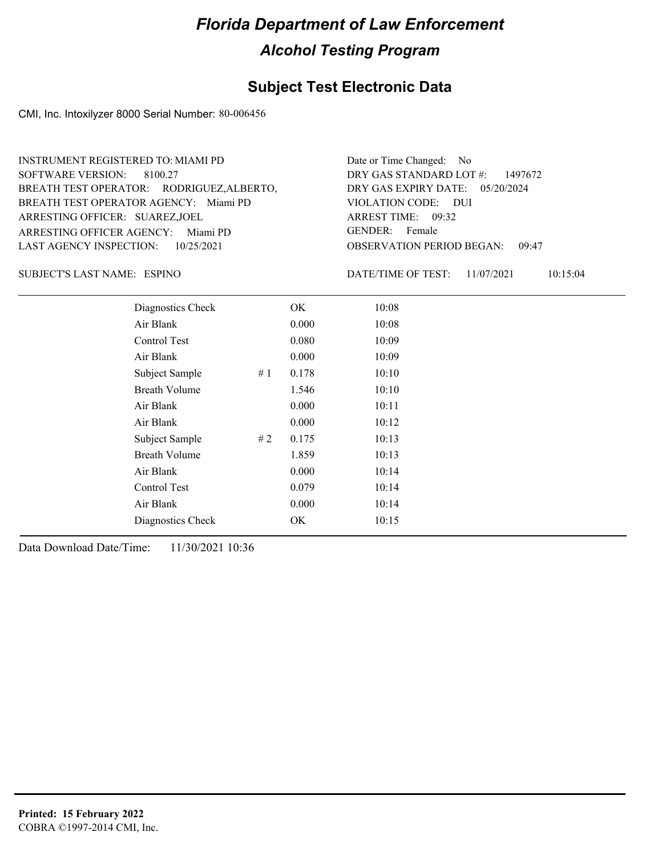#### **Subject Test Electronic Data**

CMI, Inc. Intoxilyzer 8000 Serial Number: 80-006456

| <b>INSTRUMENT REGISTERED TO: MIAMI PD</b> | Date or Time Changed: No               |
|-------------------------------------------|----------------------------------------|
| SOFTWARE VERSION: 8100.27                 | DRY GAS STANDARD LOT $\#$ : 1497672    |
| BREATH TEST OPERATOR: RODRIGUEZ, ALBERTO, | DRY GAS EXPIRY DATE: 05/20/2024        |
| BREATH TEST OPERATOR AGENCY: Miami PD     | VIOLATION CODE: DUI                    |
| ARRESTING OFFICER: SUAREZ,JOEL            | ARREST TIME: 09:32                     |
| ARRESTING OFFICER AGENCY: Miami PD        | GENDER: Female                         |
| LAST AGENCY INSPECTION: 10/25/2021        | <b>OBSERVATION PERIOD BEGAN: 09:47</b> |
|                                           |                                        |

ESPINO SUBJECT'S LAST NAME: DATE/TIME OF TEST:

DATE/TIME OF TEST: 11/07/2021 10:15:04

| Diagnostics Check    |    | OK    | 10:08 |
|----------------------|----|-------|-------|
| Air Blank            |    | 0.000 | 10:08 |
| Control Test         |    | 0.080 | 10:09 |
| Air Blank            |    | 0.000 | 10:09 |
| Subject Sample       | #1 | 0.178 | 10:10 |
| <b>Breath Volume</b> |    | 1.546 | 10:10 |
| Air Blank            |    | 0.000 | 10:11 |
| Air Blank            |    | 0.000 | 10:12 |
| Subject Sample       | #2 | 0.175 | 10:13 |
| <b>Breath Volume</b> |    | 1.859 | 10:13 |
| Air Blank            |    | 0.000 | 10:14 |
| <b>Control Test</b>  |    | 0.079 | 10:14 |
| Air Blank            |    | 0.000 | 10:14 |
| Diagnostics Check    |    | OK    | 10:15 |
|                      |    |       |       |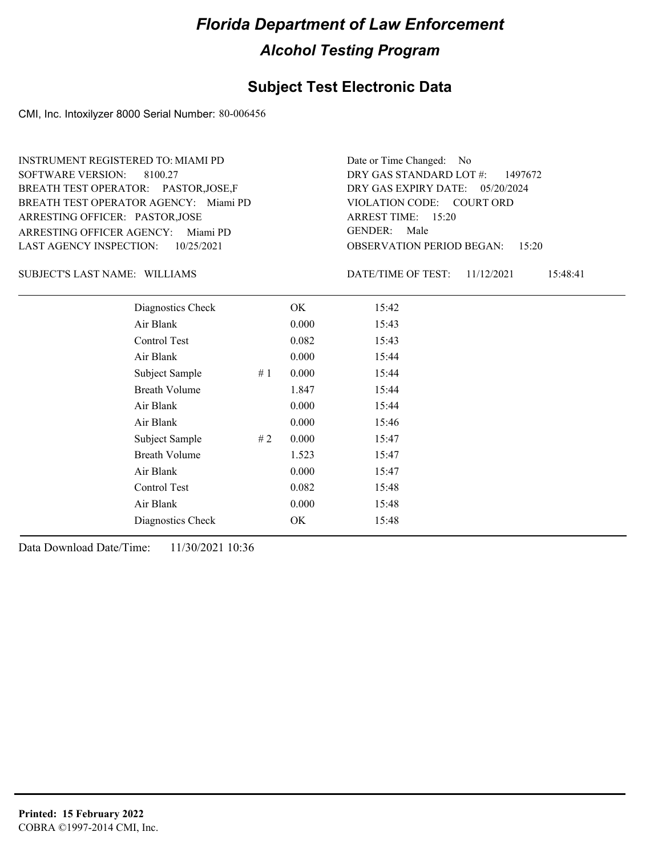#### **Subject Test Electronic Data**

CMI, Inc. Intoxilyzer 8000 Serial Number: 80-006456

ARRESTING OFFICER AGENCY: Miami PD GENDER: BREATH TEST OPERATOR AGENCY: Miami PD VIOLATION CODE: SOFTWARE VERSION: 8100.27 ARRESTING OFFICER: PASTOR,JOSE BREATH TEST OPERATOR: PASTOR,JOSE,F LAST AGENCY INSPECTION: 10/25/2021 INSTRUMENT REGISTERED TO: MIAMI PD

OBSERVATION PERIOD BEGAN: 15:20 VIOLATION CODE: COURT ORD ARREST TIME: 15:20 DRY GAS EXPIRY DATE: 05/20/2024 DRY GAS STANDARD LOT #: 1497672 Date or Time Changed: No GENDER: Male

SUBJECT'S LAST NAME: WILLIAMS DATE/TIME OF TEST:

DATE/TIME OF TEST: 11/12/2021 15:48:41

| Diagnostics Check    |    | OK    | 15:42 |
|----------------------|----|-------|-------|
| Air Blank            |    | 0.000 | 15:43 |
| Control Test         |    | 0.082 | 15:43 |
| Air Blank            |    | 0.000 | 15:44 |
| Subject Sample       | #1 | 0.000 | 15:44 |
| <b>Breath Volume</b> |    | 1.847 | 15:44 |
| Air Blank            |    | 0.000 | 15:44 |
| Air Blank            |    | 0.000 | 15:46 |
| Subject Sample       | #2 | 0.000 | 15:47 |
| <b>Breath Volume</b> |    | 1.523 | 15:47 |
| Air Blank            |    | 0.000 | 15:47 |
| Control Test         |    | 0.082 | 15:48 |
| Air Blank            |    | 0.000 | 15:48 |
| Diagnostics Check    |    | OK    | 15:48 |
|                      |    |       |       |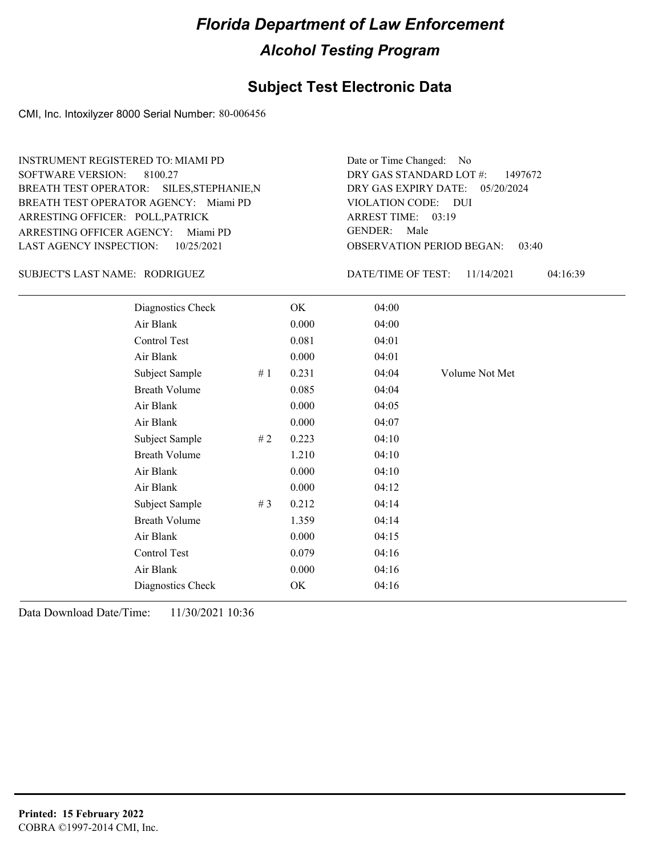#### **Subject Test Electronic Data**

CMI, Inc. Intoxilyzer 8000 Serial Number: 80-006456

ARRESTING OFFICER AGENCY: Miami PD GENDER: BREATH TEST OPERATOR AGENCY: Miami PD VIOLATION CODE: SOFTWARE VERSION: 8100.27 ARRESTING OFFICER: POLL,PATRICK BREATH TEST OPERATOR: SILES,STEPHANIE,N LAST AGENCY INSPECTION: 10/25/2021 INSTRUMENT REGISTERED TO: MIAMI PD

OBSERVATION PERIOD BEGAN: 03:40 VIOLATION CODE: DUI 03:19 ARREST TIME: DRY GAS EXPIRY DATE: 05/20/2024 DRY GAS STANDARD LOT #: 1497672 Date or Time Changed: No GENDER: Male

RODRIGUEZ SUBJECT'S LAST NAME: DATE/TIME OF TEST:

| Diagnostics Check    |       | OK    | 04:00 |                |
|----------------------|-------|-------|-------|----------------|
| Air Blank            |       | 0.000 | 04:00 |                |
| Control Test         |       | 0.081 | 04:01 |                |
| Air Blank            |       | 0.000 | 04:01 |                |
| Subject Sample       | #1    | 0.231 | 04:04 | Volume Not Met |
| <b>Breath Volume</b> |       | 0.085 | 04:04 |                |
| Air Blank            |       | 0.000 | 04:05 |                |
| Air Blank            |       | 0.000 | 04:07 |                |
| Subject Sample       | #2    | 0.223 | 04:10 |                |
| <b>Breath Volume</b> |       | 1.210 | 04:10 |                |
| Air Blank            |       | 0.000 | 04:10 |                |
| Air Blank            |       | 0.000 | 04:12 |                |
| Subject Sample       | # $3$ | 0.212 | 04:14 |                |
| <b>Breath Volume</b> |       | 1.359 | 04:14 |                |
| Air Blank            |       | 0.000 | 04:15 |                |
| Control Test         |       | 0.079 | 04:16 |                |
| Air Blank            |       | 0.000 | 04:16 |                |
| Diagnostics Check    |       | OK    | 04:16 |                |
|                      |       |       |       |                |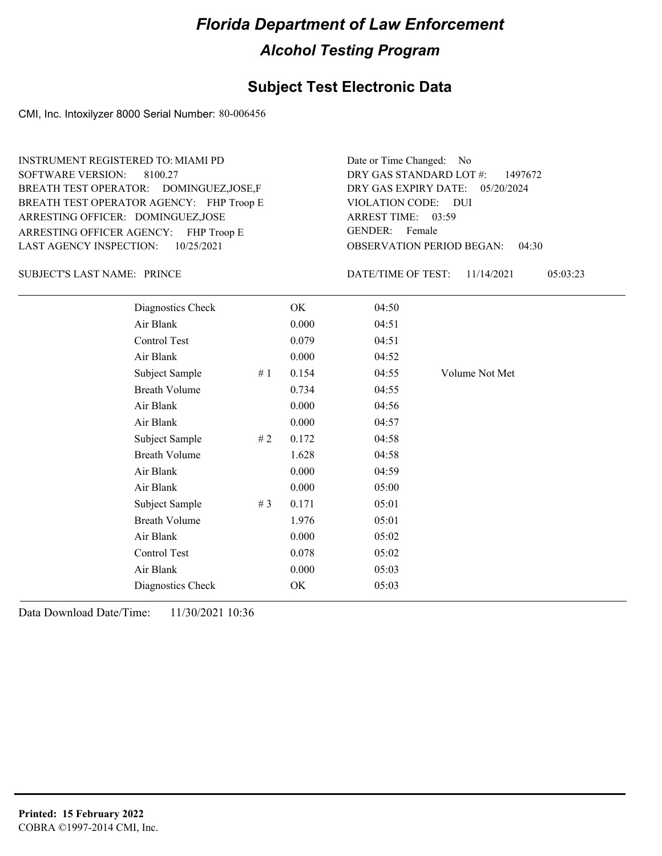#### **Subject Test Electronic Data**

CMI, Inc. Intoxilyzer 8000 Serial Number: 80-006456

ARRESTING OFFICER AGENCY: FHP Troop E GENDER: BREATH TEST OPERATOR AGENCY: FHP Troop E VIOLATION CODE: SOFTWARE VERSION: 8100.27 ARRESTING OFFICER: DOMINGUEZ,JOSE BREATH TEST OPERATOR: DOMINGUEZ,JOSE,F LAST AGENCY INSPECTION: 10/25/2021 INSTRUMENT REGISTERED TO: MIAMI PD

OBSERVATION PERIOD BEGAN: 04:30 VIOLATION CODE: DUI 03:59 ARREST TIME: DRY GAS EXPIRY DATE: 05/20/2024 DRY GAS STANDARD LOT #: 1497672 Date or Time Changed: No GENDER: Female

SUBJECT'S LAST NAME: PRINCE **Example 20 SUBJECT'S LAST NAME:** PRINCE

| Diagnostics Check    |    | OK    | 04:50 |                |
|----------------------|----|-------|-------|----------------|
| Air Blank            |    | 0.000 | 04:51 |                |
| Control Test         |    | 0.079 | 04:51 |                |
| Air Blank            |    | 0.000 | 04:52 |                |
| Subject Sample       | #1 | 0.154 | 04:55 | Volume Not Met |
| <b>Breath Volume</b> |    | 0.734 | 04:55 |                |
| Air Blank            |    | 0.000 | 04:56 |                |
| Air Blank            |    | 0.000 | 04:57 |                |
| Subject Sample       | #2 | 0.172 | 04:58 |                |
| <b>Breath Volume</b> |    | 1.628 | 04:58 |                |
| Air Blank            |    | 0.000 | 04:59 |                |
| Air Blank            |    | 0.000 | 05:00 |                |
| Subject Sample       | #3 | 0.171 | 05:01 |                |
| <b>Breath Volume</b> |    | 1.976 | 05:01 |                |
| Air Blank            |    | 0.000 | 05:02 |                |
| Control Test         |    | 0.078 | 05:02 |                |
| Air Blank            |    | 0.000 | 05:03 |                |
| Diagnostics Check    |    | OK    | 05:03 |                |
|                      |    |       |       |                |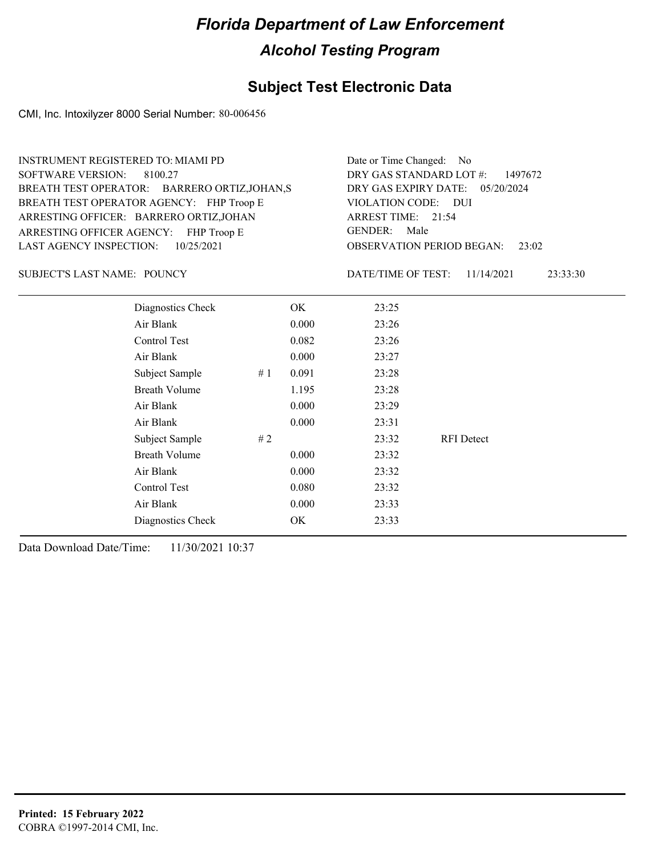### **Subject Test Electronic Data**

CMI, Inc. Intoxilyzer 8000 Serial Number: 80-006456

| <b>INSTRUMENT REGISTERED TO: MIAMI PD</b><br><b>SOFTWARE VERSION:</b><br>8100.27<br>BREATH TEST OPERATOR: BARRERO ORTIZ, JOHAN, S<br>BREATH TEST OPERATOR AGENCY: FHP Troop E<br>ARRESTING OFFICER: BARRERO ORTIZ, JOHAN<br>ARRESTING OFFICER AGENCY: FHP Troop E<br><b>LAST AGENCY INSPECTION:</b><br>10/25/2021 |                      |    | Date or Time Changed:<br>No.<br>DRY GAS STANDARD LOT #:<br>1497672<br>DRY GAS EXPIRY DATE:<br>05/20/2024<br>VIOLATION CODE: DUI<br>ARREST TIME: 21:54<br>GENDER: Male<br><b>OBSERVATION PERIOD BEGAN:</b><br>23:02 |                    |                   |          |
|-------------------------------------------------------------------------------------------------------------------------------------------------------------------------------------------------------------------------------------------------------------------------------------------------------------------|----------------------|----|--------------------------------------------------------------------------------------------------------------------------------------------------------------------------------------------------------------------|--------------------|-------------------|----------|
| <b>SUBJECT'S LAST NAME: POUNCY</b>                                                                                                                                                                                                                                                                                |                      |    |                                                                                                                                                                                                                    | DATE/TIME OF TEST: | 11/14/2021        | 23:33:30 |
|                                                                                                                                                                                                                                                                                                                   | Diagnostics Check    |    | OK                                                                                                                                                                                                                 | 23:25              |                   |          |
|                                                                                                                                                                                                                                                                                                                   | Air Blank            |    | 0.000                                                                                                                                                                                                              | 23:26              |                   |          |
|                                                                                                                                                                                                                                                                                                                   | Control Test         |    | 0.082                                                                                                                                                                                                              | 23:26              |                   |          |
|                                                                                                                                                                                                                                                                                                                   | Air Blank            |    | 0.000                                                                                                                                                                                                              | 23:27              |                   |          |
|                                                                                                                                                                                                                                                                                                                   | Subject Sample       | #1 | 0.091                                                                                                                                                                                                              | 23:28              |                   |          |
|                                                                                                                                                                                                                                                                                                                   | <b>Breath Volume</b> |    | 1.195                                                                                                                                                                                                              | 23:28              |                   |          |
|                                                                                                                                                                                                                                                                                                                   | Air Blank            |    | 0.000                                                                                                                                                                                                              | 23:29              |                   |          |
|                                                                                                                                                                                                                                                                                                                   | Air Blank            |    | 0.000                                                                                                                                                                                                              | 23:31              |                   |          |
|                                                                                                                                                                                                                                                                                                                   | Subject Sample       | #2 |                                                                                                                                                                                                                    | 23:32              | <b>RFI</b> Detect |          |
|                                                                                                                                                                                                                                                                                                                   | <b>Breath Volume</b> |    | 0.000                                                                                                                                                                                                              | 23:32              |                   |          |
|                                                                                                                                                                                                                                                                                                                   | Air Blank            |    | 0.000                                                                                                                                                                                                              | 23:32              |                   |          |
|                                                                                                                                                                                                                                                                                                                   | Control Test         |    | 0.080                                                                                                                                                                                                              | 23:32              |                   |          |
|                                                                                                                                                                                                                                                                                                                   | Air Blank            |    | 0.000                                                                                                                                                                                                              | 23:33              |                   |          |
|                                                                                                                                                                                                                                                                                                                   | Diagnostics Check    |    | OK                                                                                                                                                                                                                 | 23:33              |                   |          |
|                                                                                                                                                                                                                                                                                                                   |                      |    |                                                                                                                                                                                                                    |                    |                   |          |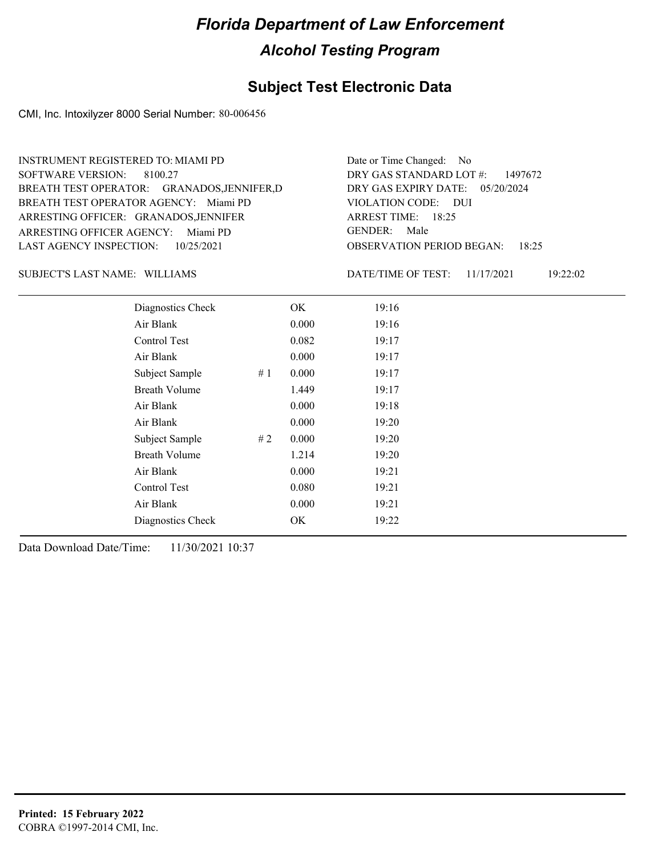#### **Subject Test Electronic Data**

CMI, Inc. Intoxilyzer 8000 Serial Number: 80-006456

| <b>INSTRUMENT REGISTERED TO: MIAMI PD</b>   | Date or Time Changed: No                  |
|---------------------------------------------|-------------------------------------------|
| SOFTWARE VERSION: 8100.27                   | DRY GAS STANDARD LOT $\#$ : 1497672       |
| BREATH TEST OPERATOR: GRANADOS, JENNIFER, D | DRY GAS EXPIRY DATE: 05/20/2024           |
| BREATH TEST OPERATOR AGENCY: Miami PD       | VIOLATION CODE: DUI                       |
| ARRESTING OFFICER: GRANADOS, JENNIFER       | ARREST TIME: 18:25                        |
| ARRESTING OFFICER AGENCY: Miami PD          | GENDER: Male                              |
| LAST AGENCY INSPECTION: $10/25/2021$        | <b>OBSERVATION PERIOD BEGAN:</b><br>18.25 |

SUBJECT'S LAST NAME: WILLIAMS DATE/TIME OF TEST:

DATE/TIME OF TEST: 11/17/2021 19:22:02

| Diagnostics Check    | OK    | 19:16 |
|----------------------|-------|-------|
| Air Blank            | 0.000 | 19:16 |
| Control Test         | 0.082 | 19:17 |
| Air Blank            | 0.000 | 19:17 |
| Subject Sample<br>#1 | 0.000 | 19:17 |
| <b>Breath Volume</b> | 1.449 | 19:17 |
| Air Blank            | 0.000 | 19:18 |
| Air Blank            | 0.000 | 19:20 |
| Subject Sample<br>#2 | 0.000 | 19:20 |
| <b>Breath Volume</b> | 1.214 | 19:20 |
| Air Blank            | 0.000 | 19:21 |
| Control Test         | 0.080 | 19:21 |
| Air Blank            | 0.000 | 19:21 |
| Diagnostics Check    | OK    | 19:22 |
|                      |       |       |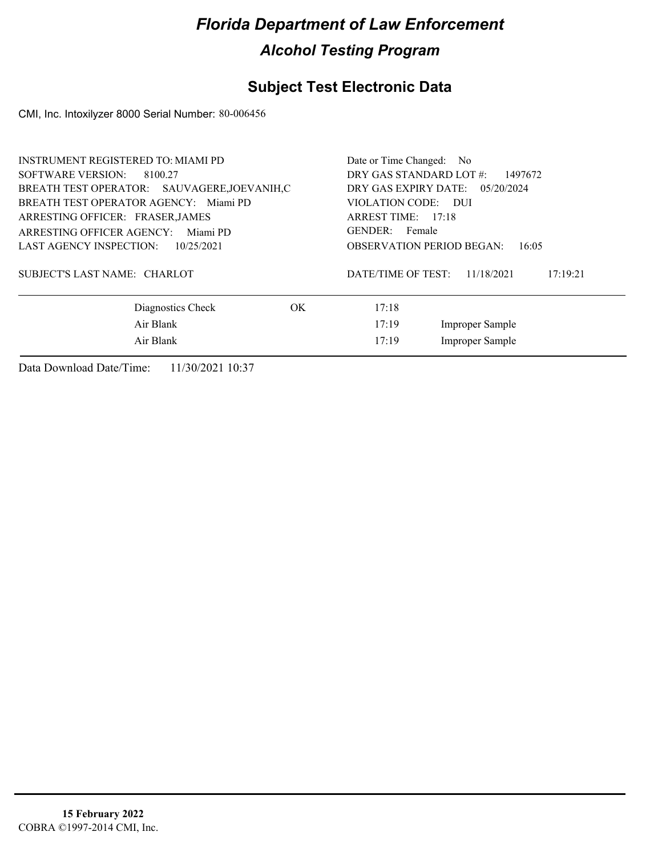#### **Subject Test Electronic Data**

CMI, Inc. Intoxilyzer 8000 Serial Number: 80-006456

| INSTRUMENT REGISTERED TO: MIAMI PD           | Date or Time Changed: No                     |
|----------------------------------------------|----------------------------------------------|
| SOFTWARE VERSION:<br>8100.27                 | DRY GAS STANDARD LOT #:<br>1497672           |
| BREATH TEST OPERATOR: SAUVAGERE, JOEVANIH, C | DRY GAS EXPIRY DATE: 05/20/2024              |
| BREATH TEST OPERATOR AGENCY: Miami PD        | VIOLATION CODE: DUI                          |
| ARRESTING OFFICER: FRASER, JAMES             | ARREST TIME: 17:18                           |
| ARRESTING OFFICER AGENCY:<br>Miami PD        | GENDER: Female                               |
| <b>LAST AGENCY INSPECTION:</b><br>10/25/2021 | <b>OBSERVATION PERIOD BEGAN:</b><br>16:05    |
| SUBJECT'S LAST NAME: CHARLOT                 | DATE/TIME OF TEST:<br>11/18/2021<br>17:19:21 |
| Diagnostics Check<br>OK.                     | 17:18                                        |
| Air Blank                                    | 17:19<br>Improper Sample                     |
| Air Blank                                    | Improper Sample<br>17:19                     |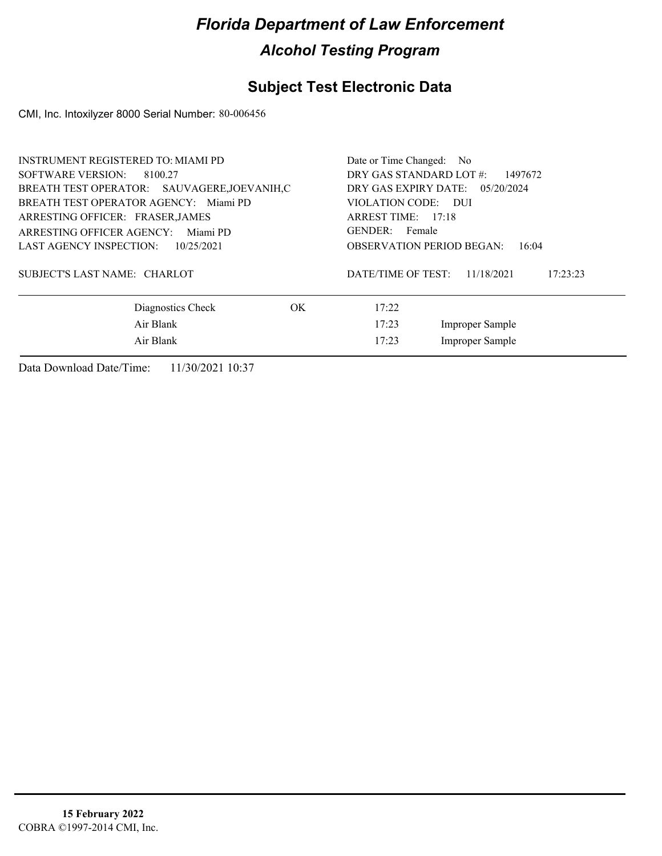#### **Subject Test Electronic Data**

CMI, Inc. Intoxilyzer 8000 Serial Number: 80-006456

| INSTRUMENT REGISTERED TO: MIAMI PD           | Date or Time Changed: No                     |  |  |  |  |
|----------------------------------------------|----------------------------------------------|--|--|--|--|
| <b>SOFTWARE VERSION:</b><br>8100.27          | DRY GAS STANDARD LOT #:<br>1497672           |  |  |  |  |
| BREATH TEST OPERATOR: SAUVAGERE, JOEVANIH, C | DRY GAS EXPIRY DATE: 05/20/2024              |  |  |  |  |
| BREATH TEST OPERATOR AGENCY: Miami PD        | VIOLATION CODE: DUI                          |  |  |  |  |
| ARRESTING OFFICER: FRASER, JAMES             | ARREST TIME: 17:18                           |  |  |  |  |
| ARRESTING OFFICER AGENCY:<br>Miami PD        | GENDER: Female                               |  |  |  |  |
| <b>LAST AGENCY INSPECTION:</b><br>10/25/2021 | <b>OBSERVATION PERIOD BEGAN:</b><br>16:04    |  |  |  |  |
| SUBJECT'S LAST NAME: CHARLOT                 | DATE/TIME OF TEST:<br>11/18/2021<br>17:23:23 |  |  |  |  |
| Diagnostics Check<br>OK.                     | 17:22                                        |  |  |  |  |
| Air Blank                                    | 17:23<br><b>Improper Sample</b>              |  |  |  |  |
| Air Blank                                    | Improper Sample<br>17:23                     |  |  |  |  |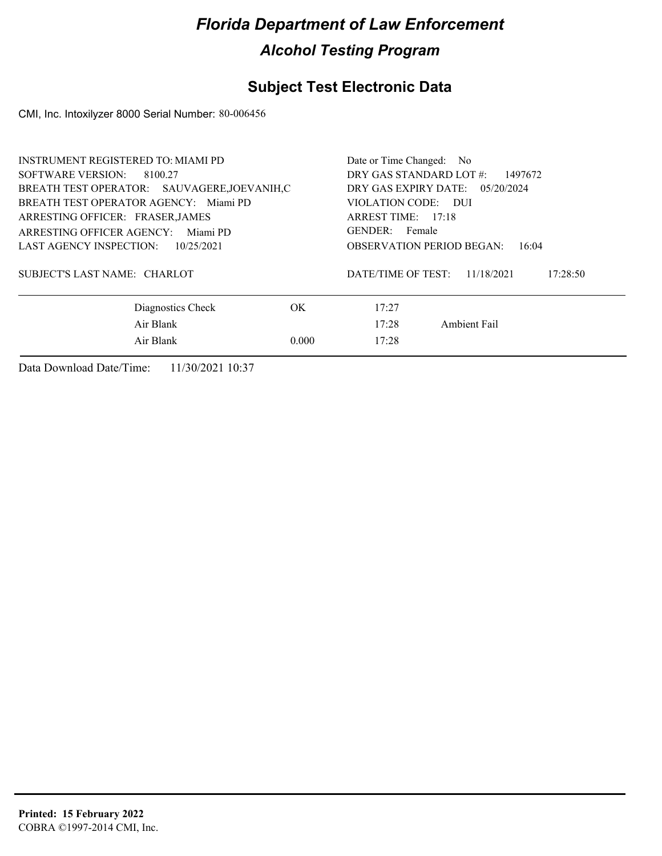### **Subject Test Electronic Data**

CMI, Inc. Intoxilyzer 8000 Serial Number: 80-006456

| <b>INSTRUMENT REGISTERED TO: MIAMI PD</b>    | Date or Time Changed: No                                    |  |  |  |
|----------------------------------------------|-------------------------------------------------------------|--|--|--|
| SOFTWARE VERSION:<br>8100.27                 | DRY GAS STANDARD LOT #:<br>1497672                          |  |  |  |
| BREATH TEST OPERATOR: SAUVAGERE, JOEVANIH, C | DRY GAS EXPIRY DATE: $05/20/2024$                           |  |  |  |
| BREATH TEST OPERATOR AGENCY: Miami PD        | VIOLATION CODE: DUI                                         |  |  |  |
| ARRESTING OFFICER: FRASER, JAMES             | ARREST TIME: 17:18                                          |  |  |  |
| ARRESTING OFFICER AGENCY: Miami PD           | GENDER: Female<br><b>OBSERVATION PERIOD BEGAN:</b><br>16:04 |  |  |  |
| <b>LAST AGENCY INSPECTION:</b><br>10/25/2021 |                                                             |  |  |  |
| SUBJECT'S LAST NAME: CHARLOT                 | DATE/TIME OF TEST:<br>11/18/2021<br>17:28:50                |  |  |  |
| Diagnostics Check<br>OK.                     | 17:27                                                       |  |  |  |
| Air Blank                                    | 17:28<br>Ambient Fail                                       |  |  |  |
| Air Blank<br>0.000                           | 17:28                                                       |  |  |  |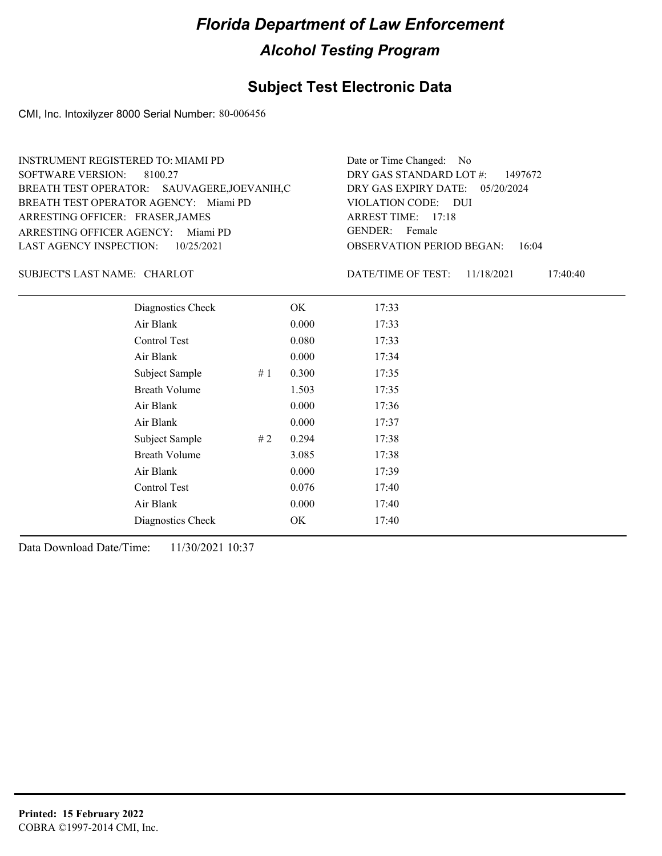#### **Subject Test Electronic Data**

CMI, Inc. Intoxilyzer 8000 Serial Number: 80-006456

| <b>INSTRUMENT REGISTERED TO: MIAMI PD</b>                                             | Date or Time Changed: No                               |
|---------------------------------------------------------------------------------------|--------------------------------------------------------|
| SOFTWARE VERSION: 8100.27                                                             | DRY GAS STANDARD LOT #: 1497672                        |
| BREATH TEST OPERATOR: SAUVAGERE, JOEVANIH, C<br>BREATH TEST OPERATOR AGENCY: Miami PD | DRY GAS EXPIRY DATE: 05/20/2024<br>VIOLATION CODE: DUI |
| ARRESTING OFFICER: FRASER, JAMES                                                      | ARREST TIME: $17:18$                                   |
| ARRESTING OFFICER AGENCY: Miami PD                                                    | GENDER: Female                                         |
| LAST AGENCY INSPECTION: 10/25/2021                                                    | <b>OBSERVATION PERIOD BEGAN:</b> 16:04                 |

#### CHARLOT SUBJECT'S LAST NAME: DATE/TIME OF TEST:

DATE/TIME OF TEST: 11/18/2021 17:40:40

| Diagnostics Check    |    | OK    | 17:33 |
|----------------------|----|-------|-------|
| Air Blank            |    | 0.000 | 17:33 |
| Control Test         |    | 0.080 | 17:33 |
| Air Blank            |    | 0.000 | 17:34 |
| Subject Sample       | #1 | 0.300 | 17:35 |
| <b>Breath Volume</b> |    | 1.503 | 17:35 |
| Air Blank            |    | 0.000 | 17:36 |
| Air Blank            |    | 0.000 | 17:37 |
| Subject Sample       | #2 | 0.294 | 17:38 |
| <b>Breath Volume</b> |    | 3.085 | 17:38 |
| Air Blank            |    | 0.000 | 17:39 |
| Control Test         |    | 0.076 | 17:40 |
| Air Blank            |    | 0.000 | 17:40 |
| Diagnostics Check    |    | OK    | 17:40 |
|                      |    |       |       |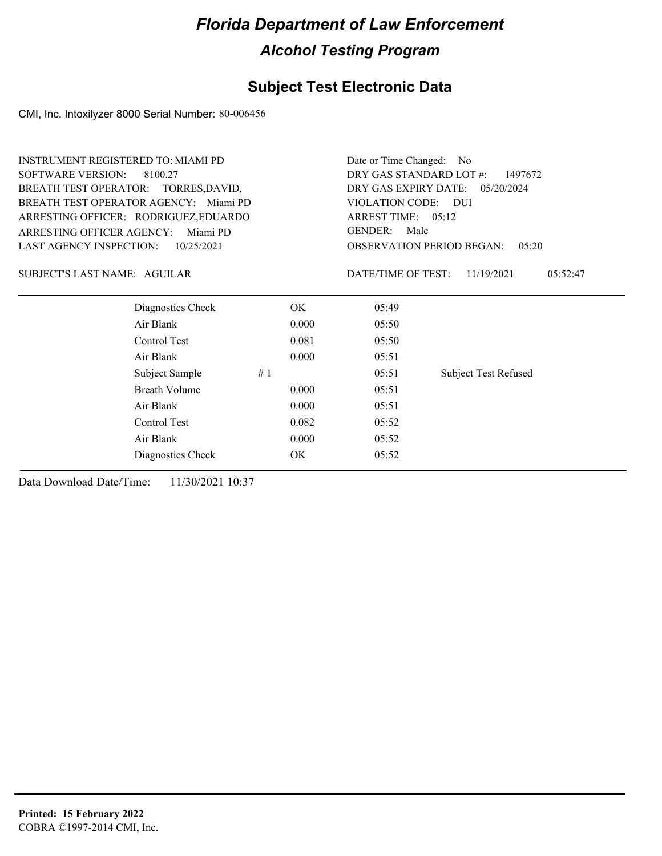### **Subject Test Electronic Data**

CMI, Inc. Intoxilyzer 8000 Serial Number: 80-006456

| <b>INSTRUMENT REGISTERED TO: MIAMI PD</b> |                                       | Date or Time Changed:<br>- No      |                                    |                             |  |  |  |
|-------------------------------------------|---------------------------------------|------------------------------------|------------------------------------|-----------------------------|--|--|--|
| <b>SOFTWARE VERSION:</b>                  | 8100.27                               | DRY GAS STANDARD LOT #:<br>1497672 |                                    |                             |  |  |  |
| BREATH TEST OPERATOR: TORRES, DAVID,      |                                       |                                    | DRY GAS EXPIRY DATE:<br>05/20/2024 |                             |  |  |  |
|                                           | BREATH TEST OPERATOR AGENCY: Miami PD |                                    | VIOLATION CODE: DUI                |                             |  |  |  |
|                                           | ARRESTING OFFICER: RODRIGUEZ, EDUARDO |                                    | ARREST TIME: 05:12                 |                             |  |  |  |
| <b>ARRESTING OFFICER AGENCY:</b>          | Miami PD                              |                                    | <b>GENDER:</b><br>Male             |                             |  |  |  |
| <b>LAST AGENCY INSPECTION:</b>            | 10/25/2021                            |                                    | <b>OBSERVATION PERIOD BEGAN:</b>   | 05:20                       |  |  |  |
| SUBJECT'S LAST NAME: AGUILAR              |                                       |                                    | DATE/TIME OF TEST:                 | 11/19/2021<br>05:52:47      |  |  |  |
|                                           | Diagnostics Check                     | OK.                                | 05:49                              |                             |  |  |  |
|                                           | Air Blank                             | 0.000                              | 05:50                              |                             |  |  |  |
|                                           | Control Test                          | 0.081                              | 05:50                              |                             |  |  |  |
|                                           | Air Blank                             | 0.000                              | 05:51                              |                             |  |  |  |
|                                           | Subject Sample<br>#1                  |                                    | 05:51                              | <b>Subject Test Refused</b> |  |  |  |
|                                           | Breath Volume                         | 0.000                              | 05:51                              |                             |  |  |  |
|                                           | Air Blank                             | 0.000                              | 05:51                              |                             |  |  |  |
|                                           | Control Test                          | 0.082                              | 05:52                              |                             |  |  |  |
|                                           | Air Blank                             | 0.000                              | 05:52                              |                             |  |  |  |
|                                           | Diagnostics Check                     | OK.                                | 05:52                              |                             |  |  |  |
|                                           |                                       |                                    |                                    |                             |  |  |  |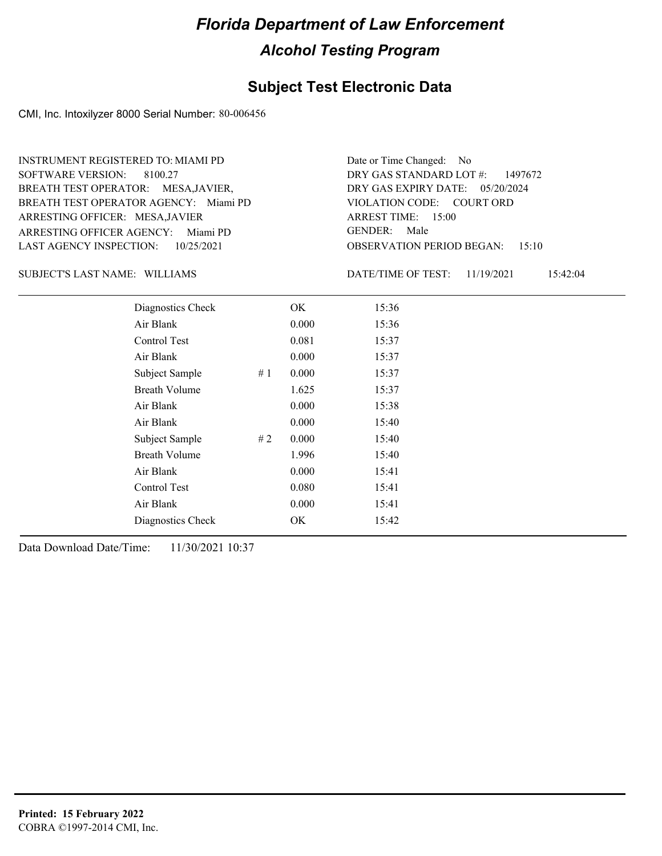#### **Subject Test Electronic Data**

CMI, Inc. Intoxilyzer 8000 Serial Number: 80-006456

ARRESTING OFFICER AGENCY: Miami PD GENDER: BREATH TEST OPERATOR AGENCY: Miami PD VIOLATION CODE: SOFTWARE VERSION: 8100.27 ARRESTING OFFICER: MESA,JAVIER BREATH TEST OPERATOR: MESA,JAVIER, LAST AGENCY INSPECTION: 10/25/2021 INSTRUMENT REGISTERED TO: MIAMI PD

OBSERVATION PERIOD BEGAN: 15:10 VIOLATION CODE: COURT ORD ARREST TIME: 15:00 DRY GAS EXPIRY DATE: 05/20/2024 DRY GAS STANDARD LOT #: 1497672 Date or Time Changed: No GENDER: Male

SUBJECT'S LAST NAME: WILLIAMS DATE/TIME OF TEST:

DATE/TIME OF TEST: 11/19/2021 15:42:04

| Diagnostics Check    |    | OK    | 15:36 |
|----------------------|----|-------|-------|
| Air Blank            |    | 0.000 | 15:36 |
| Control Test         |    | 0.081 | 15:37 |
| Air Blank            |    | 0.000 | 15:37 |
| Subject Sample       | #1 | 0.000 | 15:37 |
| <b>Breath Volume</b> |    | 1.625 | 15:37 |
| Air Blank            |    | 0.000 | 15:38 |
| Air Blank            |    | 0.000 | 15:40 |
| Subject Sample       | #2 | 0.000 | 15:40 |
| <b>Breath Volume</b> |    | 1.996 | 15:40 |
| Air Blank            |    | 0.000 | 15:41 |
| Control Test         |    | 0.080 | 15:41 |
| Air Blank            |    | 0.000 | 15:41 |
| Diagnostics Check    |    | OK.   | 15:42 |
|                      |    |       |       |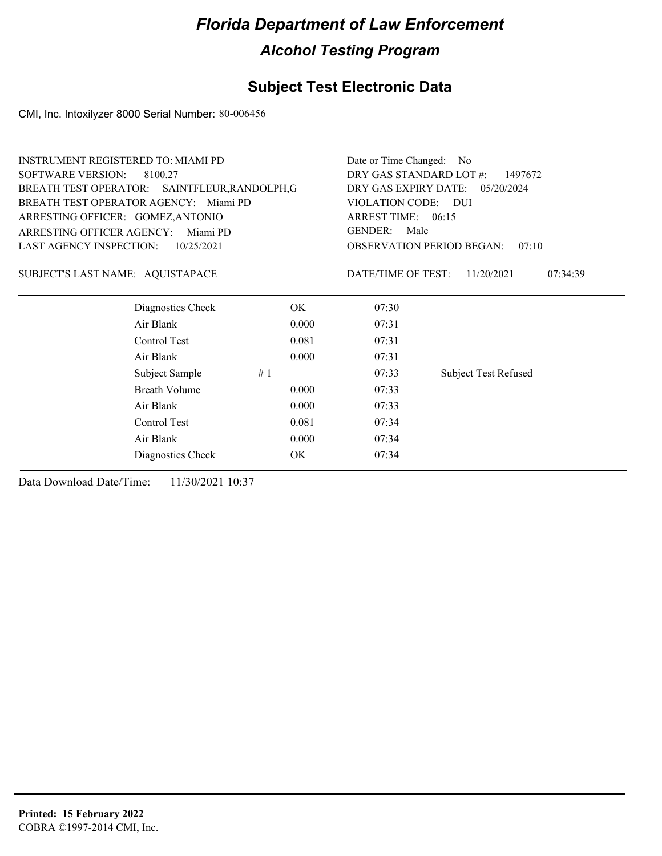### **Subject Test Electronic Data**

CMI, Inc. Intoxilyzer 8000 Serial Number: 80-006456

| <b>INSTRUMENT REGISTERED TO: MIAMI PD</b>     |            |       | Date or Time Changed:<br>- No                                                                             |                             |  |  |  |
|-----------------------------------------------|------------|-------|-----------------------------------------------------------------------------------------------------------|-----------------------------|--|--|--|
| <b>SOFTWARE VERSION:</b><br>8100.27           |            |       | DRY GAS STANDARD LOT #:<br>1497672<br>DRY GAS EXPIRY DATE:<br>05/20/2024<br>VIOLATION CODE:<br><b>DUI</b> |                             |  |  |  |
| BREATH TEST OPERATOR: SAINTFLEUR, RANDOLPH, G |            |       |                                                                                                           |                             |  |  |  |
| BREATH TEST OPERATOR AGENCY: Miami PD         |            |       |                                                                                                           |                             |  |  |  |
| ARRESTING OFFICER: GOMEZ, ANTONIO             |            |       | ARREST TIME: 06:15                                                                                        |                             |  |  |  |
| <b>ARRESTING OFFICER AGENCY:</b>              | Miami PD   |       | <b>GENDER:</b><br>Male                                                                                    |                             |  |  |  |
| LAST AGENCY INSPECTION:                       | 10/25/2021 |       | <b>OBSERVATION PERIOD BEGAN:</b>                                                                          | 07:10                       |  |  |  |
| SUBJECT'S LAST NAME: AQUISTAPACE              |            |       | DATE/TIME OF TEST:                                                                                        | 11/20/2021<br>07:34:39      |  |  |  |
| Diagnostics Check                             |            | OK.   | 07:30                                                                                                     |                             |  |  |  |
| Air Blank                                     |            | 0.000 | 07:31                                                                                                     |                             |  |  |  |
| Control Test                                  |            | 0.081 | 07:31                                                                                                     |                             |  |  |  |
| Air Blank                                     |            | 0.000 | 07:31                                                                                                     |                             |  |  |  |
| Subject Sample                                | #1         |       | 07:33                                                                                                     | <b>Subject Test Refused</b> |  |  |  |
| Breath Volume                                 |            | 0.000 | 07:33                                                                                                     |                             |  |  |  |
| Air Blank                                     |            | 0.000 | 07:33                                                                                                     |                             |  |  |  |
| Control Test                                  |            | 0.081 | 07:34                                                                                                     |                             |  |  |  |
| Air Blank                                     |            | 0.000 | 07:34                                                                                                     |                             |  |  |  |
| Diagnostics Check                             |            | OK    | 07:34                                                                                                     |                             |  |  |  |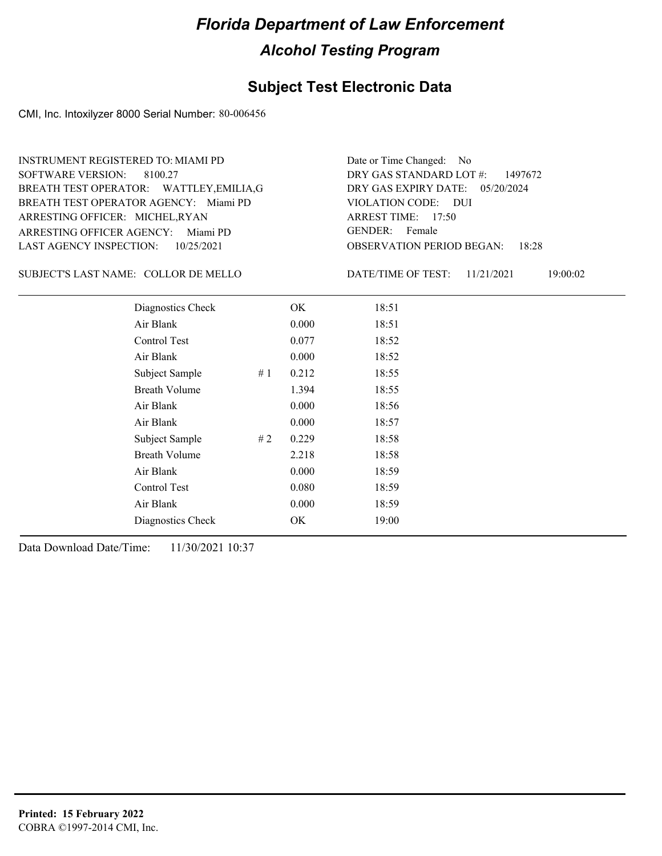#### **Subject Test Electronic Data**

CMI, Inc. Intoxilyzer 8000 Serial Number: 80-006456

ARRESTING OFFICER AGENCY: Miami PD GENDER: BREATH TEST OPERATOR AGENCY: Miami PD VIOLATION CODE: SOFTWARE VERSION: 8100.27 ARRESTING OFFICER: MICHEL,RYAN BREATH TEST OPERATOR: WATTLEY,EMILIA,G LAST AGENCY INSPECTION: 10/25/2021 INSTRUMENT REGISTERED TO: MIAMI PD

OBSERVATION PERIOD BEGAN: 18:28 VIOLATION CODE: DUI ARREST TIME: 17:50 DRY GAS EXPIRY DATE: 05/20/2024 DRY GAS STANDARD LOT #: 1497672 GENDER: Female

Date or Time Changed: No

SUBJECT'S LAST NAME: COLLOR DE MELLO DATE/TIME OF TEST:

DATE/TIME OF TEST: 11/21/2021 19:00:02

| Diagnostics Check    |     | OK    | 18:51 |
|----------------------|-----|-------|-------|
| Air Blank            |     | 0.000 | 18:51 |
| Control Test         |     | 0.077 | 18:52 |
| Air Blank            |     | 0.000 | 18:52 |
| Subject Sample       | #1  | 0.212 | 18:55 |
| <b>Breath Volume</b> |     | 1.394 | 18:55 |
| Air Blank            |     | 0.000 | 18:56 |
| Air Blank            |     | 0.000 | 18:57 |
| Subject Sample       | # 2 | 0.229 | 18:58 |
| <b>Breath Volume</b> |     | 2.218 | 18:58 |
| Air Blank            |     | 0.000 | 18:59 |
| Control Test         |     | 0.080 | 18:59 |
| Air Blank            |     | 0.000 | 18:59 |
| Diagnostics Check    |     | OK    | 19:00 |
|                      |     |       |       |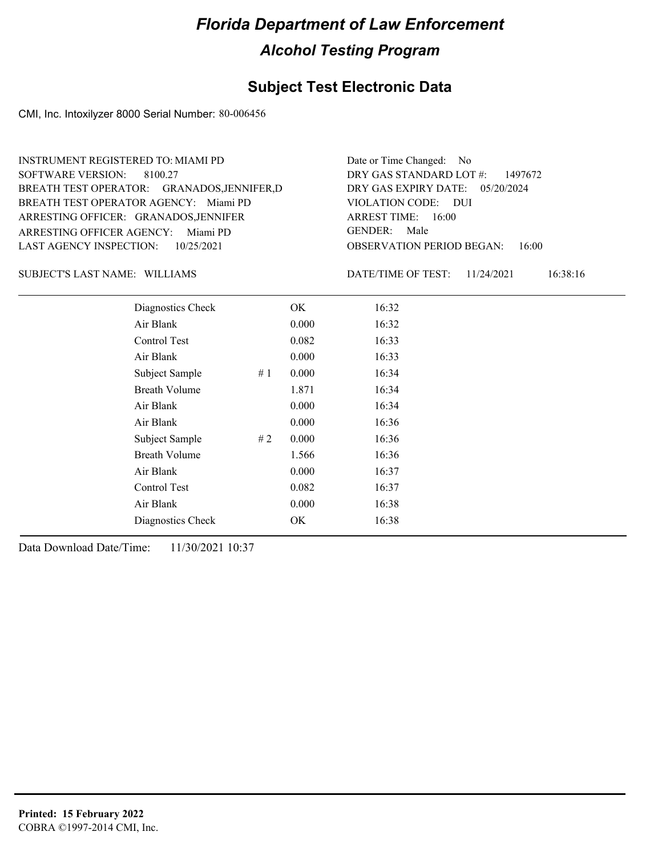#### **Subject Test Electronic Data**

CMI, Inc. Intoxilyzer 8000 Serial Number: 80-006456

| INSTRUMENT REGISTERED TO: MIAMI PD          | Date or Time Changed: No               |
|---------------------------------------------|----------------------------------------|
| SOFTWARE VERSION: 8100.27                   | DRY GAS STANDARD LOT $\#$ : 1497672    |
| BREATH TEST OPERATOR: GRANADOS, JENNIFER, D | DRY GAS EXPIRY DATE: 05/20/2024        |
| BREATH TEST OPERATOR AGENCY: Miami PD       | VIOLATION CODE: DUI                    |
| ARRESTING OFFICER: GRANADOS, JENNIFER       | ARREST TIME: $16:00$                   |
| ARRESTING OFFICER AGENCY: Miami PD          | GENDER: Male                           |
| LAST AGENCY INSPECTION: 10/25/2021          | <b>OBSERVATION PERIOD BEGAN: 16:00</b> |

#### SUBJECT'S LAST NAME: WILLIAMS DATE/TIME OF TEST:

DATE/TIME OF TEST: 11/24/2021 16:38:16

| Diagnostics Check    |    | OK    | 16:32 |  |
|----------------------|----|-------|-------|--|
| Air Blank            |    | 0.000 | 16:32 |  |
| Control Test         |    | 0.082 | 16:33 |  |
| Air Blank            |    | 0.000 | 16:33 |  |
| Subject Sample       | #1 | 0.000 | 16:34 |  |
| <b>Breath Volume</b> |    | 1.871 | 16:34 |  |
| Air Blank            |    | 0.000 | 16:34 |  |
| Air Blank            |    | 0.000 | 16:36 |  |
| Subject Sample       | #2 | 0.000 | 16:36 |  |
| <b>Breath Volume</b> |    | 1.566 | 16:36 |  |
| Air Blank            |    | 0.000 | 16:37 |  |
| Control Test         |    | 0.082 | 16:37 |  |
| Air Blank            |    | 0.000 | 16:38 |  |
| Diagnostics Check    |    | OK    | 16:38 |  |
|                      |    |       |       |  |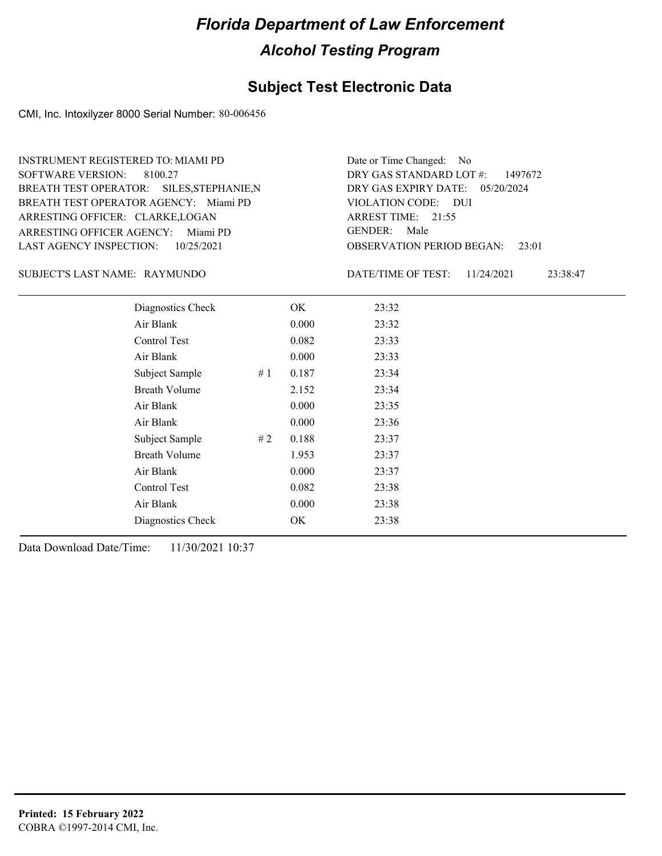#### **Subject Test Electronic Data**

CMI, Inc. Intoxilyzer 8000 Serial Number: 80-006456

ARRESTING OFFICER AGENCY: Miami PD GENDER: BREATH TEST OPERATOR AGENCY: Miami PD VIOLATION CODE: SOFTWARE VERSION: 8100.27 ARRESTING OFFICER: CLARKE,LOGAN BREATH TEST OPERATOR: SILES,STEPHANIE,N LAST AGENCY INSPECTION: 10/25/2021 INSTRUMENT REGISTERED TO: MIAMI PD

OBSERVATION PERIOD BEGAN: 23:01 VIOLATION CODE: DUI ARREST TIME: 21:55 DRY GAS EXPIRY DATE: 05/20/2024 DRY GAS STANDARD LOT #: 1497672 Date or Time Changed: No GENDER: Male

SUBJECT'S LAST NAME: RAYMUNDO DATE/TIME OF TEST:

DATE/TIME OF TEST: 11/24/2021 23:38:47

| Diagnostics Check    |    | OK    | 23:32 |
|----------------------|----|-------|-------|
| Air Blank            |    | 0.000 | 23:32 |
| Control Test         |    | 0.082 | 23:33 |
| Air Blank            |    | 0.000 | 23:33 |
| Subject Sample       | #1 | 0.187 | 23:34 |
| <b>Breath Volume</b> |    | 2.152 | 23:34 |
| Air Blank            |    | 0.000 | 23:35 |
| Air Blank            |    | 0.000 | 23:36 |
| Subject Sample       | #2 | 0.188 | 23:37 |
| <b>Breath Volume</b> |    | 1.953 | 23:37 |
| Air Blank            |    | 0.000 | 23:37 |
| Control Test         |    | 0.082 | 23:38 |
| Air Blank            |    | 0.000 | 23:38 |
| Diagnostics Check    |    | OK    | 23:38 |
|                      |    |       |       |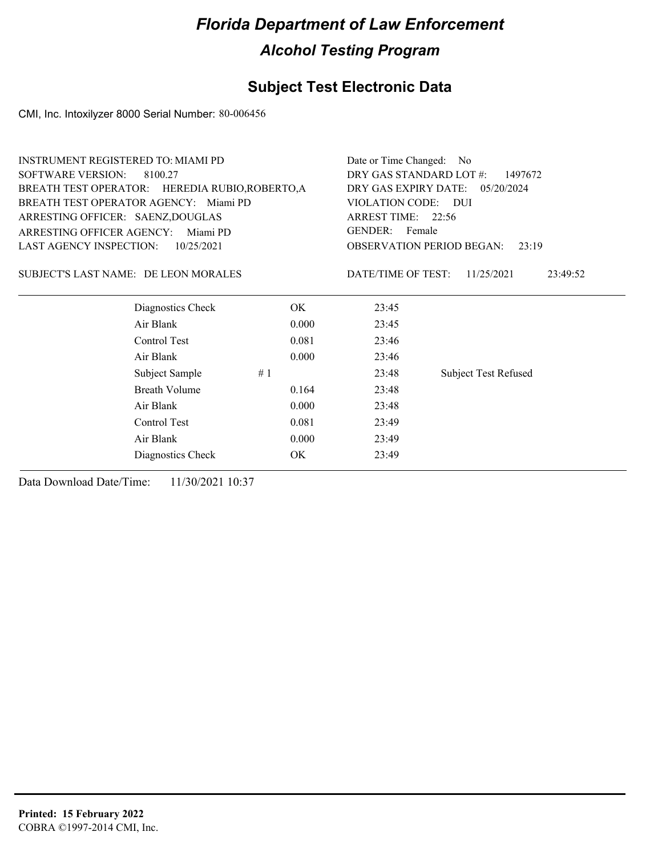### **Subject Test Electronic Data**

CMI, Inc. Intoxilyzer 8000 Serial Number: 80-006456

| <b>INSTRUMENT REGISTERED TO: MIAMI PD</b> |                                                 |                                                                          | Date or Time Changed:<br>- No |                                           |  |  |
|-------------------------------------------|-------------------------------------------------|--------------------------------------------------------------------------|-------------------------------|-------------------------------------------|--|--|
| <b>SOFTWARE VERSION:</b>                  | 8100.27                                         | DRY GAS STANDARD LOT #:<br>1497672<br>DRY GAS EXPIRY DATE:<br>05/20/2024 |                               |                                           |  |  |
|                                           | BREATH TEST OPERATOR: HEREDIA RUBIO, ROBERTO, A |                                                                          |                               |                                           |  |  |
|                                           | BREATH TEST OPERATOR AGENCY: Miami PD           |                                                                          | VIOLATION CODE: DUI           |                                           |  |  |
| ARRESTING OFFICER: SAENZ, DOUGLAS         |                                                 |                                                                          | ARREST TIME: 22:56            |                                           |  |  |
| <b>ARRESTING OFFICER AGENCY:</b>          | Miami PD                                        |                                                                          | <b>GENDER:</b><br>Female      |                                           |  |  |
| <b>LAST AGENCY INSPECTION:</b>            | 10/25/2021                                      |                                                                          |                               | <b>OBSERVATION PERIOD BEGAN:</b><br>23:19 |  |  |
|                                           | SUBJECT'S LAST NAME: DE LEON MORALES            |                                                                          | DATE/TIME OF TEST:            | 11/25/2021<br>23:49:52                    |  |  |
|                                           | Diagnostics Check                               | OK.                                                                      | 23:45                         |                                           |  |  |
|                                           | Air Blank                                       | 0.000                                                                    | 23:45                         |                                           |  |  |
|                                           | Control Test                                    | 0.081                                                                    | 23:46                         |                                           |  |  |
|                                           | Air Blank                                       | 0.000                                                                    | 23:46                         |                                           |  |  |
|                                           | Subject Sample                                  | #1                                                                       | 23:48                         | <b>Subject Test Refused</b>               |  |  |
|                                           | Breath Volume                                   | 0.164                                                                    | 23:48                         |                                           |  |  |
|                                           | Air Blank                                       | 0.000                                                                    | 23:48                         |                                           |  |  |
|                                           | Control Test                                    | 0.081                                                                    | 23:49                         |                                           |  |  |
|                                           | Air Blank                                       | 0.000                                                                    | 23:49                         |                                           |  |  |
|                                           | Diagnostics Check                               | OK                                                                       | 23:49                         |                                           |  |  |
|                                           |                                                 |                                                                          |                               |                                           |  |  |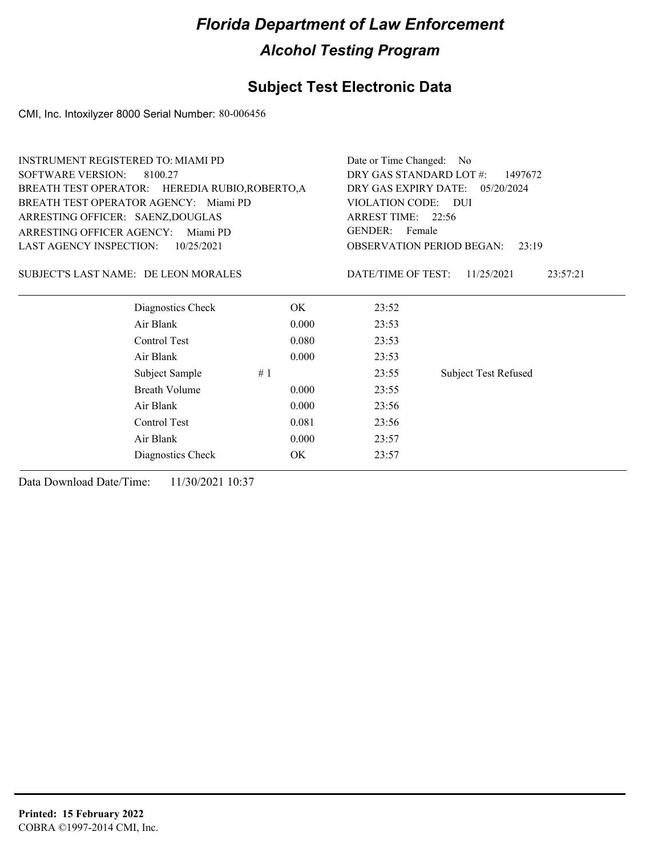### **Subject Test Electronic Data**

CMI, Inc. Intoxilyzer 8000 Serial Number: 80-006456

| <b>INSTRUMENT REGISTERED TO: MIAMI PD</b> |                                                 |       | Date or Time Changed:<br>- No |                                           |  |  |
|-------------------------------------------|-------------------------------------------------|-------|-------------------------------|-------------------------------------------|--|--|
| <b>SOFTWARE VERSION:</b>                  | 8100.27                                         |       |                               | DRY GAS STANDARD LOT #:<br>1497672        |  |  |
|                                           | BREATH TEST OPERATOR: HEREDIA RUBIO, ROBERTO, A |       |                               | DRY GAS EXPIRY DATE:<br>05/20/2024        |  |  |
|                                           | BREATH TEST OPERATOR AGENCY: Miami PD           |       | VIOLATION CODE:               | <b>DUI</b>                                |  |  |
| ARRESTING OFFICER: SAENZ, DOUGLAS         |                                                 |       | ARREST TIME: 22:56            |                                           |  |  |
| <b>ARRESTING OFFICER AGENCY:</b>          | Miami PD                                        |       | <b>GENDER:</b><br>Female      |                                           |  |  |
| <b>LAST AGENCY INSPECTION:</b>            | 10/25/2021                                      |       |                               | <b>OBSERVATION PERIOD BEGAN:</b><br>23:19 |  |  |
| SUBJECT'S LAST NAME: DE LEON MORALES      |                                                 |       | DATE/TIME OF TEST:            | 11/25/2021<br>23:57:21                    |  |  |
|                                           | Diagnostics Check                               | OK.   | 23:52                         |                                           |  |  |
|                                           | Air Blank                                       | 0.000 | 23:53                         |                                           |  |  |
|                                           | Control Test                                    | 0.080 | 23:53                         |                                           |  |  |
|                                           | Air Blank                                       | 0.000 | 23:53                         |                                           |  |  |
|                                           | Subject Sample                                  | #1    | 23:55                         | <b>Subject Test Refused</b>               |  |  |
|                                           | <b>Breath Volume</b>                            | 0.000 | 23:55                         |                                           |  |  |
|                                           | Air Blank                                       | 0.000 | 23:56                         |                                           |  |  |
|                                           | Control Test                                    | 0.081 | 23:56                         |                                           |  |  |
|                                           | Air Blank                                       | 0.000 | 23:57                         |                                           |  |  |
|                                           | Diagnostics Check                               | OK    | 23:57                         |                                           |  |  |
|                                           |                                                 |       |                               |                                           |  |  |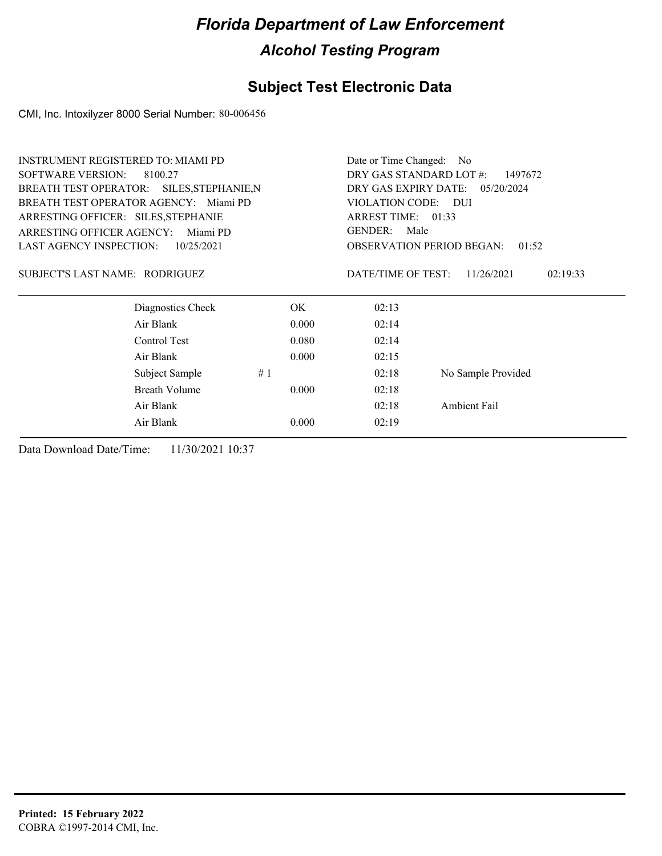### **Subject Test Electronic Data**

CMI, Inc. Intoxilyzer 8000 Serial Number: 80-006456

| <b>INSTRUMENT REGISTERED TO: MIAMI PD</b> |                      |       | Date or Time Changed: No                  |                                 |  |
|-------------------------------------------|----------------------|-------|-------------------------------------------|---------------------------------|--|
| <b>SOFTWARE VERSION:</b><br>8100.27       |                      |       | DRY GAS STANDARD LOT #:<br>1497672        |                                 |  |
| BREATH TEST OPERATOR: SILES, STEPHANIE, N |                      |       |                                           | DRY GAS EXPIRY DATE: 05/20/2024 |  |
| BREATH TEST OPERATOR AGENCY: Miami PD     |                      |       | VIOLATION CODE: DUI                       |                                 |  |
| ARRESTING OFFICER: SILES, STEPHANIE       |                      |       | ARREST TIME: 01:33                        |                                 |  |
| ARRESTING OFFICER AGENCY:<br>Miami PD     |                      |       | GENDER:<br>Male                           |                                 |  |
| <b>LAST AGENCY INSPECTION:</b>            | 10/25/2021           |       | <b>OBSERVATION PERIOD BEGAN:</b><br>01:52 |                                 |  |
| SUBJECT'S LAST NAME: RODRIGUEZ            |                      |       | DATE/TIME OF TEST:                        | 11/26/2021<br>02:19:33          |  |
|                                           | Diagnostics Check    | OK.   | 02:13                                     |                                 |  |
|                                           | Air Blank            | 0.000 | 02:14                                     |                                 |  |
|                                           | Control Test         | 0.080 | 02:14                                     |                                 |  |
|                                           | Air Blank            | 0.000 | 02:15                                     |                                 |  |
|                                           | #1<br>Subject Sample |       | 02:18                                     | No Sample Provided              |  |
|                                           | Breath Volume        | 0.000 | 02:18                                     |                                 |  |
|                                           | Air Blank            |       | 02:18                                     | Ambient Fail                    |  |
|                                           | Air Blank            | 0.000 | 02:19                                     |                                 |  |
|                                           |                      |       |                                           |                                 |  |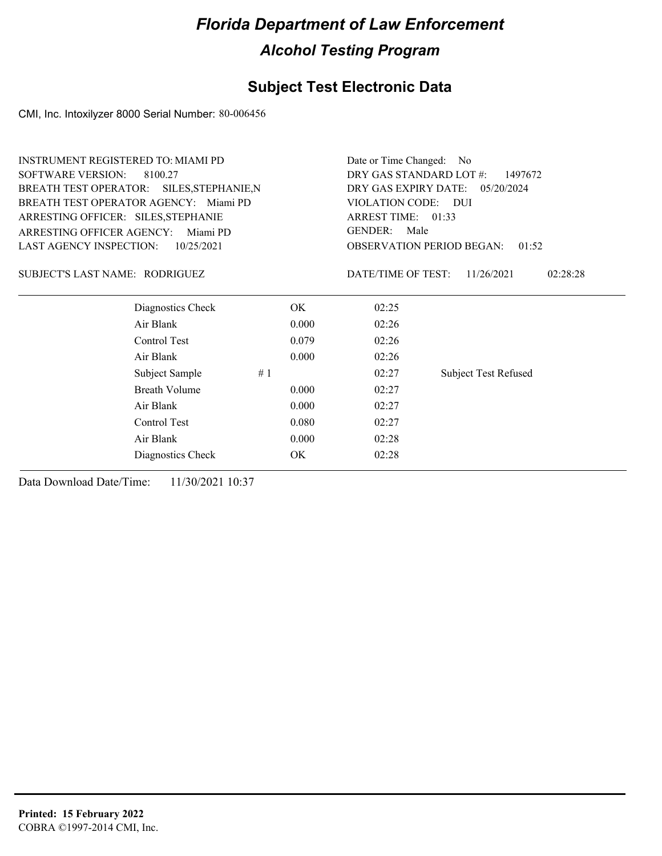### **Subject Test Electronic Data**

CMI, Inc. Intoxilyzer 8000 Serial Number: 80-006456

| <b>SOFTWARE VERSION:</b><br>DRY GAS STANDARD LOT #:<br>8100.27                   | 1497672  |  |  |
|----------------------------------------------------------------------------------|----------|--|--|
| BREATH TEST OPERATOR: SILES, STEPHANIE, N<br>DRY GAS EXPIRY DATE:<br>05/20/2024  |          |  |  |
| BREATH TEST OPERATOR AGENCY: Miami PD<br>VIOLATION CODE: DUI                     |          |  |  |
| ARREST TIME: 01:33<br>ARRESTING OFFICER: SILES, STEPHANIE                        |          |  |  |
| <b>GENDER:</b><br>Male<br><b>ARRESTING OFFICER AGENCY:</b><br>Miami PD           |          |  |  |
| <b>LAST AGENCY INSPECTION:</b><br><b>OBSERVATION PERIOD BEGAN:</b><br>10/25/2021 | 01:52    |  |  |
| SUBJECT'S LAST NAME: RODRIGUEZ<br>DATE/TIME OF TEST:<br>11/26/2021               | 02:28:28 |  |  |
| Diagnostics Check<br>OK.<br>02:25                                                |          |  |  |
| Air Blank<br>0.000<br>02:26                                                      |          |  |  |
| Control Test<br>02:26<br>0.079                                                   |          |  |  |
| Air Blank<br>0.000<br>02:26                                                      |          |  |  |
| Subject Sample<br>#1<br>02:27<br><b>Subject Test Refused</b>                     |          |  |  |
| <b>Breath Volume</b><br>02:27<br>0.000                                           |          |  |  |
| Air Blank<br>0.000<br>02:27                                                      |          |  |  |
| Control Test<br>02:27<br>0.080                                                   |          |  |  |
| Air Blank<br>0.000<br>02:28                                                      |          |  |  |
| Diagnostics Check<br>OK.<br>02:28                                                |          |  |  |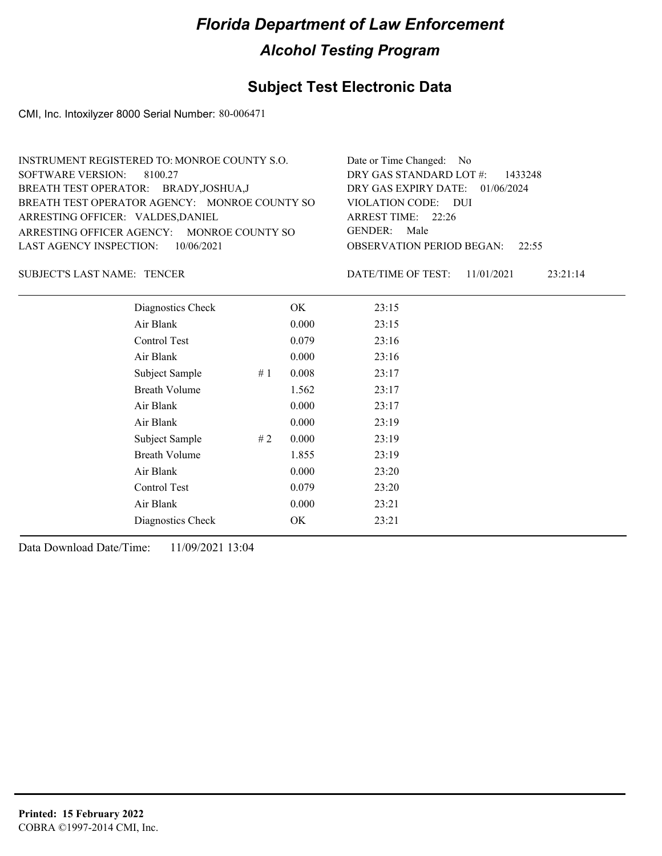#### **Subject Test Electronic Data**

CMI, Inc. Intoxilyzer 8000 Serial Number: 80-006471

| Date or Time Changed: No               |
|----------------------------------------|
| DRY GAS STANDARD LOT #: 1433248        |
| DRY GAS EXPIRY DATE: $01/06/2024$      |
| VIOLATION CODE: DUI                    |
| ARREST TIME: $22:26$                   |
| GENDER: Male                           |
| <b>OBSERVATION PERIOD BEGAN:</b> 22:55 |
|                                        |

SUBJECT'S LAST NAME: TENCER DATE/TIME OF TEST:

DATE/TIME OF TEST: 11/01/2021 23:21:14

| Diagnostics Check    |    | OK    | 23:15 |
|----------------------|----|-------|-------|
| Air Blank            |    | 0.000 | 23:15 |
| Control Test         |    | 0.079 | 23:16 |
| Air Blank            |    | 0.000 | 23:16 |
| Subject Sample       | #1 | 0.008 | 23:17 |
| <b>Breath Volume</b> |    | 1.562 | 23:17 |
| Air Blank            |    | 0.000 | 23:17 |
| Air Blank            |    | 0.000 | 23:19 |
| Subject Sample       | #2 | 0.000 | 23:19 |
| <b>Breath Volume</b> |    | 1.855 | 23:19 |
| Air Blank            |    | 0.000 | 23:20 |
| Control Test         |    | 0.079 | 23:20 |
| Air Blank            |    | 0.000 | 23:21 |
| Diagnostics Check    |    | OK    | 23:21 |
|                      |    |       |       |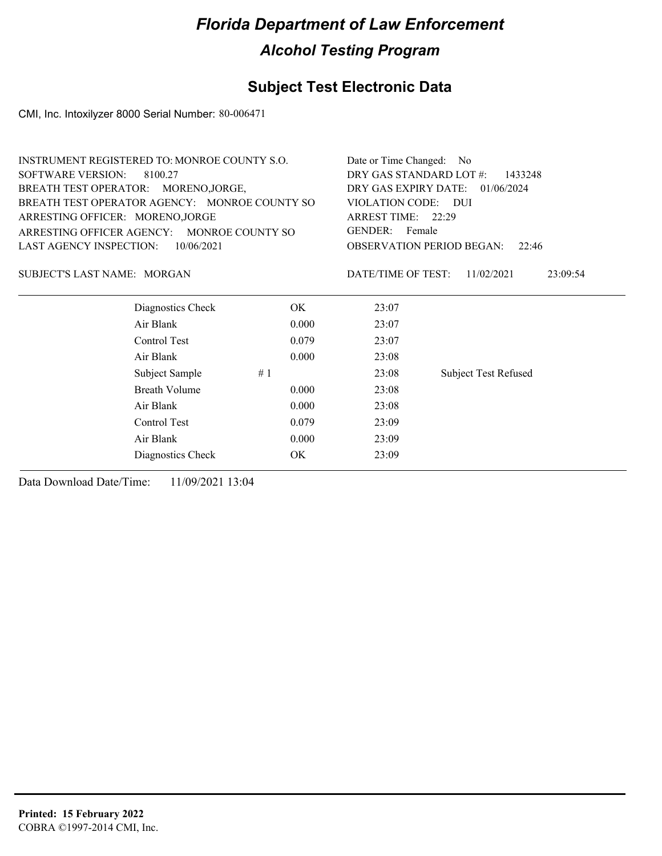#### **Subject Test Electronic Data**

CMI, Inc. Intoxilyzer 8000 Serial Number: 80-006471

| <b>INSTRUMENT REGISTERED TO: MONROE COUNTY S.O.</b> | Date or Time Changed: No<br>DRY GAS STANDARD LOT #:<br>1433248<br>DRY GAS EXPIRY DATE:<br>01/06/2024<br>VIOLATION CODE: DUI<br>ARREST TIME: 22:29<br>GENDER: Female<br><b>OBSERVATION PERIOD BEGAN:</b><br>22:46 |                                              |  |
|-----------------------------------------------------|------------------------------------------------------------------------------------------------------------------------------------------------------------------------------------------------------------------|----------------------------------------------|--|
| SOFTWARE VERSION:<br>8100.27                        |                                                                                                                                                                                                                  |                                              |  |
| BREATH TEST OPERATOR: MORENO, JORGE,                |                                                                                                                                                                                                                  |                                              |  |
| BREATH TEST OPERATOR AGENCY: MONROE COUNTY SO       |                                                                                                                                                                                                                  |                                              |  |
| ARRESTING OFFICER: MORENO, JORGE                    |                                                                                                                                                                                                                  |                                              |  |
| ARRESTING OFFICER AGENCY: MONROE COUNTY SO          |                                                                                                                                                                                                                  |                                              |  |
| LAST AGENCY INSPECTION:<br>10/06/2021               |                                                                                                                                                                                                                  |                                              |  |
| SUBJECT'S LAST NAME: MORGAN                         |                                                                                                                                                                                                                  | DATE/TIME OF TEST:<br>23:09:54<br>11/02/2021 |  |
| Diagnostics Check                                   | OK.                                                                                                                                                                                                              | 23:07                                        |  |
| Air Blank                                           | 0.000                                                                                                                                                                                                            | 23:07                                        |  |
| Control Test<br>0.079                               |                                                                                                                                                                                                                  | 23:07                                        |  |
| Air Blank                                           | 0.000                                                                                                                                                                                                            | 23:08                                        |  |

Subject Sample # 1  $\qquad$  23:08 Subject Test Refused

Breath Volume 0.000 23:08 Air Blank 0.000 23:08 Control Test 0.079 23:09 Air Blank 0.000 23:09 Diagnostics Check OK 23:09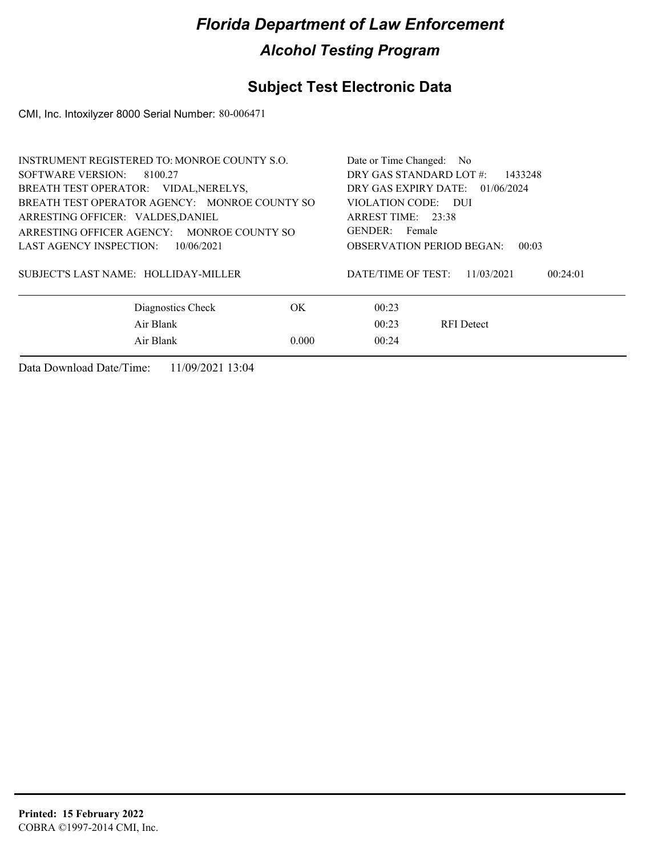### **Subject Test Electronic Data**

CMI, Inc. Intoxilyzer 8000 Serial Number: 80-006471

| <b>INSTRUMENT REGISTERED TO: MONROE COUNTY S.O.</b> |                                 | Date or Time Changed: No                     |  |  |
|-----------------------------------------------------|---------------------------------|----------------------------------------------|--|--|
| SOFTWARE VERSION:<br>8100.27                        |                                 | DRY GAS STANDARD LOT #:<br>1433248           |  |  |
| BREATH TEST OPERATOR: VIDAL, NERELYS,               | DRY GAS EXPIRY DATE: 01/06/2024 |                                              |  |  |
| BREATH TEST OPERATOR AGENCY: MONROE COUNTY SO       | VIOLATION CODE: DUI             |                                              |  |  |
| ARRESTING OFFICER: VALDES, DANIEL                   | ARREST TIME: 23:38              |                                              |  |  |
| ARRESTING OFFICER AGENCY: MONROE COUNTY SO          |                                 | GENDER: Female                               |  |  |
| LAST AGENCY INSPECTION:<br>10/06/2021               |                                 | <b>OBSERVATION PERIOD BEGAN:</b><br>00:03    |  |  |
| SUBJECT'S LAST NAME: HOLLIDAY-MILLER                |                                 | DATE/TIME OF TEST:<br>11/03/2021<br>00:24:01 |  |  |
| Diagnostics Check                                   | OK.                             | 00:23                                        |  |  |
| Air Blank                                           |                                 | 00:23<br><b>RFI</b> Detect                   |  |  |
| Air Blank                                           | 0.000                           | 00:24                                        |  |  |
|                                                     |                                 |                                              |  |  |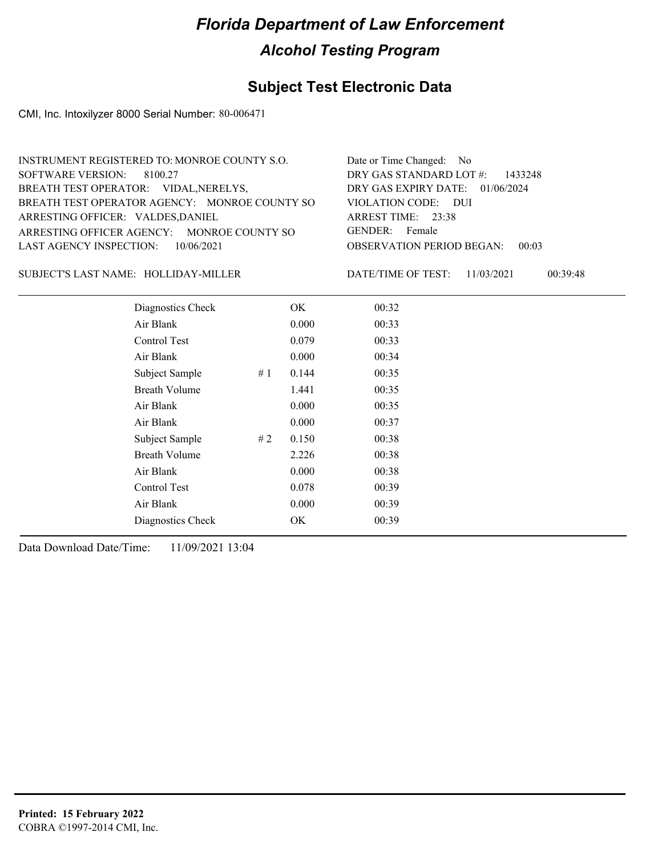#### **Subject Test Electronic Data**

CMI, Inc. Intoxilyzer 8000 Serial Number: 80-006471

| INSTRUMENT REGISTERED TO: MONROE COUNTY S.O.  | Date or Time Changed: No               |
|-----------------------------------------------|----------------------------------------|
| SOFTWARE VERSION: 8100.27                     | DRY GAS STANDARD LOT $\#$ : 1433248    |
| BREATH TEST OPERATOR: VIDAL, NERELYS,         | DRY GAS EXPIRY DATE: $01/06/2024$      |
| BREATH TEST OPERATOR AGENCY: MONROE COUNTY SO | VIOLATION CODE: DUI                    |
| ARRESTING OFFICER: VALDES, DANIEL             | ARREST TIME: 23:38                     |
| ARRESTING OFFICER AGENCY: MONROE COUNTY SO    | GENDER: Female                         |
| LAST AGENCY INSPECTION: 10/06/2021            | <b>OBSERVATION PERIOD BEGAN: 00:03</b> |
|                                               |                                        |

SUBJECT'S LAST NAME: HOLLIDAY-MILLER DATE/TIME OF TEST:

DATE/TIME OF TEST: 11/03/2021 00:39:48

| Diagnostics Check    |     | OK    | 00:32 |
|----------------------|-----|-------|-------|
| Air Blank            |     | 0.000 | 00:33 |
| Control Test         |     | 0.079 | 00:33 |
| Air Blank            |     | 0.000 | 00:34 |
| Subject Sample       | #1  | 0.144 | 00:35 |
| <b>Breath Volume</b> |     | 1.441 | 00:35 |
| Air Blank            |     | 0.000 | 00:35 |
| Air Blank            |     | 0.000 | 00:37 |
| Subject Sample       | # 2 | 0.150 | 00:38 |
| <b>Breath Volume</b> |     | 2.226 | 00:38 |
| Air Blank            |     | 0.000 | 00:38 |
| Control Test         |     | 0.078 | 00:39 |
| Air Blank            |     | 0.000 | 00:39 |
| Diagnostics Check    |     | OK    | 00:39 |
|                      |     |       |       |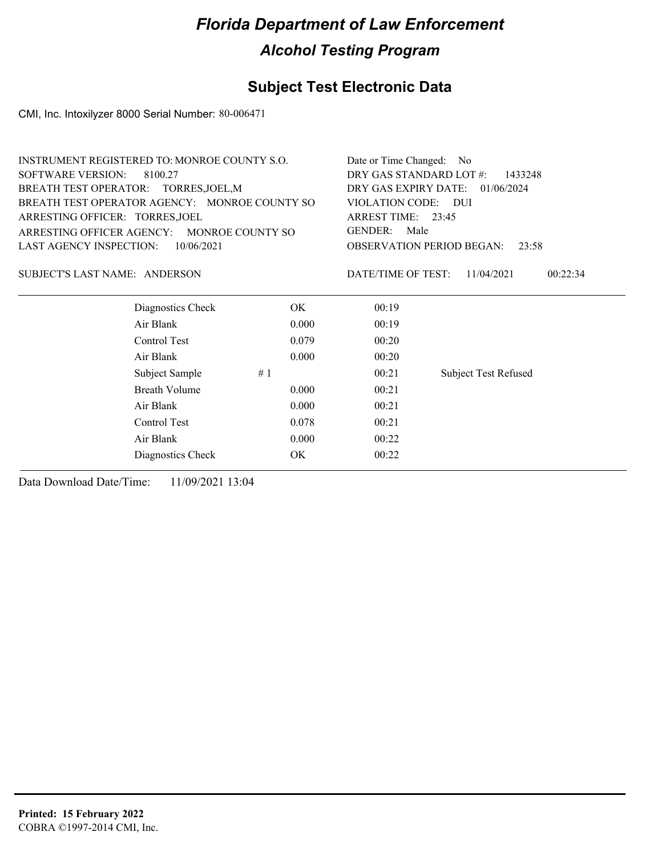#### **Subject Test Electronic Data**

CMI, Inc. Intoxilyzer 8000 Serial Number: 80-006471

| <b>INSTRUMENT REGISTERED TO: MONROE COUNTY S.O.</b> | Date or Time Changed: No                    |
|-----------------------------------------------------|---------------------------------------------|
| SOFTWARE VERSION: 8100.27                           | DRY GAS STANDARD LOT #:<br>1433248          |
| BREATH TEST OPERATOR: TORRES, JOEL, M               | DRY GAS EXPIRY DATE: $01/06/2024$           |
| BREATH TEST OPERATOR AGENCY: MONROE COUNTY SO       | VIOLATION CODE: DUI                         |
| ARRESTING OFFICER: TORRES, JOEL                     | ARREST TIME: $23:45$                        |
| ARRESTING OFFICER AGENCY: MONROE COUNTY SO          | GENDER:<br>Male                             |
| LAST AGENCY INSPECTION: 10/06/2021                  | <b>OBSERVATION PERIOD BEGAN:</b><br>23:58   |
| SUBJECT'S LAST NAME: ANDERSON                       | 00:22:34<br>DATE/TIME OF TEST: $11/04/2021$ |
| Diagnostics Check<br>OK.                            | 00:19                                       |
| Air Blank                                           | 0.000<br>00:19                              |
| Control Test                                        | 0.079<br>00:20                              |

Subject Sample # 1 00:21 Subject Test Refused

| Air Blank<br>Diagnostics Check | 0.000<br>ОK | 00:22<br>00:22 |
|--------------------------------|-------------|----------------|
| Control Test                   | 0.078       | 00:21          |
| Air Blank                      | 0.000       | 00:21          |
|                                |             |                |

Air Blank 0.000 00:20

Breath Volume 0.000 00:21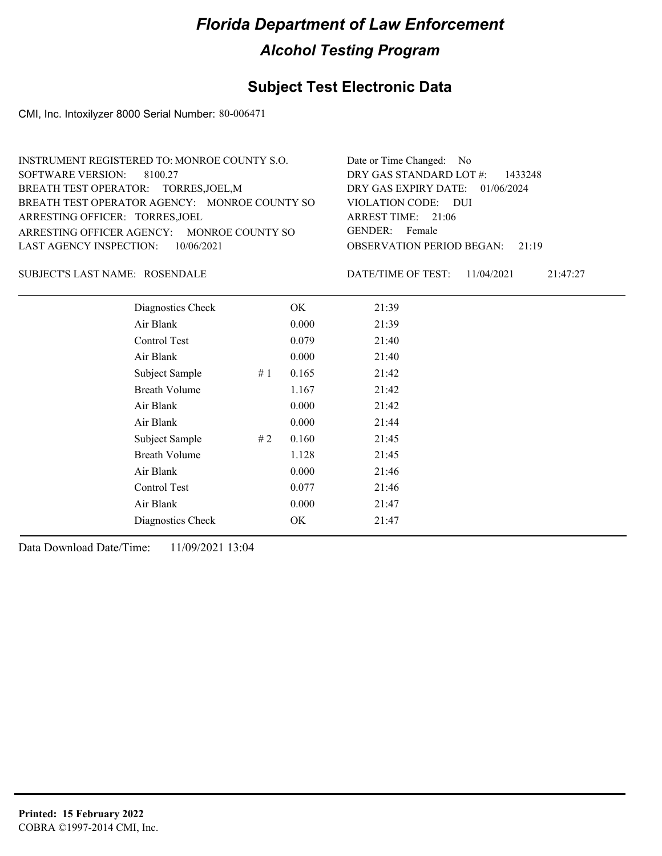#### **Subject Test Electronic Data**

CMI, Inc. Intoxilyzer 8000 Serial Number: 80-006471

| Date or Time Changed: No               |
|----------------------------------------|
| DRY GAS STANDARD LOT $\#$ : 1433248    |
| DRY GAS EXPIRY DATE: 01/06/2024        |
| VIOLATION CODE: DUI                    |
| ARREST TIME: $21:06$                   |
| GENDER: Female                         |
| <b>OBSERVATION PERIOD BEGAN:</b> 21:19 |
|                                        |

#### ROSENDALE SUBJECT'S LAST NAME: DATE/TIME OF TEST:

DATE/TIME OF TEST: 11/04/2021 21:47:27

| Diagnostics Check    |    | OK    | 21:39 |  |
|----------------------|----|-------|-------|--|
| Air Blank            |    | 0.000 | 21:39 |  |
| Control Test         |    | 0.079 | 21:40 |  |
| Air Blank            |    | 0.000 | 21:40 |  |
| Subject Sample       | #1 | 0.165 | 21:42 |  |
| <b>Breath Volume</b> |    | 1.167 | 21:42 |  |
| Air Blank            |    | 0.000 | 21:42 |  |
| Air Blank            |    | 0.000 | 21:44 |  |
| Subject Sample       | #2 | 0.160 | 21:45 |  |
| <b>Breath Volume</b> |    | 1.128 | 21:45 |  |
| Air Blank            |    | 0.000 | 21:46 |  |
| Control Test         |    | 0.077 | 21:46 |  |
| Air Blank            |    | 0.000 | 21:47 |  |
| Diagnostics Check    |    | OK    | 21:47 |  |
|                      |    |       |       |  |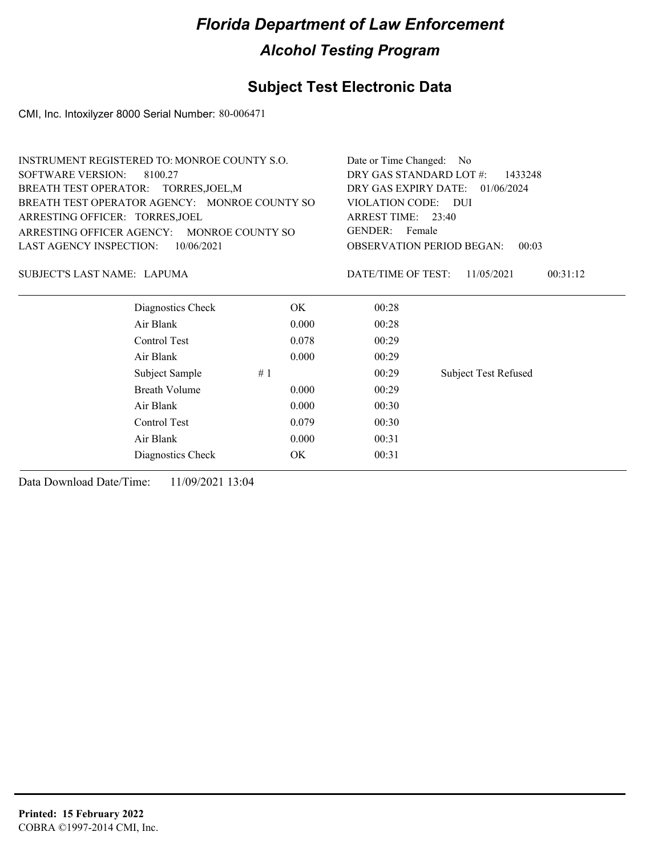### **Subject Test Electronic Data**

CMI, Inc. Intoxilyzer 8000 Serial Number: 80-006471

| INSTRUMENT REGISTERED TO: MONROE COUNTY S.O.  | Date or Time Changed: No                    |
|-----------------------------------------------|---------------------------------------------|
| SOFTWARE VERSION: 8100.27                     | DRY GAS STANDARD LOT $\#$ : 1433248         |
| BREATH TEST OPERATOR: TORRES, JOEL, M         | DRY GAS EXPIRY DATE: 01/06/2024             |
| BREATH TEST OPERATOR AGENCY: MONROE COUNTY SO | VIOLATION CODE: DUI                         |
| ARRESTING OFFICER: TORRES, JOEL               | ARREST TIME: 23:40                          |
| ARRESTING OFFICER AGENCY: MONROE COUNTY SO    | GENDER: Female                              |
| LAST AGENCY INSPECTION: $10/06/2021$          | <b>OBSERVATION PERIOD BEGAN: 00:03</b>      |
|                                               |                                             |
| SUBJECT'S LAST NAME: LAPUMA                   | 00:31:12<br>DATE/TIME OF TEST: $11/05/2021$ |

| Diagnostics Check    | OK.   | 00:28 |                             |
|----------------------|-------|-------|-----------------------------|
| Air Blank            | 0.000 | 00:28 |                             |
| Control Test         | 0.078 | 00:29 |                             |
| Air Blank            | 0.000 | 00:29 |                             |
| Subject Sample       | #1    | 00:29 | <b>Subject Test Refused</b> |
| <b>Breath Volume</b> | 0.000 | 00:29 |                             |
| Air Blank            | 0.000 | 00:30 |                             |
| Control Test         | 0.079 | 00:30 |                             |
| Air Blank            | 0.000 | 00:31 |                             |
| Diagnostics Check    | OK    | 00:31 |                             |
|                      |       |       |                             |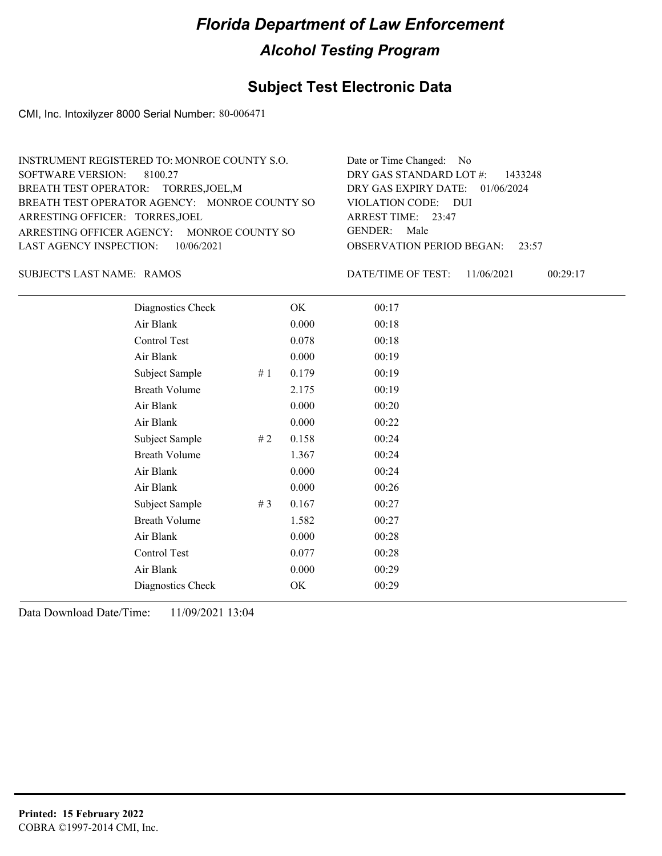#### **Subject Test Electronic Data**

CMI, Inc. Intoxilyzer 8000 Serial Number: 80-006471

| INSTRUMENT REGISTERED TO: MONROE COUNTY S.O.  | Date or Time Changed: No               |
|-----------------------------------------------|----------------------------------------|
| SOFTWARE VERSION: 8100.27                     | DRY GAS STANDARD LOT $\#$ : 1433248    |
| BREATH TEST OPERATOR: TORRES, JOEL, M         | DRY GAS EXPIRY DATE: 01/06/2024        |
| BREATH TEST OPERATOR AGENCY: MONROE COUNTY SO | VIOLATION CODE: DUI                    |
| ARRESTING OFFICER: TORRES, JOEL               | ARREST TIME: 23:47                     |
| ARRESTING OFFICER AGENCY: MONROE COUNTY SO    | GENDER: Male                           |
| LAST AGENCY INSPECTION: 10/06/2021            | <b>OBSERVATION PERIOD BEGAN:</b> 23:57 |
|                                               |                                        |

SUBJECT'S LAST NAME: RAMOS DATE/TIME OF TEST:

DATE/TIME OF TEST: 11/06/2021 00:29:17

| Diagnostics Check    |       | OK    | 00:17 |
|----------------------|-------|-------|-------|
| Air Blank            |       | 0.000 | 00:18 |
| Control Test         |       | 0.078 | 00:18 |
| Air Blank            |       | 0.000 | 00:19 |
| Subject Sample       | #1    | 0.179 | 00:19 |
| <b>Breath Volume</b> |       | 2.175 | 00:19 |
| Air Blank            |       | 0.000 | 00:20 |
| Air Blank            |       | 0.000 | 00:22 |
| Subject Sample       | #2    | 0.158 | 00:24 |
| <b>Breath Volume</b> |       | 1.367 | 00:24 |
| Air Blank            |       | 0.000 | 00:24 |
| Air Blank            |       | 0.000 | 00:26 |
| Subject Sample       | # $3$ | 0.167 | 00:27 |
| <b>Breath Volume</b> |       | 1.582 | 00:27 |
| Air Blank            |       | 0.000 | 00:28 |
| Control Test         |       | 0.077 | 00:28 |
| Air Blank            |       | 0.000 | 00:29 |
| Diagnostics Check    |       | OK    | 00:29 |
|                      |       |       |       |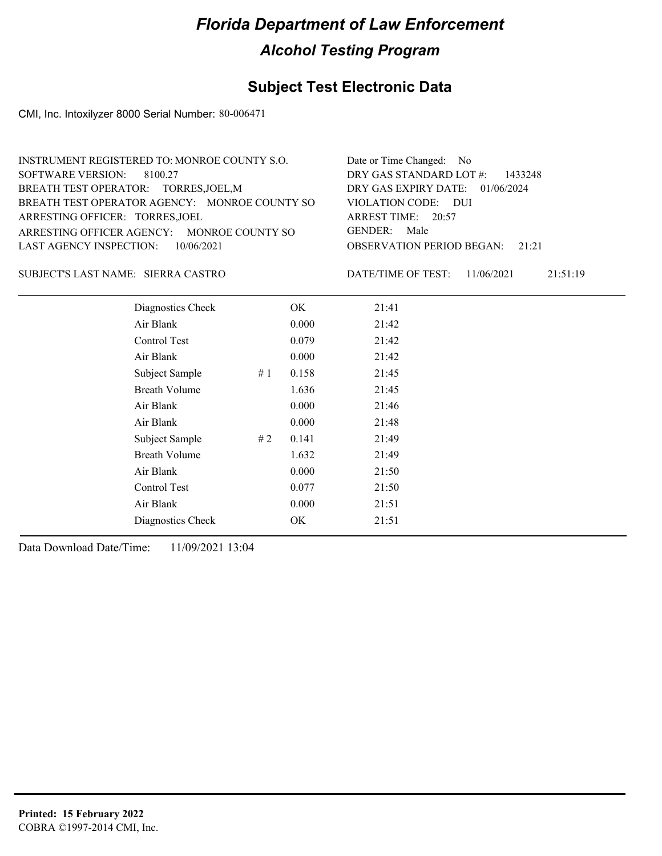#### **Subject Test Electronic Data**

CMI, Inc. Intoxilyzer 8000 Serial Number: 80-006471

| INSTRUMENT REGISTERED TO: MONROE COUNTY S.O.  | Date or Time Changed: No               |
|-----------------------------------------------|----------------------------------------|
| SOFTWARE VERSION: 8100.27                     | DRY GAS STANDARD LOT $#$ : 1433248     |
| BREATH TEST OPERATOR: TORRES, JOEL, M         | DRY GAS EXPIRY DATE: 01/06/2024        |
| BREATH TEST OPERATOR AGENCY: MONROE COUNTY SO | VIOLATION CODE: DUI                    |
| ARRESTING OFFICER: TORRES, JOEL               | ARREST TIME: 20:57                     |
| ARRESTING OFFICER AGENCY: MONROE COUNTY SO    | GENDER: Male                           |
| LAST AGENCY INSPECTION: $10/06/2021$          | <b>OBSERVATION PERIOD BEGAN:</b> 21:21 |
|                                               |                                        |

SIERRA CASTRO SUBJECT'S LAST NAME: DATE/TIME OF TEST:

DATE/TIME OF TEST: 11/06/2021 21:51:19

| Diagnostics Check    |    | OK    | 21:41 |
|----------------------|----|-------|-------|
| Air Blank            |    | 0.000 | 21:42 |
| Control Test         |    | 0.079 | 21:42 |
| Air Blank            |    | 0.000 | 21:42 |
| Subject Sample       | #1 | 0.158 | 21:45 |
| <b>Breath Volume</b> |    | 1.636 | 21:45 |
| Air Blank            |    | 0.000 | 21:46 |
| Air Blank            |    | 0.000 | 21:48 |
| Subject Sample       | #2 | 0.141 | 21:49 |
| <b>Breath Volume</b> |    | 1.632 | 21:49 |
| Air Blank            |    | 0.000 | 21:50 |
| Control Test         |    | 0.077 | 21:50 |
| Air Blank            |    | 0.000 | 21:51 |
| Diagnostics Check    |    | OK    | 21:51 |
|                      |    |       |       |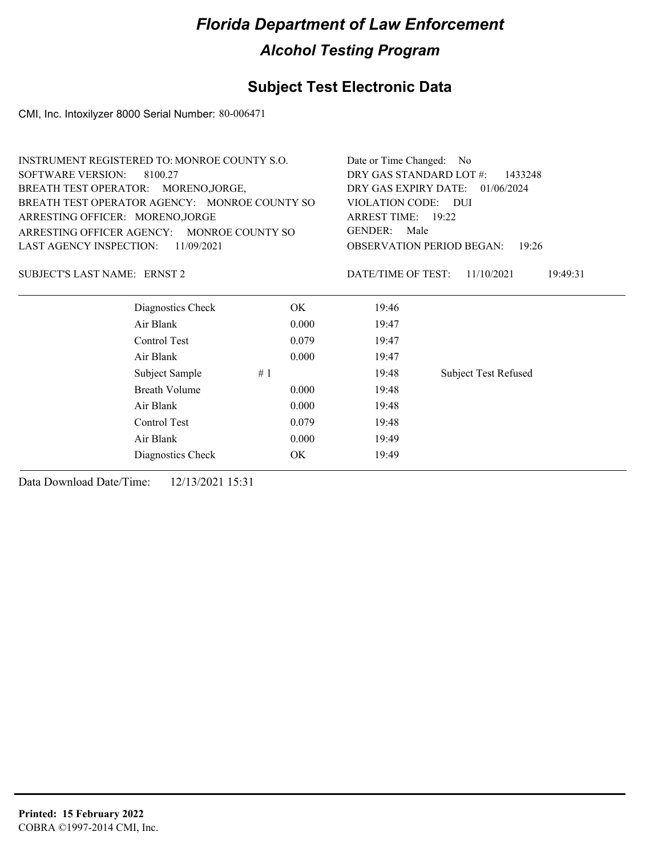# **Subject Test Electronic Data**

CMI, Inc. Intoxilyzer 8000 Serial Number: 80-006471

| INSTRUMENT REGISTERED TO: MONROE COUNTY S.O.  | Date or Time Changed: No                    |
|-----------------------------------------------|---------------------------------------------|
| SOFTWARE VERSION: 8100.27                     | DRY GAS STANDARD LOT $#$ : 1433248          |
| BREATH TEST OPERATOR: MORENO, JORGE,          | DRY GAS EXPIRY DATE: $01/06/2024$           |
| BREATH TEST OPERATOR AGENCY: MONROE COUNTY SO | VIOLATION CODE: DUI                         |
| ARRESTING OFFICER: MORENO, JORGE              | ARREST TIME: $19:22$                        |
| ARRESTING OFFICER AGENCY: MONROE COUNTY SO    | GENDER: Male                                |
| LAST AGENCY INSPECTION: $11/09/2021$          | <b>OBSERVATION PERIOD BEGAN:</b> 19:26      |
|                                               |                                             |
| SUBJECT'S LAST NAME: ERNST 2                  | DATE/TIME OF TEST: $11/10/2021$<br>19:49:31 |

| Diagnostics Check    | OK    | 19:46 |                             |
|----------------------|-------|-------|-----------------------------|
| Air Blank            | 0.000 | 19:47 |                             |
| Control Test         | 0.079 | 19:47 |                             |
| Air Blank            | 0.000 | 19:47 |                             |
| Subject Sample       | #1    | 19:48 | <b>Subject Test Refused</b> |
| <b>Breath Volume</b> | 0.000 | 19:48 |                             |
| Air Blank            | 0.000 | 19:48 |                             |
| Control Test         | 0.079 | 19:48 |                             |
| Air Blank            | 0.000 | 19:49 |                             |
| Diagnostics Check    | OK    | 19:49 |                             |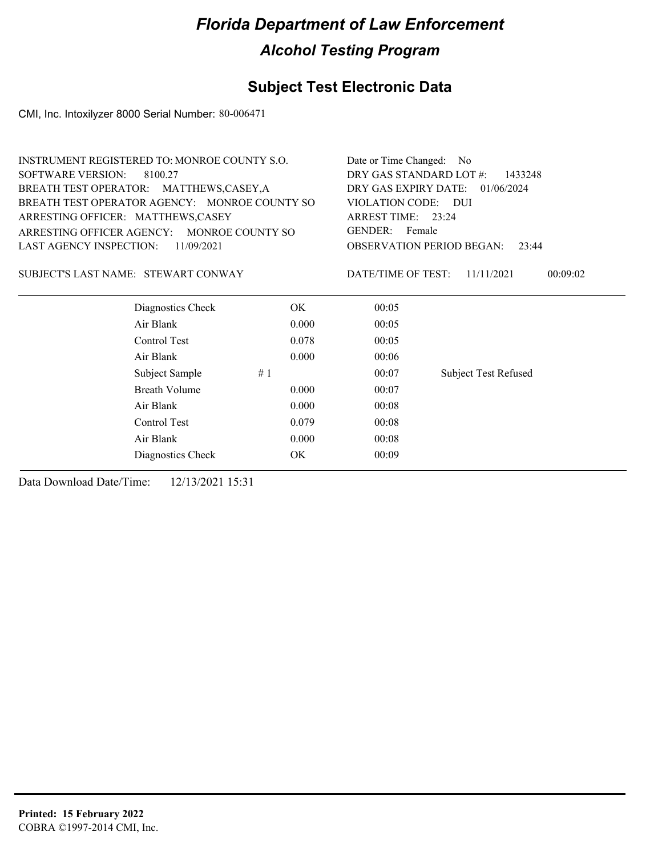### **Subject Test Electronic Data**

CMI, Inc. Intoxilyzer 8000 Serial Number: 80-006471

| <b>INSTRUMENT REGISTERED TO: MONROE COUNTY S.O.</b> | Date or Time Changed: No                                    |                                    |                             |  |
|-----------------------------------------------------|-------------------------------------------------------------|------------------------------------|-----------------------------|--|
| <b>SOFTWARE VERSION:</b><br>8100.27                 |                                                             | DRY GAS STANDARD LOT #:<br>1433248 |                             |  |
| BREATH TEST OPERATOR: MATTHEWS,CASEY,A              |                                                             | DRY GAS EXPIRY DATE: 01/06/2024    |                             |  |
| BREATH TEST OPERATOR AGENCY: MONROE COUNTY SO       | VIOLATION CODE: DUI<br>ARREST TIME: 23:24                   |                                    |                             |  |
| ARRESTING OFFICER: MATTHEWS,CASEY                   |                                                             |                                    |                             |  |
| ARRESTING OFFICER AGENCY: MONROE COUNTY SO          | GENDER: Female<br><b>OBSERVATION PERIOD BEGAN:</b><br>23:44 |                                    |                             |  |
| <b>LAST AGENCY INSPECTION:</b><br>11/09/2021        |                                                             |                                    |                             |  |
| SUBJECT'S LAST NAME: STEWART CONWAY                 |                                                             | DATE/TIME OF TEST:                 | 11/11/2021<br>00:09:02      |  |
| Diagnostics Check                                   | OK.                                                         | 00:05                              |                             |  |
| Air Blank                                           | 0.000                                                       | 00:05                              |                             |  |
| Control Test                                        | 0.078                                                       | 00:05                              |                             |  |
| Air Blank                                           | 0.000                                                       | 00:06                              |                             |  |
| Subject Sample                                      | #1                                                          | 00:07                              | <b>Subject Test Refused</b> |  |
| <b>Breath Volume</b>                                | 0.000                                                       | 00:07                              |                             |  |
| Air Blank                                           | 0.000                                                       | 00:08                              |                             |  |
| Control Test                                        | 0.079                                                       | 00:08                              |                             |  |
| Air Blank                                           | 0.000                                                       | 00:08                              |                             |  |
| Diagnostics Check                                   | OK                                                          | 00:09                              |                             |  |
|                                                     |                                                             |                                    |                             |  |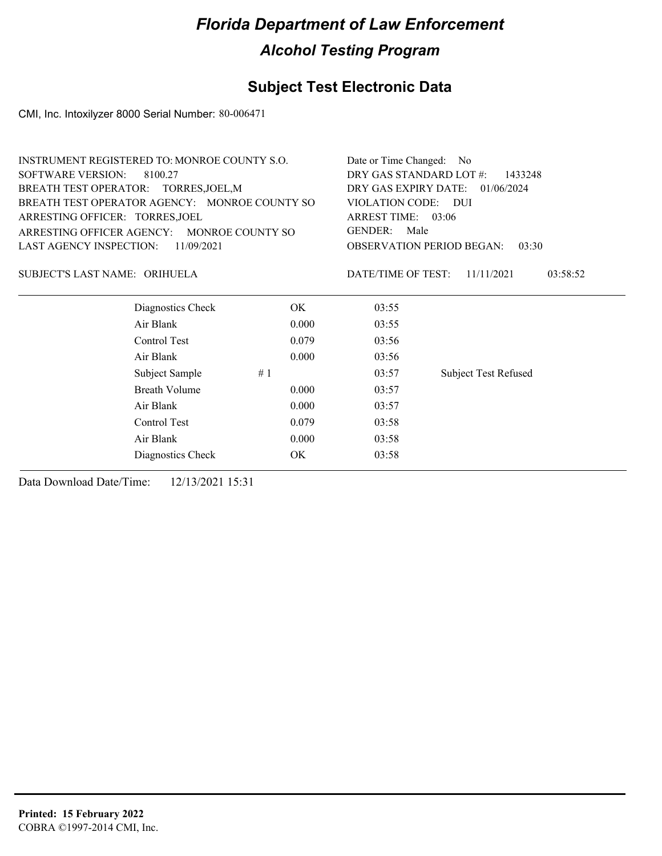#### **Subject Test Electronic Data**

CMI, Inc. Intoxilyzer 8000 Serial Number: 80-006471

|                                 | <b>INSTRUMENT REGISTERED TO: MONROE COUNTY S.O.</b> | Date or Time Changed:                                               | No.                |                             |  |
|---------------------------------|-----------------------------------------------------|---------------------------------------------------------------------|--------------------|-----------------------------|--|
| <b>SOFTWARE VERSION:</b>        | 8100.27                                             | DRY GAS STANDARD LOT #:<br>1433248                                  |                    |                             |  |
|                                 | BREATH TEST OPERATOR: TORRES, JOEL, M               | DRY GAS EXPIRY DATE:<br>01/06/2024<br>VIOLATION CODE: DUI           |                    |                             |  |
|                                 | BREATH TEST OPERATOR AGENCY: MONROE COUNTY SO       |                                                                     |                    |                             |  |
| ARRESTING OFFICER: TORRES, JOEL |                                                     | ARREST TIME: 03:06                                                  |                    |                             |  |
| ARRESTING OFFICER AGENCY:       | MONROE COUNTY SO                                    | <b>GENDER:</b><br>Male<br><b>OBSERVATION PERIOD BEGAN:</b><br>03:30 |                    |                             |  |
| LAST AGENCY INSPECTION:         | 11/09/2021                                          |                                                                     |                    |                             |  |
| SUBJECT'S LAST NAME: ORIHUELA   |                                                     |                                                                     | DATE/TIME OF TEST: | 11/11/2021<br>03:58:52      |  |
|                                 | Diagnostics Check                                   | OK.                                                                 | 03:55              |                             |  |
|                                 | Air Blank                                           | 0.000                                                               | 03:55              |                             |  |
|                                 | Control Test                                        | 0.079                                                               | 03:56              |                             |  |
|                                 | Air Blank                                           | 0.000                                                               | 03:56              |                             |  |
|                                 | Subject Sample                                      | #1                                                                  | 03:57              | <b>Subject Test Refused</b> |  |
|                                 | <b>Breath Volume</b>                                | 0.000                                                               | 03:57              |                             |  |
|                                 | Air Blank                                           | 0.000                                                               | 03:57              |                             |  |
|                                 | Control Test                                        | 0.079                                                               | 03:58              |                             |  |

Air Blank 0.000 03:58 Diagnostics Check OK 03:58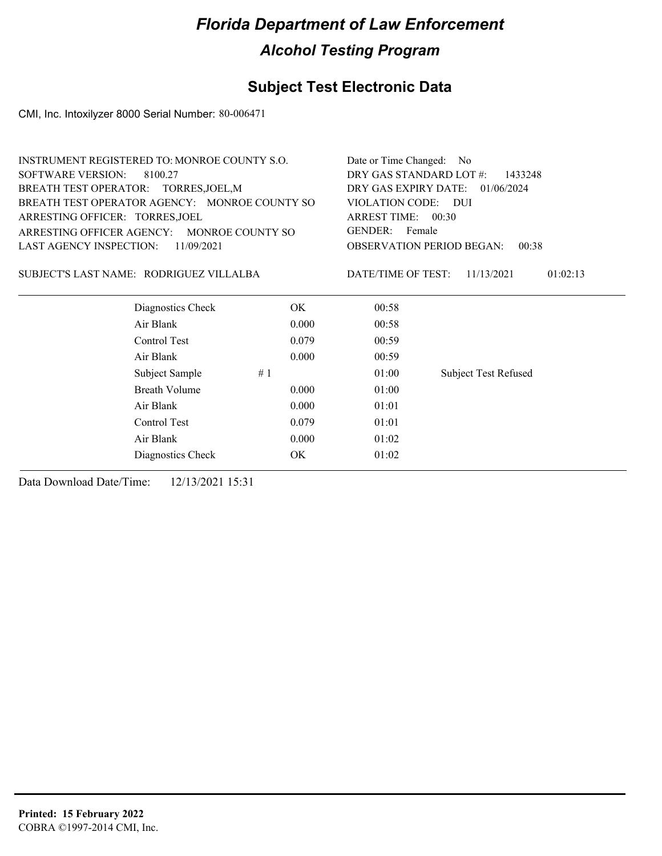#### **Subject Test Electronic Data**

CMI, Inc. Intoxilyzer 8000 Serial Number: 80-006471

|                                 | INSTRUMENT REGISTERED TO: MONROE COUNTY S.O.  | Date or Time Changed: No |                                           |                             |  |  |
|---------------------------------|-----------------------------------------------|--------------------------|-------------------------------------------|-----------------------------|--|--|
| <b>SOFTWARE VERSION:</b>        | 8100.27                                       |                          | DRY GAS STANDARD LOT #:<br>1433248        |                             |  |  |
|                                 | BREATH TEST OPERATOR: TORRES, JOEL, M         |                          | DRY GAS EXPIRY DATE:<br>01/06/2024        |                             |  |  |
|                                 | BREATH TEST OPERATOR AGENCY: MONROE COUNTY SO |                          | VIOLATION CODE: DUI                       |                             |  |  |
| ARRESTING OFFICER: TORRES, JOEL |                                               |                          | ARREST TIME: 00:30                        |                             |  |  |
|                                 | ARRESTING OFFICER AGENCY: MONROE COUNTY SO    |                          | GENDER:<br>Female                         |                             |  |  |
| <b>LAST AGENCY INSPECTION:</b>  | 11/09/2021                                    |                          | <b>OBSERVATION PERIOD BEGAN:</b><br>00:38 |                             |  |  |
|                                 | SUBJECT'S LAST NAME: RODRIGUEZ VILLALBA       |                          | DATE/TIME OF TEST:                        | 11/13/2021<br>01:02:13      |  |  |
|                                 | Diagnostics Check                             | OK.                      | 00:58                                     |                             |  |  |
|                                 |                                               |                          |                                           |                             |  |  |
|                                 | Air Blank                                     | 0.000                    | 00:58                                     |                             |  |  |
|                                 | Control Test                                  | 0.079                    | 00:59                                     |                             |  |  |
|                                 | Air Blank                                     | 0.000                    | 00:59                                     |                             |  |  |
|                                 | Subject Sample                                | #1                       | 01:00                                     | <b>Subject Test Refused</b> |  |  |
|                                 | Breath Volume                                 | 0.000                    | 01:00                                     |                             |  |  |

Control Test 0.079 01:01 Air Blank 0.000 01:02 Diagnostics Check OK 01:02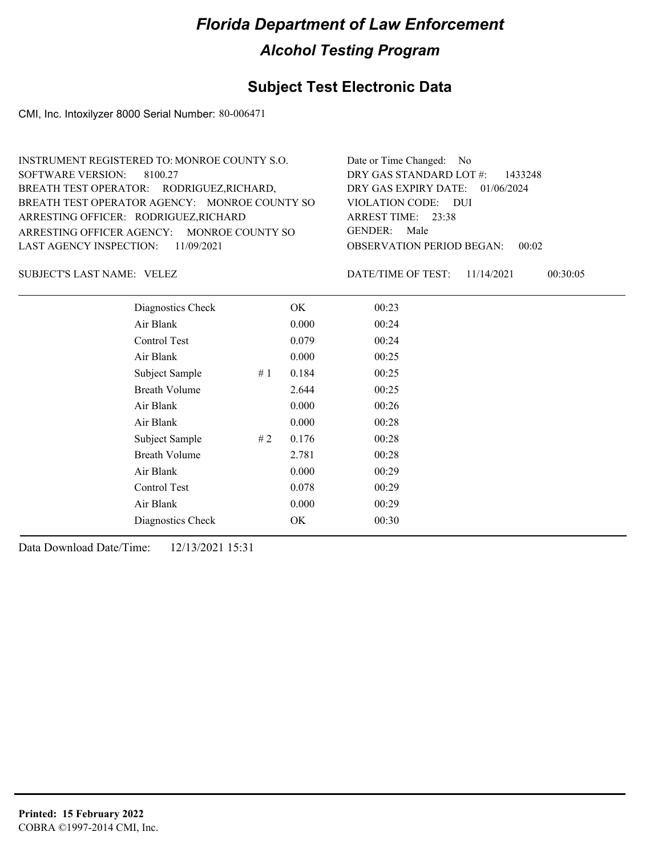#### **Subject Test Electronic Data**

CMI, Inc. Intoxilyzer 8000 Serial Number: 80-006471

| INSTRUMENT REGISTERED TO: MONROE COUNTY S.O.  | Date or Time Changed: No               |
|-----------------------------------------------|----------------------------------------|
| SOFTWARE VERSION: 8100.27                     | DRY GAS STANDARD LOT #: 1433248        |
| BREATH TEST OPERATOR: RODRIGUEZ, RICHARD,     | DRY GAS EXPIRY DATE: 01/06/2024        |
| BREATH TEST OPERATOR AGENCY: MONROE COUNTY SO | VIOLATION CODE: DUI                    |
| ARRESTING OFFICER: RODRIGUEZ, RICHARD         | ARREST TIME: $23:38$                   |
| ARRESTING OFFICER AGENCY: MONROE COUNTY SO    | GENDER: Male                           |
| LAST AGENCY INSPECTION: 11/09/2021            | <b>OBSERVATION PERIOD BEGAN: 00:02</b> |
|                                               |                                        |

SUBJECT'S LAST NAME: VELEZ SUBJECT'S LAST NAME: VELEZ

DATE/TIME OF TEST: 11/14/2021 00:30:05

| Diagnostics Check    |    | OK    | 00:23 |  |
|----------------------|----|-------|-------|--|
| Air Blank            |    | 0.000 | 00:24 |  |
| Control Test         |    | 0.079 | 00:24 |  |
| Air Blank            |    | 0.000 | 00:25 |  |
| Subject Sample       | #1 | 0.184 | 00:25 |  |
| <b>Breath Volume</b> |    | 2.644 | 00:25 |  |
| Air Blank            |    | 0.000 | 00:26 |  |
| Air Blank            |    | 0.000 | 00:28 |  |
| Subject Sample       | #2 | 0.176 | 00:28 |  |
| <b>Breath Volume</b> |    | 2.781 | 00:28 |  |
| Air Blank            |    | 0.000 | 00:29 |  |
| <b>Control Test</b>  |    | 0.078 | 00:29 |  |
| Air Blank            |    | 0.000 | 00:29 |  |
| Diagnostics Check    |    | OK    | 00:30 |  |
|                      |    |       |       |  |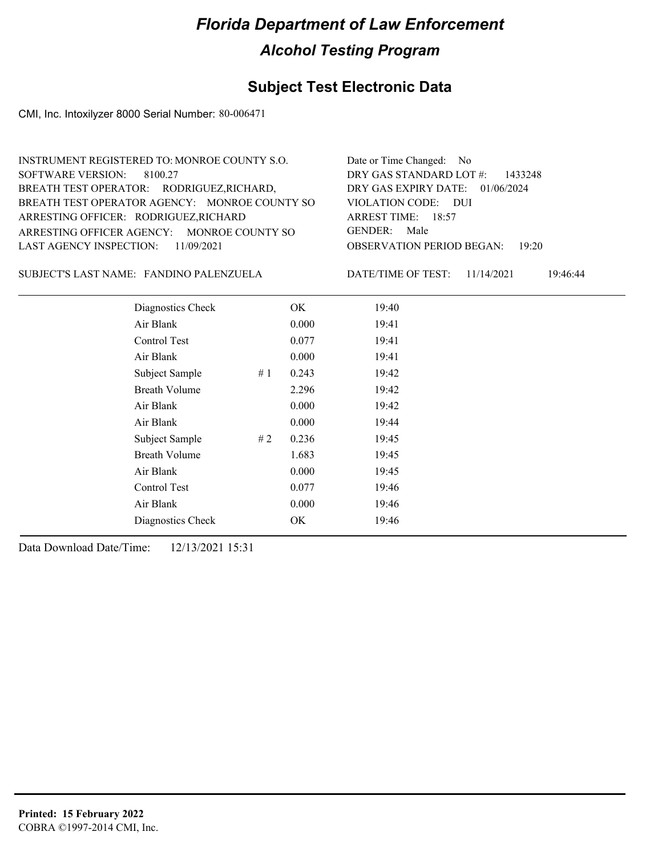#### **Subject Test Electronic Data**

CMI, Inc. Intoxilyzer 8000 Serial Number: 80-006471

| INSTRUMENT REGISTERED TO: MONROE COUNTY S.O.  | Date or Time Changed: No               |
|-----------------------------------------------|----------------------------------------|
| SOFTWARE VERSION: 8100.27                     | DRY GAS STANDARD LOT $#$ : 1433248     |
| BREATH TEST OPERATOR: RODRIGUEZ, RICHARD,     | DRY GAS EXPIRY DATE: 01/06/2024        |
| BREATH TEST OPERATOR AGENCY: MONROE COUNTY SO | VIOLATION CODE: DUI                    |
| ARRESTING OFFICER: RODRIGUEZ, RICHARD         | ARREST TIME: 18:57                     |
| ARRESTING OFFICER AGENCY: MONROE COUNTY SO    | GENDER: Male                           |
| LAST AGENCY INSPECTION: $11/09/2021$          | <b>OBSERVATION PERIOD BEGAN: 19:20</b> |
|                                               |                                        |

SUBJECT'S LAST NAME: FANDINO PALENZUELA DATE/TIME OF TEST:

DATE/TIME OF TEST: 11/14/2021 19:46:44

| Diagnostics Check    |    | OK    | 19:40 |  |
|----------------------|----|-------|-------|--|
| Air Blank            |    | 0.000 | 19:41 |  |
| Control Test         |    | 0.077 | 19:41 |  |
| Air Blank            |    | 0.000 | 19:41 |  |
| Subject Sample       | #1 | 0.243 | 19:42 |  |
| <b>Breath Volume</b> |    | 2.296 | 19:42 |  |
| Air Blank            |    | 0.000 | 19:42 |  |
| Air Blank            |    | 0.000 | 19:44 |  |
| Subject Sample       | #2 | 0.236 | 19:45 |  |
| <b>Breath Volume</b> |    | 1.683 | 19:45 |  |
| Air Blank            |    | 0.000 | 19:45 |  |
| Control Test         |    | 0.077 | 19:46 |  |
| Air Blank            |    | 0.000 | 19:46 |  |
| Diagnostics Check    |    | OK    | 19:46 |  |
|                      |    |       |       |  |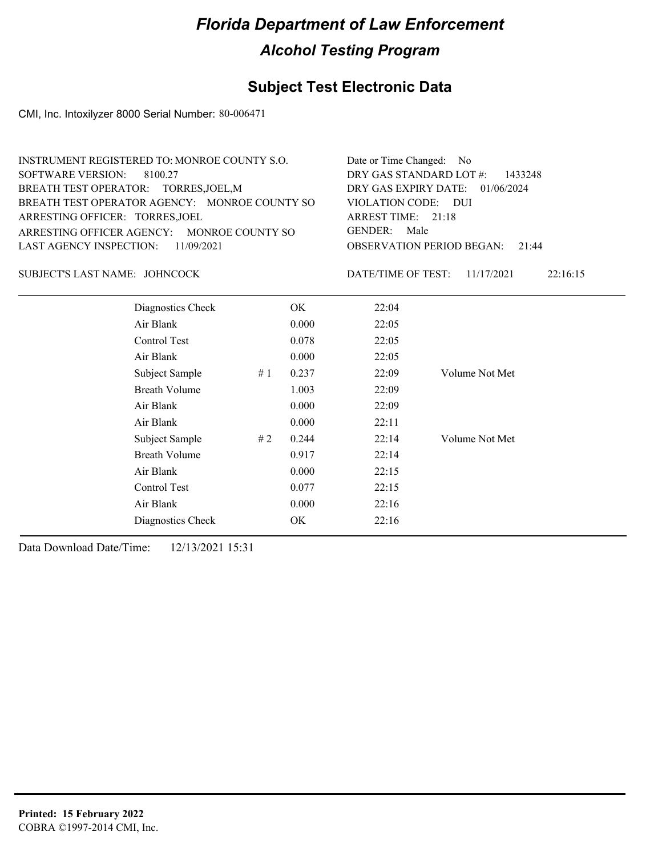#### **Subject Test Electronic Data**

CMI, Inc. Intoxilyzer 8000 Serial Number: 80-006471

| <b>INSTRUMENT REGISTERED TO: MONROE COUNTY S.O.</b> | Date or Time Changed: No               |
|-----------------------------------------------------|----------------------------------------|
| SOFTWARE VERSION: 8100.27                           | DRY GAS STANDARD LOT $\#$ : 1433248    |
| BREATH TEST OPERATOR: TORRES, JOEL, M               | DRY GAS EXPIRY DATE: 01/06/2024        |
| BREATH TEST OPERATOR AGENCY: MONROE COUNTY SO       | VIOLATION CODE: DUI                    |
| ARRESTING OFFICER: TORRES, JOEL                     | ARREST TIME: 21:18                     |
| ARRESTING OFFICER AGENCY: MONROE COUNTY SO          | GENDER: Male                           |
| LAST AGENCY INSPECTION: 11/09/2021                  | <b>OBSERVATION PERIOD BEGAN:</b> 21:44 |
|                                                     |                                        |

#### SUBJECT'S LAST NAME: JOHNCOCK DATE/TIME OF TEST:

DATE/TIME OF TEST: 11/17/2021 22:16:15

| Diagnostics Check    |    | OK.   | 22:04 |                |
|----------------------|----|-------|-------|----------------|
| Air Blank            |    | 0.000 | 22:05 |                |
| Control Test         |    | 0.078 | 22:05 |                |
| Air Blank            |    | 0.000 | 22:05 |                |
| Subject Sample       | #1 | 0.237 | 22:09 | Volume Not Met |
| <b>Breath Volume</b> |    | 1.003 | 22:09 |                |
| Air Blank            |    | 0.000 | 22:09 |                |
| Air Blank            |    | 0.000 | 22:11 |                |
| Subject Sample       | #2 | 0.244 | 22:14 | Volume Not Met |
| <b>Breath Volume</b> |    | 0.917 | 22:14 |                |
| Air Blank            |    | 0.000 | 22:15 |                |
| Control Test         |    | 0.077 | 22:15 |                |
| Air Blank            |    | 0.000 | 22:16 |                |
| Diagnostics Check    |    | OK    | 22:16 |                |
|                      |    |       |       |                |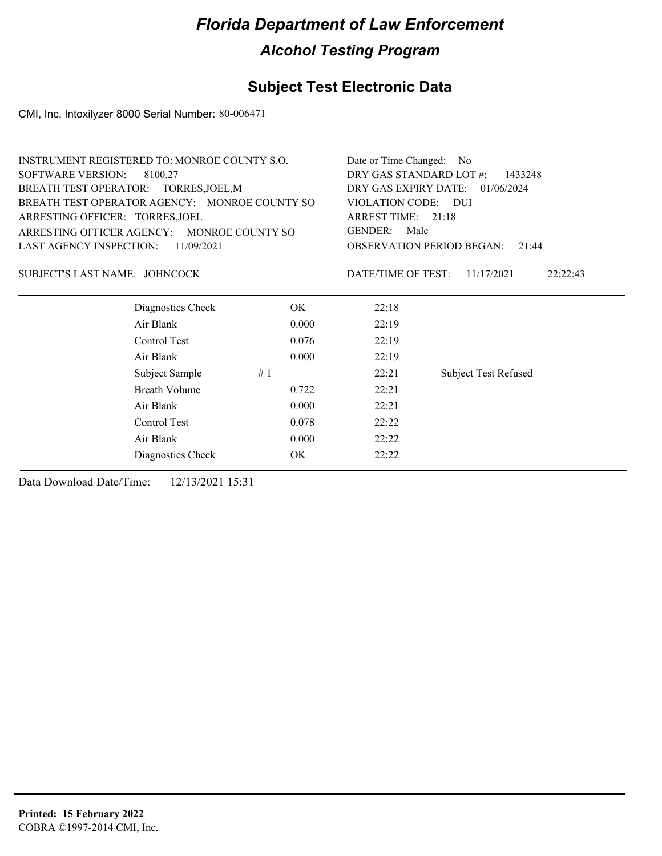#### **Subject Test Electronic Data**

CMI, Inc. Intoxilyzer 8000 Serial Number: 80-006471

| INSTRUMENT REGISTERED TO: MONROE COUNTY S.O.  |       | Date or Time Changed: No                                                           |                        |  |  |  |
|-----------------------------------------------|-------|------------------------------------------------------------------------------------|------------------------|--|--|--|
| SOFTWARE VERSION:<br>8100.27                  |       | DRY GAS STANDARD LOT #:<br>1433248<br>DRY GAS EXPIRY DATE:<br>01/06/2024           |                        |  |  |  |
| BREATH TEST OPERATOR: TORRES, JOEL, M         |       |                                                                                    |                        |  |  |  |
| BREATH TEST OPERATOR AGENCY: MONROE COUNTY SO |       | VIOLATION CODE: DUI                                                                |                        |  |  |  |
| ARRESTING OFFICER: TORRES, JOEL               |       | ARREST TIME: 21:18<br>GENDER:<br>Male<br><b>OBSERVATION PERIOD BEGAN:</b><br>21:44 |                        |  |  |  |
| ARRESTING OFFICER AGENCY: MONROE COUNTY SO    |       |                                                                                    |                        |  |  |  |
| <b>LAST AGENCY INSPECTION:</b><br>11/09/2021  |       |                                                                                    |                        |  |  |  |
| SUBJECT'S LAST NAME: JOHNCOCK                 |       | DATE/TIME OF TEST:                                                                 | 11/17/2021<br>22:22:43 |  |  |  |
| Diagnostics Check                             | OK.   | 22:18                                                                              |                        |  |  |  |
| Air Blank                                     | 0.000 | 22:19                                                                              |                        |  |  |  |
| Control Test                                  | 0.076 | 22:19                                                                              |                        |  |  |  |
| Air Blank                                     | 0.000 | 22:19                                                                              |                        |  |  |  |
| Subject Sample                                |       |                                                                                    |                        |  |  |  |

Breath Volume 0.722 22:21 Air Blank 0.000 22:21 Control Test 0.078 22:22 Air Blank 0.000 22:22 Diagnostics Check OK 22:22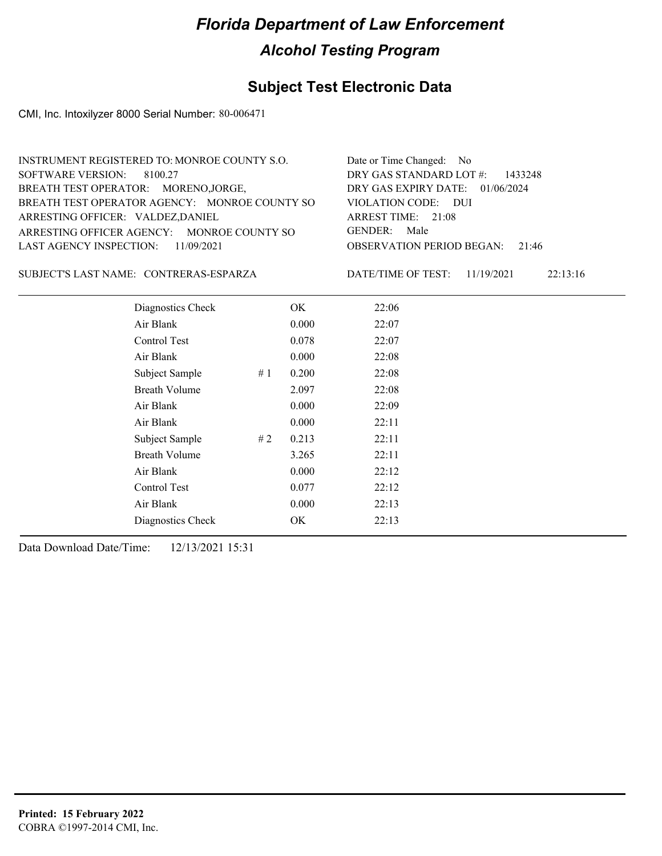#### **Subject Test Electronic Data**

CMI, Inc. Intoxilyzer 8000 Serial Number: 80-006471

| INSTRUMENT REGISTERED TO: MONROE COUNTY S.O.  | Date or Time Changed: No               |
|-----------------------------------------------|----------------------------------------|
| SOFTWARE VERSION: 8100.27                     | DRY GAS STANDARD LOT $#$ : 1433248     |
| BREATH TEST OPERATOR: MORENO, JORGE,          | DRY GAS EXPIRY DATE: 01/06/2024        |
| BREATH TEST OPERATOR AGENCY: MONROE COUNTY SO | VIOLATION CODE: DUI                    |
| ARRESTING OFFICER: VALDEZ, DANIEL             | ARREST TIME: $21:08$                   |
| ARRESTING OFFICER AGENCY: MONROE COUNTY SO    | GENDER: Male                           |
| LAST AGENCY INSPECTION: $11/09/2021$          | <b>OBSERVATION PERIOD BEGAN: 21:46</b> |
|                                               |                                        |

CONTRERAS-ESPARZA SUBJECT'S LAST NAME: DATE/TIME OF TEST:

DATE/TIME OF TEST: 11/19/2021 22:13:16

| Diagnostics Check    |    | OK    | 22:06 |
|----------------------|----|-------|-------|
| Air Blank            |    | 0.000 | 22:07 |
| Control Test         |    | 0.078 | 22:07 |
| Air Blank            |    | 0.000 | 22:08 |
| Subject Sample       | #1 | 0.200 | 22:08 |
| <b>Breath Volume</b> |    | 2.097 | 22:08 |
| Air Blank            |    | 0.000 | 22:09 |
| Air Blank            |    | 0.000 | 22:11 |
| Subject Sample       | #2 | 0.213 | 22:11 |
| <b>Breath Volume</b> |    | 3.265 | 22:11 |
| Air Blank            |    | 0.000 | 22:12 |
| <b>Control Test</b>  |    | 0.077 | 22:12 |
| Air Blank            |    | 0.000 | 22:13 |
| Diagnostics Check    |    | OK    | 22:13 |
|                      |    |       |       |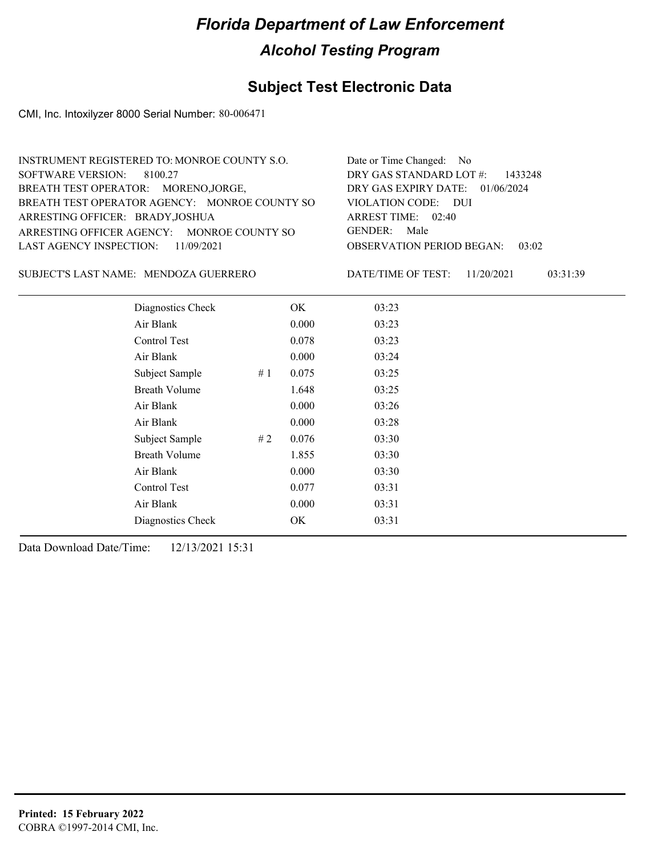#### **Subject Test Electronic Data**

CMI, Inc. Intoxilyzer 8000 Serial Number: 80-006471

| INSTRUMENT REGISTERED TO: MONROE COUNTY S.O.  | Date or Time Changed: No           |
|-----------------------------------------------|------------------------------------|
| SOFTWARE VERSION: 8100.27                     | DRY GAS STANDARD LOT $#$ : 1433248 |
| BREATH TEST OPERATOR: MORENO, JORGE,          | DRY GAS EXPIRY DATE: 01/06/2024    |
| BREATH TEST OPERATOR AGENCY: MONROE COUNTY SO | VIOLATION CODE: DUI                |
| ARRESTING OFFICER: BRADY, JOSHUA              | ARREST TIME: 02:40                 |
| ARRESTING OFFICER AGENCY: MONROE COUNTY SO    | GENDER: Male                       |
| LAST AGENCY INSPECTION: $11/09/2021$          | OBSERVATION PERIOD BEGAN:<br>03:02 |
|                                               |                                    |

SUBJECT'S LAST NAME: MENDOZA GUERRERO DATE/TIME OF TEST:

DATE/TIME OF TEST: 11/20/2021 03:31:39

| Diagnostics Check    |    | OK    | 03:23 |
|----------------------|----|-------|-------|
| Air Blank            |    | 0.000 | 03:23 |
| Control Test         |    | 0.078 | 03:23 |
| Air Blank            |    | 0.000 | 03:24 |
| Subject Sample       | #1 | 0.075 | 03:25 |
| <b>Breath Volume</b> |    | 1.648 | 03:25 |
| Air Blank            |    | 0.000 | 03:26 |
| Air Blank            |    | 0.000 | 03:28 |
| Subject Sample       | #2 | 0.076 | 03:30 |
| <b>Breath Volume</b> |    | 1.855 | 03:30 |
| Air Blank            |    | 0.000 | 03:30 |
| Control Test         |    | 0.077 | 03:31 |
| Air Blank            |    | 0.000 | 03:31 |
| Diagnostics Check    |    | OK    | 03:31 |
|                      |    |       |       |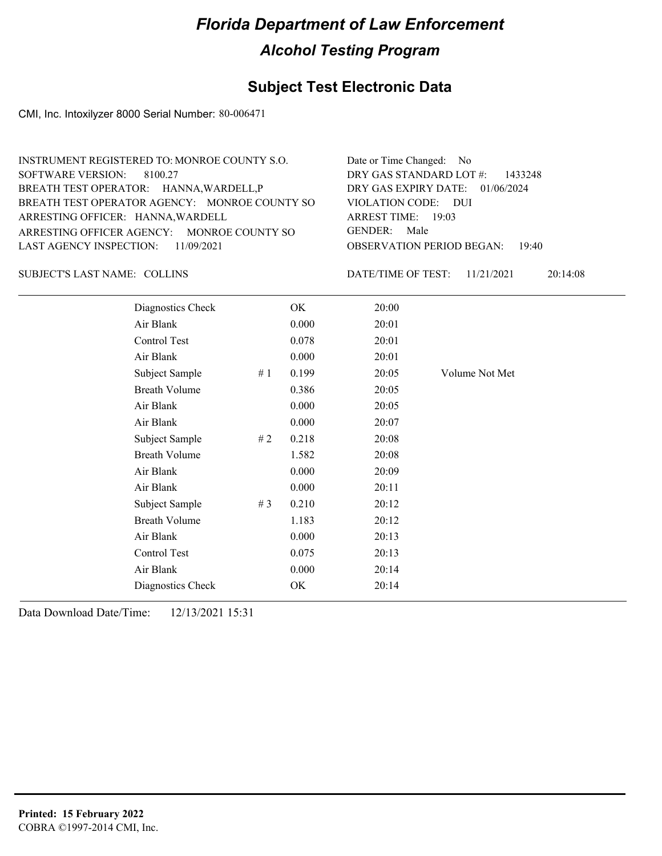#### **Subject Test Electronic Data**

CMI, Inc. Intoxilyzer 8000 Serial Number: 80-006471

| Date or Time Changed: No               |
|----------------------------------------|
| DRY GAS STANDARD LOT $#$ : 1433248     |
| DRY GAS EXPIRY DATE: 01/06/2024        |
| VIOLATION CODE: DUI                    |
| ARREST TIME: 19:03                     |
| GENDER: Male                           |
| <b>OBSERVATION PERIOD BEGAN: 19:40</b> |
|                                        |

SUBJECT'S LAST NAME: COLLINS DATE/TIME OF TEST:

DATE/TIME OF TEST: 11/21/2021 20:14:08

| Diagnostics Check    |    | OK    | 20:00 |                |
|----------------------|----|-------|-------|----------------|
| Air Blank            |    | 0.000 | 20:01 |                |
| Control Test         |    | 0.078 | 20:01 |                |
| Air Blank            |    | 0.000 | 20:01 |                |
| Subject Sample       | #1 | 0.199 | 20:05 | Volume Not Met |
| <b>Breath Volume</b> |    | 0.386 | 20:05 |                |
| Air Blank            |    | 0.000 | 20:05 |                |
| Air Blank            |    | 0.000 | 20:07 |                |
| Subject Sample       | #2 | 0.218 | 20:08 |                |
| <b>Breath Volume</b> |    | 1.582 | 20:08 |                |
| Air Blank            |    | 0.000 | 20:09 |                |
| Air Blank            |    | 0.000 | 20:11 |                |
| Subject Sample       | #3 | 0.210 | 20:12 |                |
| <b>Breath Volume</b> |    | 1.183 | 20:12 |                |
| Air Blank            |    | 0.000 | 20:13 |                |
| Control Test         |    | 0.075 | 20:13 |                |
| Air Blank            |    | 0.000 | 20:14 |                |
| Diagnostics Check    |    | OK    | 20:14 |                |
|                      |    |       |       |                |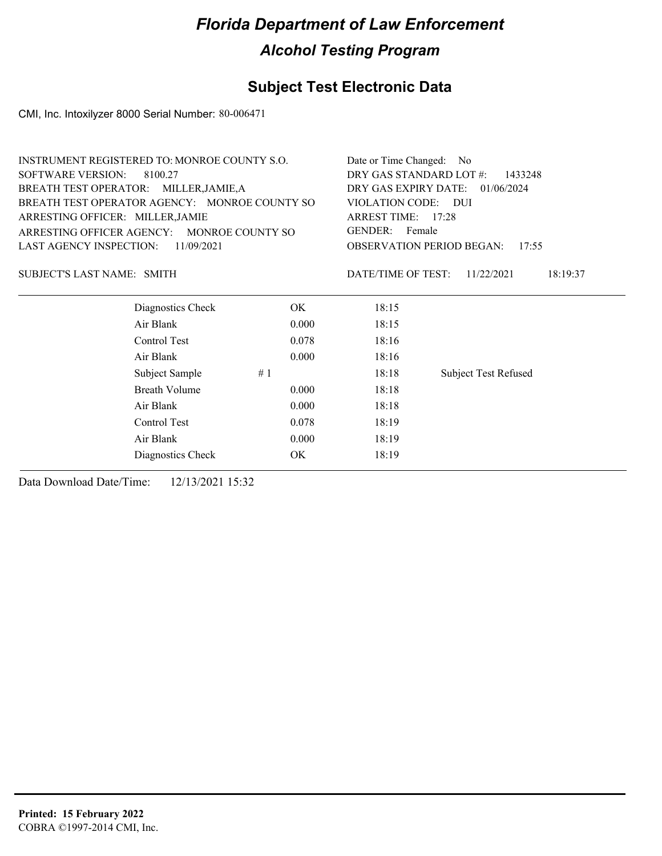#### **Subject Test Electronic Data**

CMI, Inc. Intoxilyzer 8000 Serial Number: 80-006471

| INSTRUMENT REGISTERED TO: MONROE COUNTY S.O.  |            |                         | Date or Time Changed: No                  |  |  |  |
|-----------------------------------------------|------------|-------------------------|-------------------------------------------|--|--|--|
| SOFTWARE VERSION:<br>8100.27                  |            | DRY GAS STANDARD LOT #: | 1433248                                   |  |  |  |
| BREATH TEST OPERATOR: MILLER, JAMIE, A        |            |                         | DRY GAS EXPIRY DATE: 01/06/2024           |  |  |  |
| BREATH TEST OPERATOR AGENCY: MONROE COUNTY SO |            | VIOLATION CODE: DUI     |                                           |  |  |  |
| ARRESTING OFFICER: MILLER, JAMIE              |            | ARREST TIME: 17:28      |                                           |  |  |  |
| ARRESTING OFFICER AGENCY: MONROE COUNTY SO    |            | GENDER: Female          |                                           |  |  |  |
| LAST AGENCY INSPECTION:                       | 11/09/2021 |                         | <b>OBSERVATION PERIOD BEGAN:</b><br>17:55 |  |  |  |
| SUBJECT'S LAST NAME: SMITH                    |            | DATE/TIME OF TEST:      | 18:19:37<br>11/22/2021                    |  |  |  |
| Diagnostics Check                             | OK.        | 18:15                   |                                           |  |  |  |
| Air Blank                                     | 0.000      | 18:15                   |                                           |  |  |  |
| Control Test                                  | 0.078      | 18:16                   |                                           |  |  |  |
| Air Blank                                     | 0.000      | 18:16                   |                                           |  |  |  |
| Subject Sample                                | #1         | 18:18                   | <b>Subject Test Refused</b>               |  |  |  |

Breath Volume 0.000 18:18 Air Blank 0.000 18:18 Control Test 0.078 18:19 Air Blank 0.000 18:19 Diagnostics Check OK 18:19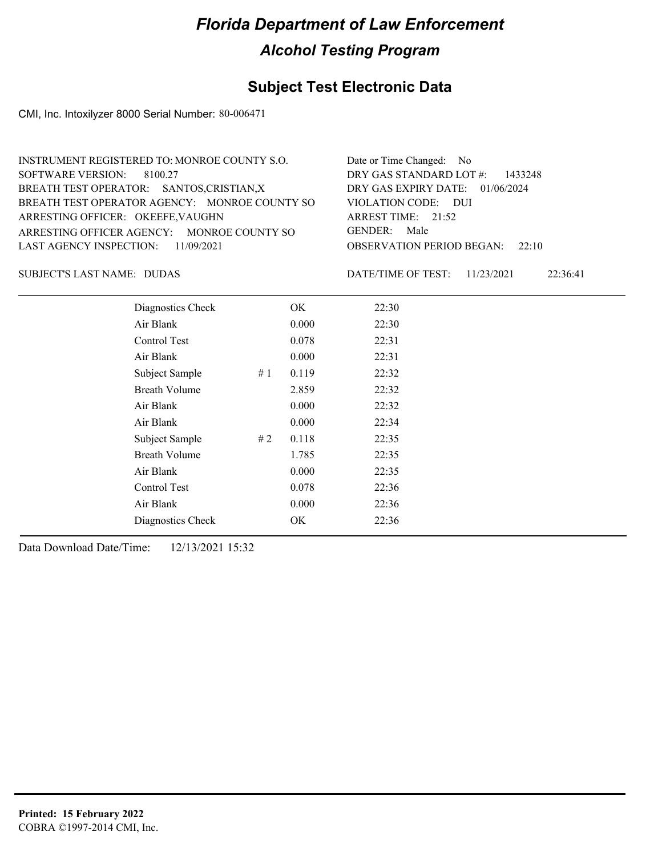#### **Subject Test Electronic Data**

CMI, Inc. Intoxilyzer 8000 Serial Number: 80-006471

| INSTRUMENT REGISTERED TO: MONROE COUNTY S.O.  | Date or Time Changed: No               |
|-----------------------------------------------|----------------------------------------|
| SOFTWARE VERSION: 8100.27                     | DRY GAS STANDARD LOT $#$ : 1433248     |
| BREATH TEST OPERATOR: SANTOS, CRISTIAN, X     | DRY GAS EXPIRY DATE: $01/06/2024$      |
| BREATH TEST OPERATOR AGENCY: MONROE COUNTY SO | VIOLATION CODE: DUI                    |
| ARRESTING OFFICER: OKEEFE, VAUGHN             | ARREST TIME: 21:52                     |
| ARRESTING OFFICER AGENCY: MONROE COUNTY SO    | GENDER: Male                           |
| LAST AGENCY INSPECTION: 11/09/2021            | <b>OBSERVATION PERIOD BEGAN:</b> 22:10 |
|                                               |                                        |

SUBJECT'S LAST NAME: DUDAS DATE/TIME OF TEST:

DATE/TIME OF TEST: 11/23/2021 22:36:41

| Diagnostics Check    |    | OK    | 22:30 |
|----------------------|----|-------|-------|
| Air Blank            |    | 0.000 | 22:30 |
| Control Test         |    | 0.078 | 22:31 |
| Air Blank            |    | 0.000 | 22:31 |
| Subject Sample       | #1 | 0.119 | 22:32 |
| <b>Breath Volume</b> |    | 2.859 | 22:32 |
| Air Blank            |    | 0.000 | 22:32 |
| Air Blank            |    | 0.000 | 22:34 |
| Subject Sample       | #2 | 0.118 | 22:35 |
| <b>Breath Volume</b> |    | 1.785 | 22:35 |
| Air Blank            |    | 0.000 | 22:35 |
| Control Test         |    | 0.078 | 22:36 |
| Air Blank            |    | 0.000 | 22:36 |
| Diagnostics Check    |    | OK    | 22:36 |
|                      |    |       |       |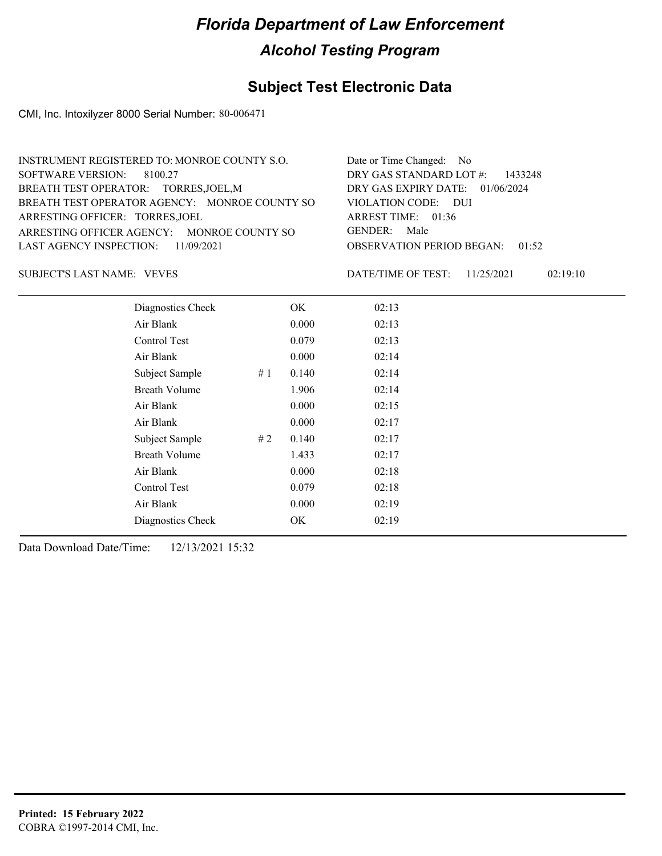#### **Subject Test Electronic Data**

CMI, Inc. Intoxilyzer 8000 Serial Number: 80-006471

| Date or Time Changed: No               |
|----------------------------------------|
| DRY GAS STANDARD LOT #: 1433248        |
| DRY GAS EXPIRY DATE: 01/06/2024        |
| VIOLATION CODE: DUI                    |
| ARREST TIME: $01:36$                   |
| GENDER: Male                           |
| <b>OBSERVATION PERIOD BEGAN: 01:52</b> |
|                                        |

SUBJECT'S LAST NAME: VEVES FOR THE SERVES OF TEST:

DATE/TIME OF TEST: 11/25/2021 02:19:10

| Diagnostics Check    | OK    | 02:13 |
|----------------------|-------|-------|
| Air Blank            | 0.000 | 02:13 |
| Control Test         | 0.079 | 02:13 |
| Air Blank            | 0.000 | 02:14 |
| Subject Sample<br>#1 | 0.140 | 02:14 |
| <b>Breath Volume</b> | 1.906 | 02:14 |
| Air Blank            | 0.000 | 02:15 |
| Air Blank            | 0.000 | 02:17 |
| Subject Sample<br>#2 | 0.140 | 02:17 |
| <b>Breath Volume</b> | 1.433 | 02:17 |
| Air Blank            | 0.000 | 02:18 |
| Control Test         | 0.079 | 02:18 |
| Air Blank            | 0.000 | 02:19 |
| Diagnostics Check    | OK    | 02:19 |
|                      |       |       |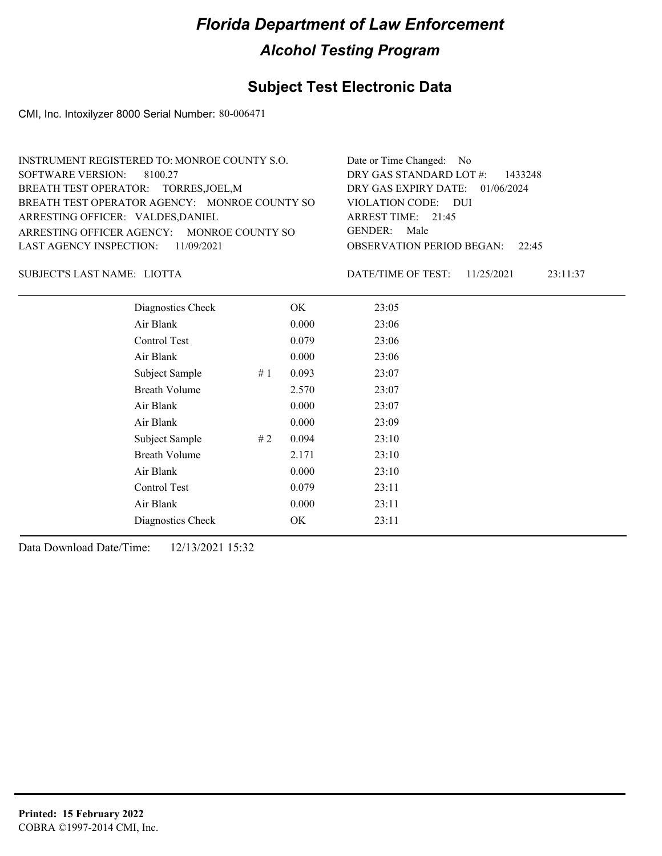## **Subject Test Electronic Data**

CMI, Inc. Intoxilyzer 8000 Serial Number: 80-006471

| INSTRUMENT REGISTERED TO: MONROE COUNTY S.O.  | Date or Time Changed: No               |
|-----------------------------------------------|----------------------------------------|
| SOFTWARE VERSION: 8100.27                     | DRY GAS STANDARD LOT $#$ : 1433248     |
| BREATH TEST OPERATOR: TORRES, JOEL, M         | DRY GAS EXPIRY DATE: $01/06/2024$      |
| BREATH TEST OPERATOR AGENCY: MONROE COUNTY SO | VIOLATION CODE: DUI                    |
| ARRESTING OFFICER: VALDES, DANIEL             | ARREST TIME: $21:45$                   |
| ARRESTING OFFICER AGENCY: MONROE COUNTY SO    | GENDER: Male                           |
| LAST AGENCY INSPECTION: 11/09/2021            | <b>OBSERVATION PERIOD BEGAN:</b> 22:45 |
|                                               |                                        |

LIOTTA SUBJECT'S LAST NAME: DATE/TIME OF TEST:

DATE/TIME OF TEST: 11/25/2021 23:11:37

| Diagnostics Check    |    | OK    | 23:05 |
|----------------------|----|-------|-------|
| Air Blank            |    | 0.000 | 23:06 |
| <b>Control Test</b>  |    | 0.079 | 23:06 |
| Air Blank            |    | 0.000 | 23:06 |
| Subject Sample<br>#1 |    | 0.093 | 23:07 |
| <b>Breath Volume</b> |    | 2.570 | 23:07 |
| Air Blank            |    | 0.000 | 23:07 |
| Air Blank            |    | 0.000 | 23:09 |
| Subject Sample       | #2 | 0.094 | 23:10 |
| <b>Breath Volume</b> |    | 2.171 | 23:10 |
| Air Blank            |    | 0.000 | 23:10 |
| Control Test         |    | 0.079 | 23:11 |
| Air Blank            |    | 0.000 | 23:11 |
| Diagnostics Check    |    | OK    | 23:11 |
|                      |    |       |       |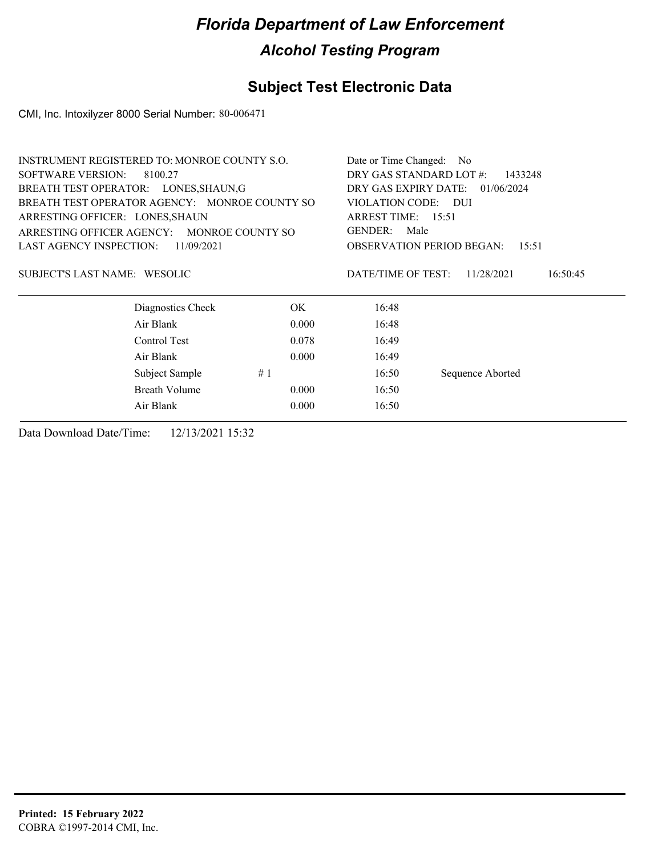## **Subject Test Electronic Data**

CMI, Inc. Intoxilyzer 8000 Serial Number: 80-006471

|                                 | <b>INSTRUMENT REGISTERED TO: MONROE COUNTY S.O.</b> |       | Date or Time Changed:                        | N <sub>o</sub>                            |  |
|---------------------------------|-----------------------------------------------------|-------|----------------------------------------------|-------------------------------------------|--|
| <b>SOFTWARE VERSION:</b>        | 8100.27                                             |       | DRY GAS STANDARD LOT #:                      | 1433248                                   |  |
|                                 | BREATH TEST OPERATOR: LONES, SHAUN, G               |       | DRY GAS EXPIRY DATE:                         | 01/06/2024                                |  |
|                                 | BREATH TEST OPERATOR AGENCY: MONROE COUNTY SO       |       | VIOLATION CODE: DUI                          |                                           |  |
| ARRESTING OFFICER: LONES, SHAUN |                                                     |       | ARREST TIME: 15:51<br><b>GENDER:</b><br>Male |                                           |  |
| ARRESTING OFFICER AGENCY:       | MONROE COUNTY SO                                    |       |                                              |                                           |  |
| <b>LAST AGENCY INSPECTION:</b>  | 11/09/2021                                          |       |                                              | <b>OBSERVATION PERIOD BEGAN:</b><br>15:51 |  |
| SUBJECT'S LAST NAME: WESOLIC    |                                                     |       | DATE/TIME OF TEST:                           | 11/28/2021<br>16:50:45                    |  |
|                                 | Diagnostics Check                                   | OK.   | 16:48                                        |                                           |  |
|                                 | Air Blank                                           | 0.000 | 16:48                                        |                                           |  |
|                                 | Control Test                                        | 0.078 | 16:49                                        |                                           |  |
|                                 | Air Blank                                           | 0.000 | 16:49                                        |                                           |  |
|                                 | Subject Sample                                      | #1    | 16:50                                        | Sequence Aborted                          |  |
|                                 | Breath Volume                                       | 0.000 | 16:50                                        |                                           |  |
|                                 | Air Blank                                           | 0.000 | 16:50                                        |                                           |  |
|                                 |                                                     |       |                                              |                                           |  |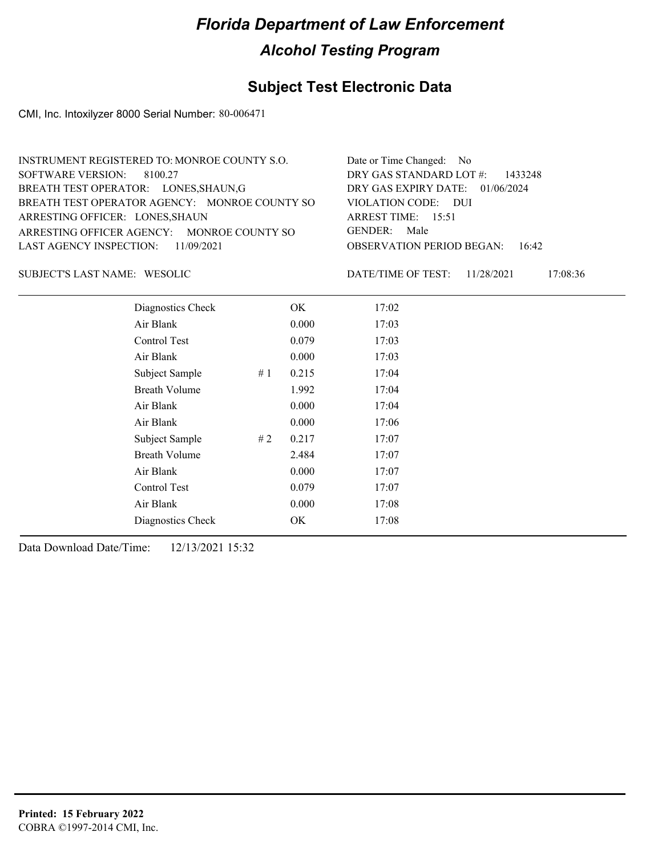## **Subject Test Electronic Data**

CMI, Inc. Intoxilyzer 8000 Serial Number: 80-006471

| INSTRUMENT REGISTERED TO: MONROE COUNTY S.O.  | Date or Time Changed: No               |
|-----------------------------------------------|----------------------------------------|
| SOFTWARE VERSION: 8100.27                     | DRY GAS STANDARD LOT $\#$ : 1433248    |
| BREATH TEST OPERATOR: LONES, SHAUN, G         | DRY GAS EXPIRY DATE: 01/06/2024        |
| BREATH TEST OPERATOR AGENCY: MONROE COUNTY SO | VIOLATION CODE: DUI                    |
| ARRESTING OFFICER: LONES, SHAUN               | ARREST TIME: $15:51$                   |
| ARRESTING OFFICER AGENCY: MONROE COUNTY SO    | GENDER: Male                           |
| LAST AGENCY INSPECTION: 11/09/2021            | <b>OBSERVATION PERIOD BEGAN:</b> 16:42 |
|                                               |                                        |

SUBJECT'S LAST NAME: WESOLIC DATE/TIME OF TEST:

DATE/TIME OF TEST: 11/28/2021 17:08:36

| Diagnostics Check    |    | OK    | 17:02 |
|----------------------|----|-------|-------|
| Air Blank            |    | 0.000 | 17:03 |
| Control Test         |    | 0.079 | 17:03 |
| Air Blank            |    | 0.000 | 17:03 |
| Subject Sample       | #1 | 0.215 | 17:04 |
| <b>Breath Volume</b> |    | 1.992 | 17:04 |
| Air Blank            |    | 0.000 | 17:04 |
| Air Blank            |    | 0.000 | 17:06 |
| Subject Sample       | #2 | 0.217 | 17:07 |
| <b>Breath Volume</b> |    | 2.484 | 17:07 |
| Air Blank            |    | 0.000 | 17:07 |
| Control Test         |    | 0.079 | 17:07 |
| Air Blank            |    | 0.000 | 17:08 |
| Diagnostics Check    |    | OK    | 17:08 |
|                      |    |       |       |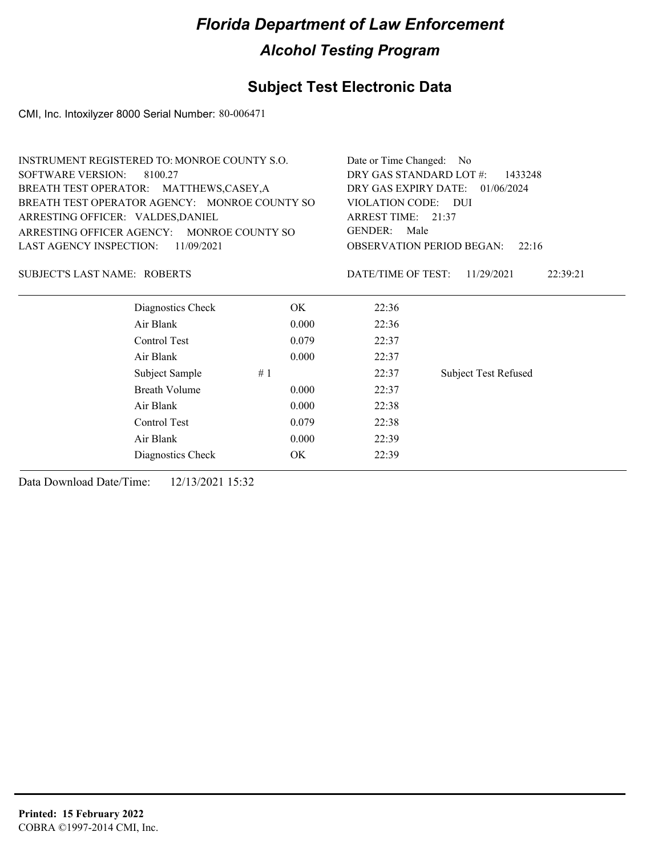## **Subject Test Electronic Data**

CMI, Inc. Intoxilyzer 8000 Serial Number: 80-006471

|                                   | <b>INSTRUMENT REGISTERED TO: MONROE COUNTY S.O.</b> |       | Date or Time Changed:   | N <sub>0</sub>                            |
|-----------------------------------|-----------------------------------------------------|-------|-------------------------|-------------------------------------------|
| <b>SOFTWARE VERSION:</b>          | 8100.27                                             |       | DRY GAS STANDARD LOT #: | 1433248                                   |
|                                   | BREATH TEST OPERATOR: MATTHEWS,CASEY,A              |       | DRY GAS EXPIRY DATE:    | 01/06/2024                                |
|                                   | BREATH TEST OPERATOR AGENCY: MONROE COUNTY SO       |       | VIOLATION CODE: DUI     |                                           |
| ARRESTING OFFICER: VALDES, DANIEL |                                                     |       | ARREST TIME: 21:37      |                                           |
| ARRESTING OFFICER AGENCY:         | MONROE COUNTY SO                                    |       | <b>GENDER:</b><br>Male  |                                           |
| LAST AGENCY INSPECTION:           | 11/09/2021                                          |       |                         | <b>OBSERVATION PERIOD BEGAN:</b><br>22:16 |
| SUBJECT'S LAST NAME: ROBERTS      |                                                     |       | DATE/TIME OF TEST:      | 11/29/2021<br>22:39:21                    |
|                                   | Diagnostics Check                                   | OK.   | 22:36                   |                                           |
|                                   | Air Blank                                           | 0.000 | 22:36                   |                                           |
|                                   | Control Test                                        | 0.079 | 22:37                   |                                           |
|                                   | Air Blank                                           | 0.000 | 22:37                   |                                           |
|                                   | Subject Sample                                      | #1    | 22:37                   | <b>Subject Test Refused</b>               |
|                                   | <b>Breath Volume</b>                                | 0.000 | 22:37                   |                                           |
|                                   | Air Blank                                           | 0.000 | 22:38                   |                                           |
|                                   | Control Test                                        | 0.079 | 22:38                   |                                           |

Air Blank 0.000 22:39 Diagnostics Check OK 22:39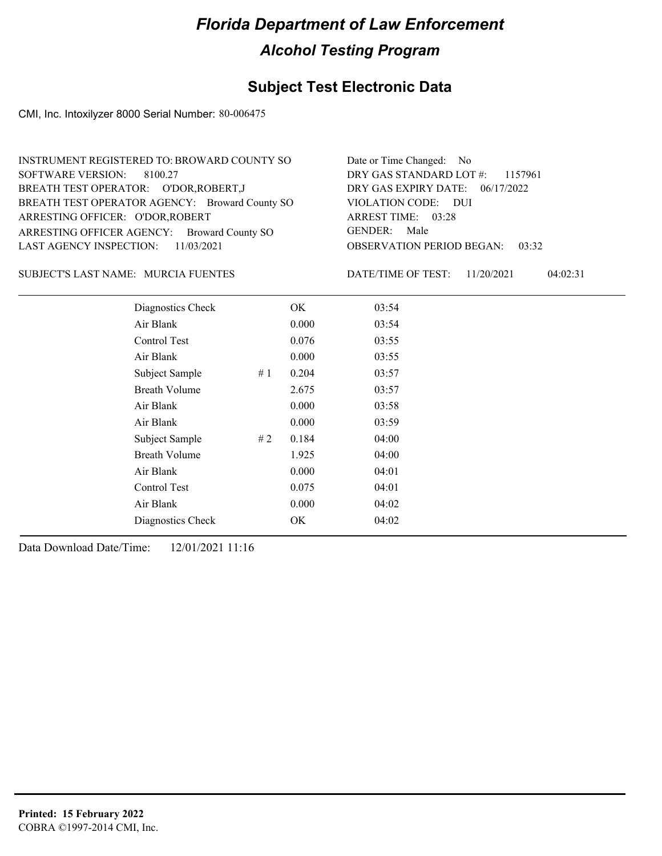## **Subject Test Electronic Data**

CMI, Inc. Intoxilyzer 8000 Serial Number: 80-006475

| INSTRUMENT REGISTERED TO: BROWARD COUNTY SO    | Date or Time Changed: No               |
|------------------------------------------------|----------------------------------------|
| SOFTWARE VERSION: 8100.27                      | DRY GAS STANDARD LOT $\#$ : 1157961    |
| BREATH TEST OPERATOR: O'DOR, ROBERT, J         | DRY GAS EXPIRY DATE: 06/17/2022        |
| BREATH TEST OPERATOR AGENCY: Broward County SO | VIOLATION CODE: DUI                    |
| ARRESTING OFFICER: O'DOR, ROBERT               | ARREST TIME: 03:28                     |
| ARRESTING OFFICER AGENCY: Broward County SO    | GENDER: Male                           |
| LAST AGENCY INSPECTION: $11/03/2021$           | <b>OBSERVATION PERIOD BEGAN: 03:32</b> |

### SUBJECT'S LAST NAME: MURCIA FUENTES **Example 19 DESCALE DATE/TIME OF TEST:**

DATE/TIME OF TEST: 11/20/2021 04:02:31

| Diagnostics Check    | OK    | 03:54 |
|----------------------|-------|-------|
| Air Blank            | 0.000 | 03:54 |
| Control Test         | 0.076 | 03:55 |
| Air Blank            | 0.000 | 03:55 |
| Subject Sample<br>#1 | 0.204 | 03:57 |
| <b>Breath Volume</b> | 2.675 | 03:57 |
| Air Blank            | 0.000 | 03:58 |
| Air Blank            | 0.000 | 03:59 |
| Subject Sample<br>#2 | 0.184 | 04:00 |
| <b>Breath Volume</b> | 1.925 | 04:00 |
| Air Blank            | 0.000 | 04:01 |
| Control Test         | 0.075 | 04:01 |
| Air Blank            | 0.000 | 04:02 |
| Diagnostics Check    | OK    | 04:02 |
|                      |       |       |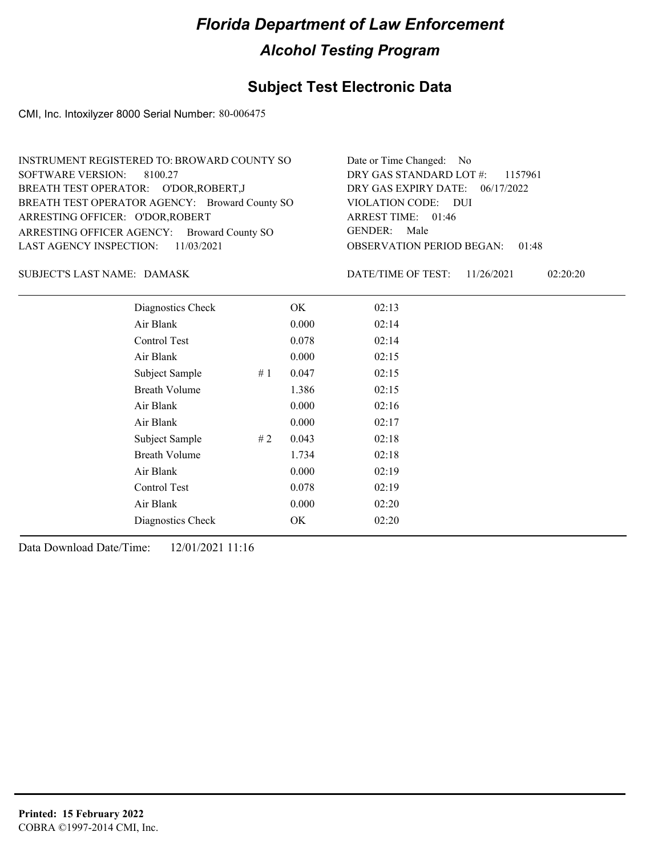## **Subject Test Electronic Data**

CMI, Inc. Intoxilyzer 8000 Serial Number: 80-006475

| INSTRUMENT REGISTERED TO: BROWARD COUNTY SO    | Date or Time Changed: No               |
|------------------------------------------------|----------------------------------------|
| SOFTWARE VERSION: 8100.27                      | DRY GAS STANDARD LOT $\#$ : 1157961    |
| BREATH TEST OPERATOR: O'DOR, ROBERT, J         | DRY GAS EXPIRY DATE: 06/17/2022        |
| BREATH TEST OPERATOR AGENCY: Broward County SO | VIOLATION CODE: DUI                    |
| ARRESTING OFFICER: O'DOR, ROBERT               | ARREST TIME: 01:46                     |
| ARRESTING OFFICER AGENCY: Broward County SO    | GENDER: Male                           |
| LAST AGENCY INSPECTION: 11/03/2021             | <b>OBSERVATION PERIOD BEGAN: 01:48</b> |

SUBJECT'S LAST NAME: DAMASK DATE/TIME OF TEST:

DATE/TIME OF TEST: 11/26/2021 02:20:20

| Diagnostics Check    |    | OK    | 02:13 |
|----------------------|----|-------|-------|
| Air Blank            |    | 0.000 | 02:14 |
| Control Test         |    | 0.078 | 02:14 |
| Air Blank            |    | 0.000 | 02:15 |
| Subject Sample       | #1 | 0.047 | 02:15 |
| <b>Breath Volume</b> |    | 1.386 | 02:15 |
| Air Blank            |    | 0.000 | 02:16 |
| Air Blank            |    | 0.000 | 02:17 |
| Subject Sample       | #2 | 0.043 | 02:18 |
| <b>Breath Volume</b> |    | 1.734 | 02:18 |
| Air Blank            |    | 0.000 | 02:19 |
| Control Test         |    | 0.078 | 02:19 |
| Air Blank            |    | 0.000 | 02:20 |
| Diagnostics Check    |    | OK    | 02:20 |
|                      |    |       |       |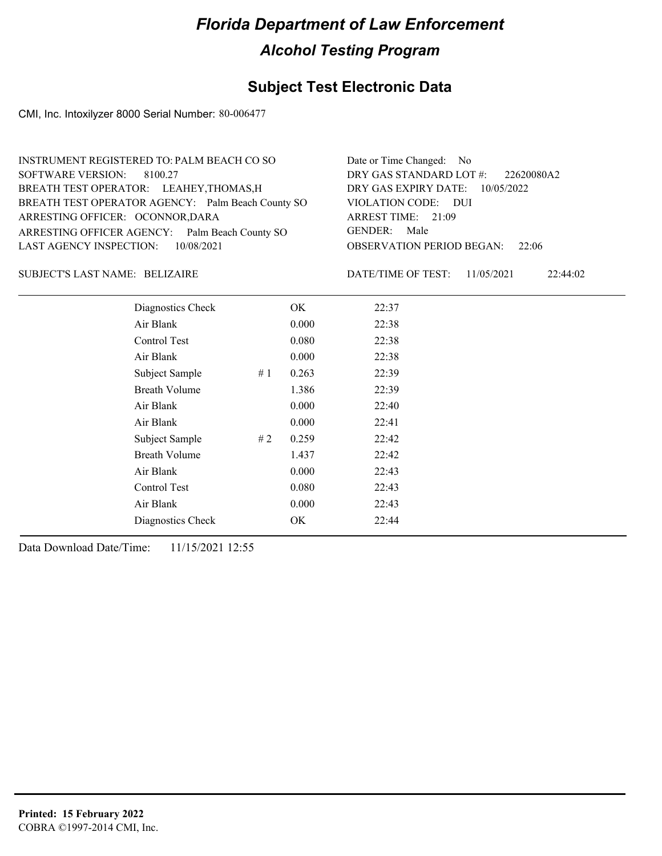## **Subject Test Electronic Data**

CMI, Inc. Intoxilyzer 8000 Serial Number: 80-006477

| INSTRUMENT REGISTERED TO: PALM BEACH CO SO        | Date or Time Changed: No               |
|---------------------------------------------------|----------------------------------------|
| SOFTWARE VERSION: 8100.27                         | DRY GAS STANDARD LOT $\#$ : 22620080A2 |
| BREATH TEST OPERATOR: LEAHEY, THOMAS, H           | DRY GAS EXPIRY DATE: 10/05/2022        |
| BREATH TEST OPERATOR AGENCY: Palm Beach County SO | VIOLATION CODE: DUI                    |
| ARRESTING OFFICER: OCONNOR, DARA                  | ARREST TIME: 21:09                     |
| ARRESTING OFFICER AGENCY: Palm Beach County SO    | GENDER: Male                           |
| LAST AGENCY INSPECTION: 10/08/2021                | <b>OBSERVATION PERIOD BEGAN: 22:06</b> |
|                                                   |                                        |

### BELIZAIRE SUBJECT'S LAST NAME: DATE/TIME OF TEST:

DATE/TIME OF TEST: 11/05/2021 22:44:02

| Diagnostics Check    |    | OK    | 22:37 |
|----------------------|----|-------|-------|
| Air Blank            |    | 0.000 | 22:38 |
| Control Test         |    | 0.080 | 22:38 |
| Air Blank            |    | 0.000 | 22:38 |
| Subject Sample       | #1 | 0.263 | 22:39 |
| <b>Breath Volume</b> |    | 1.386 | 22:39 |
| Air Blank            |    | 0.000 | 22:40 |
| Air Blank            |    | 0.000 | 22:41 |
| Subject Sample       | #2 | 0.259 | 22:42 |
| <b>Breath Volume</b> |    | 1.437 | 22:42 |
| Air Blank            |    | 0.000 | 22:43 |
| Control Test         |    | 0.080 | 22:43 |
| Air Blank            |    | 0.000 | 22:43 |
| Diagnostics Check    |    | OK    | 22:44 |
|                      |    |       |       |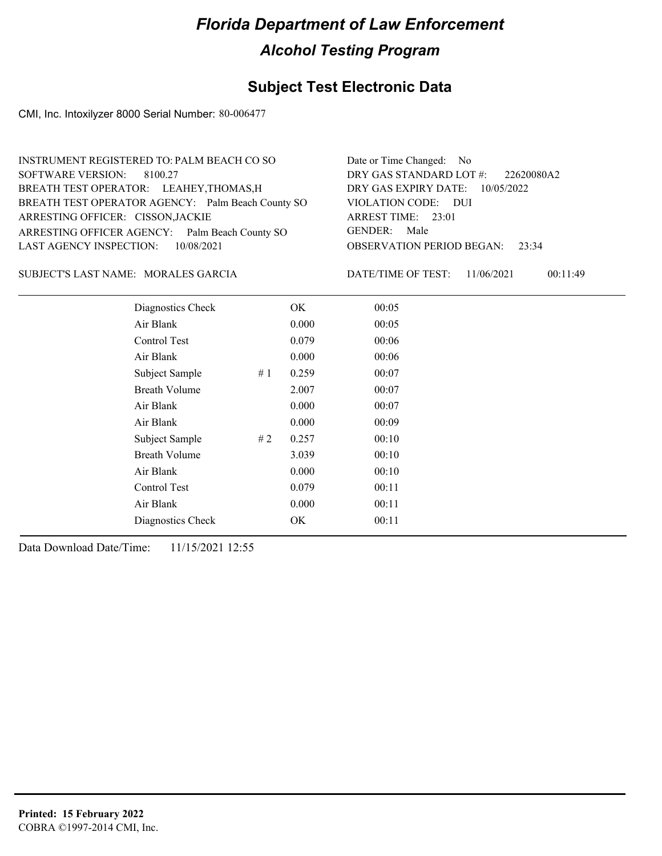## **Subject Test Electronic Data**

CMI, Inc. Intoxilyzer 8000 Serial Number: 80-006477

| INSTRUMENT REGISTERED TO: PALM BEACH CO SO        | Date or Time Changed: No               |
|---------------------------------------------------|----------------------------------------|
| SOFTWARE VERSION: 8100.27                         | DRY GAS STANDARD LOT #: 22620080A2     |
| BREATH TEST OPERATOR: LEAHEY, THOMAS, H           | DRY GAS EXPIRY DATE: 10/05/2022        |
| BREATH TEST OPERATOR AGENCY: Palm Beach County SO | VIOLATION CODE: DUI                    |
| ARRESTING OFFICER: CISSON, JACKIE                 | ARREST TIME: 23:01                     |
| ARRESTING OFFICER AGENCY: Palm Beach County SO    | GENDER: Male                           |
| LAST AGENCY INSPECTION: 10/08/2021                | <b>OBSERVATION PERIOD BEGAN:</b> 23:34 |
|                                                   |                                        |

MORALES GARCIA SUBJECT'S LAST NAME: DATE/TIME OF TEST:

DATE/TIME OF TEST: 11/06/2021 00:11:49

| Diagnostics Check    |    | OK    | 00:05 |
|----------------------|----|-------|-------|
| Air Blank            |    | 0.000 | 00:05 |
| Control Test         |    | 0.079 | 00:06 |
| Air Blank            |    | 0.000 | 00:06 |
| Subject Sample       | #1 | 0.259 | 00:07 |
| <b>Breath Volume</b> |    | 2.007 | 00:07 |
| Air Blank            |    | 0.000 | 00:07 |
| Air Blank            |    | 0.000 | 00:09 |
| Subject Sample       | #2 | 0.257 | 00:10 |
| <b>Breath Volume</b> |    | 3.039 | 00:10 |
| Air Blank            |    | 0.000 | 00:10 |
| Control Test         |    | 0.079 | 00:11 |
| Air Blank            |    | 0.000 | 00:11 |
| Diagnostics Check    |    | OK    | 00:11 |
|                      |    |       |       |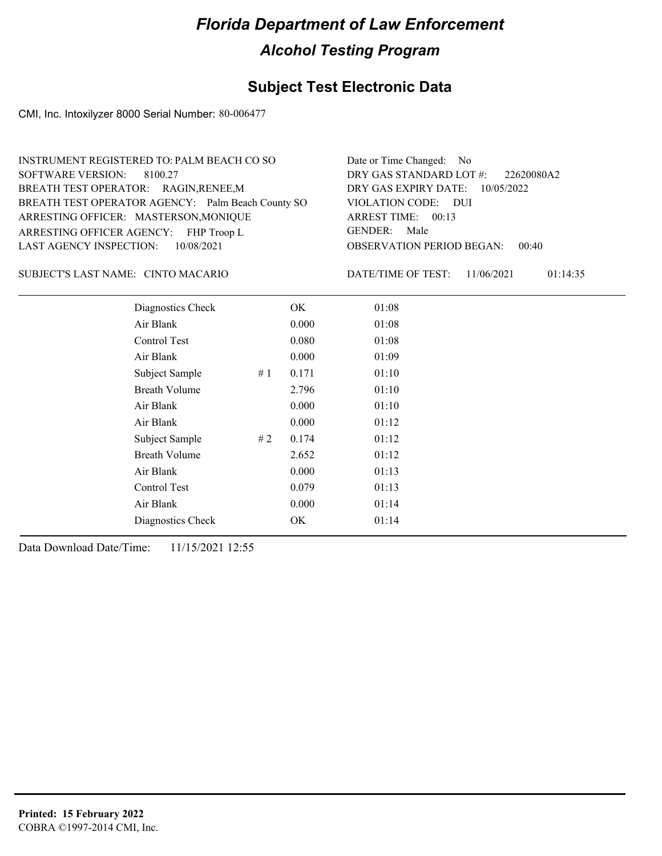### **Subject Test Electronic Data**

CMI, Inc. Intoxilyzer 8000 Serial Number: 80-006477

| INSTRUMENT REGISTERED TO: PALM BEACH CO SO        | Date or Time Changed: No               |
|---------------------------------------------------|----------------------------------------|
| SOFTWARE VERSION: 8100.27                         | DRY GAS STANDARD LOT #: 22620080A2     |
| BREATH TEST OPERATOR: RAGIN, RENEE, M             | DRY GAS EXPIRY DATE: 10/05/2022        |
| BREATH TEST OPERATOR AGENCY: Palm Beach County SO | VIOLATION CODE: DUI                    |
| ARRESTING OFFICER: MASTERSON, MONIQUE             | ARREST TIME: 00:13                     |
| ARRESTING OFFICER AGENCY: FHP Troop L             | GENDER: Male                           |
| LAST AGENCY INSPECTION: 10/08/2021                | <b>OBSERVATION PERIOD BEGAN: 00:40</b> |
|                                                   |                                        |

#### CINTO MACARIO SUBJECT'S LAST NAME: DATE/TIME OF TEST:

DATE/TIME OF TEST: 11/06/2021 01:14:35

| Diagnostics Check    |    | OK    | 01:08 |
|----------------------|----|-------|-------|
| Air Blank            |    | 0.000 | 01:08 |
| Control Test         |    | 0.080 | 01:08 |
| Air Blank            |    | 0.000 | 01:09 |
| Subject Sample       | #1 | 0.171 | 01:10 |
| <b>Breath Volume</b> |    | 2.796 | 01:10 |
| Air Blank            |    | 0.000 | 01:10 |
| Air Blank            |    | 0.000 | 01:12 |
| Subject Sample       | #2 | 0.174 | 01:12 |
| <b>Breath Volume</b> |    | 2.652 | 01:12 |
| Air Blank            |    | 0.000 | 01:13 |
| Control Test         |    | 0.079 | 01:13 |
| Air Blank            |    | 0.000 | 01:14 |
| Diagnostics Check    |    | OK    | 01:14 |
|                      |    |       |       |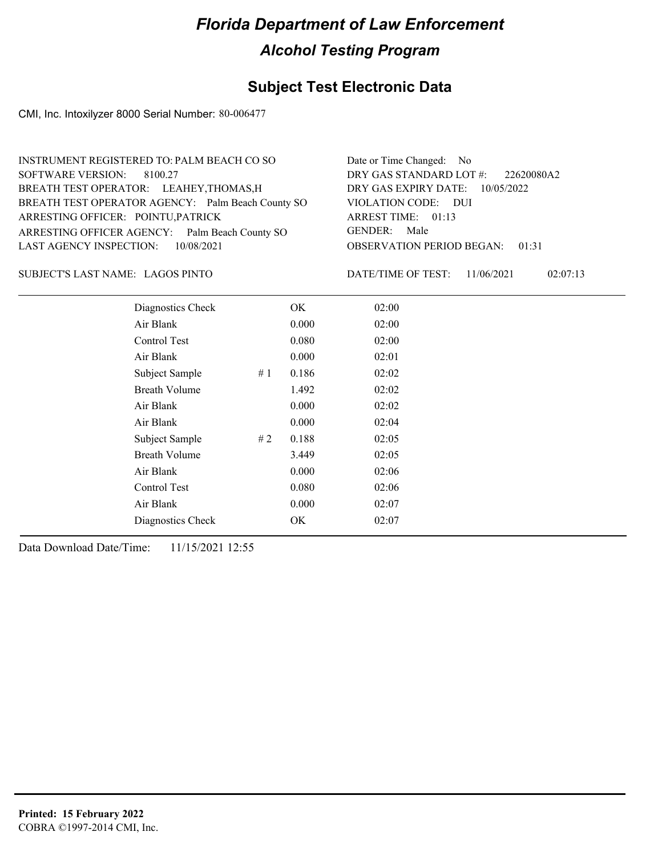## **Subject Test Electronic Data**

CMI, Inc. Intoxilyzer 8000 Serial Number: 80-006477

| INSTRUMENT REGISTERED TO: PALM BEACH CO SO        | Date or Time Changed: No               |
|---------------------------------------------------|----------------------------------------|
| SOFTWARE VERSION: 8100.27                         | DRY GAS STANDARD LOT #: 22620080A2     |
| BREATH TEST OPERATOR: LEAHEY, THOMAS, H           | DRY GAS EXPIRY DATE: 10/05/2022        |
| BREATH TEST OPERATOR AGENCY: Palm Beach County SO | VIOLATION CODE: DUI                    |
| ARRESTING OFFICER: POINTU, PATRICK                | ARREST TIME: 01:13                     |
| ARRESTING OFFICER AGENCY: Palm Beach County SO    | GENDER: Male                           |
| LAST AGENCY INSPECTION: 10/08/2021                | <b>OBSERVATION PERIOD BEGAN: 01:31</b> |
|                                                   |                                        |

LAGOS PINTO SUBJECT'S LAST NAME: DATE/TIME OF TEST:

DATE/TIME OF TEST: 11/06/2021 02:07:13

| Diagnostics Check    |    | OK    | 02:00 |  |
|----------------------|----|-------|-------|--|
| Air Blank            |    | 0.000 | 02:00 |  |
| Control Test         |    | 0.080 | 02:00 |  |
| Air Blank            |    | 0.000 | 02:01 |  |
| Subject Sample       | #1 | 0.186 | 02:02 |  |
| <b>Breath Volume</b> |    | 1.492 | 02:02 |  |
| Air Blank            |    | 0.000 | 02:02 |  |
| Air Blank            |    | 0.000 | 02:04 |  |
| Subject Sample       | #2 | 0.188 | 02:05 |  |
| <b>Breath Volume</b> |    | 3.449 | 02:05 |  |
| Air Blank            |    | 0.000 | 02:06 |  |
| Control Test         |    | 0.080 | 02:06 |  |
| Air Blank            |    | 0.000 | 02:07 |  |
| Diagnostics Check    |    | OK    | 02:07 |  |
|                      |    |       |       |  |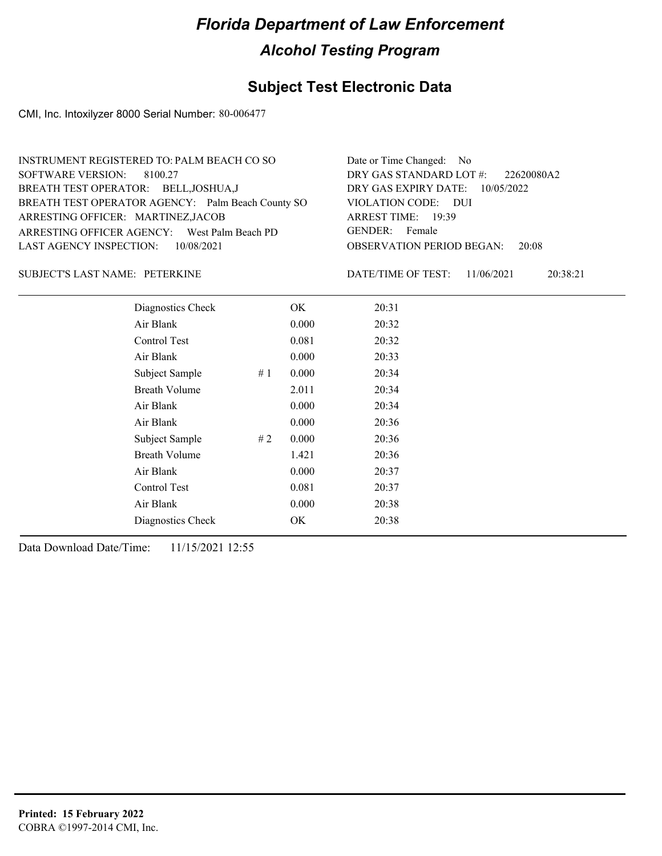### **Subject Test Electronic Data**

CMI, Inc. Intoxilyzer 8000 Serial Number: 80-006477

| INSTRUMENT REGISTERED TO: PALM BEACH CO SO        | Date or Time Changed: No               |
|---------------------------------------------------|----------------------------------------|
| SOFTWARE VERSION: 8100.27                         | DRY GAS STANDARD LOT $\#$ : 22620080A2 |
| BREATH TEST OPERATOR: BELL, JOSHUA, J             | DRY GAS EXPIRY DATE: 10/05/2022        |
| BREATH TEST OPERATOR AGENCY: Palm Beach County SO | VIOLATION CODE: DUI                    |
| ARRESTING OFFICER: MARTINEZ, JACOB                | ARREST TIME: 19:39                     |
| ARRESTING OFFICER AGENCY: West Palm Beach PD      | GENDER: Female                         |
| LAST AGENCY INSPECTION: 10/08/2021                | <b>OBSERVATION PERIOD BEGAN: 20:08</b> |
|                                                   |                                        |

#### PETERKINE SUBJECT'S LAST NAME: DATE/TIME OF TEST:

DATE/TIME OF TEST: 11/06/2021 20:38:21

| Diagnostics Check    |     | OK    | 20:31 |
|----------------------|-----|-------|-------|
| Air Blank            |     | 0.000 | 20:32 |
| Control Test         |     | 0.081 | 20:32 |
| Air Blank            |     | 0.000 | 20:33 |
| Subject Sample       | #1  | 0.000 | 20:34 |
| <b>Breath Volume</b> |     | 2.011 | 20:34 |
| Air Blank            |     | 0.000 | 20:34 |
| Air Blank            |     | 0.000 | 20:36 |
| Subject Sample       | # 2 | 0.000 | 20:36 |
| <b>Breath Volume</b> |     | 1.421 | 20:36 |
| Air Blank            |     | 0.000 | 20:37 |
| <b>Control Test</b>  |     | 0.081 | 20:37 |
| Air Blank            |     | 0.000 | 20:38 |
| Diagnostics Check    |     | OK    | 20:38 |
|                      |     |       |       |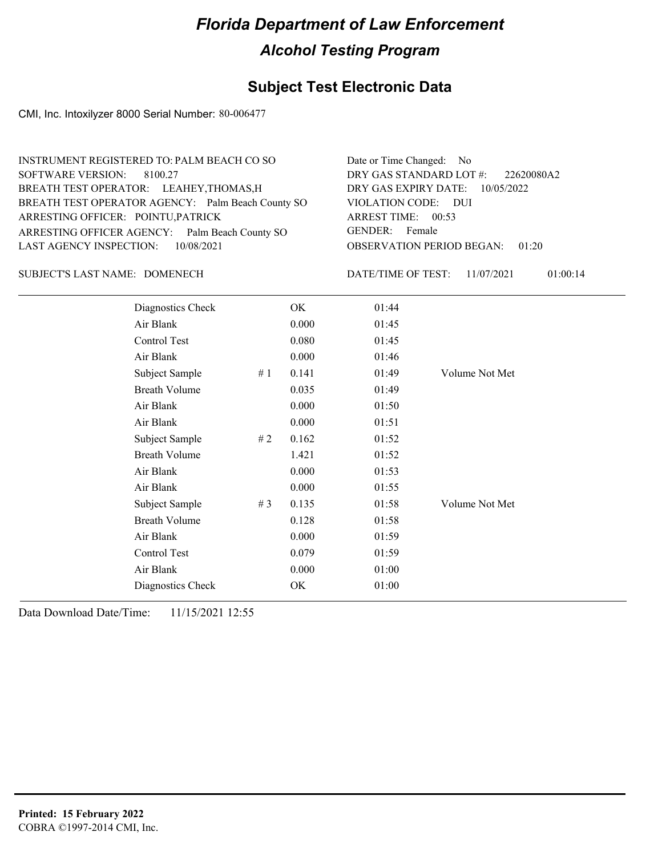## **Subject Test Electronic Data**

CMI, Inc. Intoxilyzer 8000 Serial Number: 80-006477

| INSTRUMENT REGISTERED TO: PALM BEACH CO SO        | Date or Time Changed: No               |
|---------------------------------------------------|----------------------------------------|
| SOFTWARE VERSION: 8100.27                         | DRY GAS STANDARD LOT #: 22620080A2     |
| BREATH TEST OPERATOR: LEAHEY, THOMAS, H           | DRY GAS EXPIRY DATE: 10/05/2022        |
| BREATH TEST OPERATOR AGENCY: Palm Beach County SO | VIOLATION CODE: DUI                    |
| ARRESTING OFFICER: POINTU, PATRICK                | ARREST TIME: 00:53                     |
| ARRESTING OFFICER AGENCY: Palm Beach County SO    | GENDER: Female                         |
| LAST AGENCY INSPECTION: 10/08/2021                | <b>OBSERVATION PERIOD BEGAN: 01:20</b> |
|                                                   |                                        |

### SUBJECT'S LAST NAME: DOMENECH DATE/TIME OF TEST:

DATE/TIME OF TEST: 11/07/2021 01:00:14

| Diagnostics Check    |       | OK    | 01:44 |                |
|----------------------|-------|-------|-------|----------------|
| Air Blank            |       | 0.000 | 01:45 |                |
| Control Test         |       | 0.080 | 01:45 |                |
| Air Blank            |       | 0.000 | 01:46 |                |
| Subject Sample       | #1    | 0.141 | 01:49 | Volume Not Met |
| <b>Breath Volume</b> |       | 0.035 | 01:49 |                |
| Air Blank            |       | 0.000 | 01:50 |                |
| Air Blank            |       | 0.000 | 01:51 |                |
| Subject Sample       | # $2$ | 0.162 | 01:52 |                |
| <b>Breath Volume</b> |       | 1.421 | 01:52 |                |
| Air Blank            |       | 0.000 | 01:53 |                |
| Air Blank            |       | 0.000 | 01:55 |                |
| Subject Sample       | #3    | 0.135 | 01:58 | Volume Not Met |
| <b>Breath Volume</b> |       | 0.128 | 01:58 |                |
| Air Blank            |       | 0.000 | 01:59 |                |
| Control Test         |       | 0.079 | 01:59 |                |
| Air Blank            |       | 0.000 | 01:00 |                |
| Diagnostics Check    |       | OK    | 01:00 |                |
|                      |       |       |       |                |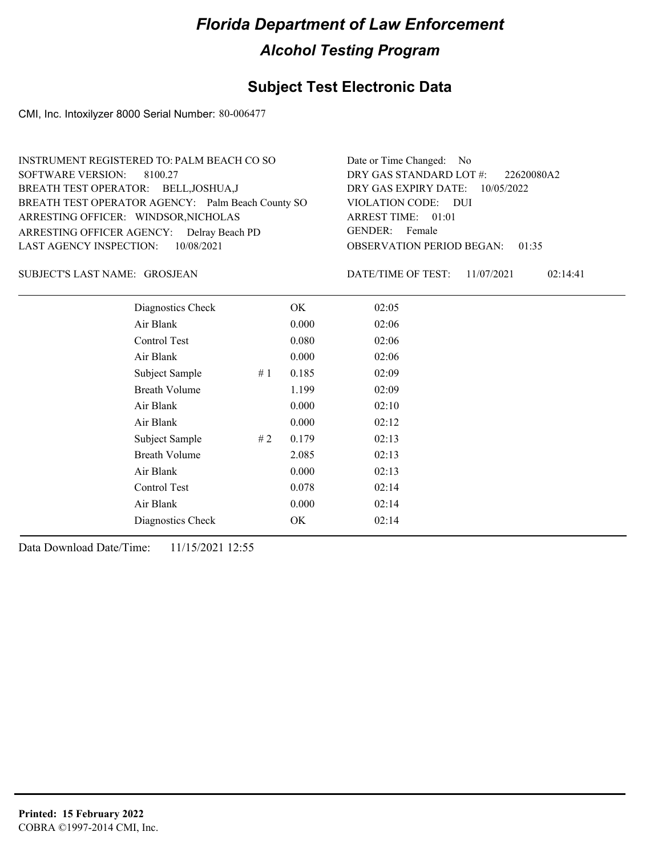### **Subject Test Electronic Data**

CMI, Inc. Intoxilyzer 8000 Serial Number: 80-006477

| INSTRUMENT REGISTERED TO: PALM BEACH CO SO        | Date or Time Changed: No               |
|---------------------------------------------------|----------------------------------------|
| SOFTWARE VERSION: 8100.27                         | DRY GAS STANDARD LOT #: 22620080A2     |
| BREATH TEST OPERATOR: BELL, JOSHUA, J             | DRY GAS EXPIRY DATE: 10/05/2022        |
| BREATH TEST OPERATOR AGENCY: Palm Beach County SO | VIOLATION CODE: DUI                    |
| ARRESTING OFFICER: WINDSOR, NICHOLAS              | ARREST TIME: 01:01                     |
| ARRESTING OFFICER AGENCY: Delray Beach PD         | GENDER: Female                         |
| LAST AGENCY INSPECTION: 10/08/2021                | <b>OBSERVATION PERIOD BEGAN: 01:35</b> |
|                                                   |                                        |

GROSJEAN SUBJECT'S LAST NAME: DATE/TIME OF TEST:

DATE/TIME OF TEST: 11/07/2021 02:14:41

| Diagnostics Check    |       | OK    | 02:05 |  |  |
|----------------------|-------|-------|-------|--|--|
| Air Blank            |       | 0.000 | 02:06 |  |  |
| Control Test         |       | 0.080 | 02:06 |  |  |
| Air Blank            |       | 0.000 | 02:06 |  |  |
| Subject Sample       | # $1$ | 0.185 | 02:09 |  |  |
| <b>Breath Volume</b> |       | 1.199 | 02:09 |  |  |
| Air Blank            |       | 0.000 | 02:10 |  |  |
| Air Blank            |       | 0.000 | 02:12 |  |  |
| Subject Sample       | #2    | 0.179 | 02:13 |  |  |
| <b>Breath Volume</b> |       | 2.085 | 02:13 |  |  |
| Air Blank            |       | 0.000 | 02:13 |  |  |
| Control Test         |       | 0.078 | 02:14 |  |  |
| Air Blank            |       | 0.000 | 02:14 |  |  |
| Diagnostics Check    |       | OK    | 02:14 |  |  |
|                      |       |       |       |  |  |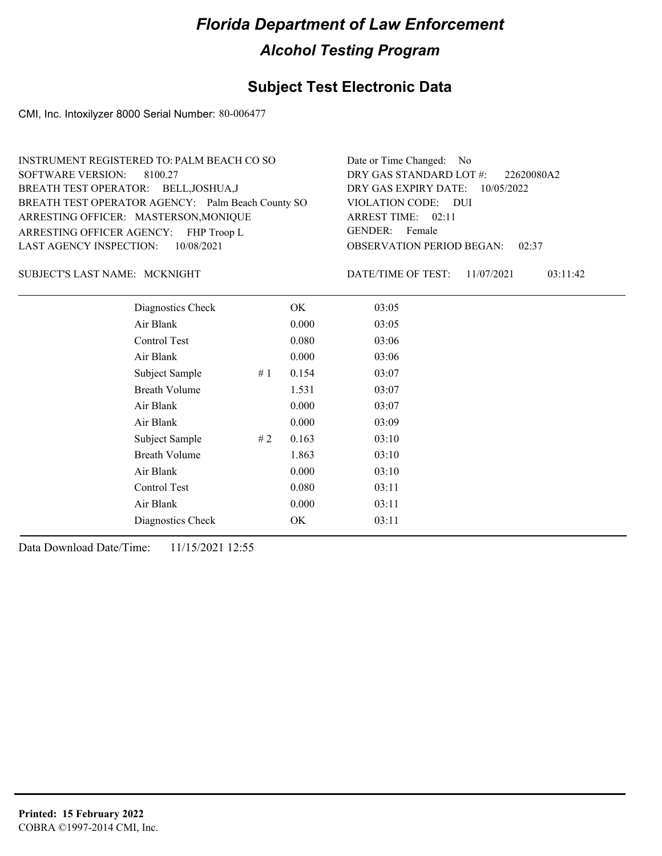## **Subject Test Electronic Data**

CMI, Inc. Intoxilyzer 8000 Serial Number: 80-006477

| Date or Time Changed: No               |
|----------------------------------------|
| DRY GAS STANDARD LOT $\#$ : 22620080A2 |
| DRY GAS EXPIRY DATE: $10/05/2022$      |
| VIOLATION CODE: DUI                    |
| ARREST TIME: 02:11                     |
| GENDER: Female                         |
| <b>OBSERVATION PERIOD BEGAN: 02:37</b> |
|                                        |

#### MCKNIGHT SUBJECT'S LAST NAME: DATE/TIME OF TEST:

DATE/TIME OF TEST: 11/07/2021 03:11:42

| Diagnostics Check    |    | OK    | 03:05 |
|----------------------|----|-------|-------|
| Air Blank            |    | 0.000 | 03:05 |
| Control Test         |    | 0.080 | 03:06 |
| Air Blank            |    | 0.000 | 03:06 |
| Subject Sample       | #1 | 0.154 | 03:07 |
| <b>Breath Volume</b> |    | 1.531 | 03:07 |
| Air Blank            |    | 0.000 | 03:07 |
| Air Blank            |    | 0.000 | 03:09 |
| Subject Sample       | #2 | 0.163 | 03:10 |
| <b>Breath Volume</b> |    | 1.863 | 03:10 |
| Air Blank            |    | 0.000 | 03:10 |
| Control Test         |    | 0.080 | 03:11 |
| Air Blank            |    | 0.000 | 03:11 |
| Diagnostics Check    |    | OK    | 03:11 |
|                      |    |       |       |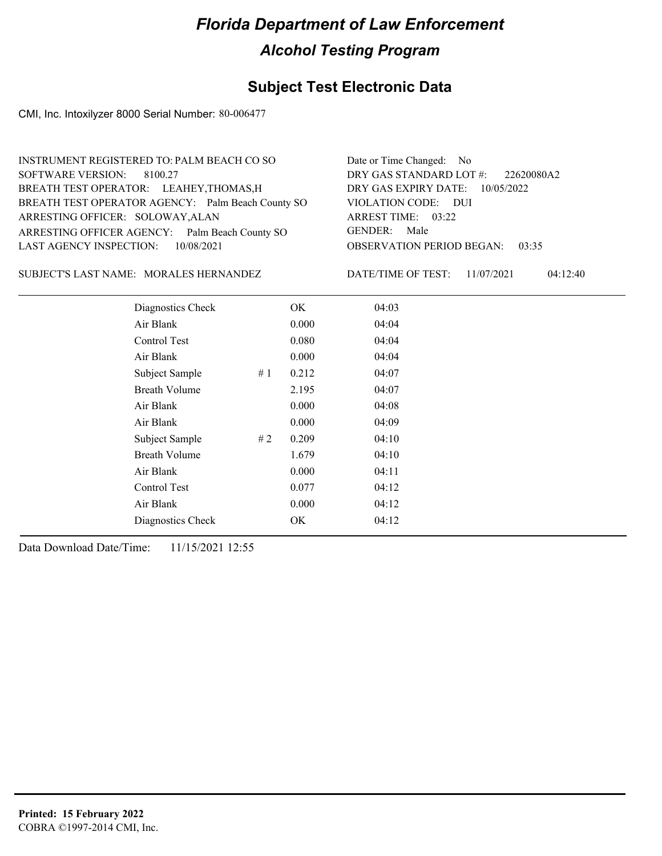## **Subject Test Electronic Data**

CMI, Inc. Intoxilyzer 8000 Serial Number: 80-006477

| INSTRUMENT REGISTERED TO: PALM BEACH CO SO        | Date or Time Changed: No               |
|---------------------------------------------------|----------------------------------------|
| SOFTWARE VERSION: 8100.27                         | DRY GAS STANDARD LOT #: 22620080A2     |
| BREATH TEST OPERATOR: LEAHEY, THOMAS, H           | DRY GAS EXPIRY DATE: 10/05/2022        |
| BREATH TEST OPERATOR AGENCY: Palm Beach County SO | VIOLATION CODE: DUI                    |
| ARRESTING OFFICER: SOLOWAY, ALAN                  | ARREST TIME: 03:22                     |
| ARRESTING OFFICER AGENCY: Palm Beach County SO    | GENDER: Male                           |
| LAST AGENCY INSPECTION: 10/08/2021                | <b>OBSERVATION PERIOD BEGAN: 03:35</b> |
|                                                   |                                        |

SUBJECT'S LAST NAME: MORALES HERNANDEZ DATE/TIME OF TEST:

DATE/TIME OF TEST: 11/07/2021 04:12:40

| Diagnostics Check    |    | OK    | 04:03 |
|----------------------|----|-------|-------|
| Air Blank            |    | 0.000 | 04:04 |
| Control Test         |    | 0.080 | 04:04 |
| Air Blank            |    | 0.000 | 04:04 |
| Subject Sample       | #1 | 0.212 | 04:07 |
| <b>Breath Volume</b> |    | 2.195 | 04:07 |
| Air Blank            |    | 0.000 | 04:08 |
| Air Blank            |    | 0.000 | 04:09 |
| Subject Sample       | #2 | 0.209 | 04:10 |
| <b>Breath Volume</b> |    | 1.679 | 04:10 |
| Air Blank            |    | 0.000 | 04:11 |
| Control Test         |    | 0.077 | 04:12 |
| Air Blank            |    | 0.000 | 04:12 |
| Diagnostics Check    |    | OK    | 04:12 |
|                      |    |       |       |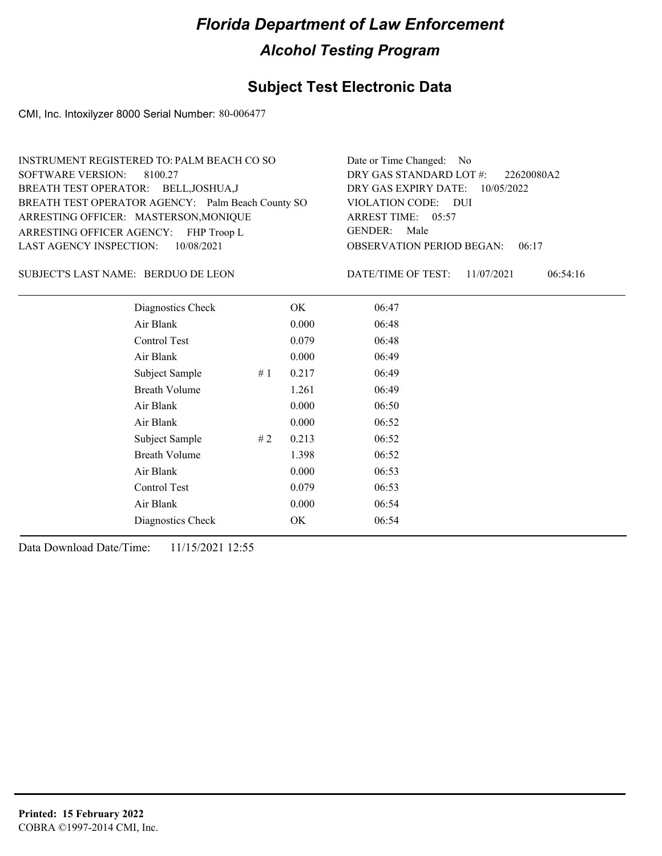### **Subject Test Electronic Data**

CMI, Inc. Intoxilyzer 8000 Serial Number: 80-006477

| INSTRUMENT REGISTERED TO: PALM BEACH CO SO        | Date or Time Changed: No               |
|---------------------------------------------------|----------------------------------------|
| SOFTWARE VERSION: 8100.27                         | DRY GAS STANDARD LOT #: 22620080A2     |
| BREATH TEST OPERATOR: BELL, JOSHUA, J             | DRY GAS EXPIRY DATE: $10/05/2022$      |
| BREATH TEST OPERATOR AGENCY: Palm Beach County SO | VIOLATION CODE: DUI                    |
| ARRESTING OFFICER: MASTERSON, MONIQUE             | ARREST TIME: 05:57                     |
| ARRESTING OFFICER AGENCY: FHP Troop L             | GENDER: Male                           |
| LAST AGENCY INSPECTION: 10/08/2021                | <b>OBSERVATION PERIOD BEGAN: 06:17</b> |
|                                                   |                                        |

### SUBJECT'S LAST NAME: BERDUO DE LEON DATE/TIME OF TEST:

DATE/TIME OF TEST: 11/07/2021 06:54:16

| Diagnostics Check    |    | OK    | 06:47 |  |
|----------------------|----|-------|-------|--|
| Air Blank            |    | 0.000 | 06:48 |  |
| Control Test         |    | 0.079 | 06:48 |  |
| Air Blank            |    | 0.000 | 06:49 |  |
| Subject Sample       | #1 | 0.217 | 06:49 |  |
| <b>Breath Volume</b> |    | 1.261 | 06:49 |  |
| Air Blank            |    | 0.000 | 06:50 |  |
| Air Blank            |    | 0.000 | 06:52 |  |
| Subject Sample       | #2 | 0.213 | 06:52 |  |
| <b>Breath Volume</b> |    | 1.398 | 06:52 |  |
| Air Blank            |    | 0.000 | 06:53 |  |
| <b>Control Test</b>  |    | 0.079 | 06:53 |  |
| Air Blank            |    | 0.000 | 06:54 |  |
| Diagnostics Check    |    | OK    | 06:54 |  |
|                      |    |       |       |  |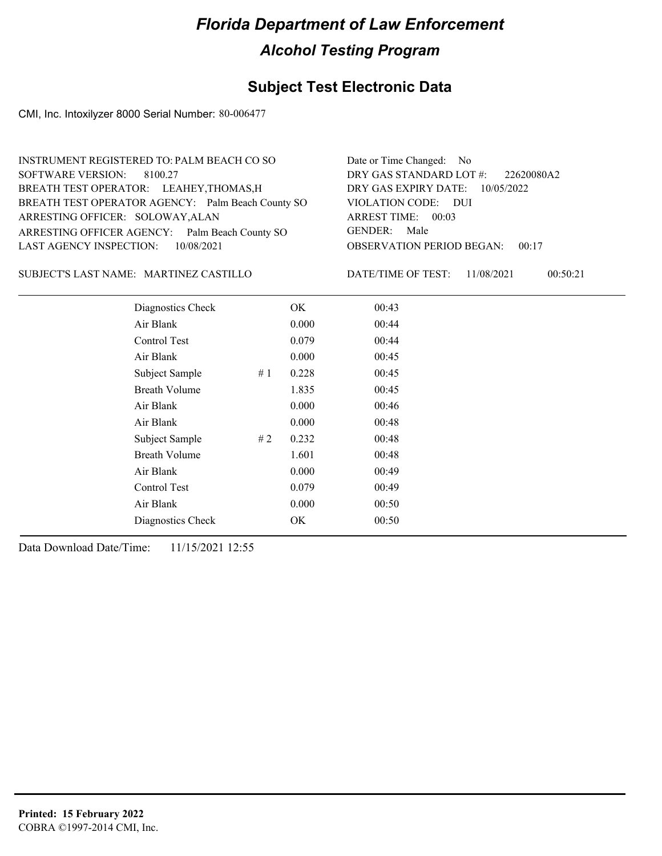## **Subject Test Electronic Data**

CMI, Inc. Intoxilyzer 8000 Serial Number: 80-006477

| INSTRUMENT REGISTERED TO: PALM BEACH CO SO        | Date or Time Changed: No               |
|---------------------------------------------------|----------------------------------------|
| SOFTWARE VERSION: 8100.27                         | DRY GAS STANDARD LOT #: 22620080A2     |
| BREATH TEST OPERATOR: LEAHEY, THOMAS, H           | DRY GAS EXPIRY DATE: 10/05/2022        |
| BREATH TEST OPERATOR AGENCY: Palm Beach County SO | VIOLATION CODE: DUI                    |
| ARRESTING OFFICER: SOLOWAY, ALAN                  | ARREST TIME: 00:03                     |
| ARRESTING OFFICER AGENCY: Palm Beach County SO    | GENDER: Male                           |
| LAST AGENCY INSPECTION: 10/08/2021                | <b>OBSERVATION PERIOD BEGAN: 00:17</b> |
|                                                   |                                        |

SUBJECT'S LAST NAME: MARTINEZ CASTILLO DATE/TIME OF TEST:

DATE/TIME OF TEST: 11/08/2021 00:50:21

| Diagnostics Check    |    | OK    | 00:43 |  |
|----------------------|----|-------|-------|--|
| Air Blank            |    | 0.000 | 00:44 |  |
| Control Test         |    | 0.079 | 00:44 |  |
| Air Blank            |    | 0.000 | 00:45 |  |
| Subject Sample       | #1 | 0.228 | 00:45 |  |
| <b>Breath Volume</b> |    | 1.835 | 00:45 |  |
| Air Blank            |    | 0.000 | 00:46 |  |
| Air Blank            |    | 0.000 | 00:48 |  |
| Subject Sample       | #2 | 0.232 | 00:48 |  |
| <b>Breath Volume</b> |    | 1.601 | 00:48 |  |
| Air Blank            |    | 0.000 | 00:49 |  |
| Control Test         |    | 0.079 | 00:49 |  |
| Air Blank            |    | 0.000 | 00:50 |  |
| Diagnostics Check    |    | OK    | 00:50 |  |
|                      |    |       |       |  |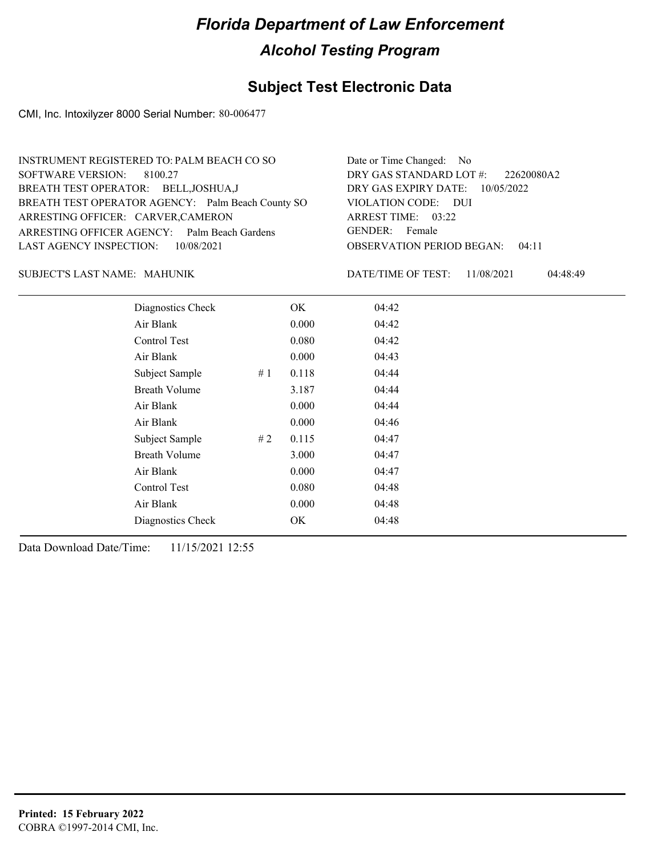### **Subject Test Electronic Data**

CMI, Inc. Intoxilyzer 8000 Serial Number: 80-006477

| INSTRUMENT REGISTERED TO: PALM BEACH CO SO        | Date or Time Changed: No               |
|---------------------------------------------------|----------------------------------------|
| SOFTWARE VERSION: 8100.27                         | DRY GAS STANDARD LOT #: 22620080A2     |
| BREATH TEST OPERATOR: BELL, JOSHUA, J             | DRY GAS EXPIRY DATE: $10/05/2022$      |
| BREATH TEST OPERATOR AGENCY: Palm Beach County SO | VIOLATION CODE: DUI                    |
| ARRESTING OFFICER: CARVER, CAMERON                | ARREST TIME: 03:22                     |
| ARRESTING OFFICER AGENCY: Palm Beach Gardens      | GENDER: Female                         |
| LAST AGENCY INSPECTION: 10/08/2021                | <b>OBSERVATION PERIOD BEGAN: 04:11</b> |
|                                                   |                                        |

#### MAHUNIK SUBJECT'S LAST NAME: DATE/TIME OF TEST:

DATE/TIME OF TEST: 11/08/2021 04:48:49

| Diagnostics Check    |    | OK    | 04:42 |
|----------------------|----|-------|-------|
| Air Blank            |    | 0.000 | 04:42 |
| Control Test         |    | 0.080 | 04:42 |
| Air Blank            |    | 0.000 | 04:43 |
| Subject Sample       | #1 | 0.118 | 04:44 |
| <b>Breath Volume</b> |    | 3.187 | 04:44 |
| Air Blank            |    | 0.000 | 04:44 |
| Air Blank            |    | 0.000 | 04:46 |
| Subject Sample       | #2 | 0.115 | 04:47 |
| <b>Breath Volume</b> |    | 3.000 | 04:47 |
| Air Blank            |    | 0.000 | 04:47 |
| Control Test         |    | 0.080 | 04:48 |
| Air Blank            |    | 0.000 | 04:48 |
| Diagnostics Check    |    | OK    | 04:48 |
|                      |    |       |       |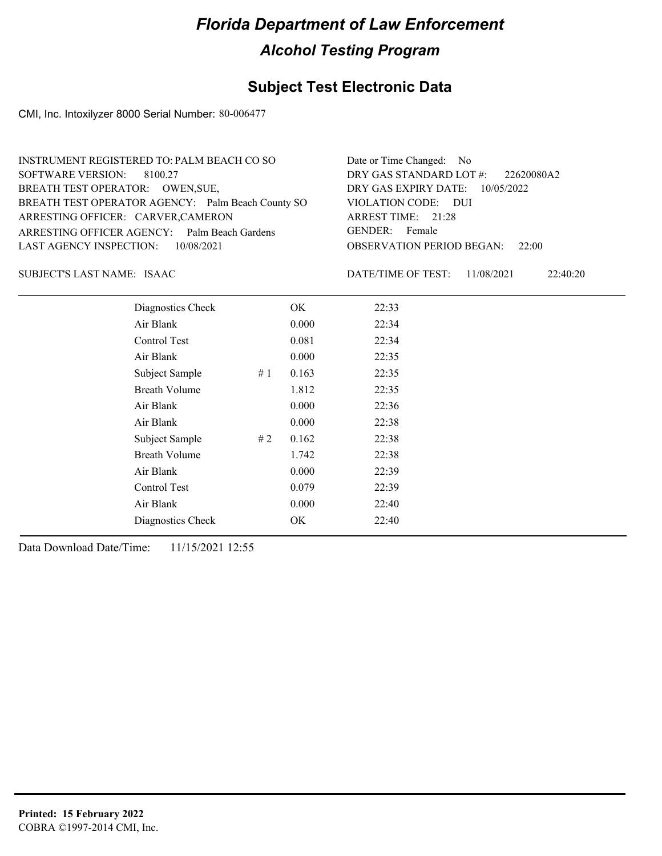### **Subject Test Electronic Data**

CMI, Inc. Intoxilyzer 8000 Serial Number: 80-006477

| INSTRUMENT REGISTERED TO: PALM BEACH CO SO        | Date or Time Changed: No               |
|---------------------------------------------------|----------------------------------------|
| SOFTWARE VERSION: 8100.27                         | DRY GAS STANDARD LOT $\#$ : 22620080A2 |
| BREATH TEST OPERATOR: OWEN, SUE,                  | DRY GAS EXPIRY DATE: $10/05/2022$      |
| BREATH TEST OPERATOR AGENCY: Palm Beach County SO | VIOLATION CODE: DUI                    |
| ARRESTING OFFICER: CARVER, CAMERON                | ARREST TIME: 21:28                     |
| ARRESTING OFFICER AGENCY: Palm Beach Gardens      | GENDER: Female                         |
| LAST AGENCY INSPECTION: 10/08/2021                | <b>OBSERVATION PERIOD BEGAN: 22:00</b> |
|                                                   |                                        |

ISAAC SUBJECT'S LAST NAME: DATE/TIME OF TEST:

DATE/TIME OF TEST: 11/08/2021 22:40:20

| Diagnostics Check    |    | OK    | 22:33 |
|----------------------|----|-------|-------|
| Air Blank            |    | 0.000 | 22:34 |
| Control Test         |    | 0.081 | 22:34 |
| Air Blank            |    | 0.000 | 22:35 |
| Subject Sample       | #1 | 0.163 | 22:35 |
| <b>Breath Volume</b> |    | 1.812 | 22:35 |
| Air Blank            |    | 0.000 | 22:36 |
| Air Blank            |    | 0.000 | 22:38 |
| Subject Sample       | #2 | 0.162 | 22:38 |
| <b>Breath Volume</b> |    | 1.742 | 22:38 |
| Air Blank            |    | 0.000 | 22:39 |
| <b>Control Test</b>  |    | 0.079 | 22:39 |
| Air Blank            |    | 0.000 | 22:40 |
| Diagnostics Check    |    | OK    | 22:40 |
|                      |    |       |       |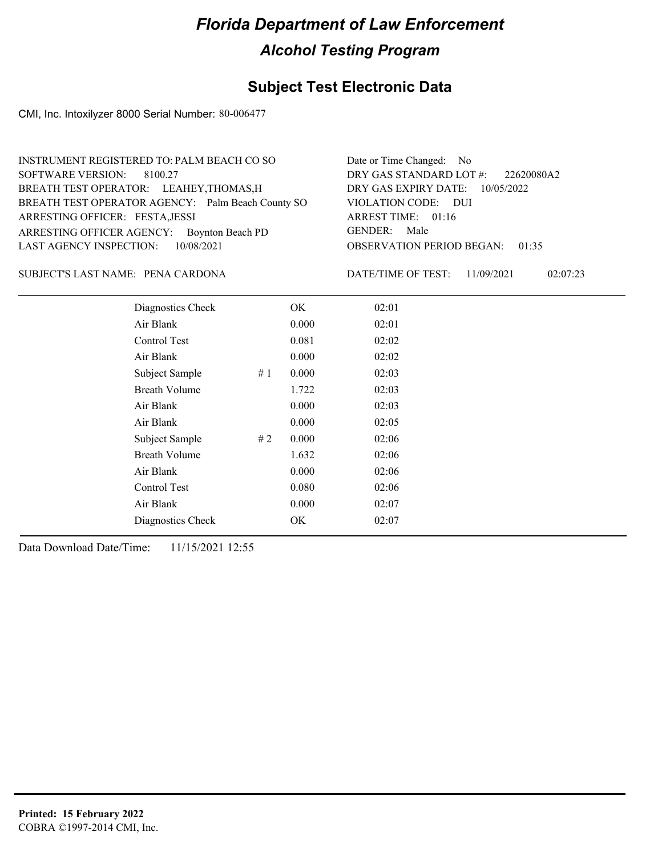## **Subject Test Electronic Data**

CMI, Inc. Intoxilyzer 8000 Serial Number: 80-006477

| INSTRUMENT REGISTERED TO: PALM BEACH CO SO        | Date or Time Changed: No               |
|---------------------------------------------------|----------------------------------------|
| SOFTWARE VERSION: 8100.27                         | DRY GAS STANDARD LOT $\#$ : 22620080A2 |
| BREATH TEST OPERATOR: LEAHEY, THOMAS, H           | DRY GAS EXPIRY DATE: $10/05/2022$      |
| BREATH TEST OPERATOR AGENCY: Palm Beach County SO | VIOLATION CODE: DUI                    |
| ARRESTING OFFICER: FESTA, JESSI                   | ARREST TIME: 01:16                     |
| ARRESTING OFFICER AGENCY: Boynton Beach PD        | GENDER: Male                           |
| LAST AGENCY INSPECTION: 10/08/2021                | <b>OBSERVATION PERIOD BEGAN: 01:35</b> |
|                                                   |                                        |

PENA CARDONA SUBJECT'S LAST NAME: DATE/TIME OF TEST:

DATE/TIME OF TEST: 11/09/2021 02:07:23

| Diagnostics Check    |    | OK    | 02:01 |  |  |
|----------------------|----|-------|-------|--|--|
| Air Blank            |    | 0.000 | 02:01 |  |  |
| Control Test         |    | 0.081 | 02:02 |  |  |
| Air Blank            |    | 0.000 | 02:02 |  |  |
| Subject Sample       | #1 | 0.000 | 02:03 |  |  |
| <b>Breath Volume</b> |    | 1.722 | 02:03 |  |  |
| Air Blank            |    | 0.000 | 02:03 |  |  |
| Air Blank            |    | 0.000 | 02:05 |  |  |
| Subject Sample       | #2 | 0.000 | 02:06 |  |  |
| <b>Breath Volume</b> |    | 1.632 | 02:06 |  |  |
| Air Blank            |    | 0.000 | 02:06 |  |  |
| <b>Control Test</b>  |    | 0.080 | 02:06 |  |  |
| Air Blank            |    | 0.000 | 02:07 |  |  |
| Diagnostics Check    |    | OK    | 02:07 |  |  |
|                      |    |       |       |  |  |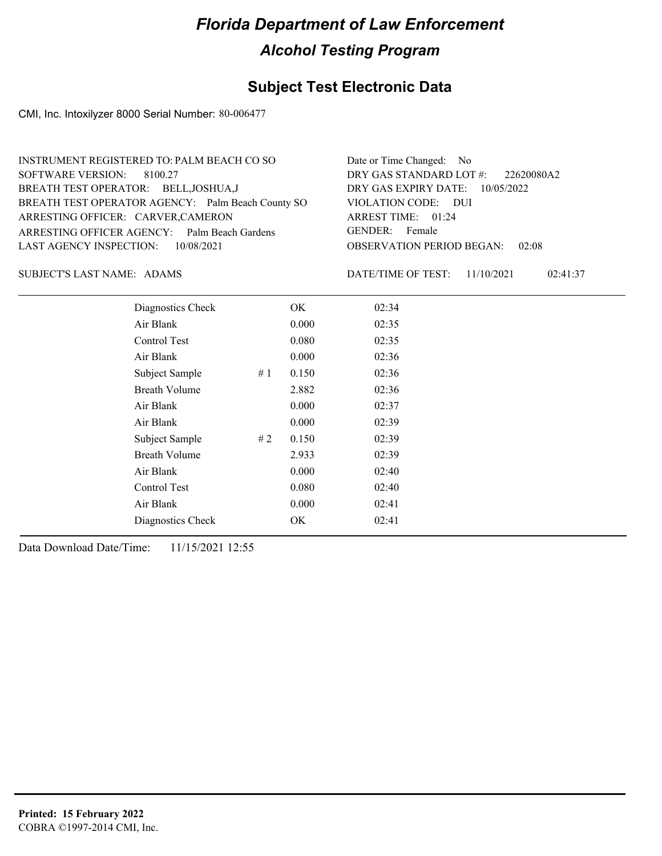## **Subject Test Electronic Data**

CMI, Inc. Intoxilyzer 8000 Serial Number: 80-006477

| INSTRUMENT REGISTERED TO: PALM BEACH CO SO        | Date or Time Changed: No               |
|---------------------------------------------------|----------------------------------------|
| SOFTWARE VERSION: 8100.27                         | DRY GAS STANDARD LOT $\#$ : 22620080A2 |
| BREATH TEST OPERATOR: BELL, JOSHUA, J             | DRY GAS EXPIRY DATE: $10/05/2022$      |
| BREATH TEST OPERATOR AGENCY: Palm Beach County SO | VIOLATION CODE: DUI                    |
| ARRESTING OFFICER: CARVER, CAMERON                | ARREST TIME: 01:24                     |
| ARRESTING OFFICER AGENCY: Palm Beach Gardens      | GENDER: Female                         |
| LAST AGENCY INSPECTION: 10/08/2021                | <b>OBSERVATION PERIOD BEGAN: 02:08</b> |
|                                                   |                                        |

SUBJECT'S LAST NAME: ADAMS DATE/TIME OF TEST:

DATE/TIME OF TEST: 11/10/2021 02:41:37

| Diagnostics Check    |    | OK    | 02:34 |
|----------------------|----|-------|-------|
| Air Blank            |    | 0.000 | 02:35 |
| Control Test         |    | 0.080 | 02:35 |
| Air Blank            |    | 0.000 | 02:36 |
| Subject Sample       | #1 | 0.150 | 02:36 |
| <b>Breath Volume</b> |    | 2.882 | 02:36 |
| Air Blank            |    | 0.000 | 02:37 |
| Air Blank            |    | 0.000 | 02:39 |
| Subject Sample       | #2 | 0.150 | 02:39 |
| <b>Breath Volume</b> |    | 2.933 | 02:39 |
| Air Blank            |    | 0.000 | 02:40 |
| <b>Control Test</b>  |    | 0.080 | 02:40 |
| Air Blank            |    | 0.000 | 02:41 |
| Diagnostics Check    |    | OK    | 02:41 |
|                      |    |       |       |